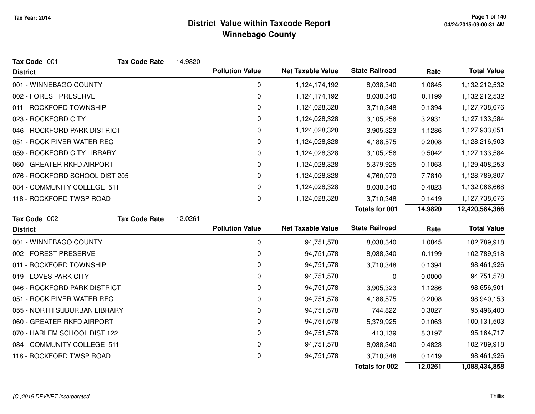| Tax Code 001                   | <b>Tax Code Rate</b> | 14.9820 |                        |                          |                       |         |                    |
|--------------------------------|----------------------|---------|------------------------|--------------------------|-----------------------|---------|--------------------|
| <b>District</b>                |                      |         | <b>Pollution Value</b> | <b>Net Taxable Value</b> | <b>State Railroad</b> | Rate    | <b>Total Value</b> |
| 001 - WINNEBAGO COUNTY         |                      |         | 0                      | 1,124,174,192            | 8,038,340             | 1.0845  | 1,132,212,532      |
| 002 - FOREST PRESERVE          |                      |         | 0                      | 1,124,174,192            | 8,038,340             | 0.1199  | 1,132,212,532      |
| 011 - ROCKFORD TOWNSHIP        |                      |         | 0                      | 1,124,028,328            | 3,710,348             | 0.1394  | 1,127,738,676      |
| 023 - ROCKFORD CITY            |                      |         | 0                      | 1,124,028,328            | 3,105,256             | 3.2931  | 1,127,133,584      |
| 046 - ROCKFORD PARK DISTRICT   |                      |         | 0                      | 1,124,028,328            | 3,905,323             | 1.1286  | 1,127,933,651      |
| 051 - ROCK RIVER WATER REC     |                      |         | 0                      | 1,124,028,328            | 4,188,575             | 0.2008  | 1,128,216,903      |
| 059 - ROCKFORD CITY LIBRARY    |                      |         | 0                      | 1,124,028,328            | 3,105,256             | 0.5042  | 1,127,133,584      |
| 060 - GREATER RKFD AIRPORT     |                      |         | 0                      | 1,124,028,328            | 5,379,925             | 0.1063  | 1,129,408,253      |
| 076 - ROCKFORD SCHOOL DIST 205 |                      |         | 0                      | 1,124,028,328            | 4,760,979             | 7.7810  | 1,128,789,307      |
| 084 - COMMUNITY COLLEGE 511    |                      |         | 0                      | 1,124,028,328            | 8,038,340             | 0.4823  | 1,132,066,668      |
| 118 - ROCKFORD TWSP ROAD       |                      |         | 0                      | 1,124,028,328            | 3,710,348             | 0.1419  | 1,127,738,676      |
|                                |                      |         |                        |                          | <b>Totals for 001</b> | 14.9820 | 12,420,584,366     |
| Tax Code 002                   | <b>Tax Code Rate</b> | 12.0261 |                        |                          |                       |         |                    |
| <b>District</b>                |                      |         | <b>Pollution Value</b> | <b>Net Taxable Value</b> | <b>State Railroad</b> | Rate    | <b>Total Value</b> |
| 001 - WINNEBAGO COUNTY         |                      |         | $\mathbf 0$            | 94,751,578               | 8,038,340             | 1.0845  | 102,789,918        |
| 002 - FOREST PRESERVE          |                      |         | 0                      | 94,751,578               | 8,038,340             | 0.1199  | 102,789,918        |
| 011 - ROCKFORD TOWNSHIP        |                      |         | 0                      | 94,751,578               | 3,710,348             | 0.1394  | 98,461,926         |
| 019 - LOVES PARK CITY          |                      |         | 0                      | 94,751,578               | 0                     | 0.0000  | 94,751,578         |
| 046 - ROCKFORD PARK DISTRICT   |                      |         | 0                      | 94,751,578               | 3,905,323             | 1.1286  | 98,656,901         |
| 051 - ROCK RIVER WATER REC     |                      |         | 0                      | 94,751,578               | 4,188,575             | 0.2008  | 98,940,153         |
| 055 - NORTH SUBURBAN LIBRARY   |                      |         | 0                      | 94,751,578               | 744,822               | 0.3027  | 95,496,400         |
| 060 - GREATER RKFD AIRPORT     |                      |         | 0                      | 94,751,578               | 5,379,925             | 0.1063  | 100,131,503        |
| 070 - HARLEM SCHOOL DIST 122   |                      |         | 0                      | 94,751,578               | 413,139               | 8.3197  | 95,164,717         |
| 084 - COMMUNITY COLLEGE 511    |                      |         | 0                      | 94,751,578               | 8,038,340             | 0.4823  | 102,789,918        |
| 118 - ROCKFORD TWSP ROAD       |                      |         | 0                      | 94,751,578               | 3,710,348             | 0.1419  | 98,461,926         |
|                                |                      |         |                        |                          | <b>Totals for 002</b> | 12.0261 | 1,088,434,858      |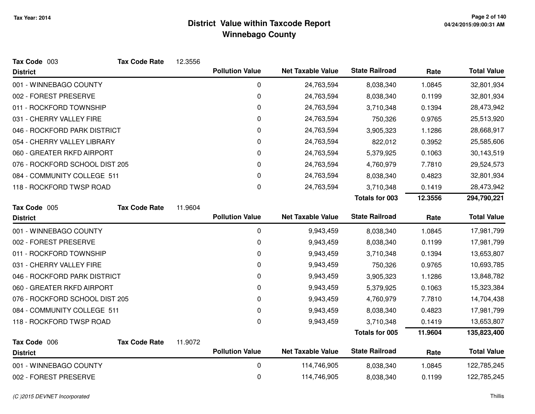| Tax Code 003                   | <b>Tax Code Rate</b> | 12.3556 |                        |                          |                       |         |                    |
|--------------------------------|----------------------|---------|------------------------|--------------------------|-----------------------|---------|--------------------|
| <b>District</b>                |                      |         | <b>Pollution Value</b> | <b>Net Taxable Value</b> | <b>State Railroad</b> | Rate    | <b>Total Value</b> |
| 001 - WINNEBAGO COUNTY         |                      |         | 0                      | 24,763,594               | 8,038,340             | 1.0845  | 32,801,934         |
| 002 - FOREST PRESERVE          |                      |         | $\mathbf 0$            | 24,763,594               | 8,038,340             | 0.1199  | 32,801,934         |
| 011 - ROCKFORD TOWNSHIP        |                      |         | 0                      | 24,763,594               | 3,710,348             | 0.1394  | 28,473,942         |
| 031 - CHERRY VALLEY FIRE       |                      |         | 0                      | 24,763,594               | 750,326               | 0.9765  | 25,513,920         |
| 046 - ROCKFORD PARK DISTRICT   |                      |         | 0                      | 24,763,594               | 3,905,323             | 1.1286  | 28,668,917         |
| 054 - CHERRY VALLEY LIBRARY    |                      |         | 0                      | 24,763,594               | 822,012               | 0.3952  | 25,585,606         |
| 060 - GREATER RKFD AIRPORT     |                      |         | 0                      | 24,763,594               | 5,379,925             | 0.1063  | 30,143,519         |
| 076 - ROCKFORD SCHOOL DIST 205 |                      |         | 0                      | 24,763,594               | 4,760,979             | 7.7810  | 29,524,573         |
| 084 - COMMUNITY COLLEGE 511    |                      |         | 0                      | 24,763,594               | 8,038,340             | 0.4823  | 32,801,934         |
| 118 - ROCKFORD TWSP ROAD       |                      |         | 0                      | 24,763,594               | 3,710,348             | 0.1419  | 28,473,942         |
|                                |                      |         |                        |                          | <b>Totals for 003</b> | 12.3556 | 294,790,221        |
| Tax Code 005                   | <b>Tax Code Rate</b> | 11.9604 |                        |                          |                       |         |                    |
| <b>District</b>                |                      |         | <b>Pollution Value</b> | <b>Net Taxable Value</b> | <b>State Railroad</b> | Rate    | <b>Total Value</b> |
| 001 - WINNEBAGO COUNTY         |                      |         | $\pmb{0}$              | 9,943,459                | 8,038,340             | 1.0845  | 17,981,799         |
| 002 - FOREST PRESERVE          |                      |         | $\mathbf 0$            | 9,943,459                | 8,038,340             | 0.1199  | 17,981,799         |
| 011 - ROCKFORD TOWNSHIP        |                      |         | 0                      | 9,943,459                | 3,710,348             | 0.1394  | 13,653,807         |
| 031 - CHERRY VALLEY FIRE       |                      |         | 0                      | 9,943,459                | 750,326               | 0.9765  | 10,693,785         |
| 046 - ROCKFORD PARK DISTRICT   |                      |         | 0                      | 9,943,459                | 3,905,323             | 1.1286  | 13,848,782         |
| 060 - GREATER RKFD AIRPORT     |                      |         | 0                      | 9,943,459                | 5,379,925             | 0.1063  | 15,323,384         |
| 076 - ROCKFORD SCHOOL DIST 205 |                      |         | 0                      | 9,943,459                | 4,760,979             | 7.7810  | 14,704,438         |
| 084 - COMMUNITY COLLEGE 511    |                      |         | $\pmb{0}$              | 9,943,459                | 8,038,340             | 0.4823  | 17,981,799         |
| 118 - ROCKFORD TWSP ROAD       |                      |         | 0                      | 9,943,459                | 3,710,348             | 0.1419  | 13,653,807         |
|                                |                      |         |                        |                          | Totals for 005        | 11.9604 | 135,823,400        |
| Tax Code 006                   | <b>Tax Code Rate</b> | 11.9072 | <b>Pollution Value</b> | <b>Net Taxable Value</b> | <b>State Railroad</b> |         | <b>Total Value</b> |
| <b>District</b>                |                      |         |                        |                          |                       | Rate    |                    |
| 001 - WINNEBAGO COUNTY         |                      |         | 0                      | 114,746,905              | 8,038,340             | 1.0845  | 122,785,245        |
| 002 - FOREST PRESERVE          |                      |         | 0                      | 114,746,905              | 8,038,340             | 0.1199  | 122,785,245        |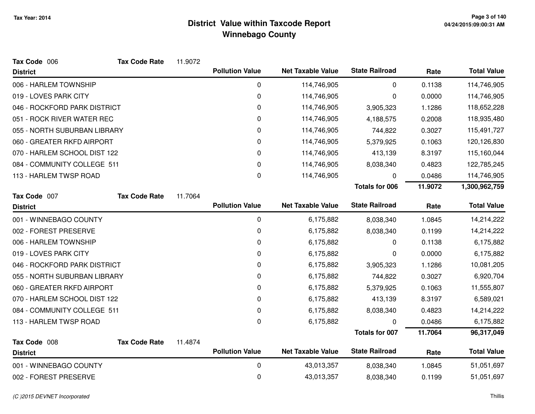| Tax Code 006                 | <b>Tax Code Rate</b> | 11.9072 |                        |                          |                       |         |                    |
|------------------------------|----------------------|---------|------------------------|--------------------------|-----------------------|---------|--------------------|
| <b>District</b>              |                      |         | <b>Pollution Value</b> | <b>Net Taxable Value</b> | <b>State Railroad</b> | Rate    | <b>Total Value</b> |
| 006 - HARLEM TOWNSHIP        |                      |         | 0                      | 114,746,905              | 0                     | 0.1138  | 114,746,905        |
| 019 - LOVES PARK CITY        |                      |         | 0                      | 114,746,905              | 0                     | 0.0000  | 114,746,905        |
| 046 - ROCKFORD PARK DISTRICT |                      |         | 0                      | 114,746,905              | 3,905,323             | 1.1286  | 118,652,228        |
| 051 - ROCK RIVER WATER REC   |                      |         | 0                      | 114,746,905              | 4,188,575             | 0.2008  | 118,935,480        |
| 055 - NORTH SUBURBAN LIBRARY |                      |         | 0                      | 114,746,905              | 744,822               | 0.3027  | 115,491,727        |
| 060 - GREATER RKFD AIRPORT   |                      |         | $\Omega$               | 114,746,905              | 5,379,925             | 0.1063  | 120,126,830        |
| 070 - HARLEM SCHOOL DIST 122 |                      |         | 0                      | 114,746,905              | 413,139               | 8.3197  | 115,160,044        |
| 084 - COMMUNITY COLLEGE 511  |                      |         | 0                      | 114,746,905              | 8,038,340             | 0.4823  | 122,785,245        |
| 113 - HARLEM TWSP ROAD       |                      |         | 0                      | 114,746,905              | 0                     | 0.0486  | 114,746,905        |
|                              |                      |         |                        |                          | <b>Totals for 006</b> | 11.9072 | 1,300,962,759      |
| Tax Code 007                 | <b>Tax Code Rate</b> | 11.7064 |                        |                          |                       |         |                    |
| <b>District</b>              |                      |         | <b>Pollution Value</b> | <b>Net Taxable Value</b> | <b>State Railroad</b> | Rate    | <b>Total Value</b> |
| 001 - WINNEBAGO COUNTY       |                      |         | 0                      | 6,175,882                | 8,038,340             | 1.0845  | 14,214,222         |
| 002 - FOREST PRESERVE        |                      |         | $\mathbf 0$            | 6,175,882                | 8,038,340             | 0.1199  | 14,214,222         |
| 006 - HARLEM TOWNSHIP        |                      |         | 0                      | 6,175,882                | 0                     | 0.1138  | 6,175,882          |
| 019 - LOVES PARK CITY        |                      |         | 0                      | 6,175,882                | 0                     | 0.0000  | 6,175,882          |
| 046 - ROCKFORD PARK DISTRICT |                      |         | 0                      | 6,175,882                | 3,905,323             | 1.1286  | 10,081,205         |
| 055 - NORTH SUBURBAN LIBRARY |                      |         | 0                      | 6,175,882                | 744,822               | 0.3027  | 6,920,704          |
| 060 - GREATER RKFD AIRPORT   |                      |         | 0                      | 6,175,882                | 5,379,925             | 0.1063  | 11,555,807         |
| 070 - HARLEM SCHOOL DIST 122 |                      |         | 0                      | 6,175,882                | 413,139               | 8.3197  | 6,589,021          |
| 084 - COMMUNITY COLLEGE 511  |                      |         | 0                      | 6,175,882                | 8,038,340             | 0.4823  | 14,214,222         |
| 113 - HARLEM TWSP ROAD       |                      |         | $\Omega$               | 6,175,882                | 0                     | 0.0486  | 6,175,882          |
|                              |                      |         |                        |                          | <b>Totals for 007</b> | 11.7064 | 96,317,049         |
| Tax Code 008                 | <b>Tax Code Rate</b> | 11.4874 | <b>Pollution Value</b> | <b>Net Taxable Value</b> | <b>State Railroad</b> |         | <b>Total Value</b> |
| <b>District</b>              |                      |         |                        |                          |                       | Rate    |                    |
| 001 - WINNEBAGO COUNTY       |                      |         | $\mathbf 0$            | 43,013,357               | 8,038,340             | 1.0845  | 51,051,697         |
| 002 - FOREST PRESERVE        |                      |         | 0                      | 43,013,357               | 8,038,340             | 0.1199  | 51,051,697         |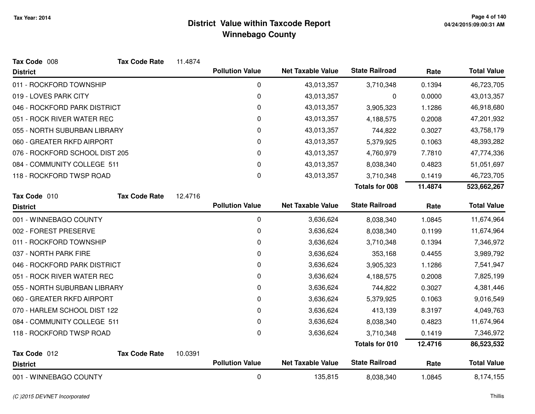| Tax Code 008                   | <b>Tax Code Rate</b> | 11.4874 |                        |                          |                       |         |                    |
|--------------------------------|----------------------|---------|------------------------|--------------------------|-----------------------|---------|--------------------|
| <b>District</b>                |                      |         | <b>Pollution Value</b> | <b>Net Taxable Value</b> | <b>State Railroad</b> | Rate    | <b>Total Value</b> |
| 011 - ROCKFORD TOWNSHIP        |                      |         | 0                      | 43,013,357               | 3,710,348             | 0.1394  | 46,723,705         |
| 019 - LOVES PARK CITY          |                      |         | 0                      | 43,013,357               | 0                     | 0.0000  | 43,013,357         |
| 046 - ROCKFORD PARK DISTRICT   |                      |         | 0                      | 43,013,357               | 3,905,323             | 1.1286  | 46,918,680         |
| 051 - ROCK RIVER WATER REC     |                      |         | 0                      | 43,013,357               | 4,188,575             | 0.2008  | 47,201,932         |
| 055 - NORTH SUBURBAN LIBRARY   |                      |         | $\mathbf 0$            | 43,013,357               | 744,822               | 0.3027  | 43,758,179         |
| 060 - GREATER RKFD AIRPORT     |                      |         | 0                      | 43,013,357               | 5,379,925             | 0.1063  | 48,393,282         |
| 076 - ROCKFORD SCHOOL DIST 205 |                      |         | 0                      | 43,013,357               | 4,760,979             | 7.7810  | 47,774,336         |
| 084 - COMMUNITY COLLEGE 511    |                      |         | 0                      | 43,013,357               | 8,038,340             | 0.4823  | 51,051,697         |
| 118 - ROCKFORD TWSP ROAD       |                      |         | 0                      | 43,013,357               | 3,710,348             | 0.1419  | 46,723,705         |
|                                |                      |         |                        |                          | <b>Totals for 008</b> | 11.4874 | 523,662,267        |
| Tax Code 010                   | <b>Tax Code Rate</b> | 12.4716 |                        |                          |                       |         |                    |
| <b>District</b>                |                      |         | <b>Pollution Value</b> | <b>Net Taxable Value</b> | <b>State Railroad</b> | Rate    | <b>Total Value</b> |
| 001 - WINNEBAGO COUNTY         |                      |         | 0                      | 3,636,624                | 8,038,340             | 1.0845  | 11,674,964         |
| 002 - FOREST PRESERVE          |                      |         | $\mathbf 0$            | 3,636,624                | 8,038,340             | 0.1199  | 11,674,964         |
| 011 - ROCKFORD TOWNSHIP        |                      |         | 0                      | 3,636,624                | 3,710,348             | 0.1394  | 7,346,972          |
| 037 - NORTH PARK FIRE          |                      |         | 0                      | 3,636,624                | 353,168               | 0.4455  | 3,989,792          |
| 046 - ROCKFORD PARK DISTRICT   |                      |         | 0                      | 3,636,624                | 3,905,323             | 1.1286  | 7,541,947          |
| 051 - ROCK RIVER WATER REC     |                      |         | 0                      | 3,636,624                | 4,188,575             | 0.2008  | 7,825,199          |
| 055 - NORTH SUBURBAN LIBRARY   |                      |         | 0                      | 3,636,624                | 744,822               | 0.3027  | 4,381,446          |
| 060 - GREATER RKFD AIRPORT     |                      |         | 0                      | 3,636,624                | 5,379,925             | 0.1063  | 9,016,549          |
| 070 - HARLEM SCHOOL DIST 122   |                      |         | 0                      | 3,636,624                | 413,139               | 8.3197  | 4,049,763          |
| 084 - COMMUNITY COLLEGE 511    |                      |         | 0                      | 3,636,624                | 8,038,340             | 0.4823  | 11,674,964         |
| 118 - ROCKFORD TWSP ROAD       |                      |         | 0                      | 3,636,624                | 3,710,348             | 0.1419  | 7,346,972          |
|                                |                      |         |                        |                          | <b>Totals for 010</b> | 12.4716 | 86,523,532         |
| Tax Code 012                   | <b>Tax Code Rate</b> | 10.0391 |                        |                          |                       |         |                    |
| <b>District</b>                |                      |         | <b>Pollution Value</b> | <b>Net Taxable Value</b> | <b>State Railroad</b> | Rate    | <b>Total Value</b> |
| 001 - WINNEBAGO COUNTY         |                      |         | $\mathbf 0$            | 135,815                  | 8,038,340             | 1.0845  | 8,174,155          |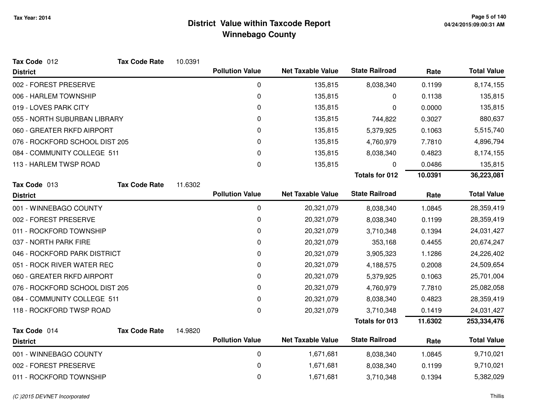| Tax Code 012                   | <b>Tax Code Rate</b>         | 10.0391 |                        |                          |                       |         |                    |
|--------------------------------|------------------------------|---------|------------------------|--------------------------|-----------------------|---------|--------------------|
| <b>District</b>                |                              |         | <b>Pollution Value</b> | <b>Net Taxable Value</b> | <b>State Railroad</b> | Rate    | <b>Total Value</b> |
| 002 - FOREST PRESERVE          |                              |         | 0                      | 135,815                  | 8,038,340             | 0.1199  | 8,174,155          |
| 006 - HARLEM TOWNSHIP          |                              |         | 0                      | 135,815                  | 0                     | 0.1138  | 135,815            |
| 019 - LOVES PARK CITY          |                              |         | 0                      | 135,815                  | 0                     | 0.0000  | 135,815            |
|                                | 055 - NORTH SUBURBAN LIBRARY |         | 0                      | 135,815                  | 744,822               | 0.3027  | 880,637            |
| 060 - GREATER RKFD AIRPORT     |                              |         | 0                      | 135,815                  | 5,379,925             | 0.1063  | 5,515,740          |
| 076 - ROCKFORD SCHOOL DIST 205 |                              |         | 0                      | 135,815                  | 4,760,979             | 7.7810  | 4,896,794          |
| 084 - COMMUNITY COLLEGE 511    |                              |         | 0                      | 135,815                  | 8,038,340             | 0.4823  | 8,174,155          |
| 113 - HARLEM TWSP ROAD         |                              |         | 0                      | 135,815                  | 0                     | 0.0486  | 135,815            |
|                                |                              |         |                        |                          | <b>Totals for 012</b> | 10.0391 | 36,223,081         |
| Tax Code 013                   | <b>Tax Code Rate</b>         | 11.6302 |                        |                          |                       |         |                    |
| <b>District</b>                |                              |         | <b>Pollution Value</b> | <b>Net Taxable Value</b> | <b>State Railroad</b> | Rate    | <b>Total Value</b> |
| 001 - WINNEBAGO COUNTY         |                              |         | 0                      | 20,321,079               | 8,038,340             | 1.0845  | 28,359,419         |
| 002 - FOREST PRESERVE          |                              |         | 0                      | 20,321,079               | 8,038,340             | 0.1199  | 28,359,419         |
| 011 - ROCKFORD TOWNSHIP        |                              |         | 0                      | 20,321,079               | 3,710,348             | 0.1394  | 24,031,427         |
| 037 - NORTH PARK FIRE          |                              |         | 0                      | 20,321,079               | 353,168               | 0.4455  | 20,674,247         |
| 046 - ROCKFORD PARK DISTRICT   |                              |         | 0                      | 20,321,079               | 3,905,323             | 1.1286  | 24,226,402         |
| 051 - ROCK RIVER WATER REC     |                              |         | 0                      | 20,321,079               | 4,188,575             | 0.2008  | 24,509,654         |
| 060 - GREATER RKFD AIRPORT     |                              |         | 0                      | 20,321,079               | 5,379,925             | 0.1063  | 25,701,004         |
| 076 - ROCKFORD SCHOOL DIST 205 |                              |         | 0                      | 20,321,079               | 4,760,979             | 7.7810  | 25,082,058         |
| 084 - COMMUNITY COLLEGE 511    |                              |         | 0                      | 20,321,079               | 8,038,340             | 0.4823  | 28,359,419         |
| 118 - ROCKFORD TWSP ROAD       |                              |         | 0                      | 20,321,079               | 3,710,348             | 0.1419  | 24,031,427         |
|                                |                              |         |                        |                          | <b>Totals for 013</b> | 11.6302 | 253,334,476        |
| Tax Code 014                   | <b>Tax Code Rate</b>         | 14.9820 |                        |                          |                       |         |                    |
| <b>District</b>                |                              |         | <b>Pollution Value</b> | <b>Net Taxable Value</b> | <b>State Railroad</b> | Rate    | <b>Total Value</b> |
| 001 - WINNEBAGO COUNTY         |                              |         | 0                      | 1,671,681                | 8,038,340             | 1.0845  | 9,710,021          |
| 002 - FOREST PRESERVE          |                              |         | 0                      | 1,671,681                | 8,038,340             | 0.1199  | 9,710,021          |
| 011 - ROCKFORD TOWNSHIP        |                              |         | 0                      | 1,671,681                | 3,710,348             | 0.1394  | 5,382,029          |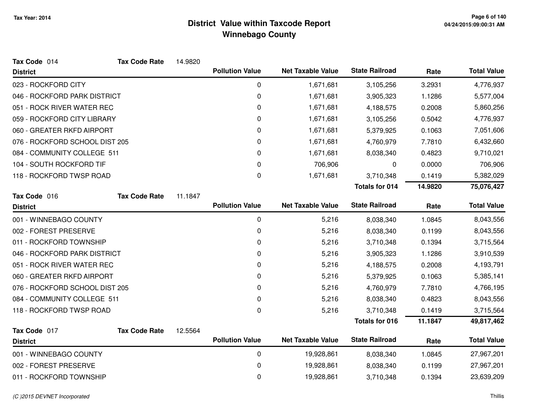| Tax Code 014                   | <b>Tax Code Rate</b> | 14.9820 |                        |                          |                       |         |                    |
|--------------------------------|----------------------|---------|------------------------|--------------------------|-----------------------|---------|--------------------|
| <b>District</b>                |                      |         | <b>Pollution Value</b> | <b>Net Taxable Value</b> | <b>State Railroad</b> | Rate    | <b>Total Value</b> |
| 023 - ROCKFORD CITY            |                      |         | 0                      | 1,671,681                | 3,105,256             | 3.2931  | 4,776,937          |
| 046 - ROCKFORD PARK DISTRICT   |                      |         | 0                      | 1,671,681                | 3,905,323             | 1.1286  | 5,577,004          |
| 051 - ROCK RIVER WATER REC     |                      |         | 0                      | 1,671,681                | 4,188,575             | 0.2008  | 5,860,256          |
| 059 - ROCKFORD CITY LIBRARY    |                      |         | 0                      | 1,671,681                | 3,105,256             | 0.5042  | 4,776,937          |
| 060 - GREATER RKFD AIRPORT     |                      |         | 0                      | 1,671,681                | 5,379,925             | 0.1063  | 7,051,606          |
| 076 - ROCKFORD SCHOOL DIST 205 |                      |         | 0                      | 1,671,681                | 4,760,979             | 7.7810  | 6,432,660          |
| 084 - COMMUNITY COLLEGE 511    |                      |         | 0                      | 1,671,681                | 8,038,340             | 0.4823  | 9,710,021          |
| 104 - SOUTH ROCKFORD TIF       |                      |         | 0                      | 706,906                  | 0                     | 0.0000  | 706,906            |
| 118 - ROCKFORD TWSP ROAD       |                      |         | 0                      | 1,671,681                | 3,710,348             | 0.1419  | 5,382,029          |
|                                |                      |         |                        |                          | <b>Totals for 014</b> | 14.9820 | 75,076,427         |
| Tax Code 016                   | <b>Tax Code Rate</b> | 11.1847 |                        |                          |                       |         |                    |
| <b>District</b>                |                      |         | <b>Pollution Value</b> | <b>Net Taxable Value</b> | <b>State Railroad</b> | Rate    | <b>Total Value</b> |
| 001 - WINNEBAGO COUNTY         |                      |         | 0                      | 5,216                    | 8,038,340             | 1.0845  | 8,043,556          |
| 002 - FOREST PRESERVE          |                      |         | 0                      | 5,216                    | 8,038,340             | 0.1199  | 8,043,556          |
| 011 - ROCKFORD TOWNSHIP        |                      |         | 0                      | 5,216                    | 3,710,348             | 0.1394  | 3,715,564          |
| 046 - ROCKFORD PARK DISTRICT   |                      |         | 0                      | 5,216                    | 3,905,323             | 1.1286  | 3,910,539          |
| 051 - ROCK RIVER WATER REC     |                      |         | 0                      | 5,216                    | 4,188,575             | 0.2008  | 4,193,791          |
| 060 - GREATER RKFD AIRPORT     |                      |         | 0                      | 5,216                    | 5,379,925             | 0.1063  | 5,385,141          |
| 076 - ROCKFORD SCHOOL DIST 205 |                      |         | 0                      | 5,216                    | 4,760,979             | 7.7810  | 4,766,195          |
| 084 - COMMUNITY COLLEGE 511    |                      |         | 0                      | 5,216                    | 8,038,340             | 0.4823  | 8,043,556          |
| 118 - ROCKFORD TWSP ROAD       |                      |         | 0                      | 5,216                    | 3,710,348             | 0.1419  | 3,715,564          |
|                                |                      |         |                        |                          | <b>Totals for 016</b> | 11.1847 | 49,817,462         |
| Tax Code 017                   | <b>Tax Code Rate</b> | 12.5564 |                        |                          |                       |         |                    |
| <b>District</b>                |                      |         | <b>Pollution Value</b> | <b>Net Taxable Value</b> | <b>State Railroad</b> | Rate    | <b>Total Value</b> |
| 001 - WINNEBAGO COUNTY         |                      |         | $\mathbf 0$            | 19,928,861               | 8,038,340             | 1.0845  | 27,967,201         |
| 002 - FOREST PRESERVE          |                      |         | 0                      | 19,928,861               | 8,038,340             | 0.1199  | 27,967,201         |
| 011 - ROCKFORD TOWNSHIP        |                      |         | 0                      | 19,928,861               | 3,710,348             | 0.1394  | 23,639,209         |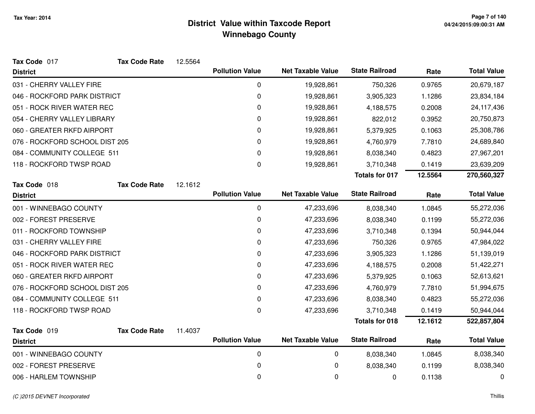| Tax Code 017                   | <b>Tax Code Rate</b> | 12.5564 |                        |                          |                       |         |                    |
|--------------------------------|----------------------|---------|------------------------|--------------------------|-----------------------|---------|--------------------|
| <b>District</b>                |                      |         | <b>Pollution Value</b> | <b>Net Taxable Value</b> | <b>State Railroad</b> | Rate    | <b>Total Value</b> |
| 031 - CHERRY VALLEY FIRE       |                      |         | 0                      | 19,928,861               | 750,326               | 0.9765  | 20,679,187         |
| 046 - ROCKFORD PARK DISTRICT   |                      |         | 0                      | 19,928,861               | 3,905,323             | 1.1286  | 23,834,184         |
| 051 - ROCK RIVER WATER REC     |                      |         | 0                      | 19,928,861               | 4,188,575             | 0.2008  | 24,117,436         |
| 054 - CHERRY VALLEY LIBRARY    |                      |         | 0                      | 19,928,861               | 822,012               | 0.3952  | 20,750,873         |
| 060 - GREATER RKFD AIRPORT     |                      |         | 0                      | 19,928,861               | 5,379,925             | 0.1063  | 25,308,786         |
| 076 - ROCKFORD SCHOOL DIST 205 |                      |         | 0                      | 19,928,861               | 4,760,979             | 7.7810  | 24,689,840         |
| 084 - COMMUNITY COLLEGE 511    |                      |         | 0                      | 19,928,861               | 8,038,340             | 0.4823  | 27,967,201         |
| 118 - ROCKFORD TWSP ROAD       |                      |         | 0                      | 19,928,861               | 3,710,348             | 0.1419  | 23,639,209         |
|                                |                      |         |                        |                          | <b>Totals for 017</b> | 12.5564 | 270,560,327        |
| Tax Code 018                   | <b>Tax Code Rate</b> | 12.1612 |                        |                          |                       |         |                    |
| <b>District</b>                |                      |         | <b>Pollution Value</b> | <b>Net Taxable Value</b> | <b>State Railroad</b> | Rate    | <b>Total Value</b> |
| 001 - WINNEBAGO COUNTY         |                      |         | 0                      | 47,233,696               | 8,038,340             | 1.0845  | 55,272,036         |
| 002 - FOREST PRESERVE          |                      |         | 0                      | 47,233,696               | 8,038,340             | 0.1199  | 55,272,036         |
| 011 - ROCKFORD TOWNSHIP        |                      |         | $\mathbf 0$            | 47,233,696               | 3,710,348             | 0.1394  | 50,944,044         |
| 031 - CHERRY VALLEY FIRE       |                      |         | 0                      | 47,233,696               | 750,326               | 0.9765  | 47,984,022         |
| 046 - ROCKFORD PARK DISTRICT   |                      |         | 0                      | 47,233,696               | 3,905,323             | 1.1286  | 51,139,019         |
| 051 - ROCK RIVER WATER REC     |                      |         | 0                      | 47,233,696               | 4,188,575             | 0.2008  | 51,422,271         |
| 060 - GREATER RKFD AIRPORT     |                      |         | 0                      | 47,233,696               | 5,379,925             | 0.1063  | 52,613,621         |
| 076 - ROCKFORD SCHOOL DIST 205 |                      |         | 0                      | 47,233,696               | 4,760,979             | 7.7810  | 51,994,675         |
| 084 - COMMUNITY COLLEGE 511    |                      |         | $\Omega$               | 47,233,696               | 8,038,340             | 0.4823  | 55,272,036         |
| 118 - ROCKFORD TWSP ROAD       |                      |         | $\mathbf 0$            | 47,233,696               | 3,710,348             | 0.1419  | 50,944,044         |
|                                |                      |         |                        |                          | <b>Totals for 018</b> | 12.1612 | 522,857,804        |
| Tax Code 019                   | <b>Tax Code Rate</b> | 11.4037 |                        |                          |                       |         |                    |
| <b>District</b>                |                      |         | <b>Pollution Value</b> | <b>Net Taxable Value</b> | <b>State Railroad</b> | Rate    | <b>Total Value</b> |
| 001 - WINNEBAGO COUNTY         |                      |         | $\pmb{0}$              | 0                        | 8,038,340             | 1.0845  | 8,038,340          |
| 002 - FOREST PRESERVE          |                      |         | 0                      | 0                        | 8,038,340             | 0.1199  | 8,038,340          |
| 006 - HARLEM TOWNSHIP          |                      |         | 0                      | 0                        | 0                     | 0.1138  | 0                  |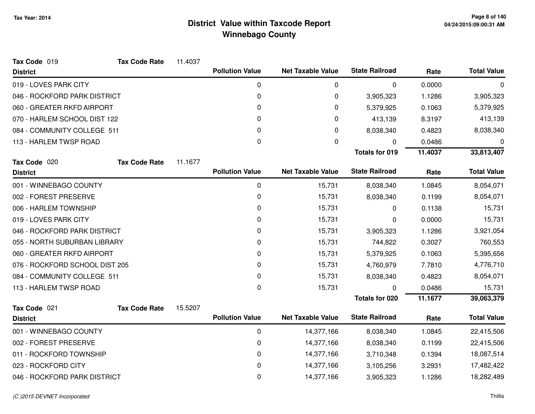| Tax Code 019                   | <b>Tax Code Rate</b> | 11.4037 |                        |                          |                       |         |                    |
|--------------------------------|----------------------|---------|------------------------|--------------------------|-----------------------|---------|--------------------|
| <b>District</b>                |                      |         | <b>Pollution Value</b> | <b>Net Taxable Value</b> | <b>State Railroad</b> | Rate    | <b>Total Value</b> |
| 019 - LOVES PARK CITY          |                      |         | 0                      | 0                        | 0                     | 0.0000  | 0                  |
| 046 - ROCKFORD PARK DISTRICT   |                      |         | 0                      | 0                        | 3,905,323             | 1.1286  | 3,905,323          |
| 060 - GREATER RKFD AIRPORT     |                      |         | 0                      | 0                        | 5,379,925             | 0.1063  | 5,379,925          |
| 070 - HARLEM SCHOOL DIST 122   |                      |         | 0                      | 0                        | 413,139               | 8.3197  | 413,139            |
| 084 - COMMUNITY COLLEGE 511    |                      |         | 0                      | 0                        | 8,038,340             | 0.4823  | 8,038,340          |
| 113 - HARLEM TWSP ROAD         |                      |         | 0                      | 0                        | 0                     | 0.0486  | 0                  |
|                                |                      |         |                        |                          | <b>Totals for 019</b> | 11.4037 | 33,813,407         |
| Tax Code 020                   | <b>Tax Code Rate</b> | 11.1677 |                        |                          |                       |         |                    |
| <b>District</b>                |                      |         | <b>Pollution Value</b> | <b>Net Taxable Value</b> | <b>State Railroad</b> | Rate    | <b>Total Value</b> |
| 001 - WINNEBAGO COUNTY         |                      |         | 0                      | 15,731                   | 8,038,340             | 1.0845  | 8,054,071          |
| 002 - FOREST PRESERVE          |                      |         | 0                      | 15,731                   | 8,038,340             | 0.1199  | 8,054,071          |
| 006 - HARLEM TOWNSHIP          |                      |         | 0                      | 15,731                   | $\Omega$              | 0.1138  | 15,731             |
| 019 - LOVES PARK CITY          |                      |         | 0                      | 15,731                   | 0                     | 0.0000  | 15,731             |
| 046 - ROCKFORD PARK DISTRICT   |                      |         | 0                      | 15,731                   | 3,905,323             | 1.1286  | 3,921,054          |
| 055 - NORTH SUBURBAN LIBRARY   |                      |         | 0                      | 15,731                   | 744,822               | 0.3027  | 760,553            |
| 060 - GREATER RKFD AIRPORT     |                      |         | 0                      | 15,731                   | 5,379,925             | 0.1063  | 5,395,656          |
| 076 - ROCKFORD SCHOOL DIST 205 |                      |         | 0                      | 15,731                   | 4,760,979             | 7.7810  | 4,776,710          |
| 084 - COMMUNITY COLLEGE 511    |                      |         | 0                      | 15,731                   | 8,038,340             | 0.4823  | 8,054,071          |
| 113 - HARLEM TWSP ROAD         |                      |         | 0                      | 15,731                   | 0                     | 0.0486  | 15,731             |
|                                |                      |         |                        |                          | <b>Totals for 020</b> | 11.1677 | 39,063,379         |
| Tax Code 021                   | <b>Tax Code Rate</b> | 15.5207 |                        |                          |                       |         |                    |
| <b>District</b>                |                      |         | <b>Pollution Value</b> | <b>Net Taxable Value</b> | <b>State Railroad</b> | Rate    | <b>Total Value</b> |
| 001 - WINNEBAGO COUNTY         |                      |         | $\pmb{0}$              | 14,377,166               | 8,038,340             | 1.0845  | 22,415,506         |
| 002 - FOREST PRESERVE          |                      |         | 0                      | 14,377,166               | 8,038,340             | 0.1199  | 22,415,506         |
| 011 - ROCKFORD TOWNSHIP        |                      |         | 0                      | 14,377,166               | 3,710,348             | 0.1394  | 18,087,514         |
| 023 - ROCKFORD CITY            |                      |         | 0                      | 14,377,166               | 3,105,256             | 3.2931  | 17,482,422         |
| 046 - ROCKFORD PARK DISTRICT   |                      |         | 0                      | 14,377,166               | 3,905,323             | 1.1286  | 18,282,489         |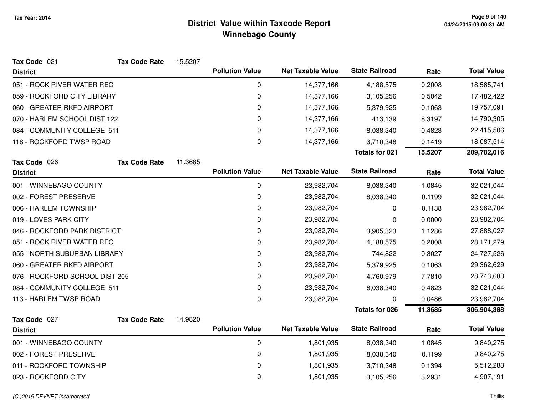| Tax Code 021                   | <b>Tax Code Rate</b>         | 15.5207 |                        |                          |                       |         |                    |
|--------------------------------|------------------------------|---------|------------------------|--------------------------|-----------------------|---------|--------------------|
| <b>District</b>                |                              |         | <b>Pollution Value</b> | <b>Net Taxable Value</b> | <b>State Railroad</b> | Rate    | <b>Total Value</b> |
| 051 - ROCK RIVER WATER REC     |                              |         | 0                      | 14,377,166               | 4,188,575             | 0.2008  | 18,565,741         |
| 059 - ROCKFORD CITY LIBRARY    |                              |         | 0                      | 14,377,166               | 3,105,256             | 0.5042  | 17,482,422         |
| 060 - GREATER RKFD AIRPORT     |                              |         | 0                      | 14,377,166               | 5,379,925             | 0.1063  | 19,757,091         |
|                                | 070 - HARLEM SCHOOL DIST 122 |         | 0                      | 14,377,166               | 413,139               | 8.3197  | 14,790,305         |
| 084 - COMMUNITY COLLEGE 511    |                              |         | 0                      | 14,377,166               | 8,038,340             | 0.4823  | 22,415,506         |
| 118 - ROCKFORD TWSP ROAD       |                              |         | 0                      | 14,377,166               | 3,710,348             | 0.1419  | 18,087,514         |
|                                |                              |         |                        |                          | <b>Totals for 021</b> | 15.5207 | 209,782,016        |
| Tax Code 026                   | <b>Tax Code Rate</b>         | 11.3685 |                        |                          |                       |         |                    |
| <b>District</b>                |                              |         | <b>Pollution Value</b> | <b>Net Taxable Value</b> | <b>State Railroad</b> | Rate    | <b>Total Value</b> |
| 001 - WINNEBAGO COUNTY         |                              |         | 0                      | 23,982,704               | 8,038,340             | 1.0845  | 32,021,044         |
| 002 - FOREST PRESERVE          |                              |         | 0                      | 23,982,704               | 8,038,340             | 0.1199  | 32,021,044         |
| 006 - HARLEM TOWNSHIP          |                              |         | 0                      | 23,982,704               | 0                     | 0.1138  | 23,982,704         |
| 019 - LOVES PARK CITY          |                              |         | 0                      | 23,982,704               | 0                     | 0.0000  | 23,982,704         |
| 046 - ROCKFORD PARK DISTRICT   |                              |         | $\mathbf 0$            | 23,982,704               | 3,905,323             | 1.1286  | 27,888,027         |
| 051 - ROCK RIVER WATER REC     |                              |         | 0                      | 23,982,704               | 4,188,575             | 0.2008  | 28, 171, 279       |
| 055 - NORTH SUBURBAN LIBRARY   |                              |         | 0                      | 23,982,704               | 744,822               | 0.3027  | 24,727,526         |
| 060 - GREATER RKFD AIRPORT     |                              |         | 0                      | 23,982,704               | 5,379,925             | 0.1063  | 29,362,629         |
| 076 - ROCKFORD SCHOOL DIST 205 |                              |         | 0                      | 23,982,704               | 4,760,979             | 7.7810  | 28,743,683         |
| 084 - COMMUNITY COLLEGE 511    |                              |         | 0                      | 23,982,704               | 8,038,340             | 0.4823  | 32,021,044         |
| 113 - HARLEM TWSP ROAD         |                              |         | 0                      | 23,982,704               | 0                     | 0.0486  | 23,982,704         |
|                                |                              |         |                        |                          | <b>Totals for 026</b> | 11.3685 | 306,904,388        |
| Tax Code 027                   | <b>Tax Code Rate</b>         | 14.9820 |                        |                          |                       |         |                    |
| <b>District</b>                |                              |         | <b>Pollution Value</b> | <b>Net Taxable Value</b> | <b>State Railroad</b> | Rate    | <b>Total Value</b> |
| 001 - WINNEBAGO COUNTY         |                              |         | 0                      | 1,801,935                | 8,038,340             | 1.0845  | 9,840,275          |
| 002 - FOREST PRESERVE          |                              |         | 0                      | 1,801,935                | 8,038,340             | 0.1199  | 9,840,275          |
| 011 - ROCKFORD TOWNSHIP        |                              |         | 0                      | 1,801,935                | 3,710,348             | 0.1394  | 5,512,283          |
| 023 - ROCKFORD CITY            |                              |         | 0                      | 1,801,935                | 3,105,256             | 3.2931  | 4,907,191          |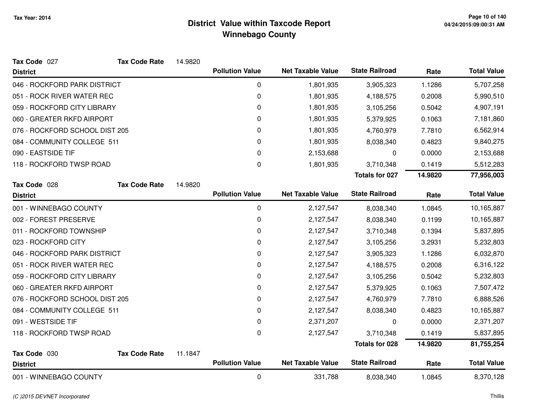| Tax Code 027                   | <b>Tax Code Rate</b> | 14.9820 |                        |                          |                       |         |                    |
|--------------------------------|----------------------|---------|------------------------|--------------------------|-----------------------|---------|--------------------|
| <b>District</b>                |                      |         | <b>Pollution Value</b> | <b>Net Taxable Value</b> | <b>State Railroad</b> | Rate    | <b>Total Value</b> |
| 046 - ROCKFORD PARK DISTRICT   |                      |         | 0                      | 1,801,935                | 3,905,323             | 1.1286  | 5,707,258          |
| 051 - ROCK RIVER WATER REC     |                      |         | 0                      | 1,801,935                | 4,188,575             | 0.2008  | 5,990,510          |
| 059 - ROCKFORD CITY LIBRARY    |                      |         | 0                      | 1,801,935                | 3,105,256             | 0.5042  | 4,907,191          |
| 060 - GREATER RKFD AIRPORT     |                      |         | 0                      | 1,801,935                | 5,379,925             | 0.1063  | 7,181,860          |
| 076 - ROCKFORD SCHOOL DIST 205 |                      |         | 0                      | 1,801,935                | 4,760,979             | 7.7810  | 6,562,914          |
| 084 - COMMUNITY COLLEGE 511    |                      |         | 0                      | 1,801,935                | 8,038,340             | 0.4823  | 9,840,275          |
| 090 - EASTSIDE TIF             |                      |         | 0                      | 2,153,688                | 0                     | 0.0000  | 2,153,688          |
| 118 - ROCKFORD TWSP ROAD       |                      |         | 0                      | 1,801,935                | 3,710,348             | 0.1419  | 5,512,283          |
|                                |                      |         |                        |                          | <b>Totals for 027</b> | 14.9820 | 77,956,003         |
| Tax Code 028                   | <b>Tax Code Rate</b> | 14.9820 |                        |                          |                       |         |                    |
| <b>District</b>                |                      |         | <b>Pollution Value</b> | <b>Net Taxable Value</b> | <b>State Railroad</b> | Rate    | <b>Total Value</b> |
| 001 - WINNEBAGO COUNTY         |                      |         | 0                      | 2,127,547                | 8,038,340             | 1.0845  | 10,165,887         |
| 002 - FOREST PRESERVE          |                      |         | 0                      | 2,127,547                | 8,038,340             | 0.1199  | 10,165,887         |
| 011 - ROCKFORD TOWNSHIP        |                      |         | 0                      | 2,127,547                | 3,710,348             | 0.1394  | 5,837,895          |
| 023 - ROCKFORD CITY            |                      |         | 0                      | 2,127,547                | 3,105,256             | 3.2931  | 5,232,803          |
| 046 - ROCKFORD PARK DISTRICT   |                      |         | 0                      | 2,127,547                | 3,905,323             | 1.1286  | 6,032,870          |
| 051 - ROCK RIVER WATER REC     |                      |         | 0                      | 2,127,547                | 4,188,575             | 0.2008  | 6,316,122          |
| 059 - ROCKFORD CITY LIBRARY    |                      |         | 0                      | 2,127,547                | 3,105,256             | 0.5042  | 5,232,803          |
| 060 - GREATER RKFD AIRPORT     |                      |         | 0                      | 2,127,547                | 5,379,925             | 0.1063  | 7,507,472          |
| 076 - ROCKFORD SCHOOL DIST 205 |                      |         | 0                      | 2,127,547                | 4,760,979             | 7.7810  | 6,888,526          |
| 084 - COMMUNITY COLLEGE 511    |                      |         | 0                      | 2,127,547                | 8,038,340             | 0.4823  | 10,165,887         |
| 091 - WESTSIDE TIF             |                      |         | 0                      | 2,371,207                | 0                     | 0.0000  | 2,371,207          |
| 118 - ROCKFORD TWSP ROAD       |                      |         | 0                      | 2,127,547                | 3,710,348             | 0.1419  | 5,837,895          |
|                                |                      |         |                        |                          | <b>Totals for 028</b> | 14.9820 | 81,755,254         |
| Tax Code 030                   | <b>Tax Code Rate</b> | 11.1847 |                        |                          |                       |         |                    |
| <b>District</b>                |                      |         | <b>Pollution Value</b> | <b>Net Taxable Value</b> | <b>State Railroad</b> | Rate    | <b>Total Value</b> |
| 001 - WINNEBAGO COUNTY         |                      |         | 0                      | 331,788                  | 8,038,340             | 1.0845  | 8,370,128          |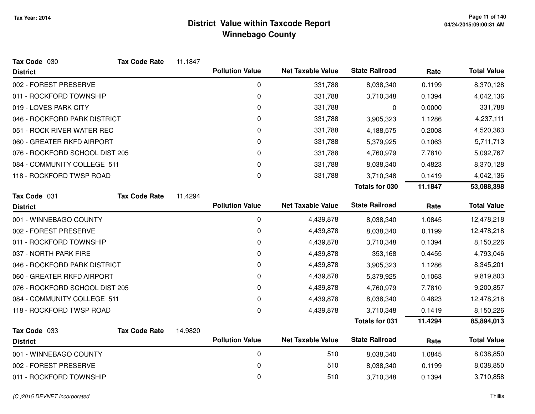| Tax Code 030                   | <b>Tax Code Rate</b> | 11.1847 |                        |                          |                       |         |                    |
|--------------------------------|----------------------|---------|------------------------|--------------------------|-----------------------|---------|--------------------|
| <b>District</b>                |                      |         | <b>Pollution Value</b> | <b>Net Taxable Value</b> | <b>State Railroad</b> | Rate    | <b>Total Value</b> |
| 002 - FOREST PRESERVE          |                      |         | 0                      | 331,788                  | 8,038,340             | 0.1199  | 8,370,128          |
| 011 - ROCKFORD TOWNSHIP        |                      |         | 0                      | 331,788                  | 3,710,348             | 0.1394  | 4,042,136          |
| 019 - LOVES PARK CITY          |                      |         | 0                      | 331,788                  | 0                     | 0.0000  | 331,788            |
| 046 - ROCKFORD PARK DISTRICT   |                      |         | 0                      | 331,788                  | 3,905,323             | 1.1286  | 4,237,111          |
| 051 - ROCK RIVER WATER REC     |                      |         | 0                      | 331,788                  | 4,188,575             | 0.2008  | 4,520,363          |
| 060 - GREATER RKFD AIRPORT     |                      |         | 0                      | 331,788                  | 5,379,925             | 0.1063  | 5,711,713          |
| 076 - ROCKFORD SCHOOL DIST 205 |                      |         | 0                      | 331,788                  | 4,760,979             | 7.7810  | 5,092,767          |
| 084 - COMMUNITY COLLEGE 511    |                      |         | 0                      | 331,788                  | 8,038,340             | 0.4823  | 8,370,128          |
| 118 - ROCKFORD TWSP ROAD       |                      |         | 0                      | 331,788                  | 3,710,348             | 0.1419  | 4,042,136          |
|                                |                      |         |                        |                          | Totals for 030        | 11.1847 | 53,088,398         |
| Tax Code 031                   | <b>Tax Code Rate</b> | 11.4294 |                        |                          |                       |         |                    |
| <b>District</b>                |                      |         | <b>Pollution Value</b> | <b>Net Taxable Value</b> | <b>State Railroad</b> | Rate    | <b>Total Value</b> |
| 001 - WINNEBAGO COUNTY         |                      |         | 0                      | 4,439,878                | 8,038,340             | 1.0845  | 12,478,218         |
| 002 - FOREST PRESERVE          |                      |         | 0                      | 4,439,878                | 8,038,340             | 0.1199  | 12,478,218         |
| 011 - ROCKFORD TOWNSHIP        |                      |         | 0                      | 4,439,878                | 3,710,348             | 0.1394  | 8,150,226          |
| 037 - NORTH PARK FIRE          |                      |         | 0                      | 4,439,878                | 353,168               | 0.4455  | 4,793,046          |
| 046 - ROCKFORD PARK DISTRICT   |                      |         | 0                      | 4,439,878                | 3,905,323             | 1.1286  | 8,345,201          |
| 060 - GREATER RKFD AIRPORT     |                      |         | 0                      | 4,439,878                | 5,379,925             | 0.1063  | 9,819,803          |
| 076 - ROCKFORD SCHOOL DIST 205 |                      |         | 0                      | 4,439,878                | 4,760,979             | 7.7810  | 9,200,857          |
| 084 - COMMUNITY COLLEGE 511    |                      |         | 0                      | 4,439,878                | 8,038,340             | 0.4823  | 12,478,218         |
| 118 - ROCKFORD TWSP ROAD       |                      |         | 0                      | 4,439,878                | 3,710,348             | 0.1419  | 8,150,226          |
|                                |                      |         |                        |                          | <b>Totals for 031</b> | 11.4294 | 85,894,013         |
| Tax Code 033                   | <b>Tax Code Rate</b> | 14.9820 |                        |                          |                       |         |                    |
| <b>District</b>                |                      |         | <b>Pollution Value</b> | <b>Net Taxable Value</b> | <b>State Railroad</b> | Rate    | <b>Total Value</b> |
| 001 - WINNEBAGO COUNTY         |                      |         | $\pmb{0}$              | 510                      | 8,038,340             | 1.0845  | 8,038,850          |
| 002 - FOREST PRESERVE          |                      |         | 0                      | 510                      | 8,038,340             | 0.1199  | 8,038,850          |
| 011 - ROCKFORD TOWNSHIP        |                      |         | 0                      | 510                      | 3,710,348             | 0.1394  | 3,710,858          |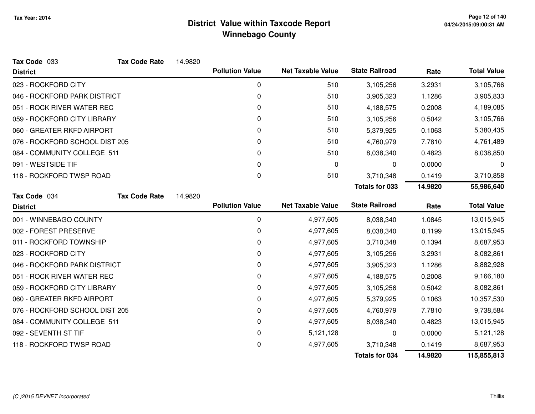| Tax Code 033                   | <b>Tax Code Rate</b> | 14.9820 |                        |                          |                       |         |                    |
|--------------------------------|----------------------|---------|------------------------|--------------------------|-----------------------|---------|--------------------|
| <b>District</b>                |                      |         | <b>Pollution Value</b> | <b>Net Taxable Value</b> | <b>State Railroad</b> | Rate    | <b>Total Value</b> |
| 023 - ROCKFORD CITY            |                      |         | $\mathbf 0$            | 510                      | 3,105,256             | 3.2931  | 3,105,766          |
| 046 - ROCKFORD PARK DISTRICT   |                      |         | 0                      | 510                      | 3,905,323             | 1.1286  | 3,905,833          |
| 051 - ROCK RIVER WATER REC     |                      |         | $\mathbf{0}$           | 510                      | 4,188,575             | 0.2008  | 4,189,085          |
| 059 - ROCKFORD CITY LIBRARY    |                      |         | $\mathbf{0}$           | 510                      | 3,105,256             | 0.5042  | 3,105,766          |
| 060 - GREATER RKFD AIRPORT     |                      |         | 0                      | 510                      | 5,379,925             | 0.1063  | 5,380,435          |
| 076 - ROCKFORD SCHOOL DIST 205 |                      |         | 0                      | 510                      | 4,760,979             | 7.7810  | 4,761,489          |
| 084 - COMMUNITY COLLEGE 511    |                      |         | 0                      | 510                      | 8,038,340             | 0.4823  | 8,038,850          |
| 091 - WESTSIDE TIF             |                      |         | $\Omega$               | 0                        | 0                     | 0.0000  | 0                  |
| 118 - ROCKFORD TWSP ROAD       |                      |         | 0                      | 510                      | 3,710,348             | 0.1419  | 3,710,858          |
|                                |                      |         |                        |                          | <b>Totals for 033</b> | 14.9820 | 55,986,640         |
| Tax Code 034                   | <b>Tax Code Rate</b> | 14.9820 |                        |                          |                       |         |                    |
| <b>District</b>                |                      |         | <b>Pollution Value</b> | <b>Net Taxable Value</b> | <b>State Railroad</b> | Rate    | <b>Total Value</b> |
| 001 - WINNEBAGO COUNTY         |                      |         | 0                      | 4,977,605                | 8,038,340             | 1.0845  | 13,015,945         |
| 002 - FOREST PRESERVE          |                      |         | 0                      | 4,977,605                | 8,038,340             | 0.1199  | 13,015,945         |
| 011 - ROCKFORD TOWNSHIP        |                      |         | 0                      | 4,977,605                | 3,710,348             | 0.1394  | 8,687,953          |
| 023 - ROCKFORD CITY            |                      |         | 0                      | 4,977,605                | 3,105,256             | 3.2931  | 8,082,861          |
| 046 - ROCKFORD PARK DISTRICT   |                      |         | 0                      | 4,977,605                | 3,905,323             | 1.1286  | 8,882,928          |
| 051 - ROCK RIVER WATER REC     |                      |         | 0                      | 4,977,605                | 4,188,575             | 0.2008  | 9,166,180          |
| 059 - ROCKFORD CITY LIBRARY    |                      |         | 0                      | 4,977,605                | 3,105,256             | 0.5042  | 8,082,861          |
| 060 - GREATER RKFD AIRPORT     |                      |         | 0                      | 4,977,605                | 5,379,925             | 0.1063  | 10,357,530         |
| 076 - ROCKFORD SCHOOL DIST 205 |                      |         | 0                      | 4,977,605                | 4,760,979             | 7.7810  | 9,738,584          |
| 084 - COMMUNITY COLLEGE 511    |                      |         | 0                      | 4,977,605                | 8,038,340             | 0.4823  | 13,015,945         |
| 092 - SEVENTH ST TIF           |                      |         | 0                      | 5,121,128                | 0                     | 0.0000  | 5,121,128          |
| 118 - ROCKFORD TWSP ROAD       |                      |         | 0                      | 4,977,605                | 3,710,348             | 0.1419  | 8,687,953          |
|                                |                      |         |                        |                          | <b>Totals for 034</b> | 14.9820 | 115,855,813        |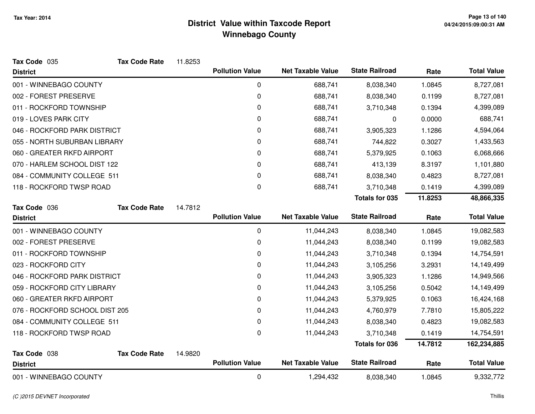| Tax Code 035                   | <b>Tax Code Rate</b> | 11.8253 |                        |                          |                       |         |                    |
|--------------------------------|----------------------|---------|------------------------|--------------------------|-----------------------|---------|--------------------|
| <b>District</b>                |                      |         | <b>Pollution Value</b> | <b>Net Taxable Value</b> | <b>State Railroad</b> | Rate    | <b>Total Value</b> |
| 001 - WINNEBAGO COUNTY         |                      |         | 0                      | 688,741                  | 8,038,340             | 1.0845  | 8,727,081          |
| 002 - FOREST PRESERVE          |                      |         | 0                      | 688,741                  | 8,038,340             | 0.1199  | 8,727,081          |
| 011 - ROCKFORD TOWNSHIP        |                      |         | 0                      | 688,741                  | 3,710,348             | 0.1394  | 4,399,089          |
| 019 - LOVES PARK CITY          |                      |         | 0                      | 688,741                  | 0                     | 0.0000  | 688,741            |
| 046 - ROCKFORD PARK DISTRICT   |                      |         | 0                      | 688,741                  | 3,905,323             | 1.1286  | 4,594,064          |
| 055 - NORTH SUBURBAN LIBRARY   |                      |         | 0                      | 688,741                  | 744,822               | 0.3027  | 1,433,563          |
| 060 - GREATER RKFD AIRPORT     |                      |         | 0                      | 688,741                  | 5,379,925             | 0.1063  | 6,068,666          |
| 070 - HARLEM SCHOOL DIST 122   |                      |         | 0                      | 688,741                  | 413,139               | 8.3197  | 1,101,880          |
| 084 - COMMUNITY COLLEGE 511    |                      |         | 0                      | 688,741                  | 8,038,340             | 0.4823  | 8,727,081          |
| 118 - ROCKFORD TWSP ROAD       |                      |         | 0                      | 688,741                  | 3,710,348             | 0.1419  | 4,399,089          |
|                                |                      |         |                        |                          | <b>Totals for 035</b> | 11.8253 | 48,866,335         |
| Tax Code 036                   | <b>Tax Code Rate</b> | 14.7812 |                        |                          |                       |         |                    |
| <b>District</b>                |                      |         | <b>Pollution Value</b> | <b>Net Taxable Value</b> | <b>State Railroad</b> | Rate    | <b>Total Value</b> |
| 001 - WINNEBAGO COUNTY         |                      |         | 0                      | 11,044,243               | 8,038,340             | 1.0845  | 19,082,583         |
| 002 - FOREST PRESERVE          |                      |         | 0                      | 11,044,243               | 8,038,340             | 0.1199  | 19,082,583         |
| 011 - ROCKFORD TOWNSHIP        |                      |         | 0                      | 11,044,243               | 3,710,348             | 0.1394  | 14,754,591         |
| 023 - ROCKFORD CITY            |                      |         | 0                      | 11,044,243               | 3,105,256             | 3.2931  | 14,149,499         |
| 046 - ROCKFORD PARK DISTRICT   |                      |         | 0                      | 11,044,243               | 3,905,323             | 1.1286  | 14,949,566         |
| 059 - ROCKFORD CITY LIBRARY    |                      |         | 0                      | 11,044,243               | 3,105,256             | 0.5042  | 14,149,499         |
| 060 - GREATER RKFD AIRPORT     |                      |         | 0                      | 11,044,243               | 5,379,925             | 0.1063  | 16,424,168         |
| 076 - ROCKFORD SCHOOL DIST 205 |                      |         | 0                      | 11,044,243               | 4,760,979             | 7.7810  | 15,805,222         |
| 084 - COMMUNITY COLLEGE 511    |                      |         | 0                      | 11,044,243               | 8,038,340             | 0.4823  | 19,082,583         |
| 118 - ROCKFORD TWSP ROAD       |                      |         | 0                      | 11,044,243               | 3,710,348             | 0.1419  | 14,754,591         |
|                                |                      |         |                        |                          | <b>Totals for 036</b> | 14.7812 | 162,234,885        |
| Tax Code 038                   | <b>Tax Code Rate</b> | 14.9820 |                        |                          |                       |         |                    |
| <b>District</b>                |                      |         | <b>Pollution Value</b> | <b>Net Taxable Value</b> | <b>State Railroad</b> | Rate    | <b>Total Value</b> |
| 001 - WINNEBAGO COUNTY         |                      |         | 0                      | 1,294,432                | 8,038,340             | 1.0845  | 9,332,772          |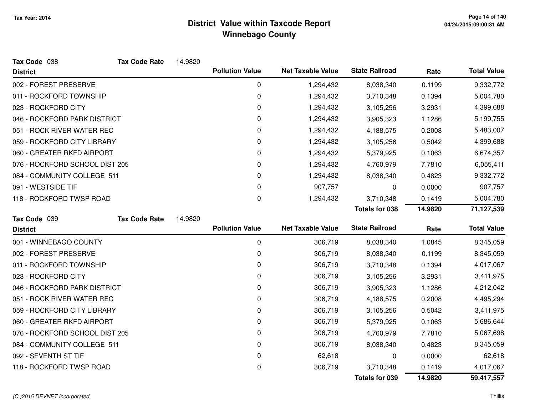| Tax Code 038                   | <b>Tax Code Rate</b> | 14.9820 |                        |                          |                       |         |                    |
|--------------------------------|----------------------|---------|------------------------|--------------------------|-----------------------|---------|--------------------|
| <b>District</b>                |                      |         | <b>Pollution Value</b> | <b>Net Taxable Value</b> | <b>State Railroad</b> | Rate    | <b>Total Value</b> |
| 002 - FOREST PRESERVE          |                      |         | 0                      | 1,294,432                | 8,038,340             | 0.1199  | 9,332,772          |
| 011 - ROCKFORD TOWNSHIP        |                      |         | $\mathbf 0$            | 1,294,432                | 3,710,348             | 0.1394  | 5,004,780          |
| 023 - ROCKFORD CITY            |                      |         | 0                      | 1,294,432                | 3,105,256             | 3.2931  | 4,399,688          |
| 046 - ROCKFORD PARK DISTRICT   |                      |         | 0                      | 1,294,432                | 3,905,323             | 1.1286  | 5,199,755          |
| 051 - ROCK RIVER WATER REC     |                      |         | 0                      | 1,294,432                | 4,188,575             | 0.2008  | 5,483,007          |
| 059 - ROCKFORD CITY LIBRARY    |                      |         | 0                      | 1,294,432                | 3,105,256             | 0.5042  | 4,399,688          |
| 060 - GREATER RKFD AIRPORT     |                      |         | 0                      | 1,294,432                | 5,379,925             | 0.1063  | 6,674,357          |
| 076 - ROCKFORD SCHOOL DIST 205 |                      |         | 0                      | 1,294,432                | 4,760,979             | 7.7810  | 6,055,411          |
| 084 - COMMUNITY COLLEGE 511    |                      |         | 0                      | 1,294,432                | 8,038,340             | 0.4823  | 9,332,772          |
| 091 - WESTSIDE TIF             |                      |         | 0                      | 907,757                  | 0                     | 0.0000  | 907,757            |
| 118 - ROCKFORD TWSP ROAD       |                      |         | 0                      | 1,294,432                | 3,710,348             | 0.1419  | 5,004,780          |
|                                |                      |         |                        |                          | <b>Totals for 038</b> | 14.9820 | 71,127,539         |
| Tax Code 039                   | <b>Tax Code Rate</b> | 14.9820 |                        |                          |                       |         |                    |
| <b>District</b>                |                      |         | <b>Pollution Value</b> | <b>Net Taxable Value</b> | <b>State Railroad</b> | Rate    | <b>Total Value</b> |
| 001 - WINNEBAGO COUNTY         |                      |         |                        |                          |                       |         | 8,345,059          |
|                                |                      |         | 0                      | 306,719                  | 8,038,340             | 1.0845  |                    |
| 002 - FOREST PRESERVE          |                      |         | 0                      | 306,719                  | 8,038,340             | 0.1199  | 8,345,059          |
| 011 - ROCKFORD TOWNSHIP        |                      |         | 0                      | 306,719                  | 3,710,348             | 0.1394  | 4,017,067          |
| 023 - ROCKFORD CITY            |                      |         | $\Omega$               | 306,719                  | 3,105,256             | 3.2931  | 3,411,975          |
| 046 - ROCKFORD PARK DISTRICT   |                      |         | 0                      | 306,719                  | 3,905,323             | 1.1286  | 4,212,042          |
| 051 - ROCK RIVER WATER REC     |                      |         | 0                      | 306,719                  | 4,188,575             | 0.2008  | 4,495,294          |
| 059 - ROCKFORD CITY LIBRARY    |                      |         | 0                      | 306,719                  | 3,105,256             | 0.5042  | 3,411,975          |
| 060 - GREATER RKFD AIRPORT     |                      |         | 0                      | 306,719                  | 5,379,925             | 0.1063  | 5,686,644          |
| 076 - ROCKFORD SCHOOL DIST 205 |                      |         | 0                      | 306,719                  | 4,760,979             | 7.7810  | 5,067,698          |
| 084 - COMMUNITY COLLEGE 511    |                      |         | 0                      | 306,719                  | 8,038,340             | 0.4823  | 8,345,059          |
| 092 - SEVENTH ST TIF           |                      |         | 0                      | 62,618                   | 0                     | 0.0000  | 62,618             |
| 118 - ROCKFORD TWSP ROAD       |                      |         | 0                      | 306,719                  | 3,710,348             | 0.1419  | 4,017,067          |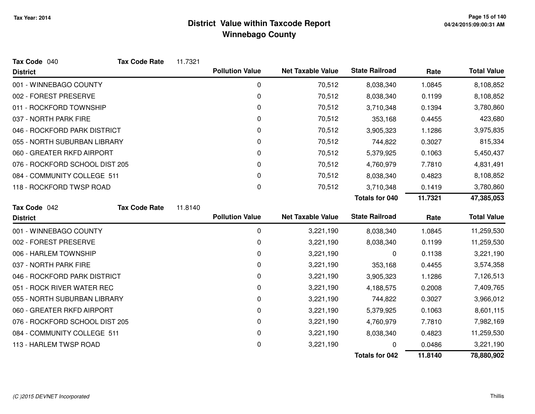| Tax Code 040                   | <b>Tax Code Rate</b> | 11.7321 |                        |                          |                       |         |                    |
|--------------------------------|----------------------|---------|------------------------|--------------------------|-----------------------|---------|--------------------|
| <b>District</b>                |                      |         | <b>Pollution Value</b> | <b>Net Taxable Value</b> | <b>State Railroad</b> | Rate    | <b>Total Value</b> |
| 001 - WINNEBAGO COUNTY         |                      |         | $\boldsymbol{0}$       | 70,512                   | 8,038,340             | 1.0845  | 8,108,852          |
| 002 - FOREST PRESERVE          |                      |         | 0                      | 70,512                   | 8,038,340             | 0.1199  | 8,108,852          |
| 011 - ROCKFORD TOWNSHIP        |                      |         | 0                      | 70,512                   | 3,710,348             | 0.1394  | 3,780,860          |
| 037 - NORTH PARK FIRE          |                      |         | 0                      | 70,512                   | 353,168               | 0.4455  | 423,680            |
| 046 - ROCKFORD PARK DISTRICT   |                      |         | 0                      | 70,512                   | 3,905,323             | 1.1286  | 3,975,835          |
| 055 - NORTH SUBURBAN LIBRARY   |                      |         | 0                      | 70,512                   | 744,822               | 0.3027  | 815,334            |
| 060 - GREATER RKFD AIRPORT     |                      |         | 0                      | 70,512                   | 5,379,925             | 0.1063  | 5,450,437          |
| 076 - ROCKFORD SCHOOL DIST 205 |                      |         | 0                      | 70,512                   | 4,760,979             | 7.7810  | 4,831,491          |
| 084 - COMMUNITY COLLEGE 511    |                      |         | 0                      | 70,512                   | 8,038,340             | 0.4823  | 8,108,852          |
| 118 - ROCKFORD TWSP ROAD       |                      |         | 0                      | 70,512                   | 3,710,348             | 0.1419  | 3,780,860          |
|                                |                      |         |                        |                          | Totals for 040        | 11.7321 | 47,385,053         |
| Tax Code 042                   | <b>Tax Code Rate</b> | 11.8140 |                        |                          |                       |         |                    |
| <b>District</b>                |                      |         | <b>Pollution Value</b> | <b>Net Taxable Value</b> | <b>State Railroad</b> | Rate    | <b>Total Value</b> |
| 001 - WINNEBAGO COUNTY         |                      |         | 0                      | 3,221,190                | 8,038,340             | 1.0845  | 11,259,530         |
| 002 - FOREST PRESERVE          |                      |         | 0                      | 3,221,190                | 8,038,340             | 0.1199  | 11,259,530         |
| 006 - HARLEM TOWNSHIP          |                      |         | 0                      | 3,221,190                | 0                     | 0.1138  | 3,221,190          |
| 037 - NORTH PARK FIRE          |                      |         | 0                      | 3,221,190                | 353,168               | 0.4455  | 3,574,358          |
| 046 - ROCKFORD PARK DISTRICT   |                      |         | 0                      | 3,221,190                | 3,905,323             | 1.1286  | 7,126,513          |
| 051 - ROCK RIVER WATER REC     |                      |         | 0                      | 3,221,190                | 4,188,575             | 0.2008  | 7,409,765          |
| 055 - NORTH SUBURBAN LIBRARY   |                      |         | 0                      | 3,221,190                | 744,822               | 0.3027  | 3,966,012          |
| 060 - GREATER RKFD AIRPORT     |                      |         | 0                      | 3,221,190                | 5,379,925             | 0.1063  | 8,601,115          |
| 076 - ROCKFORD SCHOOL DIST 205 |                      |         | 0                      | 3,221,190                | 4,760,979             | 7.7810  | 7,982,169          |
| 084 - COMMUNITY COLLEGE 511    |                      |         | 0                      | 3,221,190                | 8,038,340             | 0.4823  | 11,259,530         |
| 113 - HARLEM TWSP ROAD         |                      |         | 0                      | 3,221,190                | 0                     | 0.0486  | 3,221,190          |
|                                |                      |         |                        |                          | <b>Totals for 042</b> | 11.8140 | 78,880,902         |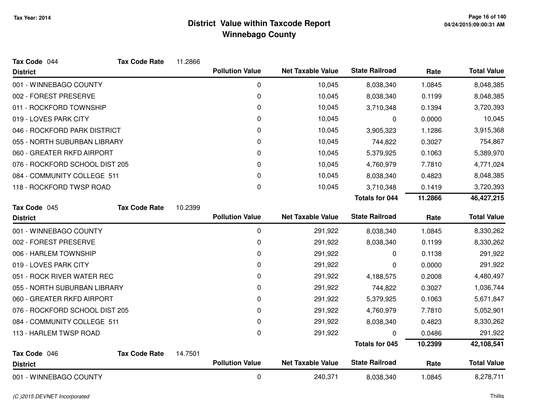| Tax Code 044                   | <b>Tax Code Rate</b> | 11.2866 |                        |                          |                       |         |                    |
|--------------------------------|----------------------|---------|------------------------|--------------------------|-----------------------|---------|--------------------|
| <b>District</b>                |                      |         | <b>Pollution Value</b> | <b>Net Taxable Value</b> | <b>State Railroad</b> | Rate    | <b>Total Value</b> |
| 001 - WINNEBAGO COUNTY         |                      |         | 0                      | 10,045                   | 8,038,340             | 1.0845  | 8,048,385          |
| 002 - FOREST PRESERVE          |                      |         | 0                      | 10,045                   | 8,038,340             | 0.1199  | 8,048,385          |
| 011 - ROCKFORD TOWNSHIP        |                      |         | 0                      | 10,045                   | 3,710,348             | 0.1394  | 3,720,393          |
| 019 - LOVES PARK CITY          |                      |         | 0                      | 10,045                   | 0                     | 0.0000  | 10,045             |
| 046 - ROCKFORD PARK DISTRICT   |                      |         | 0                      | 10,045                   | 3,905,323             | 1.1286  | 3,915,368          |
| 055 - NORTH SUBURBAN LIBRARY   |                      |         | 0                      | 10,045                   | 744,822               | 0.3027  | 754,867            |
| 060 - GREATER RKFD AIRPORT     |                      |         | 0                      | 10,045                   | 5,379,925             | 0.1063  | 5,389,970          |
| 076 - ROCKFORD SCHOOL DIST 205 |                      |         | 0                      | 10,045                   | 4,760,979             | 7.7810  | 4,771,024          |
| 084 - COMMUNITY COLLEGE 511    |                      |         | 0                      | 10,045                   | 8,038,340             | 0.4823  | 8,048,385          |
| 118 - ROCKFORD TWSP ROAD       |                      |         | 0                      | 10,045                   | 3,710,348             | 0.1419  | 3,720,393          |
|                                |                      |         |                        |                          | <b>Totals for 044</b> | 11.2866 | 46,427,215         |
| Tax Code 045                   | <b>Tax Code Rate</b> | 10.2399 |                        |                          |                       |         |                    |
| <b>District</b>                |                      |         | <b>Pollution Value</b> | <b>Net Taxable Value</b> | <b>State Railroad</b> | Rate    | <b>Total Value</b> |
| 001 - WINNEBAGO COUNTY         |                      |         | $\mathbf 0$            | 291,922                  | 8,038,340             | 1.0845  | 8,330,262          |
| 002 - FOREST PRESERVE          |                      |         | 0                      | 291,922                  | 8,038,340             | 0.1199  | 8,330,262          |
| 006 - HARLEM TOWNSHIP          |                      |         | 0                      | 291,922                  | 0                     | 0.1138  | 291,922            |
| 019 - LOVES PARK CITY          |                      |         | 0                      | 291,922                  | 0                     | 0.0000  | 291,922            |
| 051 - ROCK RIVER WATER REC     |                      |         | 0                      | 291,922                  | 4,188,575             | 0.2008  | 4,480,497          |
| 055 - NORTH SUBURBAN LIBRARY   |                      |         | 0                      | 291,922                  | 744,822               | 0.3027  | 1,036,744          |
| 060 - GREATER RKFD AIRPORT     |                      |         | 0                      | 291,922                  | 5,379,925             | 0.1063  | 5,671,847          |
| 076 - ROCKFORD SCHOOL DIST 205 |                      |         | 0                      | 291,922                  | 4,760,979             | 7.7810  | 5,052,901          |
| 084 - COMMUNITY COLLEGE 511    |                      |         | 0                      | 291,922                  | 8,038,340             | 0.4823  | 8,330,262          |
| 113 - HARLEM TWSP ROAD         |                      |         | 0                      | 291,922                  | 0                     | 0.0486  | 291,922            |
|                                |                      |         |                        |                          | <b>Totals for 045</b> | 10.2399 | 42,108,541         |
| Tax Code 046                   | <b>Tax Code Rate</b> | 14.7501 |                        |                          |                       |         |                    |
| <b>District</b>                |                      |         | <b>Pollution Value</b> | <b>Net Taxable Value</b> | <b>State Railroad</b> | Rate    | <b>Total Value</b> |
| 001 - WINNEBAGO COUNTY         |                      |         | $\mathbf 0$            | 240,371                  | 8,038,340             | 1.0845  | 8,278,711          |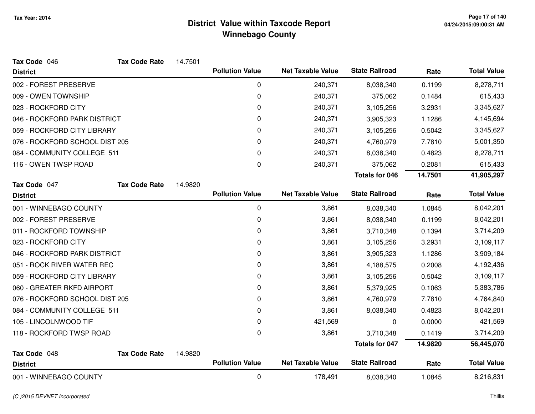| Tax Code 046                   | <b>Tax Code Rate</b> | 14.7501 |                        |                          |                       |         |                    |
|--------------------------------|----------------------|---------|------------------------|--------------------------|-----------------------|---------|--------------------|
| <b>District</b>                |                      |         | <b>Pollution Value</b> | <b>Net Taxable Value</b> | <b>State Railroad</b> | Rate    | <b>Total Value</b> |
| 002 - FOREST PRESERVE          |                      |         | 0                      | 240,371                  | 8,038,340             | 0.1199  | 8,278,711          |
| 009 - OWEN TOWNSHIP            |                      |         | 0                      | 240,371                  | 375,062               | 0.1484  | 615,433            |
| 023 - ROCKFORD CITY            |                      |         | 0                      | 240,371                  | 3,105,256             | 3.2931  | 3,345,627          |
| 046 - ROCKFORD PARK DISTRICT   |                      |         | 0                      | 240,371                  | 3,905,323             | 1.1286  | 4,145,694          |
| 059 - ROCKFORD CITY LIBRARY    |                      |         | 0                      | 240,371                  | 3,105,256             | 0.5042  | 3,345,627          |
| 076 - ROCKFORD SCHOOL DIST 205 |                      |         | 0                      | 240,371                  | 4,760,979             | 7.7810  | 5,001,350          |
| 084 - COMMUNITY COLLEGE 511    |                      |         | 0                      | 240,371                  | 8,038,340             | 0.4823  | 8,278,711          |
| 116 - OWEN TWSP ROAD           |                      |         | 0                      | 240,371                  | 375,062               | 0.2081  | 615,433            |
|                                |                      |         |                        |                          | <b>Totals for 046</b> | 14.7501 | 41,905,297         |
| Tax Code 047                   | <b>Tax Code Rate</b> | 14.9820 |                        |                          |                       |         |                    |
| <b>District</b>                |                      |         | <b>Pollution Value</b> | <b>Net Taxable Value</b> | <b>State Railroad</b> | Rate    | <b>Total Value</b> |
| 001 - WINNEBAGO COUNTY         |                      |         | $\mathbf 0$            | 3,861                    | 8,038,340             | 1.0845  | 8,042,201          |
| 002 - FOREST PRESERVE          |                      |         | 0                      | 3,861                    | 8,038,340             | 0.1199  | 8,042,201          |
| 011 - ROCKFORD TOWNSHIP        |                      |         | 0                      | 3,861                    | 3,710,348             | 0.1394  | 3,714,209          |
| 023 - ROCKFORD CITY            |                      |         | 0                      | 3,861                    | 3,105,256             | 3.2931  | 3,109,117          |
| 046 - ROCKFORD PARK DISTRICT   |                      |         | 0                      | 3,861                    | 3,905,323             | 1.1286  | 3,909,184          |
| 051 - ROCK RIVER WATER REC     |                      |         | 0                      | 3,861                    | 4,188,575             | 0.2008  | 4,192,436          |
| 059 - ROCKFORD CITY LIBRARY    |                      |         | 0                      | 3,861                    | 3,105,256             | 0.5042  | 3,109,117          |
| 060 - GREATER RKFD AIRPORT     |                      |         | 0                      | 3,861                    | 5,379,925             | 0.1063  | 5,383,786          |
| 076 - ROCKFORD SCHOOL DIST 205 |                      |         | 0                      | 3,861                    | 4,760,979             | 7.7810  | 4,764,840          |
| 084 - COMMUNITY COLLEGE 511    |                      |         | 0                      | 3,861                    | 8,038,340             | 0.4823  | 8,042,201          |
| 105 - LINCOLNWOOD TIF          |                      |         | 0                      | 421,569                  | 0                     | 0.0000  | 421,569            |
| 118 - ROCKFORD TWSP ROAD       |                      |         | 0                      | 3,861                    | 3,710,348             | 0.1419  | 3,714,209          |
|                                |                      |         |                        |                          | <b>Totals for 047</b> | 14.9820 | 56,445,070         |
| Tax Code 048                   | <b>Tax Code Rate</b> | 14.9820 |                        |                          |                       |         |                    |
| <b>District</b>                |                      |         | <b>Pollution Value</b> | <b>Net Taxable Value</b> | <b>State Railroad</b> | Rate    | <b>Total Value</b> |
| 001 - WINNEBAGO COUNTY         |                      |         | 0                      | 178,491                  | 8,038,340             | 1.0845  | 8,216,831          |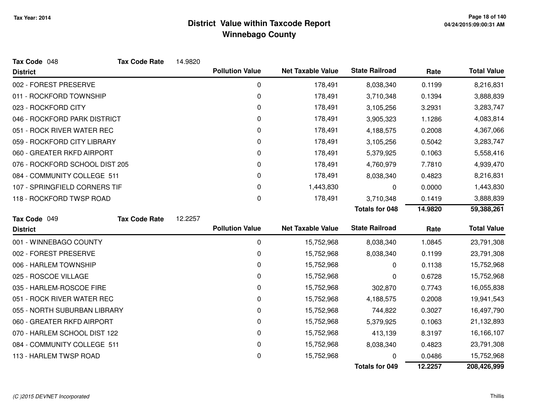| Tax Code 048                   | <b>Tax Code Rate</b> | 14.9820 |                        |                          |                       |         |                    |
|--------------------------------|----------------------|---------|------------------------|--------------------------|-----------------------|---------|--------------------|
| <b>District</b>                |                      |         | <b>Pollution Value</b> | <b>Net Taxable Value</b> | <b>State Railroad</b> | Rate    | <b>Total Value</b> |
| 002 - FOREST PRESERVE          |                      |         | 0                      | 178,491                  | 8,038,340             | 0.1199  | 8,216,831          |
| 011 - ROCKFORD TOWNSHIP        |                      |         | 0                      | 178,491                  | 3,710,348             | 0.1394  | 3,888,839          |
| 023 - ROCKFORD CITY            |                      |         | 0                      | 178,491                  | 3,105,256             | 3.2931  | 3,283,747          |
| 046 - ROCKFORD PARK DISTRICT   |                      |         | 0                      | 178,491                  | 3,905,323             | 1.1286  | 4,083,814          |
| 051 - ROCK RIVER WATER REC     |                      |         | 0                      | 178,491                  | 4,188,575             | 0.2008  | 4,367,066          |
| 059 - ROCKFORD CITY LIBRARY    |                      |         | 0                      | 178,491                  | 3,105,256             | 0.5042  | 3,283,747          |
| 060 - GREATER RKFD AIRPORT     |                      |         | 0                      | 178,491                  | 5,379,925             | 0.1063  | 5,558,416          |
| 076 - ROCKFORD SCHOOL DIST 205 |                      |         | 0                      | 178,491                  | 4,760,979             | 7.7810  | 4,939,470          |
| 084 - COMMUNITY COLLEGE 511    |                      |         | 0                      | 178,491                  | 8,038,340             | 0.4823  | 8,216,831          |
| 107 - SPRINGFIELD CORNERS TIF  |                      |         | 0                      | 1,443,830                | 0                     | 0.0000  | 1,443,830          |
| 118 - ROCKFORD TWSP ROAD       |                      |         | 0                      | 178,491                  | 3,710,348             | 0.1419  | 3,888,839          |
|                                |                      |         |                        |                          | <b>Totals for 048</b> | 14.9820 | 59,388,261         |
| Tax Code 049                   | <b>Tax Code Rate</b> | 12.2257 |                        |                          |                       |         |                    |
| <b>District</b>                |                      |         | <b>Pollution Value</b> | <b>Net Taxable Value</b> | <b>State Railroad</b> | Rate    | <b>Total Value</b> |
| 001 - WINNEBAGO COUNTY         |                      |         | 0                      | 15,752,968               | 8,038,340             | 1.0845  | 23,791,308         |
| 002 - FOREST PRESERVE          |                      |         | 0                      | 15,752,968               | 8,038,340             | 0.1199  | 23,791,308         |
| 006 - HARLEM TOWNSHIP          |                      |         | 0                      | 15,752,968               | 0                     | 0.1138  | 15,752,968         |
| 025 - ROSCOE VILLAGE           |                      |         | 0                      | 15,752,968               | 0                     | 0.6728  | 15,752,968         |
| 035 - HARLEM-ROSCOE FIRE       |                      |         | 0                      | 15,752,968               | 302,870               | 0.7743  | 16,055,838         |
| 051 - ROCK RIVER WATER REC     |                      |         | 0                      | 15,752,968               | 4,188,575             | 0.2008  | 19,941,543         |
| 055 - NORTH SUBURBAN LIBRARY   |                      |         | 0                      | 15,752,968               | 744,822               | 0.3027  | 16,497,790         |
| 060 - GREATER RKFD AIRPORT     |                      |         | 0                      | 15,752,968               | 5,379,925             | 0.1063  | 21,132,893         |
| 070 - HARLEM SCHOOL DIST 122   |                      |         | 0                      | 15,752,968               | 413,139               | 8.3197  | 16,166,107         |
| 084 - COMMUNITY COLLEGE 511    |                      |         | 0                      | 15,752,968               | 8,038,340             | 0.4823  | 23,791,308         |
| 113 - HARLEM TWSP ROAD         |                      |         | 0                      | 15,752,968               |                       | 0.0486  | 15,752,968         |
|                                |                      |         |                        |                          | <b>Totals for 049</b> | 12.2257 | 208,426,999        |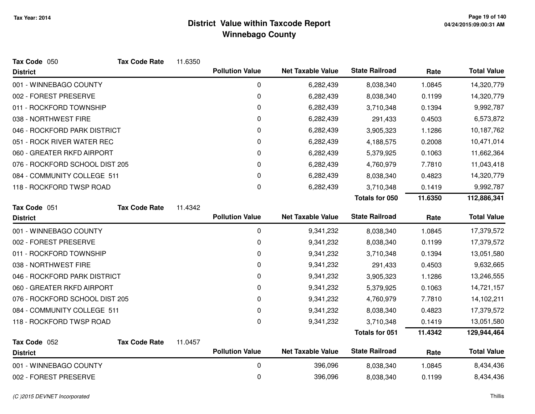| Tax Code 050                   | <b>Tax Code Rate</b> | 11.6350 |                        |                          |                       |         |                    |
|--------------------------------|----------------------|---------|------------------------|--------------------------|-----------------------|---------|--------------------|
| <b>District</b>                |                      |         | <b>Pollution Value</b> | <b>Net Taxable Value</b> | <b>State Railroad</b> | Rate    | <b>Total Value</b> |
| 001 - WINNEBAGO COUNTY         |                      |         | 0                      | 6,282,439                | 8,038,340             | 1.0845  | 14,320,779         |
| 002 - FOREST PRESERVE          |                      |         | 0                      | 6,282,439                | 8,038,340             | 0.1199  | 14,320,779         |
| 011 - ROCKFORD TOWNSHIP        |                      |         | 0                      | 6,282,439                | 3,710,348             | 0.1394  | 9,992,787          |
| 038 - NORTHWEST FIRE           |                      |         | 0                      | 6,282,439                | 291,433               | 0.4503  | 6,573,872          |
| 046 - ROCKFORD PARK DISTRICT   |                      |         | 0                      | 6,282,439                | 3,905,323             | 1.1286  | 10,187,762         |
| 051 - ROCK RIVER WATER REC     |                      |         | 0                      | 6,282,439                | 4,188,575             | 0.2008  | 10,471,014         |
| 060 - GREATER RKFD AIRPORT     |                      |         | 0                      | 6,282,439                | 5,379,925             | 0.1063  | 11,662,364         |
| 076 - ROCKFORD SCHOOL DIST 205 |                      |         | 0                      | 6,282,439                | 4,760,979             | 7.7810  | 11,043,418         |
| 084 - COMMUNITY COLLEGE 511    |                      |         | 0                      | 6,282,439                | 8,038,340             | 0.4823  | 14,320,779         |
| 118 - ROCKFORD TWSP ROAD       |                      |         | 0                      | 6,282,439                | 3,710,348             | 0.1419  | 9,992,787          |
|                                |                      |         |                        |                          | Totals for 050        | 11.6350 | 112,886,341        |
| Tax Code 051                   | <b>Tax Code Rate</b> | 11.4342 |                        |                          |                       |         |                    |
| <b>District</b>                |                      |         | <b>Pollution Value</b> | <b>Net Taxable Value</b> | <b>State Railroad</b> | Rate    | <b>Total Value</b> |
| 001 - WINNEBAGO COUNTY         |                      |         | $\mathbf 0$            | 9,341,232                | 8,038,340             | 1.0845  | 17,379,572         |
| 002 - FOREST PRESERVE          |                      |         | 0                      | 9,341,232                | 8,038,340             | 0.1199  | 17,379,572         |
| 011 - ROCKFORD TOWNSHIP        |                      |         | 0                      | 9,341,232                | 3,710,348             | 0.1394  | 13,051,580         |
| 038 - NORTHWEST FIRE           |                      |         | 0                      | 9,341,232                | 291,433               | 0.4503  | 9,632,665          |
| 046 - ROCKFORD PARK DISTRICT   |                      |         | 0                      | 9,341,232                | 3,905,323             | 1.1286  | 13,246,555         |
| 060 - GREATER RKFD AIRPORT     |                      |         | 0                      | 9,341,232                | 5,379,925             | 0.1063  | 14,721,157         |
| 076 - ROCKFORD SCHOOL DIST 205 |                      |         | 0                      | 9,341,232                | 4,760,979             | 7.7810  | 14,102,211         |
| 084 - COMMUNITY COLLEGE 511    |                      |         | 0                      | 9,341,232                | 8,038,340             | 0.4823  | 17,379,572         |
| 118 - ROCKFORD TWSP ROAD       |                      |         | 0                      | 9,341,232                | 3,710,348             | 0.1419  | 13,051,580         |
|                                |                      |         |                        |                          | <b>Totals for 051</b> | 11.4342 | 129,944,464        |
| Tax Code 052                   | <b>Tax Code Rate</b> | 11.0457 |                        |                          |                       |         |                    |
| <b>District</b>                |                      |         | <b>Pollution Value</b> | <b>Net Taxable Value</b> | <b>State Railroad</b> | Rate    | <b>Total Value</b> |
| 001 - WINNEBAGO COUNTY         |                      |         | $\mathbf 0$            | 396,096                  | 8,038,340             | 1.0845  | 8,434,436          |
| 002 - FOREST PRESERVE          |                      |         | 0                      | 396,096                  | 8,038,340             | 0.1199  | 8,434,436          |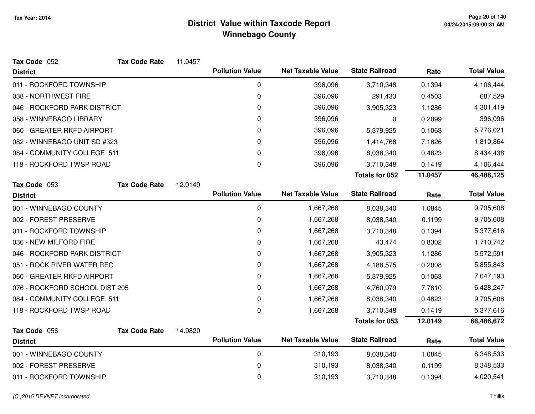| Tax Code 052                   | <b>Tax Code Rate</b> | 11.0457 |                        |                          |                       |         |                    |
|--------------------------------|----------------------|---------|------------------------|--------------------------|-----------------------|---------|--------------------|
| <b>District</b>                |                      |         | <b>Pollution Value</b> | <b>Net Taxable Value</b> | <b>State Railroad</b> | Rate    | <b>Total Value</b> |
| 011 - ROCKFORD TOWNSHIP        |                      |         | 0                      | 396,096                  | 3,710,348             | 0.1394  | 4,106,444          |
| 038 - NORTHWEST FIRE           |                      |         | 0                      | 396,096                  | 291,433               | 0.4503  | 687,529            |
| 046 - ROCKFORD PARK DISTRICT   |                      |         | 0                      | 396,096                  | 3,905,323             | 1.1286  | 4,301,419          |
| 058 - WINNEBAGO LIBRARY        |                      |         | 0                      | 396,096                  | 0                     | 0.2099  | 396,096            |
| 060 - GREATER RKFD AIRPORT     |                      |         | 0                      | 396,096                  | 5,379,925             | 0.1063  | 5,776,021          |
| 082 - WINNEBAGO UNIT SD #323   |                      |         | 0                      | 396,096                  | 1,414,768             | 7.1826  | 1,810,864          |
| 084 - COMMUNITY COLLEGE 511    |                      |         | 0                      | 396,096                  | 8,038,340             | 0.4823  | 8,434,436          |
| 118 - ROCKFORD TWSP ROAD       |                      |         | 0                      | 396,096                  | 3,710,348             | 0.1419  | 4,106,444          |
|                                |                      |         |                        |                          | Totals for 052        | 11.0457 | 46,488,125         |
| Tax Code 053                   | <b>Tax Code Rate</b> | 12.0149 |                        |                          |                       |         |                    |
| <b>District</b>                |                      |         | <b>Pollution Value</b> | <b>Net Taxable Value</b> | <b>State Railroad</b> | Rate    | <b>Total Value</b> |
| 001 - WINNEBAGO COUNTY         |                      |         | $\mathbf 0$            | 1,667,268                | 8,038,340             | 1.0845  | 9,705,608          |
| 002 - FOREST PRESERVE          |                      |         | 0                      | 1,667,268                | 8,038,340             | 0.1199  | 9,705,608          |
| 011 - ROCKFORD TOWNSHIP        |                      |         | 0                      | 1,667,268                | 3,710,348             | 0.1394  | 5,377,616          |
| 036 - NEW MILFORD FIRE         |                      |         | 0                      | 1,667,268                | 43,474                | 0.8302  | 1,710,742          |
| 046 - ROCKFORD PARK DISTRICT   |                      |         | 0                      | 1,667,268                | 3,905,323             | 1.1286  | 5,572,591          |
| 051 - ROCK RIVER WATER REC     |                      |         | 0                      | 1,667,268                | 4,188,575             | 0.2008  | 5,855,843          |
| 060 - GREATER RKFD AIRPORT     |                      |         | 0                      | 1,667,268                | 5,379,925             | 0.1063  | 7,047,193          |
| 076 - ROCKFORD SCHOOL DIST 205 |                      |         | 0                      | 1,667,268                | 4,760,979             | 7.7810  | 6,428,247          |
| 084 - COMMUNITY COLLEGE 511    |                      |         | 0                      | 1,667,268                | 8,038,340             | 0.4823  | 9,705,608          |
| 118 - ROCKFORD TWSP ROAD       |                      |         | $\mathbf 0$            | 1,667,268                | 3,710,348             | 0.1419  | 5,377,616          |
|                                |                      |         |                        |                          | <b>Totals for 053</b> | 12.0149 | 66,486,672         |
| Tax Code 056                   | <b>Tax Code Rate</b> | 14.9820 |                        |                          |                       |         |                    |
| <b>District</b>                |                      |         | <b>Pollution Value</b> | <b>Net Taxable Value</b> | <b>State Railroad</b> | Rate    | <b>Total Value</b> |
| 001 - WINNEBAGO COUNTY         |                      |         | $\pmb{0}$              | 310,193                  | 8,038,340             | 1.0845  | 8,348,533          |
| 002 - FOREST PRESERVE          |                      |         | 0                      | 310,193                  | 8,038,340             | 0.1199  | 8,348,533          |
| 011 - ROCKFORD TOWNSHIP        |                      |         | 0                      | 310,193                  | 3,710,348             | 0.1394  | 4,020,541          |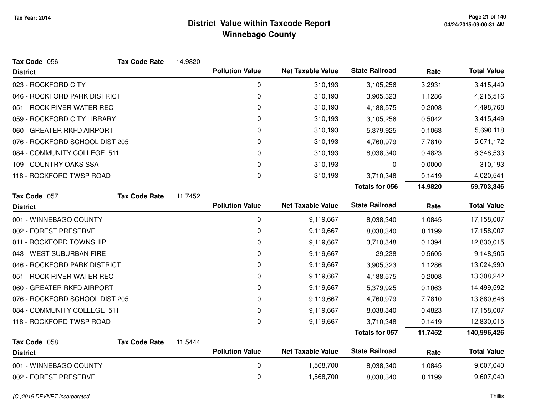| Tax Code 056                   | <b>Tax Code Rate</b> | 14.9820 |                        |                          |                       |         |                    |
|--------------------------------|----------------------|---------|------------------------|--------------------------|-----------------------|---------|--------------------|
| <b>District</b>                |                      |         | <b>Pollution Value</b> | <b>Net Taxable Value</b> | <b>State Railroad</b> | Rate    | <b>Total Value</b> |
| 023 - ROCKFORD CITY            |                      |         | 0                      | 310,193                  | 3,105,256             | 3.2931  | 3,415,449          |
| 046 - ROCKFORD PARK DISTRICT   |                      |         | $\pmb{0}$              | 310,193                  | 3,905,323             | 1.1286  | 4,215,516          |
| 051 - ROCK RIVER WATER REC     |                      |         | $\mathbf 0$            | 310,193                  | 4,188,575             | 0.2008  | 4,498,768          |
| 059 - ROCKFORD CITY LIBRARY    |                      |         | 0                      | 310,193                  | 3,105,256             | 0.5042  | 3,415,449          |
| 060 - GREATER RKFD AIRPORT     |                      |         | 0                      | 310,193                  | 5,379,925             | 0.1063  | 5,690,118          |
| 076 - ROCKFORD SCHOOL DIST 205 |                      |         | 0                      | 310,193                  | 4,760,979             | 7.7810  | 5,071,172          |
| 084 - COMMUNITY COLLEGE 511    |                      |         | $\mathbf 0$            | 310,193                  | 8,038,340             | 0.4823  | 8,348,533          |
| 109 - COUNTRY OAKS SSA         |                      |         | 0                      | 310,193                  | 0                     | 0.0000  | 310,193            |
| 118 - ROCKFORD TWSP ROAD       |                      |         | 0                      | 310,193                  | 3,710,348             | 0.1419  | 4,020,541          |
|                                |                      |         |                        |                          | <b>Totals for 056</b> | 14.9820 | 59,703,346         |
| Tax Code 057                   | <b>Tax Code Rate</b> | 11.7452 |                        |                          |                       |         |                    |
| <b>District</b>                |                      |         | <b>Pollution Value</b> | <b>Net Taxable Value</b> | <b>State Railroad</b> | Rate    | <b>Total Value</b> |
| 001 - WINNEBAGO COUNTY         |                      |         | $\mathbf 0$            | 9,119,667                | 8,038,340             | 1.0845  | 17,158,007         |
| 002 - FOREST PRESERVE          |                      |         | $\mathbf 0$            | 9,119,667                | 8,038,340             | 0.1199  | 17,158,007         |
| 011 - ROCKFORD TOWNSHIP        |                      |         | 0                      | 9,119,667                | 3,710,348             | 0.1394  | 12,830,015         |
| 043 - WEST SUBURBAN FIRE       |                      |         | 0                      | 9,119,667                | 29,238                | 0.5605  | 9,148,905          |
| 046 - ROCKFORD PARK DISTRICT   |                      |         | 0                      | 9,119,667                | 3,905,323             | 1.1286  | 13,024,990         |
| 051 - ROCK RIVER WATER REC     |                      |         | $\mathbf 0$            | 9,119,667                | 4,188,575             | 0.2008  | 13,308,242         |
| 060 - GREATER RKFD AIRPORT     |                      |         | $\mathbf 0$            | 9,119,667                | 5,379,925             | 0.1063  | 14,499,592         |
| 076 - ROCKFORD SCHOOL DIST 205 |                      |         | 0                      | 9,119,667                | 4,760,979             | 7.7810  | 13,880,646         |
| 084 - COMMUNITY COLLEGE 511    |                      |         | $\pmb{0}$              | 9,119,667                | 8,038,340             | 0.4823  | 17,158,007         |
| 118 - ROCKFORD TWSP ROAD       |                      |         | $\Omega$               | 9,119,667                | 3,710,348             | 0.1419  | 12,830,015         |
|                                |                      |         |                        |                          | <b>Totals for 057</b> | 11.7452 | 140,996,426        |
| Tax Code 058                   | <b>Tax Code Rate</b> | 11.5444 |                        |                          |                       |         |                    |
| <b>District</b>                |                      |         | <b>Pollution Value</b> | <b>Net Taxable Value</b> | <b>State Railroad</b> | Rate    | <b>Total Value</b> |
| 001 - WINNEBAGO COUNTY         |                      |         | 0                      | 1,568,700                | 8,038,340             | 1.0845  | 9,607,040          |
| 002 - FOREST PRESERVE          |                      |         | $\mathbf 0$            | 1,568,700                | 8,038,340             | 0.1199  | 9,607,040          |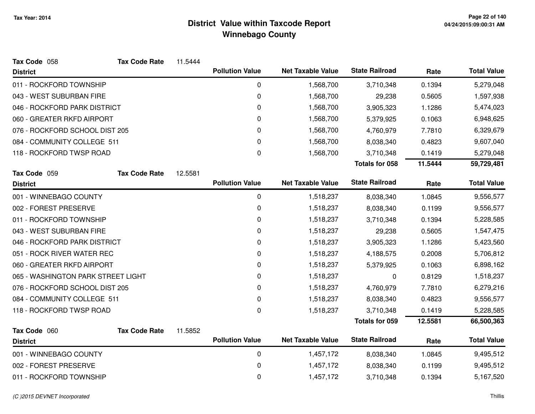| <b>Tax Code Rate</b>               | 11.5444              |                        |                                                  |                                                      |                                                |                    |
|------------------------------------|----------------------|------------------------|--------------------------------------------------|------------------------------------------------------|------------------------------------------------|--------------------|
|                                    |                      | <b>Pollution Value</b> | <b>Net Taxable Value</b>                         | <b>State Railroad</b>                                | Rate                                           | <b>Total Value</b> |
|                                    |                      | $\mathbf 0$            | 1,568,700                                        | 3,710,348                                            | 0.1394                                         | 5,279,048          |
|                                    |                      | $\mathbf 0$            | 1,568,700                                        | 29,238                                               | 0.5605                                         | 1,597,938          |
| 046 - ROCKFORD PARK DISTRICT       |                      | 0                      | 1,568,700                                        | 3,905,323                                            | 1.1286                                         | 5,474,023          |
| 060 - GREATER RKFD AIRPORT         |                      | 0                      | 1,568,700                                        | 5,379,925                                            | 0.1063                                         | 6,948,625          |
| 076 - ROCKFORD SCHOOL DIST 205     |                      | $\mathbf 0$            | 1,568,700                                        | 4,760,979                                            | 7.7810                                         | 6,329,679          |
| 084 - COMMUNITY COLLEGE 511        |                      | 0                      | 1,568,700                                        | 8,038,340                                            | 0.4823                                         | 9,607,040          |
| 118 - ROCKFORD TWSP ROAD           |                      | 0                      | 1,568,700                                        | 3,710,348                                            | 0.1419                                         | 5,279,048          |
|                                    |                      |                        |                                                  | <b>Totals for 058</b>                                | 11.5444                                        | 59,729,481         |
| <b>Tax Code Rate</b>               | 12.5581              |                        |                                                  |                                                      |                                                |                    |
|                                    |                      |                        |                                                  |                                                      |                                                | <b>Total Value</b> |
|                                    |                      | $\mathbf 0$            | 1,518,237                                        | 8,038,340                                            | 1.0845                                         | 9,556,577          |
|                                    |                      | 0                      | 1,518,237                                        | 8,038,340                                            | 0.1199                                         | 9,556,577          |
|                                    |                      | 0                      | 1,518,237                                        | 3,710,348                                            | 0.1394                                         | 5,228,585          |
|                                    |                      | 0                      | 1,518,237                                        | 29,238                                               | 0.5605                                         | 1,547,475          |
| 046 - ROCKFORD PARK DISTRICT       |                      | 0                      | 1,518,237                                        | 3,905,323                                            | 1.1286                                         | 5,423,560          |
| 051 - ROCK RIVER WATER REC         |                      | $\mathbf 0$            | 1,518,237                                        | 4,188,575                                            | 0.2008                                         | 5,706,812          |
| 060 - GREATER RKFD AIRPORT         |                      | 0                      | 1,518,237                                        | 5,379,925                                            | 0.1063                                         | 6,898,162          |
| 065 - WASHINGTON PARK STREET LIGHT |                      | $\mathbf 0$            | 1,518,237                                        | 0                                                    | 0.8129                                         | 1,518,237          |
| 076 - ROCKFORD SCHOOL DIST 205     |                      | 0                      | 1,518,237                                        | 4,760,979                                            | 7.7810                                         | 6,279,216          |
| 084 - COMMUNITY COLLEGE 511        |                      | 0                      | 1,518,237                                        | 8,038,340                                            | 0.4823                                         | 9,556,577          |
| 118 - ROCKFORD TWSP ROAD           |                      | $\mathbf 0$            | 1,518,237                                        | 3,710,348                                            | 0.1419                                         | 5,228,585          |
|                                    |                      |                        |                                                  | <b>Totals for 059</b>                                | 12.5581                                        | 66,500,363         |
|                                    |                      |                        |                                                  |                                                      |                                                |                    |
|                                    |                      |                        |                                                  |                                                      | Rate                                           | <b>Total Value</b> |
|                                    |                      | $\mathbf 0$            | 1,457,172                                        | 8,038,340                                            | 1.0845                                         | 9,495,512          |
|                                    |                      | 0                      | 1,457,172                                        | 8,038,340                                            | 0.1199                                         | 9,495,512          |
|                                    |                      | 0                      | 1,457,172                                        | 3,710,348                                            | 0.1394                                         | 5,167,520          |
|                                    | <b>Tax Code Rate</b> | 11.5852                | <b>Pollution Value</b><br><b>Pollution Value</b> | <b>Net Taxable Value</b><br><b>Net Taxable Value</b> | <b>State Railroad</b><br><b>State Railroad</b> | Rate               |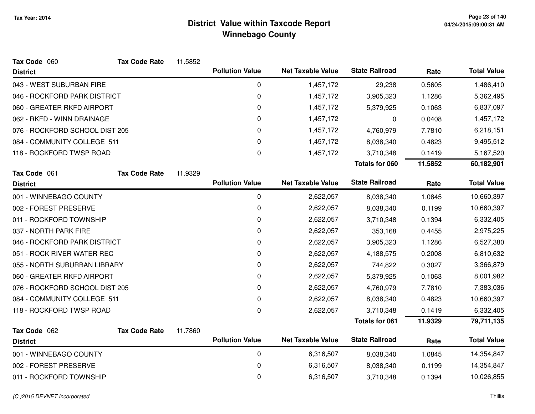| Tax Code 060                   | <b>Tax Code Rate</b> | 11.5852 |                        |                          |                       |         |                    |
|--------------------------------|----------------------|---------|------------------------|--------------------------|-----------------------|---------|--------------------|
| <b>District</b>                |                      |         | <b>Pollution Value</b> | <b>Net Taxable Value</b> | <b>State Railroad</b> | Rate    | <b>Total Value</b> |
| 043 - WEST SUBURBAN FIRE       |                      |         | $\mathbf 0$            | 1,457,172                | 29,238                | 0.5605  | 1,486,410          |
| 046 - ROCKFORD PARK DISTRICT   |                      |         | 0                      | 1,457,172                | 3,905,323             | 1.1286  | 5,362,495          |
| 060 - GREATER RKFD AIRPORT     |                      |         | 0                      | 1,457,172                | 5,379,925             | 0.1063  | 6,837,097          |
| 062 - RKFD - WINN DRAINAGE     |                      |         | 0                      | 1,457,172                | 0                     | 0.0408  | 1,457,172          |
| 076 - ROCKFORD SCHOOL DIST 205 |                      |         | 0                      | 1,457,172                | 4,760,979             | 7.7810  | 6,218,151          |
| 084 - COMMUNITY COLLEGE 511    |                      |         | 0                      | 1,457,172                | 8,038,340             | 0.4823  | 9,495,512          |
| 118 - ROCKFORD TWSP ROAD       |                      |         | $\boldsymbol{0}$       | 1,457,172                | 3,710,348             | 0.1419  | 5,167,520          |
|                                |                      |         |                        |                          | Totals for 060        | 11.5852 | 60,182,901         |
| Tax Code 061                   | <b>Tax Code Rate</b> | 11.9329 |                        |                          |                       |         |                    |
| <b>District</b>                |                      |         | <b>Pollution Value</b> | <b>Net Taxable Value</b> | <b>State Railroad</b> | Rate    | <b>Total Value</b> |
| 001 - WINNEBAGO COUNTY         |                      |         | $\pmb{0}$              | 2,622,057                | 8,038,340             | 1.0845  | 10,660,397         |
| 002 - FOREST PRESERVE          |                      |         | 0                      | 2,622,057                | 8,038,340             | 0.1199  | 10,660,397         |
| 011 - ROCKFORD TOWNSHIP        |                      |         | 0                      | 2,622,057                | 3,710,348             | 0.1394  | 6,332,405          |
| 037 - NORTH PARK FIRE          |                      |         | 0                      | 2,622,057                | 353,168               | 0.4455  | 2,975,225          |
| 046 - ROCKFORD PARK DISTRICT   |                      |         | 0                      | 2,622,057                | 3,905,323             | 1.1286  | 6,527,380          |
| 051 - ROCK RIVER WATER REC     |                      |         | 0                      | 2,622,057                | 4,188,575             | 0.2008  | 6,810,632          |
| 055 - NORTH SUBURBAN LIBRARY   |                      |         | $\mathbf 0$            | 2,622,057                | 744,822               | 0.3027  | 3,366,879          |
| 060 - GREATER RKFD AIRPORT     |                      |         | $\mathbf 0$            | 2,622,057                | 5,379,925             | 0.1063  | 8,001,982          |
| 076 - ROCKFORD SCHOOL DIST 205 |                      |         | $\mathbf 0$            | 2,622,057                | 4,760,979             | 7.7810  | 7,383,036          |
| 084 - COMMUNITY COLLEGE 511    |                      |         | 0                      | 2,622,057                | 8,038,340             | 0.4823  | 10,660,397         |
| 118 - ROCKFORD TWSP ROAD       |                      |         | $\mathbf 0$            | 2,622,057                | 3,710,348             | 0.1419  | 6,332,405          |
|                                |                      |         |                        |                          | <b>Totals for 061</b> | 11.9329 | 79,711,135         |
| Tax Code 062                   | <b>Tax Code Rate</b> | 11.7860 |                        |                          |                       |         |                    |
| <b>District</b>                |                      |         | <b>Pollution Value</b> | <b>Net Taxable Value</b> | <b>State Railroad</b> | Rate    | <b>Total Value</b> |
| 001 - WINNEBAGO COUNTY         |                      |         | 0                      | 6,316,507                | 8,038,340             | 1.0845  | 14,354,847         |
| 002 - FOREST PRESERVE          |                      |         | 0                      | 6,316,507                | 8,038,340             | 0.1199  | 14,354,847         |
| 011 - ROCKFORD TOWNSHIP        |                      |         | $\mathbf 0$            | 6,316,507                | 3,710,348             | 0.1394  | 10,026,855         |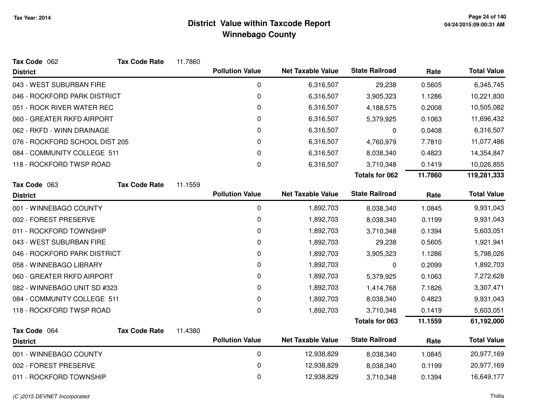| Tax Code 062                   | <b>Tax Code Rate</b> | 11.7860 |                        |                          |                       |         |                    |
|--------------------------------|----------------------|---------|------------------------|--------------------------|-----------------------|---------|--------------------|
| <b>District</b>                |                      |         | <b>Pollution Value</b> | <b>Net Taxable Value</b> | <b>State Railroad</b> | Rate    | <b>Total Value</b> |
| 043 - WEST SUBURBAN FIRE       |                      |         | 0                      | 6,316,507                | 29,238                | 0.5605  | 6,345,745          |
| 046 - ROCKFORD PARK DISTRICT   |                      |         | 0                      | 6,316,507                | 3,905,323             | 1.1286  | 10,221,830         |
| 051 - ROCK RIVER WATER REC     |                      |         | 0                      | 6,316,507                | 4,188,575             | 0.2008  | 10,505,082         |
| 060 - GREATER RKFD AIRPORT     |                      |         | 0                      | 6,316,507                | 5,379,925             | 0.1063  | 11,696,432         |
| 062 - RKFD - WINN DRAINAGE     |                      |         | 0                      | 6,316,507                | 0                     | 0.0408  | 6,316,507          |
| 076 - ROCKFORD SCHOOL DIST 205 |                      |         | 0                      | 6,316,507                | 4,760,979             | 7.7810  | 11,077,486         |
| 084 - COMMUNITY COLLEGE 511    |                      |         | 0                      | 6,316,507                | 8,038,340             | 0.4823  | 14,354,847         |
| 118 - ROCKFORD TWSP ROAD       |                      |         | 0                      | 6,316,507                | 3,710,348             | 0.1419  | 10,026,855         |
|                                |                      |         |                        |                          | <b>Totals for 062</b> | 11.7860 | 119,281,333        |
| Tax Code 063                   | <b>Tax Code Rate</b> | 11.1559 |                        |                          |                       |         |                    |
| <b>District</b>                |                      |         | <b>Pollution Value</b> | <b>Net Taxable Value</b> | <b>State Railroad</b> | Rate    | <b>Total Value</b> |
| 001 - WINNEBAGO COUNTY         |                      |         | $\mathbf 0$            | 1,892,703                | 8,038,340             | 1.0845  | 9,931,043          |
| 002 - FOREST PRESERVE          |                      |         | 0                      | 1,892,703                | 8,038,340             | 0.1199  | 9,931,043          |
| 011 - ROCKFORD TOWNSHIP        |                      |         | 0                      | 1,892,703                | 3,710,348             | 0.1394  | 5,603,051          |
| 043 - WEST SUBURBAN FIRE       |                      |         | 0                      | 1,892,703                | 29,238                | 0.5605  | 1,921,941          |
| 046 - ROCKFORD PARK DISTRICT   |                      |         | 0                      | 1,892,703                | 3,905,323             | 1.1286  | 5,798,026          |
| 058 - WINNEBAGO LIBRARY        |                      |         | 0                      | 1,892,703                | 0                     | 0.2099  | 1,892,703          |
| 060 - GREATER RKFD AIRPORT     |                      |         | 0                      | 1,892,703                | 5,379,925             | 0.1063  | 7,272,628          |
| 082 - WINNEBAGO UNIT SD #323   |                      |         | 0                      | 1,892,703                | 1,414,768             | 7.1826  | 3,307,471          |
| 084 - COMMUNITY COLLEGE 511    |                      |         | 0                      | 1,892,703                | 8,038,340             | 0.4823  | 9,931,043          |
| 118 - ROCKFORD TWSP ROAD       |                      |         | $\mathbf 0$            | 1,892,703                | 3,710,348             | 0.1419  | 5,603,051          |
|                                |                      |         |                        |                          | <b>Totals for 063</b> | 11.1559 | 61,192,000         |
| Tax Code 064                   | <b>Tax Code Rate</b> | 11.4380 |                        |                          |                       |         |                    |
| <b>District</b>                |                      |         | <b>Pollution Value</b> | <b>Net Taxable Value</b> | <b>State Railroad</b> | Rate    | <b>Total Value</b> |
| 001 - WINNEBAGO COUNTY         |                      |         | $\pmb{0}$              | 12,938,829               | 8,038,340             | 1.0845  | 20,977,169         |
| 002 - FOREST PRESERVE          |                      |         | 0                      | 12,938,829               | 8,038,340             | 0.1199  | 20,977,169         |
| 011 - ROCKFORD TOWNSHIP        |                      |         | 0                      | 12,938,829               | 3,710,348             | 0.1394  | 16,649,177         |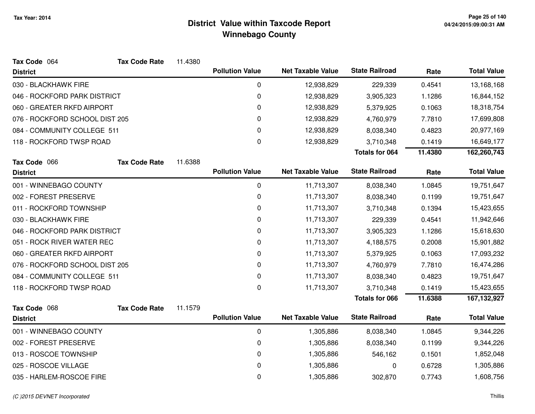| Tax Code 064                   | <b>Tax Code Rate</b> | 11.4380 |                        |                          |                       |         |                    |
|--------------------------------|----------------------|---------|------------------------|--------------------------|-----------------------|---------|--------------------|
| <b>District</b>                |                      |         | <b>Pollution Value</b> | <b>Net Taxable Value</b> | <b>State Railroad</b> | Rate    | <b>Total Value</b> |
| 030 - BLACKHAWK FIRE           |                      |         | $\mathbf 0$            | 12,938,829               | 229,339               | 0.4541  | 13,168,168         |
| 046 - ROCKFORD PARK DISTRICT   |                      |         | 0                      | 12,938,829               | 3,905,323             | 1.1286  | 16,844,152         |
| 060 - GREATER RKFD AIRPORT     |                      |         | 0                      | 12,938,829               | 5,379,925             | 0.1063  | 18,318,754         |
| 076 - ROCKFORD SCHOOL DIST 205 |                      |         | 0                      | 12,938,829               | 4,760,979             | 7.7810  | 17,699,808         |
| 084 - COMMUNITY COLLEGE 511    |                      |         | 0                      | 12,938,829               | 8,038,340             | 0.4823  | 20,977,169         |
| 118 - ROCKFORD TWSP ROAD       |                      |         | 0                      | 12,938,829               | 3,710,348             | 0.1419  | 16,649,177         |
|                                |                      |         |                        |                          | <b>Totals for 064</b> | 11.4380 | 162,260,743        |
| Tax Code 066                   | <b>Tax Code Rate</b> | 11.6388 |                        |                          |                       |         |                    |
| <b>District</b>                |                      |         | <b>Pollution Value</b> | <b>Net Taxable Value</b> | <b>State Railroad</b> | Rate    | <b>Total Value</b> |
| 001 - WINNEBAGO COUNTY         |                      |         | $\pmb{0}$              | 11,713,307               | 8,038,340             | 1.0845  | 19,751,647         |
| 002 - FOREST PRESERVE          |                      |         | 0                      | 11,713,307               | 8,038,340             | 0.1199  | 19,751,647         |
| 011 - ROCKFORD TOWNSHIP        |                      |         | 0                      | 11,713,307               | 3,710,348             | 0.1394  | 15,423,655         |
| 030 - BLACKHAWK FIRE           |                      |         | 0                      | 11,713,307               | 229,339               | 0.4541  | 11,942,646         |
| 046 - ROCKFORD PARK DISTRICT   |                      |         | 0                      | 11,713,307               | 3,905,323             | 1.1286  | 15,618,630         |
| 051 - ROCK RIVER WATER REC     |                      |         | 0                      | 11,713,307               | 4,188,575             | 0.2008  | 15,901,882         |
| 060 - GREATER RKFD AIRPORT     |                      |         | 0                      | 11,713,307               | 5,379,925             | 0.1063  | 17,093,232         |
| 076 - ROCKFORD SCHOOL DIST 205 |                      |         | 0                      | 11,713,307               | 4,760,979             | 7.7810  | 16,474,286         |
| 084 - COMMUNITY COLLEGE 511    |                      |         | 0                      | 11,713,307               | 8,038,340             | 0.4823  | 19,751,647         |
| 118 - ROCKFORD TWSP ROAD       |                      |         | 0                      | 11,713,307               | 3,710,348             | 0.1419  | 15,423,655         |
|                                |                      |         |                        |                          | <b>Totals for 066</b> | 11.6388 | 167, 132, 927      |
| Tax Code 068                   | <b>Tax Code Rate</b> | 11.1579 |                        |                          |                       |         |                    |
| <b>District</b>                |                      |         | <b>Pollution Value</b> | <b>Net Taxable Value</b> | <b>State Railroad</b> | Rate    | <b>Total Value</b> |
| 001 - WINNEBAGO COUNTY         |                      |         | $\mathbf 0$            | 1,305,886                | 8,038,340             | 1.0845  | 9,344,226          |
| 002 - FOREST PRESERVE          |                      |         | 0                      | 1,305,886                | 8,038,340             | 0.1199  | 9,344,226          |
| 013 - ROSCOE TOWNSHIP          |                      |         | 0                      | 1,305,886                | 546,162               | 0.1501  | 1,852,048          |
| 025 - ROSCOE VILLAGE           |                      |         | 0                      | 1,305,886                | 0                     | 0.6728  | 1,305,886          |
| 035 - HARLEM-ROSCOE FIRE       |                      |         | 0                      | 1,305,886                | 302,870               | 0.7743  | 1,608,756          |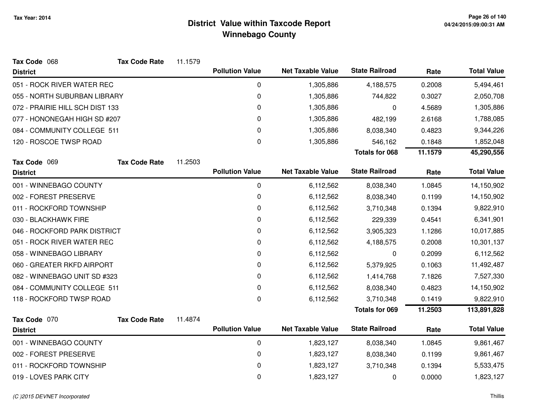| Tax Code 068                    | <b>Tax Code Rate</b> | 11.1579 |                        |                          |                       |         |                    |
|---------------------------------|----------------------|---------|------------------------|--------------------------|-----------------------|---------|--------------------|
| <b>District</b>                 |                      |         | <b>Pollution Value</b> | <b>Net Taxable Value</b> | <b>State Railroad</b> | Rate    | <b>Total Value</b> |
| 051 - ROCK RIVER WATER REC      |                      |         | 0                      | 1,305,886                | 4,188,575             | 0.2008  | 5,494,461          |
| 055 - NORTH SUBURBAN LIBRARY    |                      |         | $\pmb{0}$              | 1,305,886                | 744,822               | 0.3027  | 2,050,708          |
| 072 - PRAIRIE HILL SCH DIST 133 |                      |         | $\pmb{0}$              | 1,305,886                | 0                     | 4.5689  | 1,305,886          |
| 077 - HONONEGAH HIGH SD #207    |                      |         | 0                      | 1,305,886                | 482,199               | 2.6168  | 1,788,085          |
| 084 - COMMUNITY COLLEGE 511     |                      |         | 0                      | 1,305,886                | 8,038,340             | 0.4823  | 9,344,226          |
| 120 - ROSCOE TWSP ROAD          |                      |         | $\Omega$               | 1,305,886                | 546,162               | 0.1848  | 1,852,048          |
|                                 |                      |         |                        |                          | <b>Totals for 068</b> | 11.1579 | 45,290,556         |
| Tax Code 069                    | <b>Tax Code Rate</b> | 11.2503 |                        |                          |                       |         |                    |
| <b>District</b>                 |                      |         | <b>Pollution Value</b> | <b>Net Taxable Value</b> | <b>State Railroad</b> | Rate    | <b>Total Value</b> |
| 001 - WINNEBAGO COUNTY          |                      |         | $\mathbf 0$            | 6,112,562                | 8,038,340             | 1.0845  | 14,150,902         |
| 002 - FOREST PRESERVE           |                      |         | 0                      | 6,112,562                | 8,038,340             | 0.1199  | 14,150,902         |
| 011 - ROCKFORD TOWNSHIP         |                      |         | 0                      | 6,112,562                | 3,710,348             | 0.1394  | 9,822,910          |
| 030 - BLACKHAWK FIRE            |                      |         | 0                      | 6,112,562                | 229,339               | 0.4541  | 6,341,901          |
| 046 - ROCKFORD PARK DISTRICT    |                      |         | $\pmb{0}$              | 6,112,562                | 3,905,323             | 1.1286  | 10,017,885         |
| 051 - ROCK RIVER WATER REC      |                      |         | 0                      | 6,112,562                | 4,188,575             | 0.2008  | 10,301,137         |
| 058 - WINNEBAGO LIBRARY         |                      |         | 0                      | 6,112,562                | 0                     | 0.2099  | 6,112,562          |
| 060 - GREATER RKFD AIRPORT      |                      |         | 0                      | 6,112,562                | 5,379,925             | 0.1063  | 11,492,487         |
| 082 - WINNEBAGO UNIT SD #323    |                      |         | 0                      | 6,112,562                | 1,414,768             | 7.1826  | 7,527,330          |
| 084 - COMMUNITY COLLEGE 511     |                      |         | 0                      | 6,112,562                | 8,038,340             | 0.4823  | 14,150,902         |
| 118 - ROCKFORD TWSP ROAD        |                      |         | 0                      | 6,112,562                | 3,710,348             | 0.1419  | 9,822,910          |
|                                 |                      |         |                        |                          | <b>Totals for 069</b> | 11.2503 | 113,891,828        |
| Tax Code 070                    | <b>Tax Code Rate</b> | 11.4874 |                        |                          |                       |         |                    |
| <b>District</b>                 |                      |         | <b>Pollution Value</b> | <b>Net Taxable Value</b> | <b>State Railroad</b> | Rate    | <b>Total Value</b> |
| 001 - WINNEBAGO COUNTY          |                      |         | $\pmb{0}$              | 1,823,127                | 8,038,340             | 1.0845  | 9,861,467          |
| 002 - FOREST PRESERVE           |                      |         | $\pmb{0}$              | 1,823,127                | 8,038,340             | 0.1199  | 9,861,467          |
| 011 - ROCKFORD TOWNSHIP         |                      |         | 0                      | 1,823,127                | 3,710,348             | 0.1394  | 5,533,475          |
| 019 - LOVES PARK CITY           |                      |         | 0                      | 1,823,127                | 0                     | 0.0000  | 1,823,127          |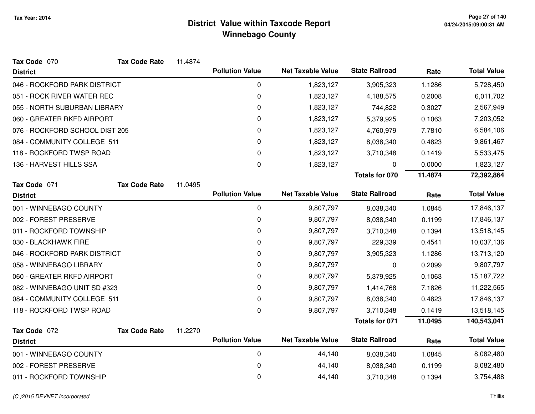| Tax Code 070                   | <b>Tax Code Rate</b> | 11.4874 |                        |                          |                       |         |                    |
|--------------------------------|----------------------|---------|------------------------|--------------------------|-----------------------|---------|--------------------|
| <b>District</b>                |                      |         | <b>Pollution Value</b> | <b>Net Taxable Value</b> | <b>State Railroad</b> | Rate    | <b>Total Value</b> |
| 046 - ROCKFORD PARK DISTRICT   |                      |         | 0                      | 1,823,127                | 3,905,323             | 1.1286  | 5,728,450          |
| 051 - ROCK RIVER WATER REC     |                      |         | 0                      | 1,823,127                | 4,188,575             | 0.2008  | 6,011,702          |
| 055 - NORTH SUBURBAN LIBRARY   |                      |         | 0                      | 1,823,127                | 744,822               | 0.3027  | 2,567,949          |
| 060 - GREATER RKFD AIRPORT     |                      |         | 0                      | 1,823,127                | 5,379,925             | 0.1063  | 7,203,052          |
| 076 - ROCKFORD SCHOOL DIST 205 |                      |         | 0                      | 1,823,127                | 4,760,979             | 7.7810  | 6,584,106          |
| 084 - COMMUNITY COLLEGE 511    |                      |         | 0                      | 1,823,127                | 8,038,340             | 0.4823  | 9,861,467          |
| 118 - ROCKFORD TWSP ROAD       |                      |         | 0                      | 1,823,127                | 3,710,348             | 0.1419  | 5,533,475          |
| 136 - HARVEST HILLS SSA        |                      |         | 0                      | 1,823,127                | 0                     | 0.0000  | 1,823,127          |
|                                |                      |         |                        |                          | Totals for 070        | 11.4874 | 72,392,864         |
| Tax Code 071                   | <b>Tax Code Rate</b> | 11.0495 |                        |                          |                       |         |                    |
| <b>District</b>                |                      |         | <b>Pollution Value</b> | <b>Net Taxable Value</b> | <b>State Railroad</b> | Rate    | <b>Total Value</b> |
| 001 - WINNEBAGO COUNTY         |                      |         | 0                      | 9,807,797                | 8,038,340             | 1.0845  | 17,846,137         |
| 002 - FOREST PRESERVE          |                      |         | 0                      | 9,807,797                | 8,038,340             | 0.1199  | 17,846,137         |
| 011 - ROCKFORD TOWNSHIP        |                      |         | 0                      | 9,807,797                | 3,710,348             | 0.1394  | 13,518,145         |
| 030 - BLACKHAWK FIRE           |                      |         | 0                      | 9,807,797                | 229,339               | 0.4541  | 10,037,136         |
| 046 - ROCKFORD PARK DISTRICT   |                      |         | 0                      | 9,807,797                | 3,905,323             | 1.1286  | 13,713,120         |
| 058 - WINNEBAGO LIBRARY        |                      |         | 0                      | 9,807,797                | 0                     | 0.2099  | 9,807,797          |
| 060 - GREATER RKFD AIRPORT     |                      |         | 0                      | 9,807,797                | 5,379,925             | 0.1063  | 15, 187, 722       |
| 082 - WINNEBAGO UNIT SD #323   |                      |         | 0                      | 9,807,797                | 1,414,768             | 7.1826  | 11,222,565         |
| 084 - COMMUNITY COLLEGE 511    |                      |         | $\Omega$               | 9,807,797                | 8,038,340             | 0.4823  | 17,846,137         |
| 118 - ROCKFORD TWSP ROAD       |                      |         | $\mathbf 0$            | 9,807,797                | 3,710,348             | 0.1419  | 13,518,145         |
|                                |                      |         |                        |                          | <b>Totals for 071</b> | 11.0495 | 140,543,041        |
| Tax Code 072                   | <b>Tax Code Rate</b> | 11.2270 |                        |                          |                       |         |                    |
| <b>District</b>                |                      |         | <b>Pollution Value</b> | <b>Net Taxable Value</b> | <b>State Railroad</b> | Rate    | <b>Total Value</b> |
| 001 - WINNEBAGO COUNTY         |                      |         | $\pmb{0}$              | 44,140                   | 8,038,340             | 1.0845  | 8,082,480          |
| 002 - FOREST PRESERVE          |                      |         | 0                      | 44,140                   | 8,038,340             | 0.1199  | 8,082,480          |
| 011 - ROCKFORD TOWNSHIP        |                      |         | 0                      | 44,140                   | 3,710,348             | 0.1394  | 3,754,488          |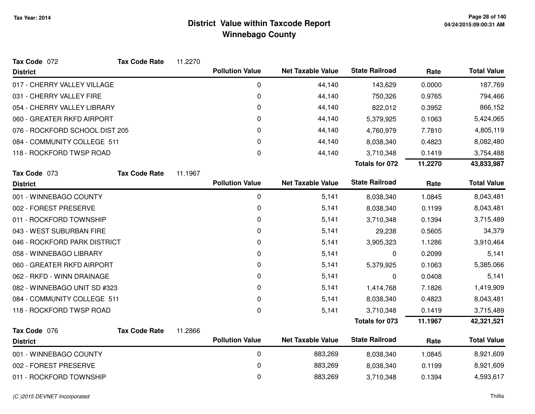| Tax Code 072                   | <b>Tax Code Rate</b> | 11.2270 |                        |                          |                       |         |                    |
|--------------------------------|----------------------|---------|------------------------|--------------------------|-----------------------|---------|--------------------|
| <b>District</b>                |                      |         | <b>Pollution Value</b> | <b>Net Taxable Value</b> | <b>State Railroad</b> | Rate    | <b>Total Value</b> |
| 017 - CHERRY VALLEY VILLAGE    |                      |         | 0                      | 44,140                   | 143,629               | 0.0000  | 187,769            |
| 031 - CHERRY VALLEY FIRE       |                      |         | 0                      | 44,140                   | 750,326               | 0.9765  | 794,466            |
| 054 - CHERRY VALLEY LIBRARY    |                      |         | 0                      | 44,140                   | 822,012               | 0.3952  | 866,152            |
| 060 - GREATER RKFD AIRPORT     |                      |         | 0                      | 44,140                   | 5,379,925             | 0.1063  | 5,424,065          |
| 076 - ROCKFORD SCHOOL DIST 205 |                      |         | 0                      | 44,140                   | 4,760,979             | 7.7810  | 4,805,119          |
| 084 - COMMUNITY COLLEGE 511    |                      |         | 0                      | 44,140                   | 8,038,340             | 0.4823  | 8,082,480          |
| 118 - ROCKFORD TWSP ROAD       |                      |         | 0                      | 44,140                   | 3,710,348             | 0.1419  | 3,754,488          |
|                                |                      |         |                        |                          | Totals for 072        | 11.2270 | 43,833,987         |
| Tax Code 073                   | <b>Tax Code Rate</b> | 11.1967 |                        |                          |                       |         |                    |
| <b>District</b>                |                      |         | <b>Pollution Value</b> | <b>Net Taxable Value</b> | <b>State Railroad</b> | Rate    | <b>Total Value</b> |
| 001 - WINNEBAGO COUNTY         |                      |         | 0                      | 5,141                    | 8,038,340             | 1.0845  | 8,043,481          |
| 002 - FOREST PRESERVE          |                      |         | 0                      | 5,141                    | 8,038,340             | 0.1199  | 8,043,481          |
| 011 - ROCKFORD TOWNSHIP        |                      |         | 0                      | 5,141                    | 3,710,348             | 0.1394  | 3,715,489          |
| 043 - WEST SUBURBAN FIRE       |                      |         | 0                      | 5,141                    | 29,238                | 0.5605  | 34,379             |
| 046 - ROCKFORD PARK DISTRICT   |                      |         | 0                      | 5,141                    | 3,905,323             | 1.1286  | 3,910,464          |
| 058 - WINNEBAGO LIBRARY        |                      |         | 0                      | 5,141                    | 0                     | 0.2099  | 5,141              |
| 060 - GREATER RKFD AIRPORT     |                      |         | 0                      | 5,141                    | 5,379,925             | 0.1063  | 5,385,066          |
| 062 - RKFD - WINN DRAINAGE     |                      |         | 0                      | 5,141                    | 0                     | 0.0408  | 5,141              |
| 082 - WINNEBAGO UNIT SD #323   |                      |         | 0                      | 5,141                    | 1,414,768             | 7.1826  | 1,419,909          |
| 084 - COMMUNITY COLLEGE 511    |                      |         | 0                      | 5,141                    | 8,038,340             | 0.4823  | 8,043,481          |
| 118 - ROCKFORD TWSP ROAD       |                      |         | $\pmb{0}$              | 5,141                    | 3,710,348             | 0.1419  | 3,715,489          |
|                                |                      |         |                        |                          | <b>Totals for 073</b> | 11.1967 | 42,321,521         |
| Tax Code 076                   | <b>Tax Code Rate</b> | 11.2866 |                        |                          |                       |         |                    |
| <b>District</b>                |                      |         | <b>Pollution Value</b> | <b>Net Taxable Value</b> | <b>State Railroad</b> | Rate    | <b>Total Value</b> |
| 001 - WINNEBAGO COUNTY         |                      |         | $\pmb{0}$              | 883,269                  | 8,038,340             | 1.0845  | 8,921,609          |
| 002 - FOREST PRESERVE          |                      |         | 0                      | 883,269                  | 8,038,340             | 0.1199  | 8,921,609          |
| 011 - ROCKFORD TOWNSHIP        |                      |         | 0                      | 883,269                  | 3,710,348             | 0.1394  | 4,593,617          |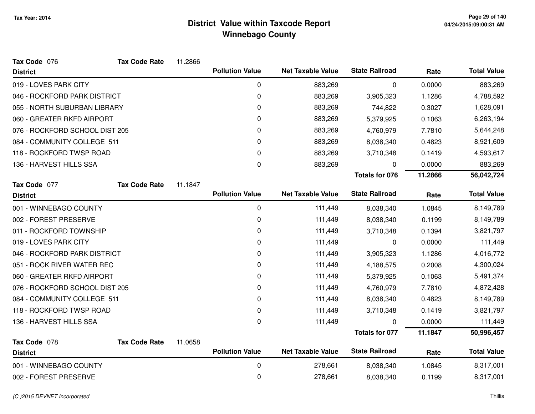| Tax Code 076                   | <b>Tax Code Rate</b> | 11.2866 |                        |                          |                       |         |                    |
|--------------------------------|----------------------|---------|------------------------|--------------------------|-----------------------|---------|--------------------|
| <b>District</b>                |                      |         | <b>Pollution Value</b> | <b>Net Taxable Value</b> | <b>State Railroad</b> | Rate    | <b>Total Value</b> |
| 019 - LOVES PARK CITY          |                      |         | 0                      | 883,269                  | 0                     | 0.0000  | 883,269            |
| 046 - ROCKFORD PARK DISTRICT   |                      |         | 0                      | 883,269                  | 3,905,323             | 1.1286  | 4,788,592          |
| 055 - NORTH SUBURBAN LIBRARY   |                      |         | 0                      | 883,269                  | 744,822               | 0.3027  | 1,628,091          |
| 060 - GREATER RKFD AIRPORT     |                      |         | 0                      | 883,269                  | 5,379,925             | 0.1063  | 6,263,194          |
| 076 - ROCKFORD SCHOOL DIST 205 |                      |         | 0                      | 883,269                  | 4,760,979             | 7.7810  | 5,644,248          |
| 084 - COMMUNITY COLLEGE 511    |                      |         | 0                      | 883,269                  | 8,038,340             | 0.4823  | 8,921,609          |
| 118 - ROCKFORD TWSP ROAD       |                      |         | 0                      | 883,269                  | 3,710,348             | 0.1419  | 4,593,617          |
| 136 - HARVEST HILLS SSA        |                      |         | 0                      | 883,269                  | 0                     | 0.0000  | 883,269            |
|                                |                      |         |                        |                          | <b>Totals for 076</b> | 11.2866 | 56,042,724         |
| Tax Code 077                   | <b>Tax Code Rate</b> | 11.1847 |                        |                          |                       |         |                    |
| <b>District</b>                |                      |         | <b>Pollution Value</b> | <b>Net Taxable Value</b> | <b>State Railroad</b> | Rate    | <b>Total Value</b> |
| 001 - WINNEBAGO COUNTY         |                      |         | 0                      | 111,449                  | 8,038,340             | 1.0845  | 8,149,789          |
| 002 - FOREST PRESERVE          |                      |         | 0                      | 111,449                  | 8,038,340             | 0.1199  | 8,149,789          |
| 011 - ROCKFORD TOWNSHIP        |                      |         | 0                      | 111,449                  | 3,710,348             | 0.1394  | 3,821,797          |
| 019 - LOVES PARK CITY          |                      |         | 0                      | 111,449                  | 0                     | 0.0000  | 111,449            |
| 046 - ROCKFORD PARK DISTRICT   |                      |         | 0                      | 111,449                  | 3,905,323             | 1.1286  | 4,016,772          |
| 051 - ROCK RIVER WATER REC     |                      |         | 0                      | 111,449                  | 4,188,575             | 0.2008  | 4,300,024          |
| 060 - GREATER RKFD AIRPORT     |                      |         | 0                      | 111,449                  | 5,379,925             | 0.1063  | 5,491,374          |
| 076 - ROCKFORD SCHOOL DIST 205 |                      |         | 0                      | 111,449                  | 4,760,979             | 7.7810  | 4,872,428          |
| 084 - COMMUNITY COLLEGE 511    |                      |         | 0                      | 111,449                  | 8,038,340             | 0.4823  | 8,149,789          |
| 118 - ROCKFORD TWSP ROAD       |                      |         | 0                      | 111,449                  | 3,710,348             | 0.1419  | 3,821,797          |
| 136 - HARVEST HILLS SSA        |                      |         | $\mathbf 0$            | 111,449                  | 0                     | 0.0000  | 111,449            |
|                                |                      |         |                        |                          | <b>Totals for 077</b> | 11.1847 | 50,996,457         |
| Tax Code 078                   | <b>Tax Code Rate</b> | 11.0658 |                        |                          |                       |         |                    |
| <b>District</b>                |                      |         | <b>Pollution Value</b> | <b>Net Taxable Value</b> | <b>State Railroad</b> | Rate    | <b>Total Value</b> |
| 001 - WINNEBAGO COUNTY         |                      |         | 0                      | 278,661                  | 8,038,340             | 1.0845  | 8,317,001          |
| 002 - FOREST PRESERVE          |                      |         | 0                      | 278,661                  | 8,038,340             | 0.1199  | 8,317,001          |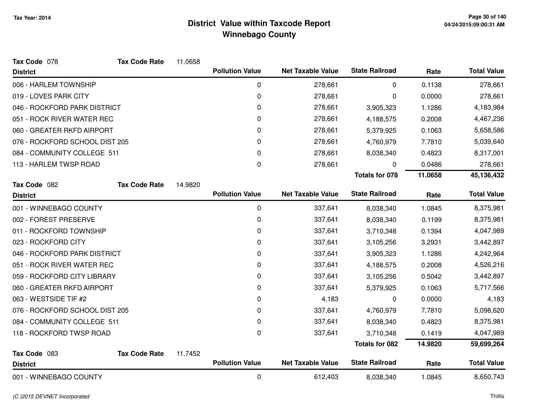| Tax Code 078                   | <b>Tax Code Rate</b> | 11.0658 |                        |                          |                       |         |                    |
|--------------------------------|----------------------|---------|------------------------|--------------------------|-----------------------|---------|--------------------|
| <b>District</b>                |                      |         | <b>Pollution Value</b> | <b>Net Taxable Value</b> | <b>State Railroad</b> | Rate    | <b>Total Value</b> |
| 006 - HARLEM TOWNSHIP          |                      |         | 0                      | 278,661                  | 0                     | 0.1138  | 278,661            |
| 019 - LOVES PARK CITY          |                      |         | 0                      | 278,661                  | 0                     | 0.0000  | 278,661            |
| 046 - ROCKFORD PARK DISTRICT   |                      |         | 0                      | 278,661                  | 3,905,323             | 1.1286  | 4,183,984          |
| 051 - ROCK RIVER WATER REC     |                      |         | 0                      | 278,661                  | 4,188,575             | 0.2008  | 4,467,236          |
| 060 - GREATER RKFD AIRPORT     |                      |         | 0                      | 278,661                  | 5,379,925             | 0.1063  | 5,658,586          |
| 076 - ROCKFORD SCHOOL DIST 205 |                      |         | 0                      | 278,661                  | 4,760,979             | 7.7810  | 5,039,640          |
| 084 - COMMUNITY COLLEGE 511    |                      |         | 0                      | 278,661                  | 8,038,340             | 0.4823  | 8,317,001          |
| 113 - HARLEM TWSP ROAD         |                      |         | 0                      | 278,661                  | 0                     | 0.0486  | 278,661            |
|                                |                      |         |                        |                          | <b>Totals for 078</b> | 11.0658 | 45,136,432         |
| Tax Code 082                   | <b>Tax Code Rate</b> | 14.9820 |                        |                          |                       |         |                    |
| <b>District</b>                |                      |         | <b>Pollution Value</b> | <b>Net Taxable Value</b> | <b>State Railroad</b> | Rate    | <b>Total Value</b> |
| 001 - WINNEBAGO COUNTY         |                      |         | 0                      | 337,641                  | 8,038,340             | 1.0845  | 8,375,981          |
| 002 - FOREST PRESERVE          |                      |         | 0                      | 337,641                  | 8,038,340             | 0.1199  | 8,375,981          |
| 011 - ROCKFORD TOWNSHIP        |                      |         | 0                      | 337,641                  | 3,710,348             | 0.1394  | 4,047,989          |
| 023 - ROCKFORD CITY            |                      |         | 0                      | 337,641                  | 3,105,256             | 3.2931  | 3,442,897          |
| 046 - ROCKFORD PARK DISTRICT   |                      |         | 0                      | 337,641                  | 3,905,323             | 1.1286  | 4,242,964          |
| 051 - ROCK RIVER WATER REC     |                      |         | 0                      | 337,641                  | 4,188,575             | 0.2008  | 4,526,216          |
| 059 - ROCKFORD CITY LIBRARY    |                      |         | 0                      | 337,641                  | 3,105,256             | 0.5042  | 3,442,897          |
| 060 - GREATER RKFD AIRPORT     |                      |         | 0                      | 337,641                  | 5,379,925             | 0.1063  | 5,717,566          |
| 063 - WESTSIDE TIF #2          |                      |         | 0                      | 4,183                    | 0                     | 0.0000  | 4,183              |
| 076 - ROCKFORD SCHOOL DIST 205 |                      |         | 0                      | 337,641                  | 4,760,979             | 7.7810  | 5,098,620          |
| 084 - COMMUNITY COLLEGE 511    |                      |         | 0                      | 337,641                  | 8,038,340             | 0.4823  | 8,375,981          |
| 118 - ROCKFORD TWSP ROAD       |                      |         | 0                      | 337,641                  | 3,710,348             | 0.1419  | 4,047,989          |
|                                |                      |         |                        |                          | <b>Totals for 082</b> | 14.9820 | 59,699,264         |
| Tax Code 083                   | <b>Tax Code Rate</b> | 11.7452 |                        |                          |                       |         |                    |
| <b>District</b>                |                      |         | <b>Pollution Value</b> | <b>Net Taxable Value</b> | <b>State Railroad</b> | Rate    | <b>Total Value</b> |
| 001 - WINNEBAGO COUNTY         |                      |         | $\mathbf 0$            | 612,403                  | 8,038,340             | 1.0845  | 8,650,743          |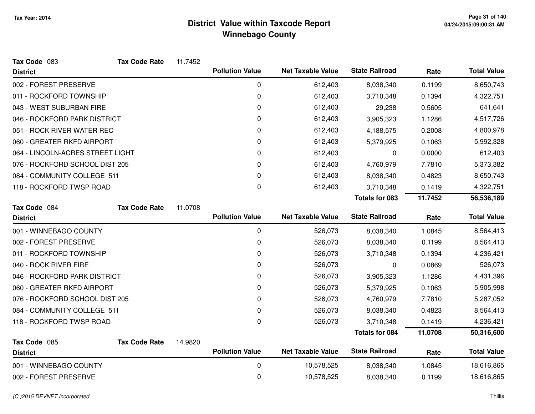| Tax Code 083                     | <b>Tax Code Rate</b> | 11.7452 |                        |                          |                       |         |                    |
|----------------------------------|----------------------|---------|------------------------|--------------------------|-----------------------|---------|--------------------|
| <b>District</b>                  |                      |         | <b>Pollution Value</b> | <b>Net Taxable Value</b> | <b>State Railroad</b> | Rate    | <b>Total Value</b> |
| 002 - FOREST PRESERVE            |                      |         | 0                      | 612,403                  | 8,038,340             | 0.1199  | 8,650,743          |
| 011 - ROCKFORD TOWNSHIP          |                      |         | 0                      | 612,403                  | 3,710,348             | 0.1394  | 4,322,751          |
| 043 - WEST SUBURBAN FIRE         |                      |         | 0                      | 612,403                  | 29,238                | 0.5605  | 641,641            |
| 046 - ROCKFORD PARK DISTRICT     |                      |         | 0                      | 612,403                  | 3,905,323             | 1.1286  | 4,517,726          |
| 051 - ROCK RIVER WATER REC       |                      |         | 0                      | 612,403                  | 4,188,575             | 0.2008  | 4,800,978          |
| 060 - GREATER RKFD AIRPORT       |                      |         | 0                      | 612,403                  | 5,379,925             | 0.1063  | 5,992,328          |
| 064 - LINCOLN-ACRES STREET LIGHT |                      |         | 0                      | 612,403                  | 0                     | 0.0000  | 612,403            |
| 076 - ROCKFORD SCHOOL DIST 205   |                      |         | 0                      | 612,403                  | 4,760,979             | 7.7810  | 5,373,382          |
| 084 - COMMUNITY COLLEGE 511      |                      |         | 0                      | 612,403                  | 8,038,340             | 0.4823  | 8,650,743          |
| 118 - ROCKFORD TWSP ROAD         |                      |         | 0                      | 612,403                  | 3,710,348             | 0.1419  | 4,322,751          |
|                                  |                      |         |                        |                          | <b>Totals for 083</b> | 11.7452 | 56,536,189         |
| Tax Code 084                     | <b>Tax Code Rate</b> | 11.0708 |                        |                          |                       |         |                    |
| <b>District</b>                  |                      |         | <b>Pollution Value</b> | <b>Net Taxable Value</b> | <b>State Railroad</b> | Rate    | <b>Total Value</b> |
| 001 - WINNEBAGO COUNTY           |                      |         | 0                      | 526,073                  | 8,038,340             | 1.0845  | 8,564,413          |
| 002 - FOREST PRESERVE            |                      |         | 0                      | 526,073                  | 8,038,340             | 0.1199  | 8,564,413          |
| 011 - ROCKFORD TOWNSHIP          |                      |         | 0                      | 526,073                  | 3,710,348             | 0.1394  | 4,236,421          |
| 040 - ROCK RIVER FIRE            |                      |         | 0                      | 526,073                  | 0                     | 0.0869  | 526,073            |
| 046 - ROCKFORD PARK DISTRICT     |                      |         | 0                      | 526,073                  | 3,905,323             | 1.1286  | 4,431,396          |
| 060 - GREATER RKFD AIRPORT       |                      |         | 0                      | 526,073                  | 5,379,925             | 0.1063  | 5,905,998          |
| 076 - ROCKFORD SCHOOL DIST 205   |                      |         | 0                      | 526,073                  | 4,760,979             | 7.7810  | 5,287,052          |
| 084 - COMMUNITY COLLEGE 511      |                      |         | 0                      | 526,073                  | 8,038,340             | 0.4823  | 8,564,413          |
| 118 - ROCKFORD TWSP ROAD         |                      |         | 0                      | 526,073                  | 3,710,348             | 0.1419  | 4,236,421          |
|                                  |                      |         |                        |                          | <b>Totals for 084</b> | 11.0708 | 50,316,600         |
| Tax Code 085                     | <b>Tax Code Rate</b> | 14.9820 |                        |                          |                       |         |                    |
| <b>District</b>                  |                      |         | <b>Pollution Value</b> | <b>Net Taxable Value</b> | <b>State Railroad</b> | Rate    | <b>Total Value</b> |
| 001 - WINNEBAGO COUNTY           |                      |         | 0                      | 10,578,525               | 8,038,340             | 1.0845  | 18,616,865         |
| 002 - FOREST PRESERVE            |                      |         | 0                      | 10,578,525               | 8,038,340             | 0.1199  | 18,616,865         |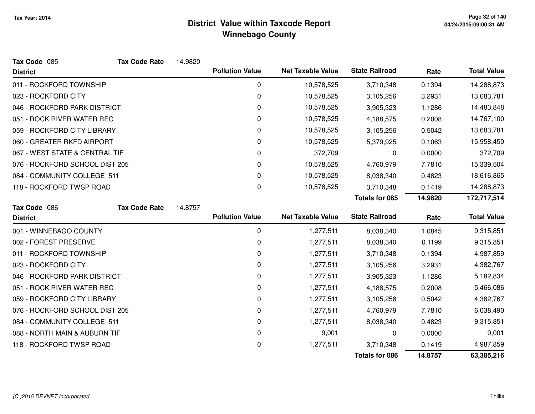| Tax Code 085                   | <b>Tax Code Rate</b> | 14.9820 |                        |                          |                       |         |                    |
|--------------------------------|----------------------|---------|------------------------|--------------------------|-----------------------|---------|--------------------|
| <b>District</b>                |                      |         | <b>Pollution Value</b> | <b>Net Taxable Value</b> | <b>State Railroad</b> | Rate    | <b>Total Value</b> |
| 011 - ROCKFORD TOWNSHIP        |                      |         | 0                      | 10,578,525               | 3,710,348             | 0.1394  | 14,288,873         |
| 023 - ROCKFORD CITY            |                      |         | 0                      | 10,578,525               | 3,105,256             | 3.2931  | 13,683,781         |
| 046 - ROCKFORD PARK DISTRICT   |                      |         | 0                      | 10,578,525               | 3,905,323             | 1.1286  | 14,483,848         |
| 051 - ROCK RIVER WATER REC     |                      |         | 0                      | 10,578,525               | 4,188,575             | 0.2008  | 14,767,100         |
| 059 - ROCKFORD CITY LIBRARY    |                      |         | 0                      | 10,578,525               | 3,105,256             | 0.5042  | 13,683,781         |
| 060 - GREATER RKFD AIRPORT     |                      |         | 0                      | 10,578,525               | 5,379,925             | 0.1063  | 15,958,450         |
| 067 - WEST STATE & CENTRAL TIF |                      |         | 0                      | 372,709                  | 0                     | 0.0000  | 372,709            |
| 076 - ROCKFORD SCHOOL DIST 205 |                      |         | 0                      | 10,578,525               | 4,760,979             | 7.7810  | 15,339,504         |
| 084 - COMMUNITY COLLEGE 511    |                      |         | $\Omega$               | 10,578,525               | 8,038,340             | 0.4823  | 18,616,865         |
| 118 - ROCKFORD TWSP ROAD       |                      |         | 0                      | 10,578,525               | 3,710,348             | 0.1419  | 14,288,873         |
|                                |                      |         |                        |                          | <b>Totals for 085</b> | 14.9820 | 172,717,514        |
| Tax Code 086                   | <b>Tax Code Rate</b> | 14.8757 |                        |                          |                       |         |                    |
| <b>District</b>                |                      |         | <b>Pollution Value</b> | <b>Net Taxable Value</b> | <b>State Railroad</b> | Rate    | <b>Total Value</b> |
| 001 - WINNEBAGO COUNTY         |                      |         | 0                      | 1,277,511                | 8,038,340             | 1.0845  | 9,315,851          |
| 002 - FOREST PRESERVE          |                      |         | 0                      | 1,277,511                | 8,038,340             | 0.1199  | 9,315,851          |
| 011 - ROCKFORD TOWNSHIP        |                      |         | 0                      | 1,277,511                | 3,710,348             | 0.1394  | 4,987,859          |
| 023 - ROCKFORD CITY            |                      |         | 0                      | 1,277,511                | 3,105,256             | 3.2931  | 4,382,767          |
| 046 - ROCKFORD PARK DISTRICT   |                      |         | 0                      | 1,277,511                | 3,905,323             | 1.1286  | 5,182,834          |
| 051 - ROCK RIVER WATER REC     |                      |         | 0                      | 1,277,511                | 4,188,575             | 0.2008  | 5,466,086          |
| 059 - ROCKFORD CITY LIBRARY    |                      |         | 0                      | 1,277,511                | 3,105,256             | 0.5042  | 4,382,767          |
| 076 - ROCKFORD SCHOOL DIST 205 |                      |         | 0                      | 1,277,511                | 4,760,979             | 7.7810  | 6,038,490          |
| 084 - COMMUNITY COLLEGE 511    |                      |         | 0                      | 1,277,511                | 8,038,340             | 0.4823  | 9,315,851          |
| 088 - NORTH MAIN & AUBURN TIF  |                      |         | $\mathbf 0$            | 9,001                    | 0                     | 0.0000  | 9,001              |
| 118 - ROCKFORD TWSP ROAD       |                      |         | 0                      | 1,277,511                | 3,710,348             | 0.1419  | 4,987,859          |
|                                |                      |         |                        |                          | <b>Totals for 086</b> | 14.8757 | 63,385,216         |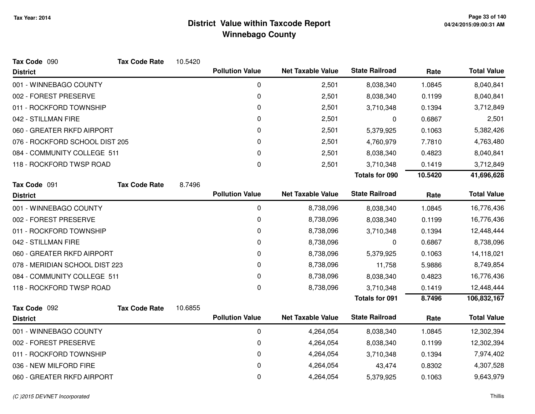| Tax Code 090                   | <b>Tax Code Rate</b> | 10.5420 |                        |                          |                       |         |                    |
|--------------------------------|----------------------|---------|------------------------|--------------------------|-----------------------|---------|--------------------|
| <b>District</b>                |                      |         | <b>Pollution Value</b> | <b>Net Taxable Value</b> | <b>State Railroad</b> | Rate    | <b>Total Value</b> |
| 001 - WINNEBAGO COUNTY         |                      |         | 0                      | 2,501                    | 8,038,340             | 1.0845  | 8,040,841          |
| 002 - FOREST PRESERVE          |                      |         | 0                      | 2,501                    | 8,038,340             | 0.1199  | 8,040,841          |
| 011 - ROCKFORD TOWNSHIP        |                      |         | 0                      | 2,501                    | 3,710,348             | 0.1394  | 3,712,849          |
| 042 - STILLMAN FIRE            |                      |         | 0                      | 2,501                    | 0                     | 0.6867  | 2,501              |
| 060 - GREATER RKFD AIRPORT     |                      |         | 0                      | 2,501                    | 5,379,925             | 0.1063  | 5,382,426          |
| 076 - ROCKFORD SCHOOL DIST 205 |                      |         | 0                      | 2,501                    | 4,760,979             | 7.7810  | 4,763,480          |
| 084 - COMMUNITY COLLEGE 511    |                      |         | 0                      | 2,501                    | 8,038,340             | 0.4823  | 8,040,841          |
| 118 - ROCKFORD TWSP ROAD       |                      |         | 0                      | 2,501                    | 3,710,348             | 0.1419  | 3,712,849          |
|                                |                      |         |                        |                          | <b>Totals for 090</b> | 10.5420 | 41,696,628         |
| Tax Code 091                   | <b>Tax Code Rate</b> | 8.7496  |                        |                          |                       |         |                    |
| <b>District</b>                |                      |         | <b>Pollution Value</b> | <b>Net Taxable Value</b> | <b>State Railroad</b> | Rate    | <b>Total Value</b> |
| 001 - WINNEBAGO COUNTY         |                      |         | 0                      | 8,738,096                | 8,038,340             | 1.0845  | 16,776,436         |
| 002 - FOREST PRESERVE          |                      |         | $\mathbf 0$            | 8,738,096                | 8,038,340             | 0.1199  | 16,776,436         |
| 011 - ROCKFORD TOWNSHIP        |                      |         | 0                      | 8,738,096                | 3,710,348             | 0.1394  | 12,448,444         |
| 042 - STILLMAN FIRE            |                      |         | 0                      | 8,738,096                | 0                     | 0.6867  | 8,738,096          |
| 060 - GREATER RKFD AIRPORT     |                      |         | 0                      | 8,738,096                | 5,379,925             | 0.1063  | 14,118,021         |
| 078 - MERIDIAN SCHOOL DIST 223 |                      |         | 0                      | 8,738,096                | 11,758                | 5.9886  | 8,749,854          |
| 084 - COMMUNITY COLLEGE 511    |                      |         | 0                      | 8,738,096                | 8,038,340             | 0.4823  | 16,776,436         |
| 118 - ROCKFORD TWSP ROAD       |                      |         | 0                      | 8,738,096                | 3,710,348             | 0.1419  | 12,448,444         |
|                                |                      |         |                        |                          | <b>Totals for 091</b> | 8.7496  | 106,832,167        |
| Tax Code 092                   | <b>Tax Code Rate</b> | 10.6855 |                        |                          |                       |         |                    |
| <b>District</b>                |                      |         | <b>Pollution Value</b> | <b>Net Taxable Value</b> | <b>State Railroad</b> | Rate    | <b>Total Value</b> |
| 001 - WINNEBAGO COUNTY         |                      |         | 0                      | 4,264,054                | 8,038,340             | 1.0845  | 12,302,394         |
| 002 - FOREST PRESERVE          |                      |         | 0                      | 4,264,054                | 8,038,340             | 0.1199  | 12,302,394         |
| 011 - ROCKFORD TOWNSHIP        |                      |         | 0                      | 4,264,054                | 3,710,348             | 0.1394  | 7,974,402          |
| 036 - NEW MILFORD FIRE         |                      |         | 0                      | 4,264,054                | 43,474                | 0.8302  | 4,307,528          |
| 060 - GREATER RKFD AIRPORT     |                      |         | 0                      | 4,264,054                | 5,379,925             | 0.1063  | 9,643,979          |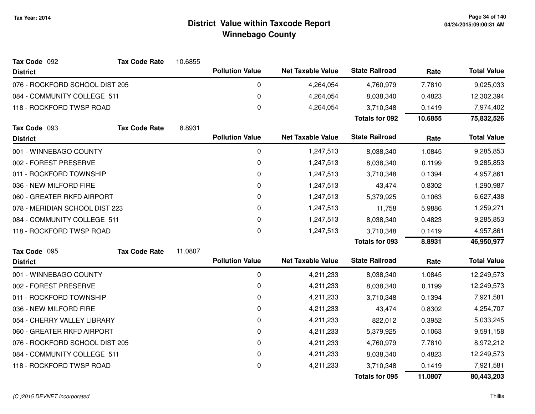| Tax Code 092                   | <b>Tax Code Rate</b> | 10.6855 |                        |                          |                       |           |                    |
|--------------------------------|----------------------|---------|------------------------|--------------------------|-----------------------|-----------|--------------------|
| <b>District</b>                |                      |         | <b>Pollution Value</b> | <b>Net Taxable Value</b> | <b>State Railroad</b> | Rate      | <b>Total Value</b> |
| 076 - ROCKFORD SCHOOL DIST 205 |                      |         | 0                      | 4,264,054                | 4,760,979             | 7.7810    | 9,025,033          |
| 084 - COMMUNITY COLLEGE 511    |                      |         | 0                      | 4,264,054                | 8,038,340             | 0.4823    | 12,302,394         |
| 118 - ROCKFORD TWSP ROAD       |                      |         | 0                      | 4,264,054                | 3,710,348             | 0.1419    | 7,974,402          |
|                                |                      |         |                        |                          | <b>Totals for 092</b> | 10.6855   | 75,832,526         |
| Tax Code 093                   | <b>Tax Code Rate</b> | 8.8931  |                        |                          |                       |           |                    |
| <b>District</b>                |                      |         | <b>Pollution Value</b> | <b>Net Taxable Value</b> | <b>State Railroad</b> | Rate      | <b>Total Value</b> |
| 001 - WINNEBAGO COUNTY         |                      |         | 0                      | 1,247,513                | 8,038,340             | 1.0845    | 9,285,853          |
| 002 - FOREST PRESERVE          |                      |         | 0                      | 1,247,513                | 8,038,340             | 0.1199    | 9,285,853          |
| 011 - ROCKFORD TOWNSHIP        |                      |         | 0                      | 1,247,513                | 3,710,348             | 0.1394    | 4,957,861          |
| 036 - NEW MILFORD FIRE         |                      |         | 0                      | 1,247,513                | 43,474                | 0.8302    | 1,290,987          |
| 060 - GREATER RKFD AIRPORT     |                      | 0       | 1,247,513              | 5,379,925                | 0.1063                | 6,627,438 |                    |
| 078 - MERIDIAN SCHOOL DIST 223 |                      | 0       | 1,247,513              | 11,758                   | 5.9886                | 1,259,271 |                    |
| 084 - COMMUNITY COLLEGE 511    |                      |         | 0                      | 1,247,513                | 8,038,340             | 0.4823    | 9,285,853          |
| 118 - ROCKFORD TWSP ROAD       |                      |         | 0                      | 1,247,513                | 3,710,348             | 0.1419    | 4,957,861          |
|                                |                      |         |                        |                          | <b>Totals for 093</b> | 8.8931    | 46,950,977         |
| Tax Code 095                   | <b>Tax Code Rate</b> | 11.0807 |                        |                          |                       |           |                    |
| <b>District</b>                |                      |         | <b>Pollution Value</b> | <b>Net Taxable Value</b> | <b>State Railroad</b> | Rate      | <b>Total Value</b> |
| 001 - WINNEBAGO COUNTY         |                      |         | 0                      | 4,211,233                | 8,038,340             | 1.0845    | 12,249,573         |
| 002 - FOREST PRESERVE          |                      |         | 0                      | 4,211,233                | 8,038,340             | 0.1199    | 12,249,573         |
| 011 - ROCKFORD TOWNSHIP        |                      |         | 0                      | 4,211,233                | 3,710,348             | 0.1394    | 7,921,581          |
| 036 - NEW MILFORD FIRE         |                      |         | 0                      | 4,211,233                | 43,474                | 0.8302    | 4,254,707          |
| 054 - CHERRY VALLEY LIBRARY    |                      |         | 0                      | 4,211,233                | 822,012               | 0.3952    | 5,033,245          |
| 060 - GREATER RKFD AIRPORT     |                      |         | 0                      | 4,211,233                | 5,379,925             | 0.1063    | 9,591,158          |
| 076 - ROCKFORD SCHOOL DIST 205 |                      |         | 0                      | 4,211,233                | 4,760,979             | 7.7810    | 8,972,212          |
| 084 - COMMUNITY COLLEGE 511    |                      |         | 0                      | 4,211,233                | 8,038,340             | 0.4823    | 12,249,573         |
| 118 - ROCKFORD TWSP ROAD       |                      |         | 0                      | 4,211,233                | 3,710,348             | 0.1419    | 7,921,581          |
|                                |                      |         |                        |                          | <b>Totals for 095</b> | 11.0807   | 80,443,203         |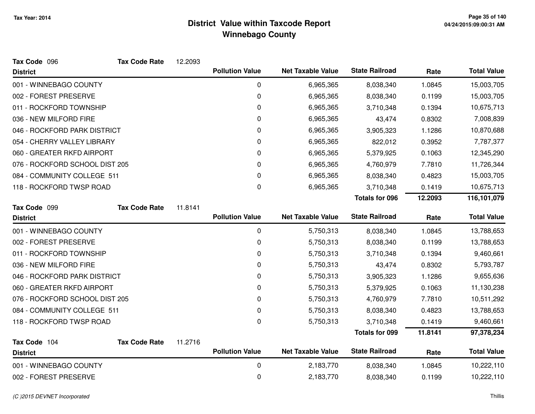| Tax Code 096                    | <b>Tax Code Rate</b> | 12.2093 |                        |                          |                       |         |                    |
|---------------------------------|----------------------|---------|------------------------|--------------------------|-----------------------|---------|--------------------|
| <b>District</b>                 |                      |         | <b>Pollution Value</b> | <b>Net Taxable Value</b> | <b>State Railroad</b> | Rate    | <b>Total Value</b> |
| 001 - WINNEBAGO COUNTY          |                      |         | 0                      | 6,965,365                | 8,038,340             | 1.0845  | 15,003,705         |
| 002 - FOREST PRESERVE           |                      |         | $\pmb{0}$              | 6,965,365                | 8,038,340             | 0.1199  | 15,003,705         |
| 011 - ROCKFORD TOWNSHIP         |                      |         | 0                      | 6,965,365                | 3,710,348             | 0.1394  | 10,675,713         |
| 036 - NEW MILFORD FIRE          |                      |         | 0                      | 6,965,365                | 43,474                | 0.8302  | 7,008,839          |
| 046 - ROCKFORD PARK DISTRICT    |                      |         | 0                      | 6,965,365                | 3,905,323             | 1.1286  | 10,870,688         |
| 054 - CHERRY VALLEY LIBRARY     |                      |         | $\Omega$               | 6,965,365                | 822,012               | 0.3952  | 7,787,377          |
| 060 - GREATER RKFD AIRPORT      |                      |         | 0                      | 6,965,365                | 5,379,925             | 0.1063  | 12,345,290         |
| 076 - ROCKFORD SCHOOL DIST 205  |                      |         | 0                      | 6,965,365                | 4,760,979             | 7.7810  | 11,726,344         |
| 084 - COMMUNITY COLLEGE 511     |                      |         | 0                      | 6,965,365                | 8,038,340             | 0.4823  | 15,003,705         |
| 118 - ROCKFORD TWSP ROAD        |                      |         | 0                      | 6,965,365                | 3,710,348             | 0.1419  | 10,675,713         |
|                                 |                      |         |                        |                          | <b>Totals for 096</b> | 12.2093 | 116,101,079        |
| Tax Code 099                    | <b>Tax Code Rate</b> | 11.8141 |                        |                          |                       |         |                    |
| <b>District</b>                 |                      |         | <b>Pollution Value</b> | <b>Net Taxable Value</b> | <b>State Railroad</b> | Rate    | <b>Total Value</b> |
| 001 - WINNEBAGO COUNTY          |                      |         | $\mathbf 0$            | 5,750,313                | 8,038,340             | 1.0845  | 13,788,653         |
| 002 - FOREST PRESERVE           |                      |         | 0                      | 5,750,313                | 8,038,340             | 0.1199  | 13,788,653         |
| 011 - ROCKFORD TOWNSHIP         |                      |         | 0                      | 5,750,313                | 3,710,348             | 0.1394  | 9,460,661          |
| 036 - NEW MILFORD FIRE          |                      |         | 0                      | 5,750,313                | 43,474                | 0.8302  | 5,793,787          |
| 046 - ROCKFORD PARK DISTRICT    |                      |         | $\pmb{0}$              | 5,750,313                | 3,905,323             | 1.1286  | 9,655,636          |
| 060 - GREATER RKFD AIRPORT      |                      |         | 0                      | 5,750,313                | 5,379,925             | 0.1063  | 11,130,238         |
| 076 - ROCKFORD SCHOOL DIST 205  |                      |         | 0                      | 5,750,313                | 4,760,979             | 7.7810  | 10,511,292         |
| 084 - COMMUNITY COLLEGE 511     |                      |         | 0                      | 5,750,313                | 8,038,340             | 0.4823  | 13,788,653         |
| 118 - ROCKFORD TWSP ROAD        |                      |         | $\Omega$               | 5,750,313                | 3,710,348             | 0.1419  | 9,460,661          |
|                                 |                      |         |                        |                          | <b>Totals for 099</b> | 11.8141 | 97,378,234         |
| Tax Code 104<br><b>District</b> | <b>Tax Code Rate</b> | 11.2716 | <b>Pollution Value</b> | <b>Net Taxable Value</b> | <b>State Railroad</b> | Rate    | <b>Total Value</b> |
| 001 - WINNEBAGO COUNTY          |                      |         | 0                      | 2,183,770                | 8,038,340             | 1.0845  | 10,222,110         |
| 002 - FOREST PRESERVE           |                      |         | 0                      | 2,183,770                | 8,038,340             | 0.1199  | 10,222,110         |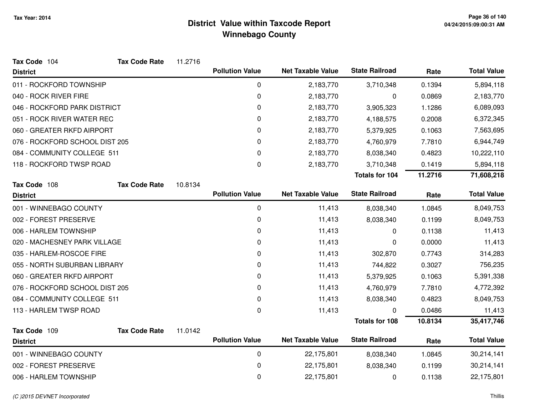| Tax Code 104                   | <b>Tax Code Rate</b> | 11.2716 |                        |                          |                       |         |                    |
|--------------------------------|----------------------|---------|------------------------|--------------------------|-----------------------|---------|--------------------|
| <b>District</b>                |                      |         | <b>Pollution Value</b> | <b>Net Taxable Value</b> | <b>State Railroad</b> | Rate    | <b>Total Value</b> |
| 011 - ROCKFORD TOWNSHIP        |                      |         | 0                      | 2,183,770                | 3,710,348             | 0.1394  | 5,894,118          |
| 040 - ROCK RIVER FIRE          |                      |         | 0                      | 2,183,770                | 0                     | 0.0869  | 2,183,770          |
| 046 - ROCKFORD PARK DISTRICT   |                      |         | 0                      | 2,183,770                | 3,905,323             | 1.1286  | 6,089,093          |
| 051 - ROCK RIVER WATER REC     |                      |         | 0                      | 2,183,770                | 4,188,575             | 0.2008  | 6,372,345          |
| 060 - GREATER RKFD AIRPORT     |                      |         | 0                      | 2,183,770                | 5,379,925             | 0.1063  | 7,563,695          |
| 076 - ROCKFORD SCHOOL DIST 205 |                      |         | 0                      | 2,183,770                | 4,760,979             | 7.7810  | 6,944,749          |
| 084 - COMMUNITY COLLEGE 511    |                      |         | 0                      | 2,183,770                | 8,038,340             | 0.4823  | 10,222,110         |
| 118 - ROCKFORD TWSP ROAD       |                      |         | 0                      | 2,183,770                | 3,710,348             | 0.1419  | 5,894,118          |
|                                |                      |         |                        |                          | Totals for 104        | 11.2716 | 71,608,218         |
| Tax Code 108                   | <b>Tax Code Rate</b> | 10.8134 |                        |                          |                       |         |                    |
| <b>District</b>                |                      |         | <b>Pollution Value</b> | <b>Net Taxable Value</b> | <b>State Railroad</b> | Rate    | <b>Total Value</b> |
| 001 - WINNEBAGO COUNTY         |                      |         | 0                      | 11,413                   | 8,038,340             | 1.0845  | 8,049,753          |
| 002 - FOREST PRESERVE          |                      |         | 0                      | 11,413                   | 8,038,340             | 0.1199  | 8,049,753          |
| 006 - HARLEM TOWNSHIP          |                      |         | 0                      | 11,413                   | 0                     | 0.1138  | 11,413             |
| 020 - MACHESNEY PARK VILLAGE   |                      |         | 0                      | 11,413                   | 0                     | 0.0000  | 11,413             |
| 035 - HARLEM-ROSCOE FIRE       |                      |         | 0                      | 11,413                   | 302,870               | 0.7743  | 314,283            |
| 055 - NORTH SUBURBAN LIBRARY   |                      |         | 0                      | 11,413                   | 744,822               | 0.3027  | 756,235            |
| 060 - GREATER RKFD AIRPORT     |                      |         | 0                      | 11,413                   | 5,379,925             | 0.1063  | 5,391,338          |
| 076 - ROCKFORD SCHOOL DIST 205 |                      |         | 0                      | 11,413                   | 4,760,979             | 7.7810  | 4,772,392          |
| 084 - COMMUNITY COLLEGE 511    |                      |         | 0                      | 11,413                   | 8,038,340             | 0.4823  | 8,049,753          |
| 113 - HARLEM TWSP ROAD         |                      |         | 0                      | 11,413                   | 0                     | 0.0486  | 11,413             |
|                                |                      |         |                        |                          | <b>Totals for 108</b> | 10.8134 | 35,417,746         |
| Tax Code 109                   | <b>Tax Code Rate</b> | 11.0142 |                        |                          |                       |         |                    |
| <b>District</b>                |                      |         | <b>Pollution Value</b> | <b>Net Taxable Value</b> | <b>State Railroad</b> | Rate    | <b>Total Value</b> |
| 001 - WINNEBAGO COUNTY         |                      |         | 0                      | 22,175,801               | 8,038,340             | 1.0845  | 30,214,141         |
| 002 - FOREST PRESERVE          |                      |         | 0                      | 22,175,801               | 8,038,340             | 0.1199  | 30,214,141         |
| 006 - HARLEM TOWNSHIP          |                      |         | 0                      | 22,175,801               | 0                     | 0.1138  | 22,175,801         |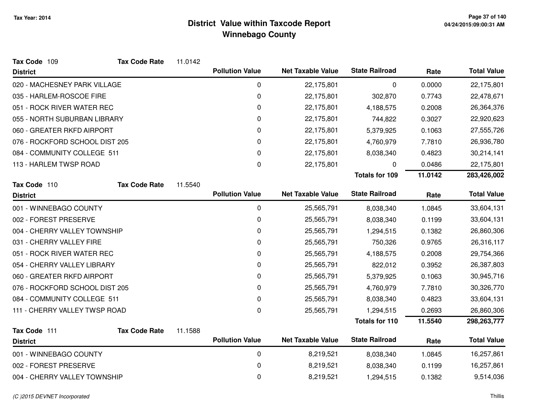| Tax Code 109                   | <b>Tax Code Rate</b> | 11.0142 |                        |                          |                       |         |                    |
|--------------------------------|----------------------|---------|------------------------|--------------------------|-----------------------|---------|--------------------|
| <b>District</b>                |                      |         | <b>Pollution Value</b> | <b>Net Taxable Value</b> | <b>State Railroad</b> | Rate    | <b>Total Value</b> |
| 020 - MACHESNEY PARK VILLAGE   |                      |         | 0                      | 22,175,801               | 0                     | 0.0000  | 22,175,801         |
| 035 - HARLEM-ROSCOE FIRE       |                      |         | 0                      | 22,175,801               | 302,870               | 0.7743  | 22,478,671         |
| 051 - ROCK RIVER WATER REC     |                      |         | 0                      | 22,175,801               | 4,188,575             | 0.2008  | 26,364,376         |
| 055 - NORTH SUBURBAN LIBRARY   |                      |         | 0                      | 22,175,801               | 744,822               | 0.3027  | 22,920,623         |
| 060 - GREATER RKFD AIRPORT     |                      |         | 0                      | 22,175,801               | 5,379,925             | 0.1063  | 27,555,726         |
| 076 - ROCKFORD SCHOOL DIST 205 |                      |         | 0                      | 22,175,801               | 4,760,979             | 7.7810  | 26,936,780         |
| 084 - COMMUNITY COLLEGE 511    |                      |         | 0                      | 22,175,801               | 8,038,340             | 0.4823  | 30,214,141         |
| 113 - HARLEM TWSP ROAD         |                      |         | 0                      | 22,175,801               | 0                     | 0.0486  | 22,175,801         |
|                                |                      |         |                        |                          | Totals for 109        | 11.0142 | 283,426,002        |
| Tax Code 110                   | <b>Tax Code Rate</b> | 11.5540 |                        |                          |                       |         |                    |
| <b>District</b>                |                      |         | <b>Pollution Value</b> | <b>Net Taxable Value</b> | <b>State Railroad</b> | Rate    | <b>Total Value</b> |
| 001 - WINNEBAGO COUNTY         |                      |         | $\mathbf 0$            | 25,565,791               | 8,038,340             | 1.0845  | 33,604,131         |
| 002 - FOREST PRESERVE          |                      |         | 0                      | 25,565,791               | 8,038,340             | 0.1199  | 33,604,131         |
| 004 - CHERRY VALLEY TOWNSHIP   |                      |         | 0                      | 25,565,791               | 1,294,515             | 0.1382  | 26,860,306         |
| 031 - CHERRY VALLEY FIRE       |                      |         | 0                      | 25,565,791               | 750,326               | 0.9765  | 26,316,117         |
| 051 - ROCK RIVER WATER REC     |                      |         | 0                      | 25,565,791               | 4,188,575             | 0.2008  | 29,754,366         |
| 054 - CHERRY VALLEY LIBRARY    |                      |         | 0                      | 25,565,791               | 822,012               | 0.3952  | 26,387,803         |
| 060 - GREATER RKFD AIRPORT     |                      |         | 0                      | 25,565,791               | 5,379,925             | 0.1063  | 30,945,716         |
| 076 - ROCKFORD SCHOOL DIST 205 |                      |         | 0                      | 25,565,791               | 4,760,979             | 7.7810  | 30,326,770         |
| 084 - COMMUNITY COLLEGE 511    |                      |         | 0                      | 25,565,791               | 8,038,340             | 0.4823  | 33,604,131         |
| 111 - CHERRY VALLEY TWSP ROAD  |                      |         | 0                      | 25,565,791               | 1,294,515             | 0.2693  | 26,860,306         |
|                                |                      |         |                        |                          | <b>Totals for 110</b> | 11.5540 | 298, 263, 777      |
| Tax Code 111                   | <b>Tax Code Rate</b> | 11.1588 |                        |                          |                       |         |                    |
| <b>District</b>                |                      |         | <b>Pollution Value</b> | <b>Net Taxable Value</b> | <b>State Railroad</b> | Rate    | <b>Total Value</b> |
| 001 - WINNEBAGO COUNTY         |                      |         | $\pmb{0}$              | 8,219,521                | 8,038,340             | 1.0845  | 16,257,861         |
| 002 - FOREST PRESERVE          |                      |         | 0                      | 8,219,521                | 8,038,340             | 0.1199  | 16,257,861         |
| 004 - CHERRY VALLEY TOWNSHIP   |                      |         | 0                      | 8,219,521                | 1,294,515             | 0.1382  | 9,514,036          |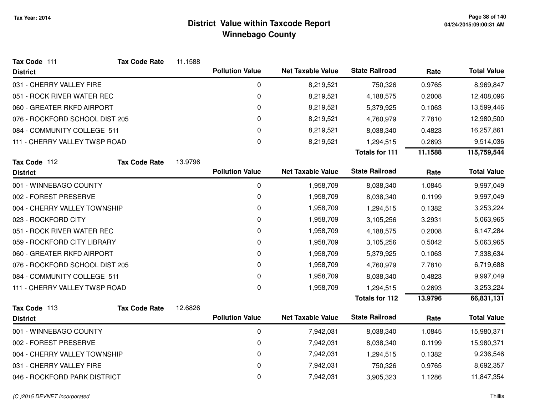| Tax Code 111                   | <b>Tax Code Rate</b> | 11.1588 |                        |                          |                       |         |                    |
|--------------------------------|----------------------|---------|------------------------|--------------------------|-----------------------|---------|--------------------|
| <b>District</b>                |                      |         | <b>Pollution Value</b> | <b>Net Taxable Value</b> | <b>State Railroad</b> | Rate    | <b>Total Value</b> |
| 031 - CHERRY VALLEY FIRE       |                      |         | $\mathbf 0$            | 8,219,521                | 750,326               | 0.9765  | 8,969,847          |
| 051 - ROCK RIVER WATER REC     |                      |         | $\pmb{0}$              | 8,219,521                | 4,188,575             | 0.2008  | 12,408,096         |
| 060 - GREATER RKFD AIRPORT     |                      |         | $\pmb{0}$              | 8,219,521                | 5,379,925             | 0.1063  | 13,599,446         |
| 076 - ROCKFORD SCHOOL DIST 205 |                      |         | 0                      | 8,219,521                | 4,760,979             | 7.7810  | 12,980,500         |
| 084 - COMMUNITY COLLEGE 511    |                      |         | 0                      | 8,219,521                | 8,038,340             | 0.4823  | 16,257,861         |
| 111 - CHERRY VALLEY TWSP ROAD  |                      |         | $\mathbf 0$            | 8,219,521                | 1,294,515             | 0.2693  | 9,514,036          |
|                                |                      |         |                        |                          | <b>Totals for 111</b> | 11.1588 | 115,759,544        |
| Tax Code 112                   | <b>Tax Code Rate</b> | 13.9796 |                        |                          |                       |         |                    |
| <b>District</b>                |                      |         | <b>Pollution Value</b> | <b>Net Taxable Value</b> | <b>State Railroad</b> | Rate    | <b>Total Value</b> |
| 001 - WINNEBAGO COUNTY         |                      |         | $\mathbf 0$            | 1,958,709                | 8,038,340             | 1.0845  | 9,997,049          |
| 002 - FOREST PRESERVE          |                      |         | $\pmb{0}$              | 1,958,709                | 8,038,340             | 0.1199  | 9,997,049          |
| 004 - CHERRY VALLEY TOWNSHIP   |                      |         | 0                      | 1,958,709                | 1,294,515             | 0.1382  | 3,253,224          |
| 023 - ROCKFORD CITY            |                      |         | 0                      | 1,958,709                | 3,105,256             | 3.2931  | 5,063,965          |
| 051 - ROCK RIVER WATER REC     |                      |         | $\pmb{0}$              | 1,958,709                | 4,188,575             | 0.2008  | 6,147,284          |
| 059 - ROCKFORD CITY LIBRARY    |                      |         | 0                      | 1,958,709                | 3,105,256             | 0.5042  | 5,063,965          |
| 060 - GREATER RKFD AIRPORT     |                      |         | 0                      | 1,958,709                | 5,379,925             | 0.1063  | 7,338,634          |
| 076 - ROCKFORD SCHOOL DIST 205 |                      |         | 0                      | 1,958,709                | 4,760,979             | 7.7810  | 6,719,688          |
| 084 - COMMUNITY COLLEGE 511    |                      |         | 0                      | 1,958,709                | 8,038,340             | 0.4823  | 9,997,049          |
| 111 - CHERRY VALLEY TWSP ROAD  |                      |         | $\pmb{0}$              | 1,958,709                | 1,294,515             | 0.2693  | 3,253,224          |
|                                |                      |         |                        |                          | <b>Totals for 112</b> | 13.9796 | 66,831,131         |
| Tax Code 113                   | <b>Tax Code Rate</b> | 12.6826 |                        |                          |                       |         |                    |
| <b>District</b>                |                      |         | <b>Pollution Value</b> | <b>Net Taxable Value</b> | <b>State Railroad</b> | Rate    | <b>Total Value</b> |
| 001 - WINNEBAGO COUNTY         |                      |         | $\pmb{0}$              | 7,942,031                | 8,038,340             | 1.0845  | 15,980,371         |
| 002 - FOREST PRESERVE          |                      |         | 0                      | 7,942,031                | 8,038,340             | 0.1199  | 15,980,371         |
| 004 - CHERRY VALLEY TOWNSHIP   |                      |         | 0                      | 7,942,031                | 1,294,515             | 0.1382  | 9,236,546          |
| 031 - CHERRY VALLEY FIRE       |                      |         | 0                      | 7,942,031                | 750,326               | 0.9765  | 8,692,357          |
| 046 - ROCKFORD PARK DISTRICT   |                      |         | 0                      | 7,942,031                | 3,905,323             | 1.1286  | 11,847,354         |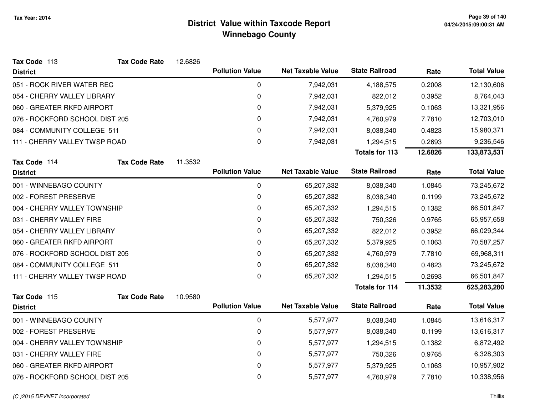| Tax Code 113                   | <b>Tax Code Rate</b> | 12.6826 |                        |                          |                       |         |                    |
|--------------------------------|----------------------|---------|------------------------|--------------------------|-----------------------|---------|--------------------|
| <b>District</b>                |                      |         | <b>Pollution Value</b> | <b>Net Taxable Value</b> | <b>State Railroad</b> | Rate    | <b>Total Value</b> |
| 051 - ROCK RIVER WATER REC     |                      |         | 0                      | 7,942,031                | 4,188,575             | 0.2008  | 12,130,606         |
| 054 - CHERRY VALLEY LIBRARY    |                      |         | 0                      | 7,942,031                | 822,012               | 0.3952  | 8,764,043          |
| 060 - GREATER RKFD AIRPORT     |                      |         | 0                      | 7,942,031                | 5,379,925             | 0.1063  | 13,321,956         |
| 076 - ROCKFORD SCHOOL DIST 205 |                      |         | 0                      | 7,942,031                | 4,760,979             | 7.7810  | 12,703,010         |
| 084 - COMMUNITY COLLEGE 511    |                      |         | 0                      | 7,942,031                | 8,038,340             | 0.4823  | 15,980,371         |
| 111 - CHERRY VALLEY TWSP ROAD  |                      |         | $\Omega$               | 7,942,031                | 1,294,515             | 0.2693  | 9,236,546          |
|                                |                      |         |                        |                          | <b>Totals for 113</b> | 12.6826 | 133,873,531        |
| Tax Code 114                   | <b>Tax Code Rate</b> | 11.3532 |                        |                          |                       |         |                    |
| <b>District</b>                |                      |         | <b>Pollution Value</b> | <b>Net Taxable Value</b> | <b>State Railroad</b> | Rate    | <b>Total Value</b> |
| 001 - WINNEBAGO COUNTY         |                      |         | 0                      | 65,207,332               | 8,038,340             | 1.0845  | 73,245,672         |
| 002 - FOREST PRESERVE          |                      |         | $\pmb{0}$              | 65,207,332               | 8,038,340             | 0.1199  | 73,245,672         |
| 004 - CHERRY VALLEY TOWNSHIP   |                      |         | 0                      | 65,207,332               | 1,294,515             | 0.1382  | 66,501,847         |
| 031 - CHERRY VALLEY FIRE       |                      |         | 0                      | 65,207,332               | 750,326               | 0.9765  | 65,957,658         |
| 054 - CHERRY VALLEY LIBRARY    |                      |         | $\pmb{0}$              | 65,207,332               | 822,012               | 0.3952  | 66,029,344         |
| 060 - GREATER RKFD AIRPORT     |                      |         | 0                      | 65,207,332               | 5,379,925             | 0.1063  | 70,587,257         |
| 076 - ROCKFORD SCHOOL DIST 205 |                      |         | 0                      | 65,207,332               | 4,760,979             | 7.7810  | 69,968,311         |
| 084 - COMMUNITY COLLEGE 511    |                      |         | 0                      | 65,207,332               | 8,038,340             | 0.4823  | 73,245,672         |
| 111 - CHERRY VALLEY TWSP ROAD  |                      |         | 0                      | 65,207,332               | 1,294,515             | 0.2693  | 66,501,847         |
|                                |                      |         |                        |                          | <b>Totals for 114</b> | 11.3532 | 625,283,280        |
| Tax Code 115                   | <b>Tax Code Rate</b> | 10.9580 |                        |                          |                       |         |                    |
| <b>District</b>                |                      |         | <b>Pollution Value</b> | <b>Net Taxable Value</b> | <b>State Railroad</b> | Rate    | <b>Total Value</b> |
| 001 - WINNEBAGO COUNTY         |                      |         | 0                      | 5,577,977                | 8,038,340             | 1.0845  | 13,616,317         |
| 002 - FOREST PRESERVE          |                      |         | 0                      | 5,577,977                | 8,038,340             | 0.1199  | 13,616,317         |
| 004 - CHERRY VALLEY TOWNSHIP   |                      |         | 0                      | 5,577,977                | 1,294,515             | 0.1382  | 6,872,492          |
| 031 - CHERRY VALLEY FIRE       |                      |         | 0                      | 5,577,977                | 750,326               | 0.9765  | 6,328,303          |
| 060 - GREATER RKFD AIRPORT     |                      |         | 0                      | 5,577,977                | 5,379,925             | 0.1063  | 10,957,902         |
| 076 - ROCKFORD SCHOOL DIST 205 |                      |         | 0                      | 5,577,977                | 4,760,979             | 7.7810  | 10,338,956         |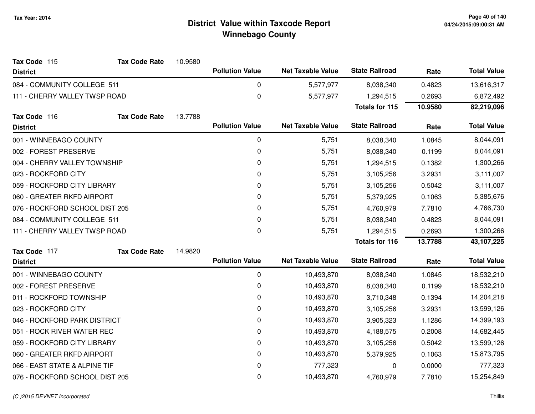| Tax Code 115                   | <b>Tax Code Rate</b> | 10.9580 |                        |                          |                       |         |                    |
|--------------------------------|----------------------|---------|------------------------|--------------------------|-----------------------|---------|--------------------|
| <b>District</b>                |                      |         | <b>Pollution Value</b> | <b>Net Taxable Value</b> | <b>State Railroad</b> | Rate    | <b>Total Value</b> |
| 084 - COMMUNITY COLLEGE 511    |                      |         | 0                      | 5,577,977                | 8,038,340             | 0.4823  | 13,616,317         |
| 111 - CHERRY VALLEY TWSP ROAD  |                      |         | 0                      | 5,577,977                | 1,294,515             | 0.2693  | 6,872,492          |
|                                |                      |         |                        |                          | <b>Totals for 115</b> | 10.9580 | 82,219,096         |
| Tax Code 116                   | <b>Tax Code Rate</b> | 13.7788 |                        |                          |                       |         |                    |
| <b>District</b>                |                      |         | <b>Pollution Value</b> | <b>Net Taxable Value</b> | <b>State Railroad</b> | Rate    | <b>Total Value</b> |
| 001 - WINNEBAGO COUNTY         |                      |         | 0                      | 5,751                    | 8,038,340             | 1.0845  | 8,044,091          |
| 002 - FOREST PRESERVE          |                      |         | 0                      | 5,751                    | 8,038,340             | 0.1199  | 8,044,091          |
| 004 - CHERRY VALLEY TOWNSHIP   |                      |         | 0                      | 5,751                    | 1,294,515             | 0.1382  | 1,300,266          |
| 023 - ROCKFORD CITY            |                      |         | 0                      | 5,751                    | 3,105,256             | 3.2931  | 3,111,007          |
| 059 - ROCKFORD CITY LIBRARY    |                      |         | 0                      | 5,751                    | 3,105,256             | 0.5042  | 3,111,007          |
| 060 - GREATER RKFD AIRPORT     |                      |         | 0                      | 5,751                    | 5,379,925             | 0.1063  | 5,385,676          |
| 076 - ROCKFORD SCHOOL DIST 205 |                      |         | 0                      | 5,751                    | 4,760,979             | 7.7810  | 4,766,730          |
| 084 - COMMUNITY COLLEGE 511    |                      |         | 0                      | 5,751                    | 8,038,340             | 0.4823  | 8,044,091          |
| 111 - CHERRY VALLEY TWSP ROAD  |                      |         | 0                      | 5,751                    | 1,294,515             | 0.2693  | 1,300,266          |
|                                |                      |         |                        |                          | <b>Totals for 116</b> | 13.7788 | 43,107,225         |
| Tax Code 117                   | <b>Tax Code Rate</b> | 14.9820 |                        |                          |                       |         |                    |
| <b>District</b>                |                      |         | <b>Pollution Value</b> | <b>Net Taxable Value</b> | <b>State Railroad</b> | Rate    | <b>Total Value</b> |
| 001 - WINNEBAGO COUNTY         |                      |         | 0                      | 10,493,870               | 8,038,340             | 1.0845  | 18,532,210         |
| 002 - FOREST PRESERVE          |                      |         | 0                      | 10,493,870               | 8,038,340             | 0.1199  | 18,532,210         |
| 011 - ROCKFORD TOWNSHIP        |                      |         | 0                      | 10,493,870               | 3,710,348             | 0.1394  | 14,204,218         |
| 023 - ROCKFORD CITY            |                      |         | 0                      | 10,493,870               | 3,105,256             | 3.2931  | 13,599,126         |
| 046 - ROCKFORD PARK DISTRICT   |                      |         | 0                      | 10,493,870               | 3,905,323             | 1.1286  | 14,399,193         |
| 051 - ROCK RIVER WATER REC     |                      |         | 0                      | 10,493,870               | 4,188,575             | 0.2008  | 14,682,445         |
| 059 - ROCKFORD CITY LIBRARY    |                      |         | 0                      | 10,493,870               | 3,105,256             | 0.5042  | 13,599,126         |
| 060 - GREATER RKFD AIRPORT     |                      |         | 0                      | 10,493,870               | 5,379,925             | 0.1063  | 15,873,795         |
| 066 - EAST STATE & ALPINE TIF  |                      |         | 0                      | 777,323                  | 0                     | 0.0000  | 777,323            |
| 076 - ROCKFORD SCHOOL DIST 205 |                      |         | 0                      | 10,493,870               | 4,760,979             | 7.7810  | 15,254,849         |
|                                |                      |         |                        |                          |                       |         |                    |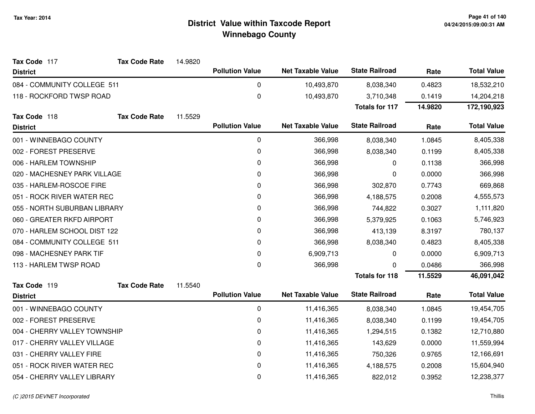| Tax Code 117                 | <b>Tax Code Rate</b> | 14.9820 |                        |                          |                       |         |                    |
|------------------------------|----------------------|---------|------------------------|--------------------------|-----------------------|---------|--------------------|
| <b>District</b>              |                      |         | <b>Pollution Value</b> | <b>Net Taxable Value</b> | <b>State Railroad</b> | Rate    | <b>Total Value</b> |
| 084 - COMMUNITY COLLEGE 511  |                      |         | $\pmb{0}$              | 10,493,870               | 8,038,340             | 0.4823  | 18,532,210         |
| 118 - ROCKFORD TWSP ROAD     |                      |         | 0                      | 10,493,870               | 3,710,348             | 0.1419  | 14,204,218         |
|                              |                      |         |                        |                          | <b>Totals for 117</b> | 14.9820 | 172,190,923        |
| Tax Code 118                 | <b>Tax Code Rate</b> | 11.5529 |                        |                          |                       |         |                    |
| <b>District</b>              |                      |         | <b>Pollution Value</b> | <b>Net Taxable Value</b> | <b>State Railroad</b> | Rate    | <b>Total Value</b> |
| 001 - WINNEBAGO COUNTY       |                      |         | 0                      | 366,998                  | 8,038,340             | 1.0845  | 8,405,338          |
| 002 - FOREST PRESERVE        |                      |         | $\pmb{0}$              | 366,998                  | 8,038,340             | 0.1199  | 8,405,338          |
| 006 - HARLEM TOWNSHIP        |                      |         | $\mathbf 0$            | 366,998                  | 0                     | 0.1138  | 366,998            |
| 020 - MACHESNEY PARK VILLAGE |                      |         | 0                      | 366,998                  | 0                     | 0.0000  | 366,998            |
| 035 - HARLEM-ROSCOE FIRE     |                      |         | 0                      | 366,998                  | 302,870               | 0.7743  | 669,868            |
| 051 - ROCK RIVER WATER REC   |                      |         | $\pmb{0}$              | 366,998                  | 4,188,575             | 0.2008  | 4,555,573          |
| 055 - NORTH SUBURBAN LIBRARY |                      |         | $\mathbf 0$            | 366,998                  | 744,822               | 0.3027  | 1,111,820          |
| 060 - GREATER RKFD AIRPORT   |                      |         | 0                      | 366,998                  | 5,379,925             | 0.1063  | 5,746,923          |
| 070 - HARLEM SCHOOL DIST 122 |                      |         | $\mathbf 0$            | 366,998                  | 413,139               | 8.3197  | 780,137            |
| 084 - COMMUNITY COLLEGE 511  |                      |         | 0                      | 366,998                  | 8,038,340             | 0.4823  | 8,405,338          |
| 098 - MACHESNEY PARK TIF     |                      |         | $\mathbf 0$            | 6,909,713                | 0                     | 0.0000  | 6,909,713          |
| 113 - HARLEM TWSP ROAD       |                      |         | 0                      | 366,998                  | 0                     | 0.0486  | 366,998            |
|                              |                      |         |                        |                          | <b>Totals for 118</b> | 11.5529 | 46,091,042         |
| Tax Code 119                 | <b>Tax Code Rate</b> | 11.5540 |                        |                          |                       |         |                    |
| <b>District</b>              |                      |         | <b>Pollution Value</b> | <b>Net Taxable Value</b> | <b>State Railroad</b> | Rate    | <b>Total Value</b> |
| 001 - WINNEBAGO COUNTY       |                      |         | $\pmb{0}$              | 11,416,365               | 8,038,340             | 1.0845  | 19,454,705         |
| 002 - FOREST PRESERVE        |                      |         | $\mathbf 0$            | 11,416,365               | 8,038,340             | 0.1199  | 19,454,705         |
| 004 - CHERRY VALLEY TOWNSHIP |                      |         | $\mathbf 0$            | 11,416,365               | 1,294,515             | 0.1382  | 12,710,880         |
| 017 - CHERRY VALLEY VILLAGE  |                      |         | 0                      | 11,416,365               | 143,629               | 0.0000  | 11,559,994         |
| 031 - CHERRY VALLEY FIRE     |                      |         | $\pmb{0}$              | 11,416,365               | 750,326               | 0.9765  | 12,166,691         |
| 051 - ROCK RIVER WATER REC   |                      |         | $\mathbf 0$            | 11,416,365               | 4,188,575             | 0.2008  | 15,604,940         |
| 054 - CHERRY VALLEY LIBRARY  |                      |         | $\mathbf 0$            | 11,416,365               | 822,012               | 0.3952  | 12,238,377         |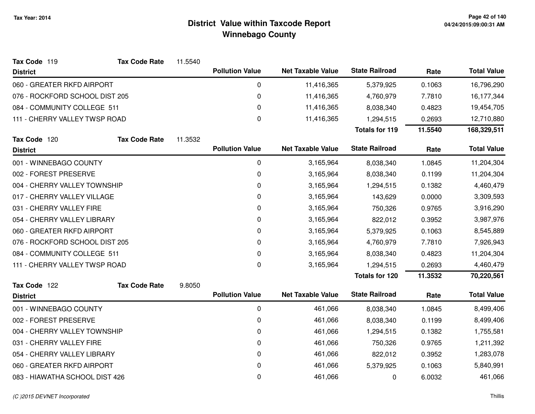| Tax Code 119                   | <b>Tax Code Rate</b> | 11.5540 |                        |                          |                       |         |                    |
|--------------------------------|----------------------|---------|------------------------|--------------------------|-----------------------|---------|--------------------|
| <b>District</b>                |                      |         | <b>Pollution Value</b> | <b>Net Taxable Value</b> | <b>State Railroad</b> | Rate    | <b>Total Value</b> |
| 060 - GREATER RKFD AIRPORT     |                      |         | 0                      | 11,416,365               | 5,379,925             | 0.1063  | 16,796,290         |
| 076 - ROCKFORD SCHOOL DIST 205 |                      |         | 0                      | 11,416,365               | 4,760,979             | 7.7810  | 16,177,344         |
| 084 - COMMUNITY COLLEGE 511    |                      |         | 0                      | 11,416,365               | 8,038,340             | 0.4823  | 19,454,705         |
| 111 - CHERRY VALLEY TWSP ROAD  |                      |         | 0                      | 11,416,365               | 1,294,515             | 0.2693  | 12,710,880         |
|                                |                      |         |                        |                          | <b>Totals for 119</b> | 11.5540 | 168,329,511        |
| Tax Code 120                   | <b>Tax Code Rate</b> | 11.3532 |                        |                          |                       |         |                    |
| <b>District</b>                |                      |         | <b>Pollution Value</b> | <b>Net Taxable Value</b> | <b>State Railroad</b> | Rate    | <b>Total Value</b> |
| 001 - WINNEBAGO COUNTY         |                      |         | 0                      | 3,165,964                | 8,038,340             | 1.0845  | 11,204,304         |
| 002 - FOREST PRESERVE          |                      |         | 0                      | 3,165,964                | 8,038,340             | 0.1199  | 11,204,304         |
| 004 - CHERRY VALLEY TOWNSHIP   |                      |         | 0                      | 3,165,964                | 1,294,515             | 0.1382  | 4,460,479          |
| 017 - CHERRY VALLEY VILLAGE    |                      |         | 0                      | 3,165,964                | 143,629               | 0.0000  | 3,309,593          |
| 031 - CHERRY VALLEY FIRE       |                      |         | 0                      | 3,165,964                | 750,326               | 0.9765  | 3,916,290          |
| 054 - CHERRY VALLEY LIBRARY    |                      |         | 0                      | 3,165,964                | 822,012               | 0.3952  | 3,987,976          |
| 060 - GREATER RKFD AIRPORT     |                      |         | 0                      | 3,165,964                | 5,379,925             | 0.1063  | 8,545,889          |
| 076 - ROCKFORD SCHOOL DIST 205 |                      |         | 0                      | 3,165,964                | 4,760,979             | 7.7810  | 7,926,943          |
| 084 - COMMUNITY COLLEGE 511    |                      |         | 0                      | 3,165,964                | 8,038,340             | 0.4823  | 11,204,304         |
| 111 - CHERRY VALLEY TWSP ROAD  |                      |         | 0                      | 3,165,964                | 1,294,515             | 0.2693  | 4,460,479          |
|                                |                      |         |                        |                          | <b>Totals for 120</b> | 11.3532 | 70,220,561         |
| Tax Code 122                   | <b>Tax Code Rate</b> | 9.8050  |                        |                          |                       |         |                    |
| <b>District</b>                |                      |         | <b>Pollution Value</b> | <b>Net Taxable Value</b> | <b>State Railroad</b> | Rate    | <b>Total Value</b> |
| 001 - WINNEBAGO COUNTY         |                      |         | 0                      | 461,066                  | 8,038,340             | 1.0845  | 8,499,406          |
| 002 - FOREST PRESERVE          |                      |         | 0                      | 461,066                  | 8,038,340             | 0.1199  | 8,499,406          |
| 004 - CHERRY VALLEY TOWNSHIP   |                      |         | 0                      | 461,066                  | 1,294,515             | 0.1382  | 1,755,581          |
| 031 - CHERRY VALLEY FIRE       |                      |         | 0                      | 461,066                  | 750,326               | 0.9765  | 1,211,392          |
| 054 - CHERRY VALLEY LIBRARY    |                      |         | 0                      | 461,066                  | 822,012               | 0.3952  | 1,283,078          |
| 060 - GREATER RKFD AIRPORT     |                      |         | 0                      | 461,066                  | 5,379,925             | 0.1063  | 5,840,991          |
| 083 - HIAWATHA SCHOOL DIST 426 |                      |         | 0                      | 461,066                  | 0                     | 6.0032  | 461,066            |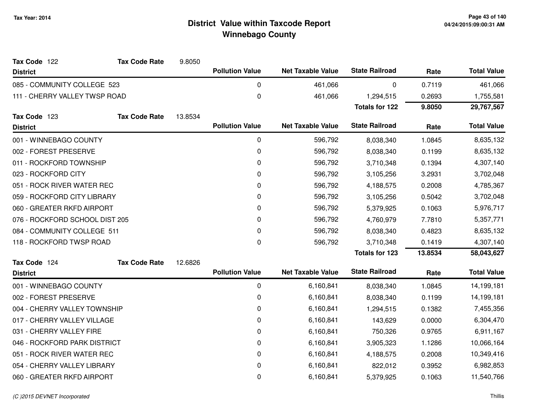| Tax Code 122                  | <b>Tax Code Rate</b>           | 9.8050  |                        |                          |                       |         |                    |
|-------------------------------|--------------------------------|---------|------------------------|--------------------------|-----------------------|---------|--------------------|
| <b>District</b>               |                                |         | <b>Pollution Value</b> | <b>Net Taxable Value</b> | <b>State Railroad</b> | Rate    | <b>Total Value</b> |
| 085 - COMMUNITY COLLEGE 523   |                                |         | 0                      | 461,066                  | 0                     | 0.7119  | 461,066            |
| 111 - CHERRY VALLEY TWSP ROAD |                                |         | $\mathbf 0$            | 461,066                  | 1,294,515             | 0.2693  | 1,755,581          |
|                               |                                |         |                        |                          | <b>Totals for 122</b> | 9.8050  | 29,767,567         |
| Tax Code 123                  | <b>Tax Code Rate</b>           | 13.8534 |                        |                          |                       |         |                    |
| <b>District</b>               |                                |         | <b>Pollution Value</b> | <b>Net Taxable Value</b> | <b>State Railroad</b> | Rate    | <b>Total Value</b> |
| 001 - WINNEBAGO COUNTY        |                                |         | 0                      | 596,792                  | 8,038,340             | 1.0845  | 8,635,132          |
| 002 - FOREST PRESERVE         |                                |         | 0                      | 596,792                  | 8,038,340             | 0.1199  | 8,635,132          |
| 011 - ROCKFORD TOWNSHIP       |                                |         | 0                      | 596,792                  | 3,710,348             | 0.1394  | 4,307,140          |
| 023 - ROCKFORD CITY           |                                |         | $\mathbf 0$            | 596,792                  | 3,105,256             | 3.2931  | 3,702,048          |
| 051 - ROCK RIVER WATER REC    |                                |         | $\mathbf 0$            | 596,792                  | 4,188,575             | 0.2008  | 4,785,367          |
| 059 - ROCKFORD CITY LIBRARY   |                                |         | $\mathbf 0$            | 596,792                  | 3,105,256             | 0.5042  | 3,702,048          |
| 060 - GREATER RKFD AIRPORT    |                                |         | 0                      | 596,792                  | 5,379,925             | 0.1063  | 5,976,717          |
|                               | 076 - ROCKFORD SCHOOL DIST 205 |         | 0                      | 596,792                  | 4,760,979             | 7.7810  | 5,357,771          |
| 084 - COMMUNITY COLLEGE 511   |                                |         | $\mathbf 0$            | 596,792                  | 8,038,340             | 0.4823  | 8,635,132          |
| 118 - ROCKFORD TWSP ROAD      |                                |         | 0                      | 596,792                  | 3,710,348             | 0.1419  | 4,307,140          |
|                               |                                |         |                        |                          | <b>Totals for 123</b> | 13.8534 | 58,043,627         |
| Tax Code 124                  | <b>Tax Code Rate</b>           | 12.6826 |                        |                          |                       |         |                    |
| <b>District</b>               |                                |         | <b>Pollution Value</b> | <b>Net Taxable Value</b> | <b>State Railroad</b> | Rate    | <b>Total Value</b> |
| 001 - WINNEBAGO COUNTY        |                                |         | $\mathbf 0$            | 6,160,841                | 8,038,340             | 1.0845  | 14,199,181         |
| 002 - FOREST PRESERVE         |                                |         | 0                      | 6,160,841                | 8,038,340             | 0.1199  | 14,199,181         |
| 004 - CHERRY VALLEY TOWNSHIP  |                                |         | $\mathbf 0$            | 6,160,841                | 1,294,515             | 0.1382  | 7,455,356          |
| 017 - CHERRY VALLEY VILLAGE   |                                |         | $\mathbf 0$            | 6,160,841                | 143,629               | 0.0000  | 6,304,470          |
| 031 - CHERRY VALLEY FIRE      |                                |         | 0                      | 6,160,841                | 750,326               | 0.9765  | 6,911,167          |
| 046 - ROCKFORD PARK DISTRICT  |                                |         | 0                      | 6,160,841                | 3,905,323             | 1.1286  | 10,066,164         |
| 051 - ROCK RIVER WATER REC    |                                |         | 0                      | 6,160,841                | 4,188,575             | 0.2008  | 10,349,416         |
| 054 - CHERRY VALLEY LIBRARY   |                                |         | 0                      | 6,160,841                | 822,012               | 0.3952  | 6,982,853          |
| 060 - GREATER RKFD AIRPORT    |                                |         | 0                      | 6,160,841                | 5,379,925             | 0.1063  | 11,540,766         |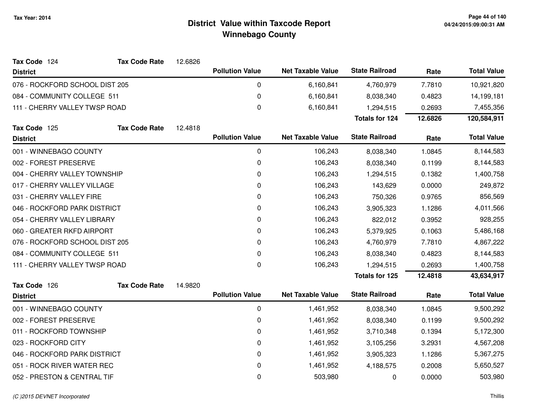| Tax Code 124                   | <b>Tax Code Rate</b> | 12.6826 |                        |                          |                       |         |                    |
|--------------------------------|----------------------|---------|------------------------|--------------------------|-----------------------|---------|--------------------|
| <b>District</b>                |                      |         | <b>Pollution Value</b> | <b>Net Taxable Value</b> | <b>State Railroad</b> | Rate    | <b>Total Value</b> |
| 076 - ROCKFORD SCHOOL DIST 205 |                      |         | 0                      | 6,160,841                | 4,760,979             | 7.7810  | 10,921,820         |
| 084 - COMMUNITY COLLEGE 511    |                      |         | 0                      | 6,160,841                | 8,038,340             | 0.4823  | 14,199,181         |
| 111 - CHERRY VALLEY TWSP ROAD  |                      |         | 0                      | 6,160,841                | 1,294,515             | 0.2693  | 7,455,356          |
|                                |                      |         |                        |                          | Totals for 124        | 12.6826 | 120,584,911        |
| Tax Code 125                   | <b>Tax Code Rate</b> | 12.4818 |                        |                          |                       |         |                    |
| <b>District</b>                |                      |         | <b>Pollution Value</b> | <b>Net Taxable Value</b> | <b>State Railroad</b> | Rate    | <b>Total Value</b> |
| 001 - WINNEBAGO COUNTY         |                      |         | 0                      | 106,243                  | 8,038,340             | 1.0845  | 8,144,583          |
| 002 - FOREST PRESERVE          |                      |         | 0                      | 106,243                  | 8,038,340             | 0.1199  | 8,144,583          |
| 004 - CHERRY VALLEY TOWNSHIP   |                      |         | 0                      | 106,243                  | 1,294,515             | 0.1382  | 1,400,758          |
| 017 - CHERRY VALLEY VILLAGE    |                      |         | 0                      | 106,243                  | 143,629               | 0.0000  | 249,872            |
| 031 - CHERRY VALLEY FIRE       |                      |         | 0                      | 106,243                  | 750,326               | 0.9765  | 856,569            |
| 046 - ROCKFORD PARK DISTRICT   |                      |         | 0                      | 106,243                  | 3,905,323             | 1.1286  | 4,011,566          |
| 054 - CHERRY VALLEY LIBRARY    |                      |         | 0                      | 106,243                  | 822,012               | 0.3952  | 928,255            |
| 060 - GREATER RKFD AIRPORT     |                      |         | 0                      | 106,243                  | 5,379,925             | 0.1063  | 5,486,168          |
| 076 - ROCKFORD SCHOOL DIST 205 |                      |         | 0                      | 106,243                  | 4,760,979             | 7.7810  | 4,867,222          |
| 084 - COMMUNITY COLLEGE 511    |                      |         | 0                      | 106,243                  | 8,038,340             | 0.4823  | 8,144,583          |
| 111 - CHERRY VALLEY TWSP ROAD  |                      |         | 0                      | 106,243                  | 1,294,515             | 0.2693  | 1,400,758          |
|                                |                      |         |                        |                          | <b>Totals for 125</b> | 12.4818 | 43,634,917         |
| Tax Code 126                   | <b>Tax Code Rate</b> | 14.9820 |                        |                          |                       |         |                    |
| <b>District</b>                |                      |         | <b>Pollution Value</b> | <b>Net Taxable Value</b> | <b>State Railroad</b> | Rate    | <b>Total Value</b> |
| 001 - WINNEBAGO COUNTY         |                      |         | 0                      | 1,461,952                | 8,038,340             | 1.0845  | 9,500,292          |
| 002 - FOREST PRESERVE          |                      |         | 0                      | 1,461,952                | 8,038,340             | 0.1199  | 9,500,292          |
| 011 - ROCKFORD TOWNSHIP        |                      |         | 0                      | 1,461,952                | 3,710,348             | 0.1394  | 5,172,300          |
| 023 - ROCKFORD CITY            |                      |         | 0                      | 1,461,952                | 3,105,256             | 3.2931  | 4,567,208          |
| 046 - ROCKFORD PARK DISTRICT   |                      |         | 0                      | 1,461,952                | 3,905,323             | 1.1286  | 5,367,275          |
| 051 - ROCK RIVER WATER REC     |                      |         | 0                      | 1,461,952                | 4,188,575             | 0.2008  | 5,650,527          |
| 052 - PRESTON & CENTRAL TIF    |                      |         | 0                      | 503,980                  | 0                     | 0.0000  | 503,980            |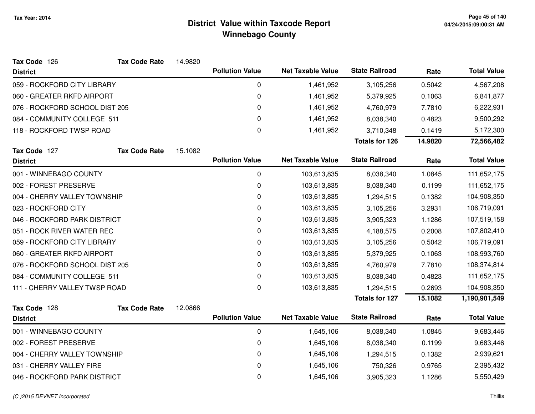| Tax Code 126                   | <b>Tax Code Rate</b> | 14.9820 |                        |                          |                       |         |                    |
|--------------------------------|----------------------|---------|------------------------|--------------------------|-----------------------|---------|--------------------|
| <b>District</b>                |                      |         | <b>Pollution Value</b> | <b>Net Taxable Value</b> | <b>State Railroad</b> | Rate    | <b>Total Value</b> |
| 059 - ROCKFORD CITY LIBRARY    |                      |         | 0                      | 1,461,952                | 3,105,256             | 0.5042  | 4,567,208          |
| 060 - GREATER RKFD AIRPORT     |                      |         | $\pmb{0}$              | 1,461,952                | 5,379,925             | 0.1063  | 6,841,877          |
| 076 - ROCKFORD SCHOOL DIST 205 |                      |         | 0                      | 1,461,952                | 4,760,979             | 7.7810  | 6,222,931          |
| 084 - COMMUNITY COLLEGE 511    |                      |         | 0                      | 1,461,952                | 8,038,340             | 0.4823  | 9,500,292          |
| 118 - ROCKFORD TWSP ROAD       |                      |         | 0                      | 1,461,952                | 3,710,348             | 0.1419  | 5,172,300          |
|                                |                      |         |                        |                          | <b>Totals for 126</b> | 14.9820 | 72,566,482         |
| Tax Code 127                   | <b>Tax Code Rate</b> | 15.1082 |                        |                          |                       |         |                    |
| <b>District</b>                |                      |         | <b>Pollution Value</b> | <b>Net Taxable Value</b> | <b>State Railroad</b> | Rate    | <b>Total Value</b> |
| 001 - WINNEBAGO COUNTY         |                      |         | 0                      | 103,613,835              | 8,038,340             | 1.0845  | 111,652,175        |
| 002 - FOREST PRESERVE          |                      |         | 0                      | 103,613,835              | 8,038,340             | 0.1199  | 111,652,175        |
| 004 - CHERRY VALLEY TOWNSHIP   |                      |         | 0                      | 103,613,835              | 1,294,515             | 0.1382  | 104,908,350        |
| 023 - ROCKFORD CITY            |                      |         | 0                      | 103,613,835              | 3,105,256             | 3.2931  | 106,719,091        |
| 046 - ROCKFORD PARK DISTRICT   |                      |         | 0                      | 103,613,835              | 3,905,323             | 1.1286  | 107,519,158        |
| 051 - ROCK RIVER WATER REC     |                      |         | 0                      | 103,613,835              | 4,188,575             | 0.2008  | 107,802,410        |
| 059 - ROCKFORD CITY LIBRARY    |                      |         | 0                      | 103,613,835              | 3,105,256             | 0.5042  | 106,719,091        |
| 060 - GREATER RKFD AIRPORT     |                      |         | 0                      | 103,613,835              | 5,379,925             | 0.1063  | 108,993,760        |
| 076 - ROCKFORD SCHOOL DIST 205 |                      |         | 0                      | 103,613,835              | 4,760,979             | 7.7810  | 108,374,814        |
| 084 - COMMUNITY COLLEGE 511    |                      |         | 0                      | 103,613,835              | 8,038,340             | 0.4823  | 111,652,175        |
| 111 - CHERRY VALLEY TWSP ROAD  |                      |         | 0                      | 103,613,835              | 1,294,515             | 0.2693  | 104,908,350        |
|                                |                      |         |                        |                          | <b>Totals for 127</b> | 15.1082 | 1,190,901,549      |
| Tax Code 128                   | <b>Tax Code Rate</b> | 12.0866 |                        |                          |                       |         |                    |
| <b>District</b>                |                      |         | <b>Pollution Value</b> | <b>Net Taxable Value</b> | <b>State Railroad</b> | Rate    | <b>Total Value</b> |
| 001 - WINNEBAGO COUNTY         |                      |         | 0                      | 1,645,106                | 8,038,340             | 1.0845  | 9,683,446          |
| 002 - FOREST PRESERVE          |                      |         | 0                      | 1,645,106                | 8,038,340             | 0.1199  | 9,683,446          |
| 004 - CHERRY VALLEY TOWNSHIP   |                      |         | 0                      | 1,645,106                | 1,294,515             | 0.1382  | 2,939,621          |
| 031 - CHERRY VALLEY FIRE       |                      |         | 0                      | 1,645,106                | 750,326               | 0.9765  | 2,395,432          |
| 046 - ROCKFORD PARK DISTRICT   |                      |         | 0                      | 1,645,106                | 3,905,323             | 1.1286  | 5,550,429          |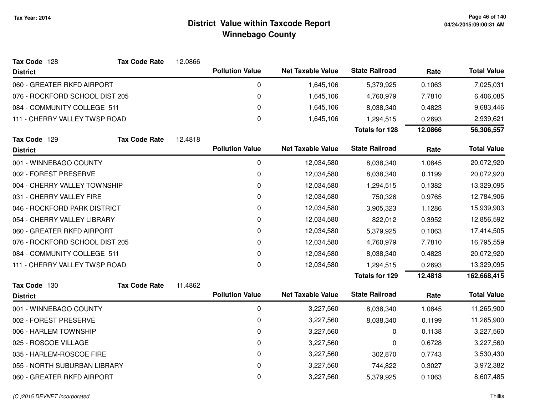| Tax Code 128                   | <b>Tax Code Rate</b>       | 12.0866 |                        |                          |                       |         |                    |
|--------------------------------|----------------------------|---------|------------------------|--------------------------|-----------------------|---------|--------------------|
| <b>District</b>                |                            |         | <b>Pollution Value</b> | <b>Net Taxable Value</b> | <b>State Railroad</b> | Rate    | <b>Total Value</b> |
| 060 - GREATER RKFD AIRPORT     |                            |         | 0                      | 1,645,106                | 5,379,925             | 0.1063  | 7,025,031          |
| 076 - ROCKFORD SCHOOL DIST 205 |                            |         | 0                      | 1,645,106                | 4,760,979             | 7.7810  | 6,406,085          |
| 084 - COMMUNITY COLLEGE 511    |                            |         | 0                      | 1,645,106                | 8,038,340             | 0.4823  | 9,683,446          |
| 111 - CHERRY VALLEY TWSP ROAD  |                            |         | $\pmb{0}$              | 1,645,106                | 1,294,515             | 0.2693  | 2,939,621          |
|                                |                            |         |                        |                          | <b>Totals for 128</b> | 12.0866 | 56,306,557         |
| Tax Code 129                   | <b>Tax Code Rate</b>       | 12.4818 |                        |                          |                       |         |                    |
| <b>District</b>                |                            |         | <b>Pollution Value</b> | <b>Net Taxable Value</b> | <b>State Railroad</b> | Rate    | <b>Total Value</b> |
| 001 - WINNEBAGO COUNTY         |                            |         | 0                      | 12,034,580               | 8,038,340             | 1.0845  | 20,072,920         |
| 002 - FOREST PRESERVE          |                            |         | 0                      | 12,034,580               | 8,038,340             | 0.1199  | 20,072,920         |
| 004 - CHERRY VALLEY TOWNSHIP   |                            |         | 0                      | 12,034,580               | 1,294,515             | 0.1382  | 13,329,095         |
| 031 - CHERRY VALLEY FIRE       |                            |         | 0                      | 12,034,580               | 750,326               | 0.9765  | 12,784,906         |
| 046 - ROCKFORD PARK DISTRICT   |                            |         | 0                      | 12,034,580               | 3,905,323             | 1.1286  | 15,939,903         |
| 054 - CHERRY VALLEY LIBRARY    |                            |         | 0                      | 12,034,580               | 822,012               | 0.3952  | 12,856,592         |
|                                | 060 - GREATER RKFD AIRPORT |         | 0                      | 12,034,580               | 5,379,925             | 0.1063  | 17,414,505         |
| 076 - ROCKFORD SCHOOL DIST 205 |                            |         | 0                      | 12,034,580               | 4,760,979             | 7.7810  | 16,795,559         |
| 084 - COMMUNITY COLLEGE 511    |                            |         | 0                      | 12,034,580               | 8,038,340             | 0.4823  | 20,072,920         |
| 111 - CHERRY VALLEY TWSP ROAD  |                            |         | $\pmb{0}$              | 12,034,580               | 1,294,515             | 0.2693  | 13,329,095         |
|                                |                            |         |                        |                          | <b>Totals for 129</b> | 12.4818 | 162,668,415        |
| Tax Code 130                   | <b>Tax Code Rate</b>       | 11.4862 |                        |                          |                       |         |                    |
| <b>District</b>                |                            |         | <b>Pollution Value</b> | <b>Net Taxable Value</b> | <b>State Railroad</b> | Rate    | <b>Total Value</b> |
| 001 - WINNEBAGO COUNTY         |                            |         | 0                      | 3,227,560                | 8,038,340             | 1.0845  | 11,265,900         |
| 002 - FOREST PRESERVE          |                            |         | 0                      | 3,227,560                | 8,038,340             | 0.1199  | 11,265,900         |
| 006 - HARLEM TOWNSHIP          |                            |         | 0                      | 3,227,560                | 0                     | 0.1138  | 3,227,560          |
| 025 - ROSCOE VILLAGE           |                            |         | 0                      | 3,227,560                | 0                     | 0.6728  | 3,227,560          |
| 035 - HARLEM-ROSCOE FIRE       |                            |         | 0                      | 3,227,560                | 302,870               | 0.7743  | 3,530,430          |
| 055 - NORTH SUBURBAN LIBRARY   |                            |         | 0                      | 3,227,560                | 744,822               | 0.3027  | 3,972,382          |
| 060 - GREATER RKFD AIRPORT     |                            |         | 0                      | 3,227,560                | 5,379,925             | 0.1063  | 8,607,485          |
|                                |                            |         |                        |                          |                       |         |                    |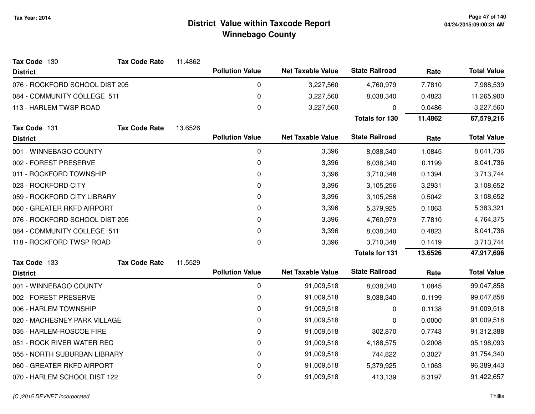| Tax Code 130                   | <b>Tax Code Rate</b> | 11.4862 |                        |                          |                       |         |                    |
|--------------------------------|----------------------|---------|------------------------|--------------------------|-----------------------|---------|--------------------|
| <b>District</b>                |                      |         | <b>Pollution Value</b> | <b>Net Taxable Value</b> | <b>State Railroad</b> | Rate    | <b>Total Value</b> |
| 076 - ROCKFORD SCHOOL DIST 205 |                      |         | 0                      | 3,227,560                | 4,760,979             | 7.7810  | 7,988,539          |
| 084 - COMMUNITY COLLEGE 511    |                      |         | 0                      | 3,227,560                | 8,038,340             | 0.4823  | 11,265,900         |
| 113 - HARLEM TWSP ROAD         |                      |         | 0                      | 3,227,560                | 0                     | 0.0486  | 3,227,560          |
|                                |                      |         |                        |                          | <b>Totals for 130</b> | 11.4862 | 67,579,216         |
| Tax Code 131                   | <b>Tax Code Rate</b> | 13.6526 |                        |                          |                       |         |                    |
| <b>District</b>                |                      |         | <b>Pollution Value</b> | <b>Net Taxable Value</b> | <b>State Railroad</b> | Rate    | <b>Total Value</b> |
| 001 - WINNEBAGO COUNTY         |                      |         | 0                      | 3,396                    | 8,038,340             | 1.0845  | 8,041,736          |
| 002 - FOREST PRESERVE          |                      |         | 0                      | 3,396                    | 8,038,340             | 0.1199  | 8,041,736          |
| 011 - ROCKFORD TOWNSHIP        |                      |         | 0                      | 3,396                    | 3,710,348             | 0.1394  | 3,713,744          |
| 023 - ROCKFORD CITY            |                      |         | 0                      | 3,396                    | 3,105,256             | 3.2931  | 3,108,652          |
| 059 - ROCKFORD CITY LIBRARY    |                      |         | 0                      | 3,396                    | 3,105,256             | 0.5042  | 3,108,652          |
| 060 - GREATER RKFD AIRPORT     |                      |         | 0                      | 3,396                    | 5,379,925             | 0.1063  | 5,383,321          |
| 076 - ROCKFORD SCHOOL DIST 205 |                      |         | 0                      | 3,396                    | 4,760,979             | 7.7810  | 4,764,375          |
| 084 - COMMUNITY COLLEGE 511    |                      |         | 0                      | 3,396                    | 8,038,340             | 0.4823  | 8,041,736          |
| 118 - ROCKFORD TWSP ROAD       |                      |         | 0                      | 3,396                    | 3,710,348             | 0.1419  | 3,713,744          |
|                                |                      |         |                        |                          | <b>Totals for 131</b> | 13.6526 | 47,917,696         |
| Tax Code 133                   | <b>Tax Code Rate</b> | 11.5529 |                        |                          |                       |         |                    |
| <b>District</b>                |                      |         | <b>Pollution Value</b> | <b>Net Taxable Value</b> | <b>State Railroad</b> | Rate    | <b>Total Value</b> |
| 001 - WINNEBAGO COUNTY         |                      |         | 0                      | 91,009,518               | 8,038,340             | 1.0845  | 99,047,858         |
| 002 - FOREST PRESERVE          |                      |         | 0                      | 91,009,518               | 8,038,340             | 0.1199  | 99,047,858         |
| 006 - HARLEM TOWNSHIP          |                      |         | $\pmb{0}$              | 91,009,518               | 0                     | 0.1138  | 91,009,518         |
| 020 - MACHESNEY PARK VILLAGE   |                      |         | 0                      | 91,009,518               | 0                     | 0.0000  | 91,009,518         |
| 035 - HARLEM-ROSCOE FIRE       |                      |         | 0                      | 91,009,518               | 302,870               | 0.7743  | 91,312,388         |
| 051 - ROCK RIVER WATER REC     |                      |         | 0                      | 91,009,518               | 4,188,575             | 0.2008  | 95,198,093         |
| 055 - NORTH SUBURBAN LIBRARY   |                      |         | 0                      | 91,009,518               | 744,822               | 0.3027  | 91,754,340         |
| 060 - GREATER RKFD AIRPORT     |                      |         | 0                      | 91,009,518               | 5,379,925             | 0.1063  | 96,389,443         |
| 070 - HARLEM SCHOOL DIST 122   |                      |         | 0                      | 91,009,518               | 413,139               | 8.3197  | 91,422,657         |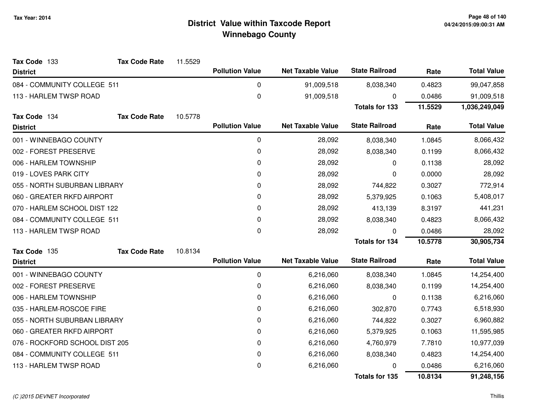| Tax Code 133<br><b>District</b> | <b>Tax Code Rate</b> | 11.5529 | <b>Pollution Value</b> | <b>Net Taxable Value</b> | <b>State Railroad</b> | Rate      | <b>Total Value</b> |
|---------------------------------|----------------------|---------|------------------------|--------------------------|-----------------------|-----------|--------------------|
| 084 - COMMUNITY COLLEGE 511     |                      |         | 0                      | 91,009,518               | 8,038,340             | 0.4823    | 99,047,858         |
| 113 - HARLEM TWSP ROAD          |                      |         | 0                      | 91,009,518               | 0                     | 0.0486    | 91,009,518         |
|                                 |                      |         |                        |                          | <b>Totals for 133</b> | 11.5529   | 1,036,249,049      |
| Tax Code 134                    | <b>Tax Code Rate</b> | 10.5778 |                        |                          |                       |           |                    |
| <b>District</b>                 |                      |         | <b>Pollution Value</b> | <b>Net Taxable Value</b> | <b>State Railroad</b> | Rate      | <b>Total Value</b> |
| 001 - WINNEBAGO COUNTY          |                      |         | 0                      | 28,092                   | 8,038,340             | 1.0845    | 8,066,432          |
| 002 - FOREST PRESERVE           |                      |         | 0                      | 28,092                   | 8,038,340             | 0.1199    | 8,066,432          |
| 006 - HARLEM TOWNSHIP           |                      |         | 0                      | 28,092                   | 0                     | 0.1138    | 28,092             |
| 019 - LOVES PARK CITY           |                      |         | 0                      | 28,092                   | 0                     | 0.0000    | 28,092             |
| 055 - NORTH SUBURBAN LIBRARY    |                      |         | 0                      | 28,092                   | 744,822               | 0.3027    | 772,914            |
| 060 - GREATER RKFD AIRPORT      |                      | 0       | 28,092                 | 5,379,925                | 0.1063                | 5,408,017 |                    |
| 070 - HARLEM SCHOOL DIST 122    |                      | 0       | 28,092                 | 413,139                  | 8.3197                | 441,231   |                    |
| 084 - COMMUNITY COLLEGE 511     |                      |         | 0                      | 28,092                   | 8,038,340             | 0.4823    | 8,066,432          |
| 113 - HARLEM TWSP ROAD          |                      |         | $\pmb{0}$              | 28,092                   | 0                     | 0.0486    | 28,092             |
|                                 |                      |         |                        |                          | <b>Totals for 134</b> | 10.5778   | 30,905,734         |
| Tax Code 135                    | <b>Tax Code Rate</b> | 10.8134 |                        |                          |                       |           |                    |
| <b>District</b>                 |                      |         | <b>Pollution Value</b> | <b>Net Taxable Value</b> | <b>State Railroad</b> | Rate      | <b>Total Value</b> |
| 001 - WINNEBAGO COUNTY          |                      |         | 0                      | 6,216,060                | 8,038,340             | 1.0845    | 14,254,400         |
| 002 - FOREST PRESERVE           |                      |         | 0                      | 6,216,060                | 8,038,340             | 0.1199    | 14,254,400         |
| 006 - HARLEM TOWNSHIP           |                      |         | 0                      | 6,216,060                | 0                     | 0.1138    | 6,216,060          |
| 035 - HARLEM-ROSCOE FIRE        |                      |         | 0                      | 6,216,060                | 302,870               | 0.7743    | 6,518,930          |
| 055 - NORTH SUBURBAN LIBRARY    |                      |         | 0                      | 6,216,060                | 744,822               | 0.3027    | 6,960,882          |
| 060 - GREATER RKFD AIRPORT      |                      |         | 0                      | 6,216,060                | 5,379,925             | 0.1063    | 11,595,985         |
| 076 - ROCKFORD SCHOOL DIST 205  |                      |         | 0                      | 6,216,060                | 4,760,979             | 7.7810    | 10,977,039         |
| 084 - COMMUNITY COLLEGE 511     |                      |         | 0                      | 6,216,060                | 8,038,340             | 0.4823    | 14,254,400         |
| 113 - HARLEM TWSP ROAD          |                      |         | 0                      | 6,216,060                |                       | 0.0486    | 6,216,060          |
|                                 |                      |         |                        |                          | <b>Totals for 135</b> | 10.8134   | 91,248,156         |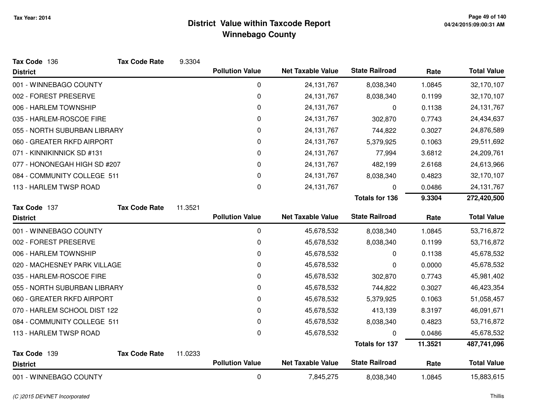| Tax Code 136                 | <b>Tax Code Rate</b> | 9.3304  |                        |                          |                       |         |                    |
|------------------------------|----------------------|---------|------------------------|--------------------------|-----------------------|---------|--------------------|
| <b>District</b>              |                      |         | <b>Pollution Value</b> | <b>Net Taxable Value</b> | <b>State Railroad</b> | Rate    | <b>Total Value</b> |
| 001 - WINNEBAGO COUNTY       |                      |         | 0                      | 24, 131, 767             | 8,038,340             | 1.0845  | 32,170,107         |
| 002 - FOREST PRESERVE        |                      |         | 0                      | 24,131,767               | 8,038,340             | 0.1199  | 32,170,107         |
| 006 - HARLEM TOWNSHIP        |                      |         | 0                      | 24, 131, 767             | 0                     | 0.1138  | 24, 131, 767       |
| 035 - HARLEM-ROSCOE FIRE     |                      |         | 0                      | 24, 131, 767             | 302,870               | 0.7743  | 24,434,637         |
| 055 - NORTH SUBURBAN LIBRARY |                      |         | 0                      | 24,131,767               | 744,822               | 0.3027  | 24,876,589         |
| 060 - GREATER RKFD AIRPORT   |                      |         | 0                      | 24, 131, 767             | 5,379,925             | 0.1063  | 29,511,692         |
| 071 - KINNIKINNICK SD #131   |                      |         | 0                      | 24, 131, 767             | 77,994                | 3.6812  | 24,209,761         |
| 077 - HONONEGAH HIGH SD #207 |                      |         | 0                      | 24, 131, 767             | 482,199               | 2.6168  | 24,613,966         |
| 084 - COMMUNITY COLLEGE 511  |                      |         | 0                      | 24,131,767               | 8,038,340             | 0.4823  | 32,170,107         |
| 113 - HARLEM TWSP ROAD       |                      |         | 0                      | 24, 131, 767             | 0                     | 0.0486  | 24, 131, 767       |
|                              |                      |         |                        |                          | <b>Totals for 136</b> | 9.3304  | 272,420,500        |
| Tax Code 137                 | <b>Tax Code Rate</b> | 11.3521 |                        |                          |                       |         |                    |
| <b>District</b>              |                      |         | <b>Pollution Value</b> | <b>Net Taxable Value</b> | <b>State Railroad</b> | Rate    | <b>Total Value</b> |
| 001 - WINNEBAGO COUNTY       |                      |         | $\pmb{0}$              | 45,678,532               | 8,038,340             | 1.0845  | 53,716,872         |
| 002 - FOREST PRESERVE        |                      |         | 0                      | 45,678,532               | 8,038,340             | 0.1199  | 53,716,872         |
| 006 - HARLEM TOWNSHIP        |                      |         | 0                      | 45,678,532               | $\Omega$              | 0.1138  | 45,678,532         |
| 020 - MACHESNEY PARK VILLAGE |                      |         | 0                      | 45,678,532               | 0                     | 0.0000  | 45,678,532         |
| 035 - HARLEM-ROSCOE FIRE     |                      |         | 0                      | 45,678,532               | 302,870               | 0.7743  | 45,981,402         |
| 055 - NORTH SUBURBAN LIBRARY |                      |         | 0                      | 45,678,532               | 744,822               | 0.3027  | 46,423,354         |
| 060 - GREATER RKFD AIRPORT   |                      |         | 0                      | 45,678,532               | 5,379,925             | 0.1063  | 51,058,457         |
| 070 - HARLEM SCHOOL DIST 122 |                      |         | 0                      | 45,678,532               | 413,139               | 8.3197  | 46,091,671         |
| 084 - COMMUNITY COLLEGE 511  |                      |         | 0                      | 45,678,532               | 8,038,340             | 0.4823  | 53,716,872         |
| 113 - HARLEM TWSP ROAD       |                      |         | 0                      | 45,678,532               | 0                     | 0.0486  | 45,678,532         |
|                              |                      |         |                        |                          | <b>Totals for 137</b> | 11.3521 | 487,741,096        |
| Tax Code 139                 | <b>Tax Code Rate</b> | 11.0233 |                        |                          |                       |         |                    |
| <b>District</b>              |                      |         | <b>Pollution Value</b> | <b>Net Taxable Value</b> | <b>State Railroad</b> | Rate    | <b>Total Value</b> |
| 001 - WINNEBAGO COUNTY       |                      |         | $\mathbf 0$            | 7,845,275                | 8,038,340             | 1.0845  | 15,883,615         |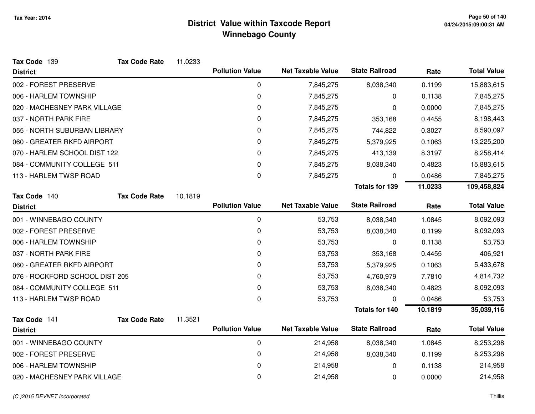| Tax Code 139                   | <b>Tax Code Rate</b> | 11.0233 |                        |                          |                       |         |                    |
|--------------------------------|----------------------|---------|------------------------|--------------------------|-----------------------|---------|--------------------|
| <b>District</b>                |                      |         | <b>Pollution Value</b> | <b>Net Taxable Value</b> | <b>State Railroad</b> | Rate    | <b>Total Value</b> |
| 002 - FOREST PRESERVE          |                      |         | 0                      | 7,845,275                | 8,038,340             | 0.1199  | 15,883,615         |
| 006 - HARLEM TOWNSHIP          |                      |         | 0                      | 7,845,275                | 0                     | 0.1138  | 7,845,275          |
| 020 - MACHESNEY PARK VILLAGE   |                      |         | 0                      | 7,845,275                | 0                     | 0.0000  | 7,845,275          |
| 037 - NORTH PARK FIRE          |                      |         | 0                      | 7,845,275                | 353,168               | 0.4455  | 8,198,443          |
| 055 - NORTH SUBURBAN LIBRARY   |                      |         | 0                      | 7,845,275                | 744,822               | 0.3027  | 8,590,097          |
| 060 - GREATER RKFD AIRPORT     |                      |         | 0                      | 7,845,275                | 5,379,925             | 0.1063  | 13,225,200         |
| 070 - HARLEM SCHOOL DIST 122   |                      |         | 0                      | 7,845,275                | 413,139               | 8.3197  | 8,258,414          |
| 084 - COMMUNITY COLLEGE 511    |                      |         | 0                      | 7,845,275                | 8,038,340             | 0.4823  | 15,883,615         |
| 113 - HARLEM TWSP ROAD         |                      |         | 0                      | 7,845,275                | 0                     | 0.0486  | 7,845,275          |
|                                |                      |         |                        |                          | <b>Totals for 139</b> | 11.0233 | 109,458,824        |
| Tax Code 140                   | <b>Tax Code Rate</b> | 10.1819 |                        |                          |                       |         |                    |
| <b>District</b>                |                      |         | <b>Pollution Value</b> | <b>Net Taxable Value</b> | <b>State Railroad</b> | Rate    | <b>Total Value</b> |
| 001 - WINNEBAGO COUNTY         |                      |         | 0                      | 53,753                   | 8,038,340             | 1.0845  | 8,092,093          |
| 002 - FOREST PRESERVE          |                      |         | 0                      | 53,753                   | 8,038,340             | 0.1199  | 8,092,093          |
| 006 - HARLEM TOWNSHIP          |                      |         | 0                      | 53,753                   | 0                     | 0.1138  | 53,753             |
| 037 - NORTH PARK FIRE          |                      |         | 0                      | 53,753                   | 353,168               | 0.4455  | 406,921            |
| 060 - GREATER RKFD AIRPORT     |                      |         | 0                      | 53,753                   | 5,379,925             | 0.1063  | 5,433,678          |
| 076 - ROCKFORD SCHOOL DIST 205 |                      |         | 0                      | 53,753                   | 4,760,979             | 7.7810  | 4,814,732          |
| 084 - COMMUNITY COLLEGE 511    |                      |         | 0                      | 53,753                   | 8,038,340             | 0.4823  | 8,092,093          |
| 113 - HARLEM TWSP ROAD         |                      |         | 0                      | 53,753                   | 0                     | 0.0486  | 53,753             |
|                                |                      |         |                        |                          | <b>Totals for 140</b> | 10.1819 | 35,039,116         |
| Tax Code 141                   | <b>Tax Code Rate</b> | 11.3521 |                        |                          |                       |         |                    |
| <b>District</b>                |                      |         | <b>Pollution Value</b> | <b>Net Taxable Value</b> | <b>State Railroad</b> | Rate    | <b>Total Value</b> |
| 001 - WINNEBAGO COUNTY         |                      |         | 0                      | 214,958                  | 8,038,340             | 1.0845  | 8,253,298          |
| 002 - FOREST PRESERVE          |                      |         | 0                      | 214,958                  | 8,038,340             | 0.1199  | 8,253,298          |
| 006 - HARLEM TOWNSHIP          |                      |         | 0                      | 214,958                  | 0                     | 0.1138  | 214,958            |
| 020 - MACHESNEY PARK VILLAGE   |                      |         | 0                      | 214,958                  | 0                     | 0.0000  | 214,958            |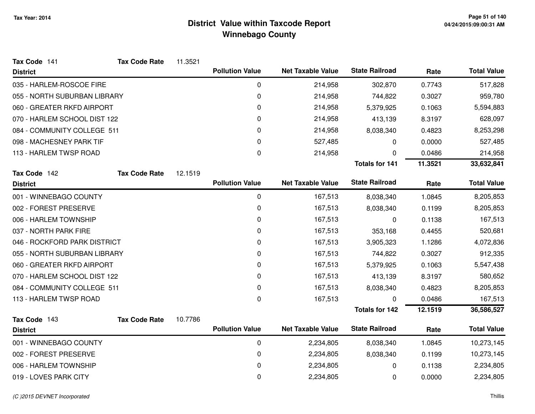| Tax Code 141                 | <b>Tax Code Rate</b> | 11.3521 |                        |                          |                       |         |                    |
|------------------------------|----------------------|---------|------------------------|--------------------------|-----------------------|---------|--------------------|
| <b>District</b>              |                      |         | <b>Pollution Value</b> | <b>Net Taxable Value</b> | <b>State Railroad</b> | Rate    | <b>Total Value</b> |
| 035 - HARLEM-ROSCOE FIRE     |                      |         | 0                      | 214,958                  | 302,870               | 0.7743  | 517,828            |
| 055 - NORTH SUBURBAN LIBRARY |                      |         | 0                      | 214,958                  | 744,822               | 0.3027  | 959,780            |
| 060 - GREATER RKFD AIRPORT   |                      |         | 0                      | 214,958                  | 5,379,925             | 0.1063  | 5,594,883          |
| 070 - HARLEM SCHOOL DIST 122 |                      |         | 0                      | 214,958                  | 413,139               | 8.3197  | 628,097            |
| 084 - COMMUNITY COLLEGE 511  |                      |         | 0                      | 214,958                  | 8,038,340             | 0.4823  | 8,253,298          |
| 098 - MACHESNEY PARK TIF     |                      |         | 0                      | 527,485                  | 0                     | 0.0000  | 527,485            |
| 113 - HARLEM TWSP ROAD       |                      |         | 0                      | 214,958                  | 0                     | 0.0486  | 214,958            |
|                              |                      |         |                        |                          | <b>Totals for 141</b> | 11.3521 | 33,632,841         |
| Tax Code 142                 | <b>Tax Code Rate</b> | 12.1519 |                        |                          |                       |         |                    |
| <b>District</b>              |                      |         | <b>Pollution Value</b> | <b>Net Taxable Value</b> | <b>State Railroad</b> | Rate    | <b>Total Value</b> |
| 001 - WINNEBAGO COUNTY       |                      |         | 0                      | 167,513                  | 8,038,340             | 1.0845  | 8,205,853          |
| 002 - FOREST PRESERVE        |                      |         | 0                      | 167,513                  | 8,038,340             | 0.1199  | 8,205,853          |
| 006 - HARLEM TOWNSHIP        |                      |         | 0                      | 167,513                  | 0                     | 0.1138  | 167,513            |
| 037 - NORTH PARK FIRE        |                      |         | 0                      | 167,513                  | 353,168               | 0.4455  | 520,681            |
| 046 - ROCKFORD PARK DISTRICT |                      |         | 0                      | 167,513                  | 3,905,323             | 1.1286  | 4,072,836          |
| 055 - NORTH SUBURBAN LIBRARY |                      |         | 0                      | 167,513                  | 744,822               | 0.3027  | 912,335            |
| 060 - GREATER RKFD AIRPORT   |                      |         | 0                      | 167,513                  | 5,379,925             | 0.1063  | 5,547,438          |
| 070 - HARLEM SCHOOL DIST 122 |                      |         | 0                      | 167,513                  | 413,139               | 8.3197  | 580,652            |
| 084 - COMMUNITY COLLEGE 511  |                      |         | 0                      | 167,513                  | 8,038,340             | 0.4823  | 8,205,853          |
| 113 - HARLEM TWSP ROAD       |                      |         | 0                      | 167,513                  | 0                     | 0.0486  | 167,513            |
|                              |                      |         |                        |                          | <b>Totals for 142</b> | 12.1519 | 36,586,527         |
| Tax Code 143                 | <b>Tax Code Rate</b> | 10.7786 |                        |                          |                       |         |                    |
| <b>District</b>              |                      |         | <b>Pollution Value</b> | <b>Net Taxable Value</b> | <b>State Railroad</b> | Rate    | <b>Total Value</b> |
| 001 - WINNEBAGO COUNTY       |                      |         | 0                      | 2,234,805                | 8,038,340             | 1.0845  | 10,273,145         |
| 002 - FOREST PRESERVE        |                      |         | 0                      | 2,234,805                | 8,038,340             | 0.1199  | 10,273,145         |
| 006 - HARLEM TOWNSHIP        |                      |         | 0                      | 2,234,805                | 0                     | 0.1138  | 2,234,805          |
| 019 - LOVES PARK CITY        |                      |         | 0                      | 2,234,805                | 0                     | 0.0000  | 2,234,805          |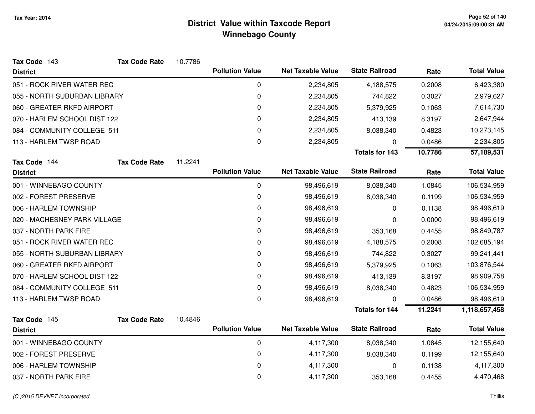| Tax Code 143                 | <b>Tax Code Rate</b> | 10.7786 |                        |                          |                       |         |                    |
|------------------------------|----------------------|---------|------------------------|--------------------------|-----------------------|---------|--------------------|
| <b>District</b>              |                      |         | <b>Pollution Value</b> | <b>Net Taxable Value</b> | <b>State Railroad</b> | Rate    | <b>Total Value</b> |
| 051 - ROCK RIVER WATER REC   |                      |         | 0                      | 2,234,805                | 4,188,575             | 0.2008  | 6,423,380          |
| 055 - NORTH SUBURBAN LIBRARY |                      |         | 0                      | 2,234,805                | 744,822               | 0.3027  | 2,979,627          |
| 060 - GREATER RKFD AIRPORT   |                      |         | $\mathbf 0$            | 2,234,805                | 5,379,925             | 0.1063  | 7,614,730          |
| 070 - HARLEM SCHOOL DIST 122 |                      |         | 0                      | 2,234,805                | 413,139               | 8.3197  | 2,647,944          |
| 084 - COMMUNITY COLLEGE 511  |                      |         | 0                      | 2,234,805                | 8,038,340             | 0.4823  | 10,273,145         |
| 113 - HARLEM TWSP ROAD       |                      |         | 0                      | 2,234,805                | 0                     | 0.0486  | 2,234,805          |
|                              |                      |         |                        |                          | <b>Totals for 143</b> | 10.7786 | 57,189,531         |
| Tax Code 144                 | <b>Tax Code Rate</b> | 11.2241 |                        |                          |                       |         |                    |
| <b>District</b>              |                      |         | <b>Pollution Value</b> | <b>Net Taxable Value</b> | <b>State Railroad</b> | Rate    | <b>Total Value</b> |
| 001 - WINNEBAGO COUNTY       |                      |         | 0                      | 98,496,619               | 8,038,340             | 1.0845  | 106,534,959        |
| 002 - FOREST PRESERVE        |                      |         | 0                      | 98,496,619               | 8,038,340             | 0.1199  | 106,534,959        |
| 006 - HARLEM TOWNSHIP        |                      |         | 0                      | 98,496,619               | 0                     | 0.1138  | 98,496,619         |
| 020 - MACHESNEY PARK VILLAGE |                      |         | 0                      | 98,496,619               | 0                     | 0.0000  | 98,496,619         |
| 037 - NORTH PARK FIRE        |                      |         | 0                      | 98,496,619               | 353,168               | 0.4455  | 98,849,787         |
| 051 - ROCK RIVER WATER REC   |                      |         | 0                      | 98,496,619               | 4,188,575             | 0.2008  | 102,685,194        |
| 055 - NORTH SUBURBAN LIBRARY |                      |         | 0                      | 98,496,619               | 744,822               | 0.3027  | 99,241,441         |
| 060 - GREATER RKFD AIRPORT   |                      |         | 0                      | 98,496,619               | 5,379,925             | 0.1063  | 103,876,544        |
| 070 - HARLEM SCHOOL DIST 122 |                      |         | $\mathbf 0$            | 98,496,619               | 413,139               | 8.3197  | 98,909,758         |
| 084 - COMMUNITY COLLEGE 511  |                      |         | $\mathbf 0$            | 98,496,619               | 8,038,340             | 0.4823  | 106,534,959        |
| 113 - HARLEM TWSP ROAD       |                      |         | 0                      | 98,496,619               | 0                     | 0.0486  | 98,496,619         |
|                              |                      |         |                        |                          | <b>Totals for 144</b> | 11.2241 | 1,118,657,458      |
| Tax Code 145                 | <b>Tax Code Rate</b> | 10.4846 |                        |                          |                       |         |                    |
| <b>District</b>              |                      |         | <b>Pollution Value</b> | <b>Net Taxable Value</b> | <b>State Railroad</b> | Rate    | <b>Total Value</b> |
| 001 - WINNEBAGO COUNTY       |                      |         | 0                      | 4,117,300                | 8,038,340             | 1.0845  | 12,155,640         |
| 002 - FOREST PRESERVE        |                      |         | $\mathbf 0$            | 4,117,300                | 8,038,340             | 0.1199  | 12,155,640         |
| 006 - HARLEM TOWNSHIP        |                      |         | $\mathbf 0$            | 4,117,300                | 0                     | 0.1138  | 4,117,300          |
| 037 - NORTH PARK FIRE        |                      |         | 0                      | 4,117,300                | 353,168               | 0.4455  | 4,470,468          |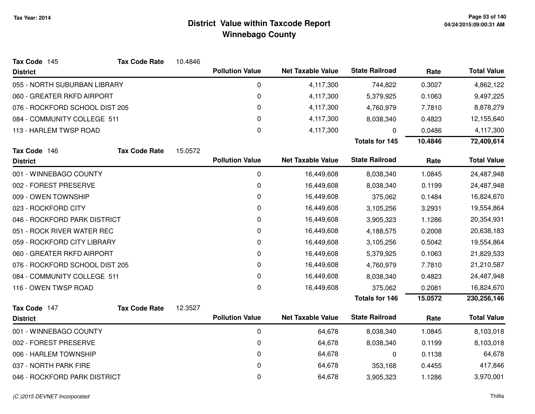| Tax Code 145                   | <b>Tax Code Rate</b> | 10.4846 |                        |                          |                       |         |                    |
|--------------------------------|----------------------|---------|------------------------|--------------------------|-----------------------|---------|--------------------|
| <b>District</b>                |                      |         | <b>Pollution Value</b> | <b>Net Taxable Value</b> | <b>State Railroad</b> | Rate    | <b>Total Value</b> |
| 055 - NORTH SUBURBAN LIBRARY   |                      |         | 0                      | 4,117,300                | 744,822               | 0.3027  | 4,862,122          |
| 060 - GREATER RKFD AIRPORT     |                      |         | 0                      | 4,117,300                | 5,379,925             | 0.1063  | 9,497,225          |
| 076 - ROCKFORD SCHOOL DIST 205 |                      |         | 0                      | 4,117,300                | 4,760,979             | 7.7810  | 8,878,279          |
| 084 - COMMUNITY COLLEGE 511    |                      |         | 0                      | 4,117,300                | 8,038,340             | 0.4823  | 12,155,640         |
| 113 - HARLEM TWSP ROAD         |                      |         | 0                      | 4,117,300                | 0                     | 0.0486  | 4,117,300          |
|                                |                      |         |                        |                          | <b>Totals for 145</b> | 10.4846 | 72,409,614         |
| Tax Code 146                   | <b>Tax Code Rate</b> | 15.0572 |                        |                          |                       |         |                    |
| <b>District</b>                |                      |         | <b>Pollution Value</b> | <b>Net Taxable Value</b> | <b>State Railroad</b> | Rate    | <b>Total Value</b> |
| 001 - WINNEBAGO COUNTY         |                      |         | 0                      | 16,449,608               | 8,038,340             | 1.0845  | 24,487,948         |
| 002 - FOREST PRESERVE          |                      |         | 0                      | 16,449,608               | 8,038,340             | 0.1199  | 24,487,948         |
| 009 - OWEN TOWNSHIP            |                      |         | 0                      | 16,449,608               | 375,062               | 0.1484  | 16,824,670         |
| 023 - ROCKFORD CITY            |                      |         | 0                      | 16,449,608               | 3,105,256             | 3.2931  | 19,554,864         |
| 046 - ROCKFORD PARK DISTRICT   |                      |         | 0                      | 16,449,608               | 3,905,323             | 1.1286  | 20,354,931         |
| 051 - ROCK RIVER WATER REC     |                      |         | 0                      | 16,449,608               | 4,188,575             | 0.2008  | 20,638,183         |
| 059 - ROCKFORD CITY LIBRARY    |                      |         | 0                      | 16,449,608               | 3,105,256             | 0.5042  | 19,554,864         |
| 060 - GREATER RKFD AIRPORT     |                      |         | 0                      | 16,449,608               | 5,379,925             | 0.1063  | 21,829,533         |
| 076 - ROCKFORD SCHOOL DIST 205 |                      |         | 0                      | 16,449,608               | 4,760,979             | 7.7810  | 21,210,587         |
| 084 - COMMUNITY COLLEGE 511    |                      |         | 0                      | 16,449,608               | 8,038,340             | 0.4823  | 24,487,948         |
| 116 - OWEN TWSP ROAD           |                      |         | $\mathbf 0$            | 16,449,608               | 375,062               | 0.2081  | 16,824,670         |
|                                |                      |         |                        |                          | <b>Totals for 146</b> | 15.0572 | 230,256,146        |
| Tax Code 147                   | <b>Tax Code Rate</b> | 12.3527 |                        |                          |                       |         |                    |
| <b>District</b>                |                      |         | <b>Pollution Value</b> | <b>Net Taxable Value</b> | <b>State Railroad</b> | Rate    | <b>Total Value</b> |
| 001 - WINNEBAGO COUNTY         |                      |         | 0                      | 64,678                   | 8,038,340             | 1.0845  | 8,103,018          |
| 002 - FOREST PRESERVE          |                      |         | 0                      | 64,678                   | 8,038,340             | 0.1199  | 8,103,018          |
| 006 - HARLEM TOWNSHIP          |                      |         | 0                      | 64,678                   | 0                     | 0.1138  | 64,678             |
| 037 - NORTH PARK FIRE          |                      |         | 0                      | 64,678                   | 353,168               | 0.4455  | 417,846            |
| 046 - ROCKFORD PARK DISTRICT   |                      |         | 0                      | 64,678                   | 3,905,323             | 1.1286  | 3,970,001          |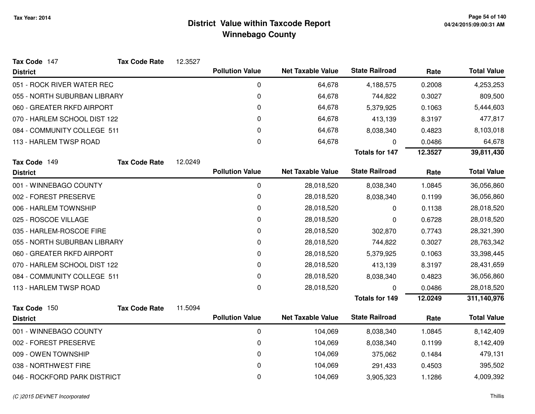| Tax Code 147                 | <b>Tax Code Rate</b> | 12.3527 |                        |                          |                       |         |                    |
|------------------------------|----------------------|---------|------------------------|--------------------------|-----------------------|---------|--------------------|
| <b>District</b>              |                      |         | <b>Pollution Value</b> | <b>Net Taxable Value</b> | <b>State Railroad</b> | Rate    | <b>Total Value</b> |
| 051 - ROCK RIVER WATER REC   |                      |         | 0                      | 64,678                   | 4,188,575             | 0.2008  | 4,253,253          |
| 055 - NORTH SUBURBAN LIBRARY |                      |         | 0                      | 64,678                   | 744,822               | 0.3027  | 809,500            |
| 060 - GREATER RKFD AIRPORT   |                      |         | 0                      | 64,678                   | 5,379,925             | 0.1063  | 5,444,603          |
| 070 - HARLEM SCHOOL DIST 122 |                      |         | 0                      | 64,678                   | 413,139               | 8.3197  | 477,817            |
| 084 - COMMUNITY COLLEGE 511  |                      |         | 0                      | 64,678                   | 8,038,340             | 0.4823  | 8,103,018          |
| 113 - HARLEM TWSP ROAD       |                      |         | 0                      | 64,678                   | 0                     | 0.0486  | 64,678             |
|                              |                      |         |                        |                          | <b>Totals for 147</b> | 12.3527 | 39,811,430         |
| Tax Code 149                 | <b>Tax Code Rate</b> | 12.0249 |                        |                          |                       |         |                    |
| <b>District</b>              |                      |         | <b>Pollution Value</b> | <b>Net Taxable Value</b> | <b>State Railroad</b> | Rate    | <b>Total Value</b> |
| 001 - WINNEBAGO COUNTY       |                      |         | 0                      | 28,018,520               | 8,038,340             | 1.0845  | 36,056,860         |
| 002 - FOREST PRESERVE        |                      |         | 0                      | 28,018,520               | 8,038,340             | 0.1199  | 36,056,860         |
| 006 - HARLEM TOWNSHIP        |                      |         | 0                      | 28,018,520               | 0                     | 0.1138  | 28,018,520         |
| 025 - ROSCOE VILLAGE         |                      |         | 0                      | 28,018,520               | 0                     | 0.6728  | 28,018,520         |
| 035 - HARLEM-ROSCOE FIRE     |                      |         | 0                      | 28,018,520               | 302,870               | 0.7743  | 28,321,390         |
| 055 - NORTH SUBURBAN LIBRARY |                      |         | 0                      | 28,018,520               | 744,822               | 0.3027  | 28,763,342         |
| 060 - GREATER RKFD AIRPORT   |                      |         | 0                      | 28,018,520               | 5,379,925             | 0.1063  | 33,398,445         |
| 070 - HARLEM SCHOOL DIST 122 |                      |         | 0                      | 28,018,520               | 413,139               | 8.3197  | 28,431,659         |
| 084 - COMMUNITY COLLEGE 511  |                      |         | 0                      | 28,018,520               | 8,038,340             | 0.4823  | 36,056,860         |
| 113 - HARLEM TWSP ROAD       |                      |         | 0                      | 28,018,520               | 0                     | 0.0486  | 28,018,520         |
|                              |                      |         |                        |                          | <b>Totals for 149</b> | 12.0249 | 311,140,976        |
| Tax Code 150                 | <b>Tax Code Rate</b> | 11.5094 |                        |                          |                       |         |                    |
| <b>District</b>              |                      |         | <b>Pollution Value</b> | <b>Net Taxable Value</b> | <b>State Railroad</b> | Rate    | <b>Total Value</b> |
| 001 - WINNEBAGO COUNTY       |                      |         | 0                      | 104,069                  | 8,038,340             | 1.0845  | 8,142,409          |
| 002 - FOREST PRESERVE        |                      |         | 0                      | 104,069                  | 8,038,340             | 0.1199  | 8,142,409          |
| 009 - OWEN TOWNSHIP          |                      |         | 0                      | 104,069                  | 375,062               | 0.1484  | 479,131            |
| 038 - NORTHWEST FIRE         |                      |         | 0                      | 104,069                  | 291,433               | 0.4503  | 395,502            |
| 046 - ROCKFORD PARK DISTRICT |                      |         | 0                      | 104,069                  | 3,905,323             | 1.1286  | 4,009,392          |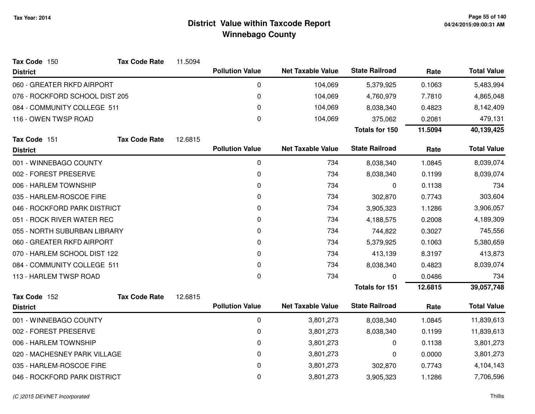| Tax Code 150                   | <b>Tax Code Rate</b> | 11.5094 |                        |                          |                       |         |                    |
|--------------------------------|----------------------|---------|------------------------|--------------------------|-----------------------|---------|--------------------|
| <b>District</b>                |                      |         | <b>Pollution Value</b> | <b>Net Taxable Value</b> | <b>State Railroad</b> | Rate    | <b>Total Value</b> |
| 060 - GREATER RKFD AIRPORT     |                      |         | $\mathbf 0$            | 104,069                  | 5,379,925             | 0.1063  | 5,483,994          |
| 076 - ROCKFORD SCHOOL DIST 205 |                      |         | $\mathbf 0$            | 104,069                  | 4,760,979             | 7.7810  | 4,865,048          |
| 084 - COMMUNITY COLLEGE 511    |                      |         | 0                      | 104,069                  | 8,038,340             | 0.4823  | 8,142,409          |
| 116 - OWEN TWSP ROAD           |                      |         | $\boldsymbol{0}$       | 104,069                  | 375,062               | 0.2081  | 479,131            |
|                                |                      |         |                        |                          | Totals for 150        | 11.5094 | 40,139,425         |
| Tax Code 151                   | <b>Tax Code Rate</b> | 12.6815 |                        |                          |                       |         |                    |
| <b>District</b>                |                      |         | <b>Pollution Value</b> | <b>Net Taxable Value</b> | <b>State Railroad</b> | Rate    | <b>Total Value</b> |
| 001 - WINNEBAGO COUNTY         |                      |         | $\mathbf 0$            | 734                      | 8,038,340             | 1.0845  | 8,039,074          |
| 002 - FOREST PRESERVE          |                      |         | 0                      | 734                      | 8,038,340             | 0.1199  | 8,039,074          |
| 006 - HARLEM TOWNSHIP          |                      |         | $\Omega$               | 734                      | 0                     | 0.1138  | 734                |
| 035 - HARLEM-ROSCOE FIRE       |                      |         | 0                      | 734                      | 302,870               | 0.7743  | 303,604            |
| 046 - ROCKFORD PARK DISTRICT   |                      |         | $\mathbf{0}$           | 734                      | 3,905,323             | 1.1286  | 3,906,057          |
| 051 - ROCK RIVER WATER REC     |                      |         | $\Omega$               | 734                      | 4,188,575             | 0.2008  | 4,189,309          |
| 055 - NORTH SUBURBAN LIBRARY   |                      |         | 0                      | 734                      | 744,822               | 0.3027  | 745,556            |
| 060 - GREATER RKFD AIRPORT     |                      |         | $\Omega$               | 734                      | 5,379,925             | 0.1063  | 5,380,659          |
| 070 - HARLEM SCHOOL DIST 122   |                      |         | $\Omega$               | 734                      | 413,139               | 8.3197  | 413,873            |
| 084 - COMMUNITY COLLEGE 511    |                      |         | $\mathbf{0}$           | 734                      | 8,038,340             | 0.4823  | 8,039,074          |
| 113 - HARLEM TWSP ROAD         |                      |         | 0                      | 734                      | 0                     | 0.0486  | 734                |
|                                |                      |         |                        |                          | <b>Totals for 151</b> | 12.6815 | 39,057,748         |
| Tax Code 152                   | <b>Tax Code Rate</b> | 12.6815 |                        |                          |                       |         |                    |
| <b>District</b>                |                      |         | <b>Pollution Value</b> | <b>Net Taxable Value</b> | <b>State Railroad</b> | Rate    | <b>Total Value</b> |
| 001 - WINNEBAGO COUNTY         |                      |         | $\mathbf 0$            | 3,801,273                | 8,038,340             | 1.0845  | 11,839,613         |
| 002 - FOREST PRESERVE          |                      |         | 0                      | 3,801,273                | 8,038,340             | 0.1199  | 11,839,613         |
| 006 - HARLEM TOWNSHIP          |                      |         | $\mathbf 0$            | 3,801,273                | 0                     | 0.1138  | 3,801,273          |
| 020 - MACHESNEY PARK VILLAGE   |                      |         | 0                      | 3,801,273                | 0                     | 0.0000  | 3,801,273          |
| 035 - HARLEM-ROSCOE FIRE       |                      |         | 0                      | 3,801,273                | 302,870               | 0.7743  | 4,104,143          |
| 046 - ROCKFORD PARK DISTRICT   |                      |         | 0                      | 3,801,273                | 3,905,323             | 1.1286  | 7,706,596          |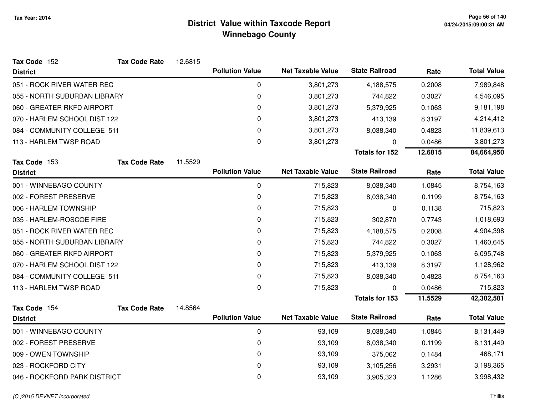| Tax Code 152                 | <b>Tax Code Rate</b> | 12.6815 |                        |                          |                       |         |                    |
|------------------------------|----------------------|---------|------------------------|--------------------------|-----------------------|---------|--------------------|
| <b>District</b>              |                      |         | <b>Pollution Value</b> | <b>Net Taxable Value</b> | <b>State Railroad</b> | Rate    | <b>Total Value</b> |
| 051 - ROCK RIVER WATER REC   |                      |         | 0                      | 3,801,273                | 4,188,575             | 0.2008  | 7,989,848          |
| 055 - NORTH SUBURBAN LIBRARY |                      |         | 0                      | 3,801,273                | 744,822               | 0.3027  | 4,546,095          |
| 060 - GREATER RKFD AIRPORT   |                      |         | 0                      | 3,801,273                | 5,379,925             | 0.1063  | 9,181,198          |
| 070 - HARLEM SCHOOL DIST 122 |                      |         | 0                      | 3,801,273                | 413,139               | 8.3197  | 4,214,412          |
| 084 - COMMUNITY COLLEGE 511  |                      |         | 0                      | 3,801,273                | 8,038,340             | 0.4823  | 11,839,613         |
| 113 - HARLEM TWSP ROAD       |                      |         | 0                      | 3,801,273                | 0                     | 0.0486  | 3,801,273          |
|                              |                      |         |                        |                          | <b>Totals for 152</b> | 12.6815 | 84,664,950         |
| Tax Code 153                 | <b>Tax Code Rate</b> | 11.5529 |                        |                          |                       |         |                    |
| <b>District</b>              |                      |         | <b>Pollution Value</b> | <b>Net Taxable Value</b> | <b>State Railroad</b> | Rate    | <b>Total Value</b> |
| 001 - WINNEBAGO COUNTY       |                      |         | 0                      | 715,823                  | 8,038,340             | 1.0845  | 8,754,163          |
| 002 - FOREST PRESERVE        |                      |         | 0                      | 715,823                  | 8,038,340             | 0.1199  | 8,754,163          |
| 006 - HARLEM TOWNSHIP        |                      |         | 0                      | 715,823                  | 0                     | 0.1138  | 715,823            |
| 035 - HARLEM-ROSCOE FIRE     |                      |         | 0                      | 715,823                  | 302,870               | 0.7743  | 1,018,693          |
| 051 - ROCK RIVER WATER REC   |                      |         | 0                      | 715,823                  | 4,188,575             | 0.2008  | 4,904,398          |
| 055 - NORTH SUBURBAN LIBRARY |                      |         | 0                      | 715,823                  | 744,822               | 0.3027  | 1,460,645          |
| 060 - GREATER RKFD AIRPORT   |                      |         | 0                      | 715,823                  | 5,379,925             | 0.1063  | 6,095,748          |
| 070 - HARLEM SCHOOL DIST 122 |                      |         | 0                      | 715,823                  | 413,139               | 8.3197  | 1,128,962          |
| 084 - COMMUNITY COLLEGE 511  |                      |         | 0                      | 715,823                  | 8,038,340             | 0.4823  | 8,754,163          |
| 113 - HARLEM TWSP ROAD       |                      |         | $\pmb{0}$              | 715,823                  | 0                     | 0.0486  | 715,823            |
|                              |                      |         |                        |                          | <b>Totals for 153</b> | 11.5529 | 42,302,581         |
| Tax Code 154                 | <b>Tax Code Rate</b> | 14.8564 |                        |                          |                       |         |                    |
| <b>District</b>              |                      |         | <b>Pollution Value</b> | <b>Net Taxable Value</b> | <b>State Railroad</b> | Rate    | <b>Total Value</b> |
| 001 - WINNEBAGO COUNTY       |                      |         | $\pmb{0}$              | 93,109                   | 8,038,340             | 1.0845  | 8,131,449          |
| 002 - FOREST PRESERVE        |                      |         | 0                      | 93,109                   | 8,038,340             | 0.1199  | 8,131,449          |
| 009 - OWEN TOWNSHIP          |                      |         | 0                      | 93,109                   | 375,062               | 0.1484  | 468,171            |
| 023 - ROCKFORD CITY          |                      |         | 0                      | 93,109                   | 3,105,256             | 3.2931  | 3,198,365          |
| 046 - ROCKFORD PARK DISTRICT |                      |         | 0                      | 93,109                   | 3,905,323             | 1.1286  | 3,998,432          |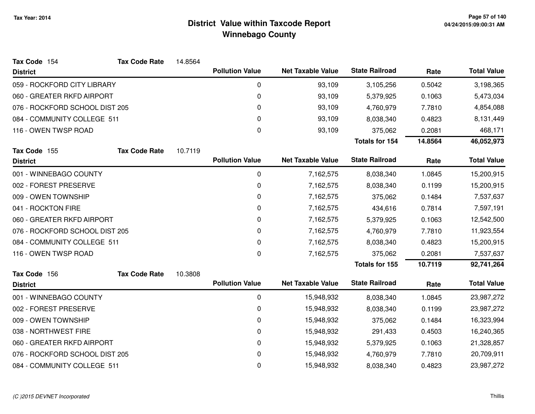| Tax Code 154                   | <b>Tax Code Rate</b> | 14.8564 |                        |                          |                       |         |                    |
|--------------------------------|----------------------|---------|------------------------|--------------------------|-----------------------|---------|--------------------|
| <b>District</b>                |                      |         | <b>Pollution Value</b> | <b>Net Taxable Value</b> | <b>State Railroad</b> | Rate    | <b>Total Value</b> |
| 059 - ROCKFORD CITY LIBRARY    |                      |         | 0                      | 93,109                   | 3,105,256             | 0.5042  | 3,198,365          |
| 060 - GREATER RKFD AIRPORT     |                      |         | 0                      | 93,109                   | 5,379,925             | 0.1063  | 5,473,034          |
| 076 - ROCKFORD SCHOOL DIST 205 |                      |         | 0                      | 93,109                   | 4,760,979             | 7.7810  | 4,854,088          |
| 084 - COMMUNITY COLLEGE 511    |                      |         | 0                      | 93,109                   | 8,038,340             | 0.4823  | 8,131,449          |
| 116 - OWEN TWSP ROAD           |                      |         | 0                      | 93,109                   | 375,062               | 0.2081  | 468,171            |
|                                |                      |         |                        |                          | <b>Totals for 154</b> | 14.8564 | 46,052,973         |
| Tax Code 155                   | <b>Tax Code Rate</b> | 10.7119 |                        |                          |                       |         |                    |
| <b>District</b>                |                      |         | <b>Pollution Value</b> | <b>Net Taxable Value</b> | <b>State Railroad</b> | Rate    | <b>Total Value</b> |
| 001 - WINNEBAGO COUNTY         |                      |         | $\pmb{0}$              | 7,162,575                | 8,038,340             | 1.0845  | 15,200,915         |
| 002 - FOREST PRESERVE          |                      |         | 0                      | 7,162,575                | 8,038,340             | 0.1199  | 15,200,915         |
| 009 - OWEN TOWNSHIP            |                      |         | 0                      | 7,162,575                | 375,062               | 0.1484  | 7,537,637          |
| 041 - ROCKTON FIRE             |                      |         | 0                      | 7,162,575                | 434,616               | 0.7814  | 7,597,191          |
| 060 - GREATER RKFD AIRPORT     |                      |         | 0                      | 7,162,575                | 5,379,925             | 0.1063  | 12,542,500         |
| 076 - ROCKFORD SCHOOL DIST 205 |                      |         | 0                      | 7,162,575                | 4,760,979             | 7.7810  | 11,923,554         |
| 084 - COMMUNITY COLLEGE 511    |                      |         | 0                      | 7,162,575                | 8,038,340             | 0.4823  | 15,200,915         |
| 116 - OWEN TWSP ROAD           |                      |         | 0                      | 7,162,575                | 375,062               | 0.2081  | 7,537,637          |
|                                |                      |         |                        |                          | Totals for 155        | 10.7119 | 92,741,264         |
| Tax Code 156                   | <b>Tax Code Rate</b> | 10.3808 |                        |                          |                       |         |                    |
| <b>District</b>                |                      |         | <b>Pollution Value</b> | <b>Net Taxable Value</b> | <b>State Railroad</b> | Rate    | <b>Total Value</b> |
| 001 - WINNEBAGO COUNTY         |                      |         | 0                      | 15,948,932               | 8,038,340             | 1.0845  | 23,987,272         |
| 002 - FOREST PRESERVE          |                      |         | $\mathbf 0$            | 15,948,932               | 8,038,340             | 0.1199  | 23,987,272         |
| 009 - OWEN TOWNSHIP            |                      |         | 0                      | 15,948,932               | 375,062               | 0.1484  | 16,323,994         |
| 038 - NORTHWEST FIRE           |                      |         | 0                      | 15,948,932               | 291,433               | 0.4503  | 16,240,365         |
| 060 - GREATER RKFD AIRPORT     |                      |         | 0                      | 15,948,932               | 5,379,925             | 0.1063  | 21,328,857         |
| 076 - ROCKFORD SCHOOL DIST 205 |                      |         | 0                      | 15,948,932               | 4,760,979             | 7.7810  | 20,709,911         |
| 084 - COMMUNITY COLLEGE 511    |                      |         | 0                      | 15,948,932               | 8,038,340             | 0.4823  | 23,987,272         |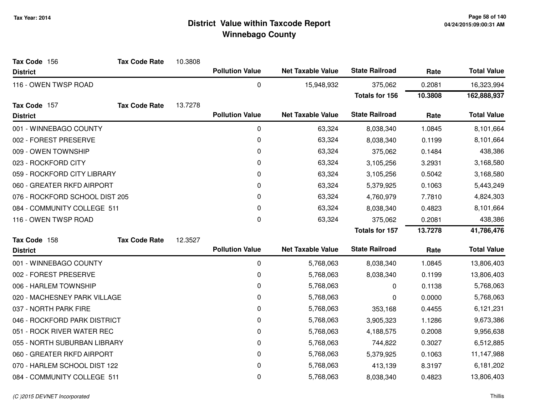| Tax Code 156                   | <b>Tax Code Rate</b> | 10.3808 |                        |                          |                       |         |                    |
|--------------------------------|----------------------|---------|------------------------|--------------------------|-----------------------|---------|--------------------|
| <b>District</b>                |                      |         | <b>Pollution Value</b> | <b>Net Taxable Value</b> | <b>State Railroad</b> | Rate    | <b>Total Value</b> |
| 116 - OWEN TWSP ROAD           |                      |         | 0                      | 15,948,932               | 375,062               | 0.2081  | 16,323,994         |
|                                |                      |         |                        |                          | <b>Totals for 156</b> | 10.3808 | 162,888,937        |
| Tax Code 157                   | <b>Tax Code Rate</b> | 13.7278 |                        |                          |                       |         |                    |
| <b>District</b>                |                      |         | <b>Pollution Value</b> | <b>Net Taxable Value</b> | <b>State Railroad</b> | Rate    | <b>Total Value</b> |
| 001 - WINNEBAGO COUNTY         |                      |         | 0                      | 63,324                   | 8,038,340             | 1.0845  | 8,101,664          |
| 002 - FOREST PRESERVE          |                      |         | 0                      | 63,324                   | 8,038,340             | 0.1199  | 8,101,664          |
| 009 - OWEN TOWNSHIP            |                      |         | 0                      | 63,324                   | 375,062               | 0.1484  | 438,386            |
| 023 - ROCKFORD CITY            |                      |         | 0                      | 63,324                   | 3,105,256             | 3.2931  | 3,168,580          |
| 059 - ROCKFORD CITY LIBRARY    |                      |         | 0                      | 63,324                   | 3,105,256             | 0.5042  | 3,168,580          |
| 060 - GREATER RKFD AIRPORT     |                      |         | 0                      | 63,324                   | 5,379,925             | 0.1063  | 5,443,249          |
| 076 - ROCKFORD SCHOOL DIST 205 |                      |         | 0                      | 63,324                   | 4,760,979             | 7.7810  | 4,824,303          |
| 084 - COMMUNITY COLLEGE 511    |                      |         | 0                      | 63,324                   | 8,038,340             | 0.4823  | 8,101,664          |
| 116 - OWEN TWSP ROAD           |                      |         | 0                      | 63,324                   | 375,062               | 0.2081  | 438,386            |
|                                |                      |         |                        |                          | Totals for 157        | 13.7278 | 41,786,476         |
| Tax Code 158                   | <b>Tax Code Rate</b> | 12.3527 |                        |                          |                       |         |                    |
| <b>District</b>                |                      |         | <b>Pollution Value</b> | <b>Net Taxable Value</b> | <b>State Railroad</b> | Rate    | <b>Total Value</b> |
| 001 - WINNEBAGO COUNTY         |                      |         | 0                      | 5,768,063                | 8,038,340             | 1.0845  | 13,806,403         |
| 002 - FOREST PRESERVE          |                      |         | 0                      | 5,768,063                | 8,038,340             | 0.1199  | 13,806,403         |
| 006 - HARLEM TOWNSHIP          |                      |         | 0                      | 5,768,063                | 0                     | 0.1138  | 5,768,063          |
| 020 - MACHESNEY PARK VILLAGE   |                      |         | 0                      | 5,768,063                | 0                     | 0.0000  | 5,768,063          |
| 037 - NORTH PARK FIRE          |                      |         | 0                      | 5,768,063                | 353,168               | 0.4455  | 6,121,231          |
| 046 - ROCKFORD PARK DISTRICT   |                      |         | 0                      | 5,768,063                | 3,905,323             | 1.1286  | 9,673,386          |
| 051 - ROCK RIVER WATER REC     |                      |         | 0                      | 5,768,063                | 4,188,575             | 0.2008  | 9,956,638          |
| 055 - NORTH SUBURBAN LIBRARY   |                      |         | 0                      | 5,768,063                | 744,822               | 0.3027  | 6,512,885          |
| 060 - GREATER RKFD AIRPORT     |                      |         | 0                      | 5,768,063                | 5,379,925             | 0.1063  | 11,147,988         |
| 070 - HARLEM SCHOOL DIST 122   |                      |         | 0                      | 5,768,063                | 413,139               | 8.3197  | 6,181,202          |
| 084 - COMMUNITY COLLEGE 511    |                      |         | 0                      | 5,768,063                | 8,038,340             | 0.4823  | 13,806,403         |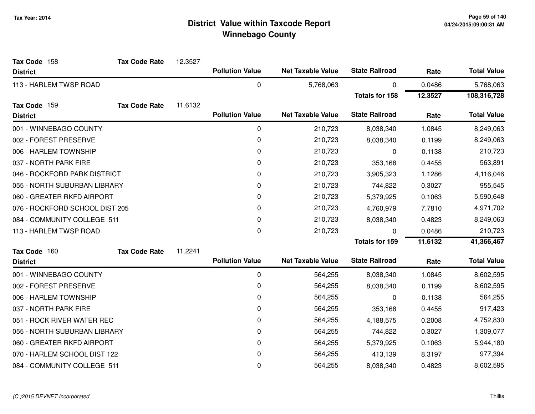| Tax Code 158                   | <b>Tax Code Rate</b> | 12.3527 |                        |                          |                       |         |                    |
|--------------------------------|----------------------|---------|------------------------|--------------------------|-----------------------|---------|--------------------|
| <b>District</b>                |                      |         | <b>Pollution Value</b> | <b>Net Taxable Value</b> | <b>State Railroad</b> | Rate    | <b>Total Value</b> |
| 113 - HARLEM TWSP ROAD         |                      |         | 0                      | 5,768,063                | 0                     | 0.0486  | 5,768,063          |
|                                |                      |         |                        |                          | <b>Totals for 158</b> | 12.3527 | 108,316,728        |
| Tax Code 159                   | <b>Tax Code Rate</b> | 11.6132 |                        |                          |                       |         |                    |
| <b>District</b>                |                      |         | <b>Pollution Value</b> | <b>Net Taxable Value</b> | <b>State Railroad</b> | Rate    | <b>Total Value</b> |
| 001 - WINNEBAGO COUNTY         |                      |         | 0                      | 210,723                  | 8,038,340             | 1.0845  | 8,249,063          |
| 002 - FOREST PRESERVE          |                      |         | 0                      | 210,723                  | 8,038,340             | 0.1199  | 8,249,063          |
| 006 - HARLEM TOWNSHIP          |                      |         | 0                      | 210,723                  | 0                     | 0.1138  | 210,723            |
| 037 - NORTH PARK FIRE          |                      |         | 0                      | 210,723                  | 353,168               | 0.4455  | 563,891            |
| 046 - ROCKFORD PARK DISTRICT   |                      |         | 0                      | 210,723                  | 3,905,323             | 1.1286  | 4,116,046          |
| 055 - NORTH SUBURBAN LIBRARY   |                      |         | 0                      | 210,723                  | 744,822               | 0.3027  | 955,545            |
| 060 - GREATER RKFD AIRPORT     |                      |         | 0                      | 210,723                  | 5,379,925             | 0.1063  | 5,590,648          |
| 076 - ROCKFORD SCHOOL DIST 205 |                      |         | 0                      | 210,723                  | 4,760,979             | 7.7810  | 4,971,702          |
| 084 - COMMUNITY COLLEGE 511    |                      |         | 0                      | 210,723                  | 8,038,340             | 0.4823  | 8,249,063          |
| 113 - HARLEM TWSP ROAD         |                      |         | 0                      | 210,723                  | U                     | 0.0486  | 210,723            |
|                                |                      |         |                        |                          | <b>Totals for 159</b> | 11.6132 | 41,366,467         |
| Tax Code 160                   | <b>Tax Code Rate</b> | 11.2241 |                        |                          |                       |         |                    |
| <b>District</b>                |                      |         | <b>Pollution Value</b> | <b>Net Taxable Value</b> | <b>State Railroad</b> | Rate    | <b>Total Value</b> |
| 001 - WINNEBAGO COUNTY         |                      |         | $\boldsymbol{0}$       | 564,255                  | 8,038,340             | 1.0845  | 8,602,595          |
| 002 - FOREST PRESERVE          |                      |         | 0                      | 564,255                  | 8,038,340             | 0.1199  | 8,602,595          |
| 006 - HARLEM TOWNSHIP          |                      |         | 0                      | 564,255                  | 0                     | 0.1138  | 564,255            |
| 037 - NORTH PARK FIRE          |                      |         | 0                      | 564,255                  | 353,168               | 0.4455  | 917,423            |
| 051 - ROCK RIVER WATER REC     |                      |         | 0                      | 564,255                  | 4,188,575             | 0.2008  | 4,752,830          |
| 055 - NORTH SUBURBAN LIBRARY   |                      |         | 0                      | 564,255                  | 744,822               | 0.3027  | 1,309,077          |
| 060 - GREATER RKFD AIRPORT     |                      |         | 0                      | 564,255                  | 5,379,925             | 0.1063  | 5,944,180          |
| 070 - HARLEM SCHOOL DIST 122   |                      |         | 0                      | 564,255                  | 413,139               | 8.3197  | 977,394            |
| 084 - COMMUNITY COLLEGE 511    |                      |         | 0                      | 564,255                  | 8,038,340             | 0.4823  | 8,602,595          |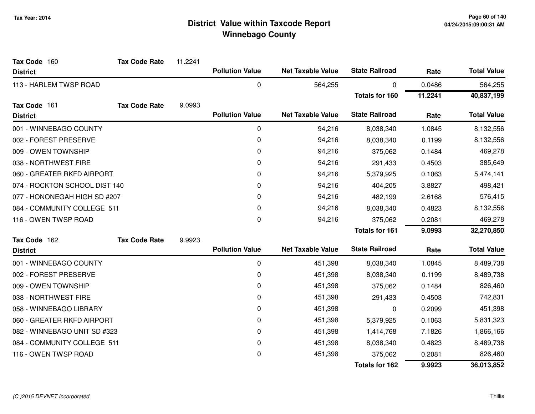| Tax Code 160                  | <b>Tax Code Rate</b> | 11.2241 |                        |                          |                       |         |                    |
|-------------------------------|----------------------|---------|------------------------|--------------------------|-----------------------|---------|--------------------|
| <b>District</b>               |                      |         | <b>Pollution Value</b> | <b>Net Taxable Value</b> | <b>State Railroad</b> | Rate    | <b>Total Value</b> |
| 113 - HARLEM TWSP ROAD        |                      |         | $\pmb{0}$              | 564,255                  | 0                     | 0.0486  | 564,255            |
|                               |                      |         |                        |                          | <b>Totals for 160</b> | 11.2241 | 40,837,199         |
| Tax Code 161                  | <b>Tax Code Rate</b> | 9.0993  |                        |                          |                       |         |                    |
| <b>District</b>               |                      |         | <b>Pollution Value</b> | <b>Net Taxable Value</b> | <b>State Railroad</b> | Rate    | <b>Total Value</b> |
| 001 - WINNEBAGO COUNTY        |                      |         | 0                      | 94,216                   | 8,038,340             | 1.0845  | 8,132,556          |
| 002 - FOREST PRESERVE         |                      |         | 0                      | 94,216                   | 8,038,340             | 0.1199  | 8,132,556          |
| 009 - OWEN TOWNSHIP           |                      |         | 0                      | 94,216                   | 375,062               | 0.1484  | 469,278            |
| 038 - NORTHWEST FIRE          |                      |         | 0                      | 94,216                   | 291,433               | 0.4503  | 385,649            |
| 060 - GREATER RKFD AIRPORT    |                      |         | 0                      | 94,216                   | 5,379,925             | 0.1063  | 5,474,141          |
| 074 - ROCKTON SCHOOL DIST 140 |                      |         | 0                      | 94,216                   | 404,205               | 3.8827  | 498,421            |
| 077 - HONONEGAH HIGH SD #207  |                      |         | 0                      | 94,216                   | 482,199               | 2.6168  | 576,415            |
| 084 - COMMUNITY COLLEGE 511   |                      |         | 0                      | 94,216                   | 8,038,340             | 0.4823  | 8,132,556          |
| 116 - OWEN TWSP ROAD          |                      |         | 0                      | 94,216                   | 375,062               | 0.2081  | 469,278            |
|                               |                      |         |                        |                          | <b>Totals for 161</b> | 9.0993  | 32,270,850         |
| Tax Code 162                  | <b>Tax Code Rate</b> | 9.9923  |                        |                          |                       |         |                    |
| <b>District</b>               |                      |         | <b>Pollution Value</b> | <b>Net Taxable Value</b> | <b>State Railroad</b> | Rate    | <b>Total Value</b> |
| 001 - WINNEBAGO COUNTY        |                      |         | 0                      | 451,398                  | 8,038,340             | 1.0845  | 8,489,738          |
| 002 - FOREST PRESERVE         |                      |         | 0                      | 451,398                  | 8,038,340             | 0.1199  | 8,489,738          |
| 009 - OWEN TOWNSHIP           |                      |         | 0                      | 451,398                  | 375,062               | 0.1484  | 826,460            |
| 038 - NORTHWEST FIRE          |                      |         | 0                      | 451,398                  | 291,433               | 0.4503  | 742,831            |
| 058 - WINNEBAGO LIBRARY       |                      |         | 0                      | 451,398                  | 0                     | 0.2099  | 451,398            |
| 060 - GREATER RKFD AIRPORT    |                      |         | 0                      | 451,398                  | 5,379,925             | 0.1063  | 5,831,323          |
| 082 - WINNEBAGO UNIT SD #323  |                      |         | 0                      | 451,398                  | 1,414,768             | 7.1826  | 1,866,166          |
| 084 - COMMUNITY COLLEGE 511   |                      |         | 0                      | 451,398                  | 8,038,340             | 0.4823  | 8,489,738          |
| 116 - OWEN TWSP ROAD          |                      |         | 0                      | 451,398                  | 375,062               | 0.2081  | 826,460            |
|                               |                      |         |                        |                          | <b>Totals for 162</b> | 9.9923  | 36,013,852         |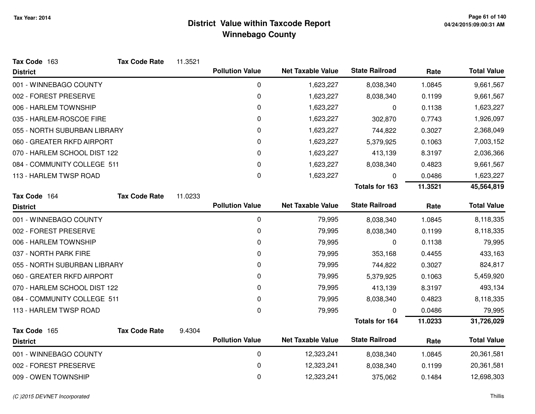| Tax Code 163                 | <b>Tax Code Rate</b> | 11.3521 |                        |                          |                       |         |                    |
|------------------------------|----------------------|---------|------------------------|--------------------------|-----------------------|---------|--------------------|
| <b>District</b>              |                      |         | <b>Pollution Value</b> | <b>Net Taxable Value</b> | <b>State Railroad</b> | Rate    | <b>Total Value</b> |
| 001 - WINNEBAGO COUNTY       |                      |         | 0                      | 1,623,227                | 8,038,340             | 1.0845  | 9,661,567          |
| 002 - FOREST PRESERVE        |                      |         | 0                      | 1,623,227                | 8,038,340             | 0.1199  | 9,661,567          |
| 006 - HARLEM TOWNSHIP        |                      |         | 0                      | 1,623,227                | 0                     | 0.1138  | 1,623,227          |
| 035 - HARLEM-ROSCOE FIRE     |                      |         | 0                      | 1,623,227                | 302,870               | 0.7743  | 1,926,097          |
| 055 - NORTH SUBURBAN LIBRARY |                      |         | 0                      | 1,623,227                | 744,822               | 0.3027  | 2,368,049          |
| 060 - GREATER RKFD AIRPORT   |                      |         | 0                      | 1,623,227                | 5,379,925             | 0.1063  | 7,003,152          |
| 070 - HARLEM SCHOOL DIST 122 |                      |         | 0                      | 1,623,227                | 413,139               | 8.3197  | 2,036,366          |
| 084 - COMMUNITY COLLEGE 511  |                      |         | 0                      | 1,623,227                | 8,038,340             | 0.4823  | 9,661,567          |
| 113 - HARLEM TWSP ROAD       |                      |         | 0                      | 1,623,227                | 0                     | 0.0486  | 1,623,227          |
|                              |                      |         |                        |                          | <b>Totals for 163</b> | 11.3521 | 45,564,819         |
| Tax Code 164                 | <b>Tax Code Rate</b> | 11.0233 |                        |                          |                       |         |                    |
| <b>District</b>              |                      |         | <b>Pollution Value</b> | <b>Net Taxable Value</b> | <b>State Railroad</b> | Rate    | <b>Total Value</b> |
| 001 - WINNEBAGO COUNTY       |                      |         | 0                      | 79,995                   | 8,038,340             | 1.0845  | 8,118,335          |
| 002 - FOREST PRESERVE        |                      |         | 0                      | 79,995                   | 8,038,340             | 0.1199  | 8,118,335          |
| 006 - HARLEM TOWNSHIP        |                      |         | 0                      | 79,995                   | 0                     | 0.1138  | 79,995             |
| 037 - NORTH PARK FIRE        |                      |         | 0                      | 79,995                   | 353,168               | 0.4455  | 433,163            |
| 055 - NORTH SUBURBAN LIBRARY |                      |         | 0                      | 79,995                   | 744,822               | 0.3027  | 824,817            |
| 060 - GREATER RKFD AIRPORT   |                      |         | 0                      | 79,995                   | 5,379,925             | 0.1063  | 5,459,920          |
| 070 - HARLEM SCHOOL DIST 122 |                      |         | 0                      | 79,995                   | 413,139               | 8.3197  | 493,134            |
| 084 - COMMUNITY COLLEGE 511  |                      |         | 0                      | 79,995                   | 8,038,340             | 0.4823  | 8,118,335          |
| 113 - HARLEM TWSP ROAD       |                      |         | 0                      | 79,995                   | 0                     | 0.0486  | 79,995             |
|                              |                      |         |                        |                          | <b>Totals for 164</b> | 11.0233 | 31,726,029         |
| Tax Code 165                 | <b>Tax Code Rate</b> | 9.4304  |                        |                          |                       |         |                    |
| <b>District</b>              |                      |         | <b>Pollution Value</b> | <b>Net Taxable Value</b> | <b>State Railroad</b> | Rate    | <b>Total Value</b> |
| 001 - WINNEBAGO COUNTY       |                      |         | 0                      | 12,323,241               | 8,038,340             | 1.0845  | 20,361,581         |
| 002 - FOREST PRESERVE        |                      |         | $\mathbf 0$            | 12,323,241               | 8,038,340             | 0.1199  | 20,361,581         |
| 009 - OWEN TOWNSHIP          |                      |         | 0                      | 12,323,241               | 375,062               | 0.1484  | 12,698,303         |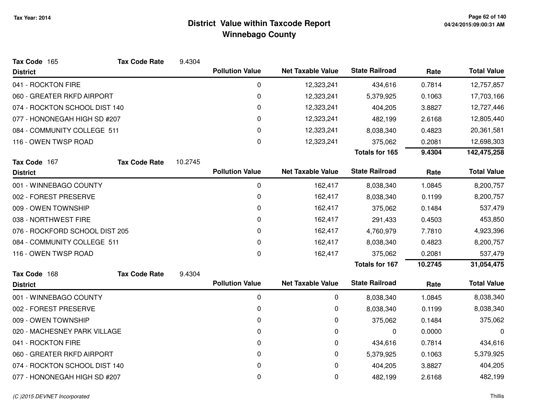| Tax Code 165                   | <b>Tax Code Rate</b> | 9.4304  |                        |                          |                       |         |                    |
|--------------------------------|----------------------|---------|------------------------|--------------------------|-----------------------|---------|--------------------|
| <b>District</b>                |                      |         | <b>Pollution Value</b> | <b>Net Taxable Value</b> | <b>State Railroad</b> | Rate    | <b>Total Value</b> |
| 041 - ROCKTON FIRE             |                      |         | 0                      | 12,323,241               | 434,616               | 0.7814  | 12,757,857         |
| 060 - GREATER RKFD AIRPORT     |                      |         | 0                      | 12,323,241               | 5,379,925             | 0.1063  | 17,703,166         |
| 074 - ROCKTON SCHOOL DIST 140  |                      |         | 0                      | 12,323,241               | 404,205               | 3.8827  | 12,727,446         |
| 077 - HONONEGAH HIGH SD #207   |                      |         | 0                      | 12,323,241               | 482,199               | 2.6168  | 12,805,440         |
| 084 - COMMUNITY COLLEGE 511    |                      |         | 0                      | 12,323,241               | 8,038,340             | 0.4823  | 20,361,581         |
| 116 - OWEN TWSP ROAD           |                      |         | 0                      | 12,323,241               | 375,062               | 0.2081  | 12,698,303         |
|                                |                      |         |                        |                          | <b>Totals for 165</b> | 9.4304  | 142,475,258        |
| Tax Code 167                   | <b>Tax Code Rate</b> | 10.2745 |                        |                          |                       |         |                    |
| <b>District</b>                |                      |         | <b>Pollution Value</b> | <b>Net Taxable Value</b> | <b>State Railroad</b> | Rate    | <b>Total Value</b> |
| 001 - WINNEBAGO COUNTY         |                      |         | 0                      | 162,417                  | 8,038,340             | 1.0845  | 8,200,757          |
| 002 - FOREST PRESERVE          |                      |         | 0                      | 162,417                  | 8,038,340             | 0.1199  | 8,200,757          |
| 009 - OWEN TOWNSHIP            |                      |         | 0                      | 162,417                  | 375,062               | 0.1484  | 537,479            |
| 038 - NORTHWEST FIRE           |                      |         | 0                      | 162,417                  | 291,433               | 0.4503  | 453,850            |
| 076 - ROCKFORD SCHOOL DIST 205 |                      |         | 0                      | 162,417                  | 4,760,979             | 7.7810  | 4,923,396          |
| 084 - COMMUNITY COLLEGE 511    |                      |         | 0                      | 162,417                  | 8,038,340             | 0.4823  | 8,200,757          |
| 116 - OWEN TWSP ROAD           |                      |         | 0                      | 162,417                  | 375,062               | 0.2081  | 537,479            |
|                                |                      |         |                        |                          | <b>Totals for 167</b> | 10.2745 | 31,054,475         |
| Tax Code 168                   | <b>Tax Code Rate</b> | 9.4304  |                        |                          |                       |         |                    |
| <b>District</b>                |                      |         | <b>Pollution Value</b> | <b>Net Taxable Value</b> | <b>State Railroad</b> | Rate    | <b>Total Value</b> |
| 001 - WINNEBAGO COUNTY         |                      |         | 0                      | 0                        | 8,038,340             | 1.0845  | 8,038,340          |
| 002 - FOREST PRESERVE          |                      |         | $\pmb{0}$              | 0                        | 8,038,340             | 0.1199  | 8,038,340          |
| 009 - OWEN TOWNSHIP            |                      |         | 0                      | 0                        | 375,062               | 0.1484  | 375,062            |
| 020 - MACHESNEY PARK VILLAGE   |                      |         | 0                      | 0                        | 0                     | 0.0000  | 0                  |
| 041 - ROCKTON FIRE             |                      |         | 0                      | 0                        | 434,616               | 0.7814  | 434,616            |
| 060 - GREATER RKFD AIRPORT     |                      |         | 0                      | 0                        | 5,379,925             | 0.1063  | 5,379,925          |
| 074 - ROCKTON SCHOOL DIST 140  |                      |         | 0                      | 0                        | 404,205               | 3.8827  | 404,205            |
| 077 - HONONEGAH HIGH SD #207   |                      |         | 0                      | 0                        | 482,199               | 2.6168  | 482,199            |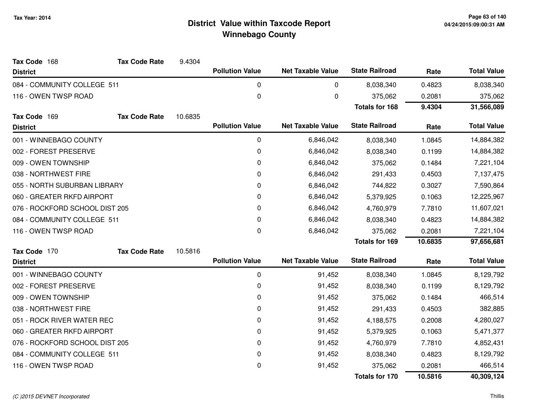| Tax Code 168<br><b>District</b> | <b>Tax Code Rate</b> | 9.4304  | <b>Pollution Value</b> | <b>Net Taxable Value</b> | <b>State Railroad</b>            | Rate             | <b>Total Value</b>    |
|---------------------------------|----------------------|---------|------------------------|--------------------------|----------------------------------|------------------|-----------------------|
| 084 - COMMUNITY COLLEGE 511     |                      |         | $\pmb{0}$              | 0                        |                                  |                  |                       |
|                                 |                      |         |                        |                          | 8,038,340                        | 0.4823           | 8,038,340             |
| 116 - OWEN TWSP ROAD            |                      |         | 0                      | 0                        | 375,062<br><b>Totals for 168</b> | 0.2081<br>9.4304 | 375,062<br>31,566,089 |
| Tax Code 169                    | <b>Tax Code Rate</b> | 10.6835 |                        |                          |                                  |                  |                       |
| <b>District</b>                 |                      |         | <b>Pollution Value</b> | <b>Net Taxable Value</b> | <b>State Railroad</b>            | Rate             | <b>Total Value</b>    |
| 001 - WINNEBAGO COUNTY          |                      |         | 0                      | 6,846,042                | 8,038,340                        | 1.0845           | 14,884,382            |
| 002 - FOREST PRESERVE           |                      |         | 0                      | 6,846,042                | 8,038,340                        | 0.1199           | 14,884,382            |
| 009 - OWEN TOWNSHIP             |                      |         | 0                      | 6,846,042                | 375,062                          | 0.1484           | 7,221,104             |
| 038 - NORTHWEST FIRE            |                      |         | 0                      | 6,846,042                | 291,433                          | 0.4503           | 7,137,475             |
| 055 - NORTH SUBURBAN LIBRARY    |                      | 0       | 6,846,042              | 744,822                  | 0.3027                           | 7,590,864        |                       |
| 060 - GREATER RKFD AIRPORT      |                      | 0       | 6,846,042              | 5,379,925                | 0.1063                           | 12,225,967       |                       |
| 076 - ROCKFORD SCHOOL DIST 205  |                      | 0       | 6,846,042              | 4,760,979                | 7.7810                           | 11,607,021       |                       |
| 084 - COMMUNITY COLLEGE 511     |                      | 0       | 6,846,042              | 8,038,340                | 0.4823                           | 14,884,382       |                       |
| 116 - OWEN TWSP ROAD            |                      |         | $\mathbf 0$            | 6,846,042                | 375,062                          | 0.2081           | 7,221,104             |
|                                 |                      |         |                        |                          | Totals for 169                   | 10.6835          | 97,656,681            |
| Tax Code 170                    | <b>Tax Code Rate</b> | 10.5816 |                        |                          |                                  |                  |                       |
| <b>District</b>                 |                      |         | <b>Pollution Value</b> | <b>Net Taxable Value</b> | <b>State Railroad</b>            | Rate             | <b>Total Value</b>    |
| 001 - WINNEBAGO COUNTY          |                      |         | 0                      | 91,452                   | 8,038,340                        | 1.0845           | 8,129,792             |
| 002 - FOREST PRESERVE           |                      |         | 0                      | 91,452                   | 8,038,340                        | 0.1199           | 8,129,792             |
| 009 - OWEN TOWNSHIP             |                      |         | 0                      | 91,452                   | 375,062                          | 0.1484           | 466,514               |
| 038 - NORTHWEST FIRE            |                      |         | 0                      | 91,452                   | 291,433                          | 0.4503           | 382,885               |
| 051 - ROCK RIVER WATER REC      |                      |         | 0                      | 91,452                   | 4,188,575                        | 0.2008           | 4,280,027             |
| 060 - GREATER RKFD AIRPORT      |                      |         | 0                      | 91,452                   | 5,379,925                        | 0.1063           | 5,471,377             |
| 076 - ROCKFORD SCHOOL DIST 205  |                      |         | 0                      | 91,452                   | 4,760,979                        | 7.7810           | 4,852,431             |
| 084 - COMMUNITY COLLEGE 511     |                      |         | 0                      | 91,452                   | 8,038,340                        | 0.4823           | 8,129,792             |
| 116 - OWEN TWSP ROAD            |                      |         | 0                      | 91,452                   | 375,062                          | 0.2081           | 466,514               |
|                                 |                      |         |                        |                          | <b>Totals for 170</b>            | 10.5816          | 40,309,124            |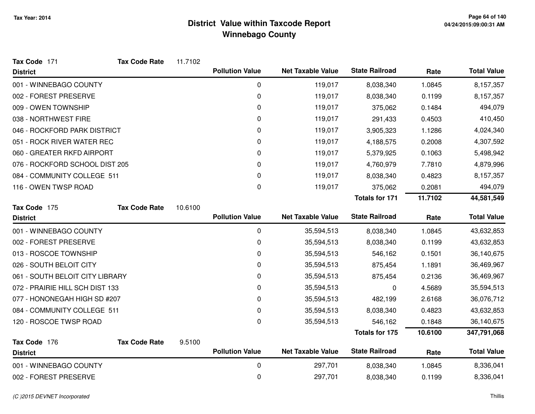| Tax Code 171                    | <b>Tax Code Rate</b> | 11.7102 |                        |                          |                       |         |                    |
|---------------------------------|----------------------|---------|------------------------|--------------------------|-----------------------|---------|--------------------|
| <b>District</b>                 |                      |         | <b>Pollution Value</b> | <b>Net Taxable Value</b> | <b>State Railroad</b> | Rate    | <b>Total Value</b> |
| 001 - WINNEBAGO COUNTY          |                      |         | 0                      | 119,017                  | 8,038,340             | 1.0845  | 8,157,357          |
| 002 - FOREST PRESERVE           |                      |         | 0                      | 119,017                  | 8,038,340             | 0.1199  | 8,157,357          |
| 009 - OWEN TOWNSHIP             |                      |         | 0                      | 119,017                  | 375,062               | 0.1484  | 494,079            |
| 038 - NORTHWEST FIRE            |                      |         | 0                      | 119,017                  | 291,433               | 0.4503  | 410,450            |
| 046 - ROCKFORD PARK DISTRICT    |                      |         | 0                      | 119,017                  | 3,905,323             | 1.1286  | 4,024,340          |
| 051 - ROCK RIVER WATER REC      |                      |         | 0                      | 119,017                  | 4,188,575             | 0.2008  | 4,307,592          |
| 060 - GREATER RKFD AIRPORT      |                      |         | 0                      | 119,017                  | 5,379,925             | 0.1063  | 5,498,942          |
| 076 - ROCKFORD SCHOOL DIST 205  |                      |         | 0                      | 119,017                  | 4,760,979             | 7.7810  | 4,879,996          |
| 084 - COMMUNITY COLLEGE 511     |                      |         | 0                      | 119,017                  | 8,038,340             | 0.4823  | 8,157,357          |
| 116 - OWEN TWSP ROAD            |                      |         | 0                      | 119,017                  | 375,062               | 0.2081  | 494,079            |
|                                 |                      |         |                        |                          | <b>Totals for 171</b> | 11.7102 | 44,581,549         |
| Tax Code 175                    | <b>Tax Code Rate</b> | 10.6100 |                        |                          |                       |         |                    |
| <b>District</b>                 |                      |         | <b>Pollution Value</b> | <b>Net Taxable Value</b> | <b>State Railroad</b> | Rate    | <b>Total Value</b> |
| 001 - WINNEBAGO COUNTY          |                      |         | $\mathbf 0$            | 35,594,513               | 8,038,340             | 1.0845  | 43,632,853         |
| 002 - FOREST PRESERVE           |                      |         | 0                      | 35,594,513               | 8,038,340             | 0.1199  | 43,632,853         |
| 013 - ROSCOE TOWNSHIP           |                      |         | 0                      | 35,594,513               | 546,162               | 0.1501  | 36,140,675         |
| 026 - SOUTH BELOIT CITY         |                      |         | 0                      | 35,594,513               | 875,454               | 1.1891  | 36,469,967         |
| 061 - SOUTH BELOIT CITY LIBRARY |                      |         | 0                      | 35,594,513               | 875,454               | 0.2136  | 36,469,967         |
| 072 - PRAIRIE HILL SCH DIST 133 |                      |         | 0                      | 35,594,513               | 0                     | 4.5689  | 35,594,513         |
| 077 - HONONEGAH HIGH SD #207    |                      |         | 0                      | 35,594,513               | 482,199               | 2.6168  | 36,076,712         |
| 084 - COMMUNITY COLLEGE 511     |                      |         | $\pmb{0}$              | 35,594,513               | 8,038,340             | 0.4823  | 43,632,853         |
| 120 - ROSCOE TWSP ROAD          |                      |         | $\Omega$               | 35,594,513               | 546,162               | 0.1848  | 36,140,675         |
|                                 |                      |         |                        |                          | Totals for 175        | 10.6100 | 347,791,068        |
| Tax Code 176                    | <b>Tax Code Rate</b> | 9.5100  |                        |                          |                       |         |                    |
| <b>District</b>                 |                      |         | <b>Pollution Value</b> | <b>Net Taxable Value</b> | <b>State Railroad</b> | Rate    | <b>Total Value</b> |
| 001 - WINNEBAGO COUNTY          |                      |         | $\boldsymbol{0}$       | 297,701                  | 8,038,340             | 1.0845  | 8,336,041          |
| 002 - FOREST PRESERVE           |                      |         | 0                      | 297,701                  | 8,038,340             | 0.1199  | 8,336,041          |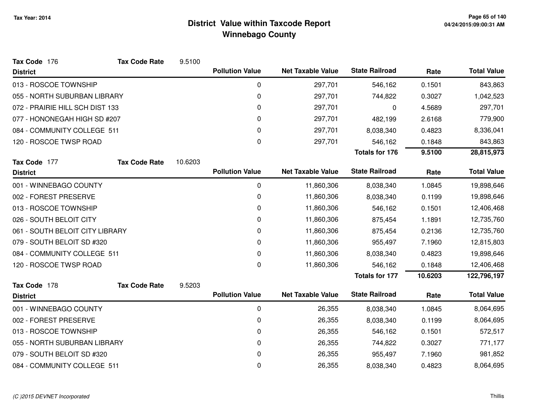| Tax Code 176                    | <b>Tax Code Rate</b> | 9.5100  |                        |                          |                       |         |                    |
|---------------------------------|----------------------|---------|------------------------|--------------------------|-----------------------|---------|--------------------|
| <b>District</b>                 |                      |         | <b>Pollution Value</b> | <b>Net Taxable Value</b> | <b>State Railroad</b> | Rate    | <b>Total Value</b> |
| 013 - ROSCOE TOWNSHIP           |                      |         | $\mathbf 0$            | 297,701                  | 546,162               | 0.1501  | 843,863            |
| 055 - NORTH SUBURBAN LIBRARY    |                      |         | 0                      | 297,701                  | 744,822               | 0.3027  | 1,042,523          |
| 072 - PRAIRIE HILL SCH DIST 133 |                      |         | 0                      | 297,701                  | 0                     | 4.5689  | 297,701            |
| 077 - HONONEGAH HIGH SD #207    |                      | 0       | 297,701                | 482,199                  | 2.6168                | 779,900 |                    |
| 084 - COMMUNITY COLLEGE 511     |                      |         | 0                      | 297,701                  | 8,038,340             | 0.4823  | 8,336,041          |
| 120 - ROSCOE TWSP ROAD          |                      |         | 0                      | 297,701                  | 546,162               | 0.1848  | 843,863            |
|                                 |                      |         |                        |                          | <b>Totals for 176</b> | 9.5100  | 28,815,973         |
| Tax Code 177                    | <b>Tax Code Rate</b> | 10.6203 |                        |                          |                       |         |                    |
| <b>District</b>                 |                      |         | <b>Pollution Value</b> | <b>Net Taxable Value</b> | <b>State Railroad</b> | Rate    | <b>Total Value</b> |
| 001 - WINNEBAGO COUNTY          |                      |         | 0                      | 11,860,306               | 8,038,340             | 1.0845  | 19,898,646         |
| 002 - FOREST PRESERVE           |                      |         | 0                      | 11,860,306               | 8,038,340             | 0.1199  | 19,898,646         |
| 013 - ROSCOE TOWNSHIP           |                      |         | 0                      | 11,860,306               | 546,162               | 0.1501  | 12,406,468         |
| 026 - SOUTH BELOIT CITY         |                      |         | 0                      | 11,860,306               | 875,454               | 1.1891  | 12,735,760         |
| 061 - SOUTH BELOIT CITY LIBRARY |                      |         | 0                      | 11,860,306               | 875,454               | 0.2136  | 12,735,760         |
| 079 - SOUTH BELOIT SD #320      |                      |         | 0                      | 11,860,306               | 955,497               | 7.1960  | 12,815,803         |
| 084 - COMMUNITY COLLEGE 511     |                      |         | 0                      | 11,860,306               | 8,038,340             | 0.4823  | 19,898,646         |
| 120 - ROSCOE TWSP ROAD          |                      |         | 0                      | 11,860,306               | 546,162               | 0.1848  | 12,406,468         |
|                                 |                      |         |                        |                          | <b>Totals for 177</b> | 10.6203 | 122,796,197        |
| Tax Code 178                    | <b>Tax Code Rate</b> | 9.5203  |                        |                          |                       |         |                    |
| <b>District</b>                 |                      |         | <b>Pollution Value</b> | <b>Net Taxable Value</b> | <b>State Railroad</b> | Rate    | <b>Total Value</b> |
| 001 - WINNEBAGO COUNTY          |                      |         | $\pmb{0}$              | 26,355                   | 8,038,340             | 1.0845  | 8,064,695          |
| 002 - FOREST PRESERVE           |                      |         | 0                      | 26,355                   | 8,038,340             | 0.1199  | 8,064,695          |
| 013 - ROSCOE TOWNSHIP           |                      |         | 0                      | 26,355                   | 546,162               | 0.1501  | 572,517            |
| 055 - NORTH SUBURBAN LIBRARY    |                      |         | 0                      | 26,355                   | 744,822               | 0.3027  | 771,177            |
| 079 - SOUTH BELOIT SD #320      |                      |         | 0                      | 26,355                   | 955,497               | 7.1960  | 981,852            |
| 084 - COMMUNITY COLLEGE 511     |                      |         | 0                      | 26,355                   | 8,038,340             | 0.4823  | 8,064,695          |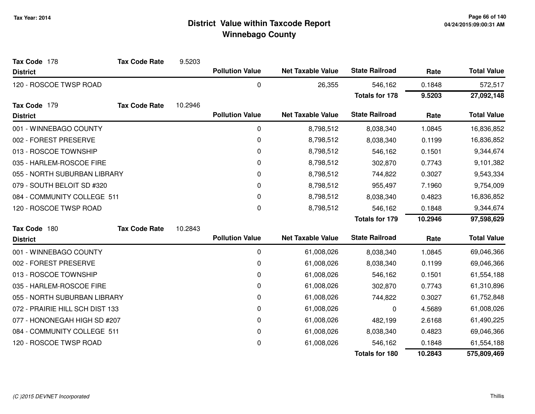| Tax Code 178                    | <b>Tax Code Rate</b> | 9.5203  |                        |                          |                       |            |                    |
|---------------------------------|----------------------|---------|------------------------|--------------------------|-----------------------|------------|--------------------|
| <b>District</b>                 |                      |         | <b>Pollution Value</b> | <b>Net Taxable Value</b> | <b>State Railroad</b> | Rate       | <b>Total Value</b> |
| 120 - ROSCOE TWSP ROAD          |                      |         | 0                      | 26,355                   | 546,162               | 0.1848     | 572,517            |
|                                 |                      |         |                        |                          | <b>Totals for 178</b> | 9.5203     | 27,092,148         |
| Tax Code 179                    | <b>Tax Code Rate</b> | 10.2946 |                        |                          |                       |            |                    |
| <b>District</b>                 |                      |         | <b>Pollution Value</b> | <b>Net Taxable Value</b> | <b>State Railroad</b> | Rate       | <b>Total Value</b> |
| 001 - WINNEBAGO COUNTY          |                      |         | 0                      | 8,798,512                | 8,038,340             | 1.0845     | 16,836,852         |
| 002 - FOREST PRESERVE           |                      |         | 0                      | 8,798,512                | 8,038,340             | 0.1199     | 16,836,852         |
| 013 - ROSCOE TOWNSHIP           |                      |         | 0                      | 8,798,512                | 546,162               | 0.1501     | 9,344,674          |
| 035 - HARLEM-ROSCOE FIRE        |                      |         | 0                      | 8,798,512                | 302,870               | 0.7743     | 9,101,382          |
| 055 - NORTH SUBURBAN LIBRARY    |                      | 0       | 8,798,512              | 744,822                  | 0.3027                | 9,543,334  |                    |
| 079 - SOUTH BELOIT SD #320      |                      |         | 0                      | 8,798,512                | 955,497               | 7.1960     | 9,754,009          |
| 084 - COMMUNITY COLLEGE 511     |                      | 0       | 8,798,512              | 8,038,340                | 0.4823                | 16,836,852 |                    |
| 120 - ROSCOE TWSP ROAD          |                      |         | 0                      | 8,798,512                | 546,162               | 0.1848     | 9,344,674          |
|                                 |                      |         |                        |                          | <b>Totals for 179</b> | 10.2946    | 97,598,629         |
| Tax Code 180                    | <b>Tax Code Rate</b> | 10.2843 |                        |                          |                       |            |                    |
| <b>District</b>                 |                      |         | <b>Pollution Value</b> | <b>Net Taxable Value</b> | <b>State Railroad</b> | Rate       | <b>Total Value</b> |
| 001 - WINNEBAGO COUNTY          |                      |         | 0                      | 61,008,026               | 8,038,340             | 1.0845     | 69,046,366         |
| 002 - FOREST PRESERVE           |                      |         | 0                      | 61,008,026               | 8,038,340             | 0.1199     | 69,046,366         |
| 013 - ROSCOE TOWNSHIP           |                      |         | 0                      | 61,008,026               | 546,162               | 0.1501     | 61,554,188         |
| 035 - HARLEM-ROSCOE FIRE        |                      |         | 0                      | 61,008,026               | 302,870               | 0.7743     | 61,310,896         |
| 055 - NORTH SUBURBAN LIBRARY    |                      |         | 0                      | 61,008,026               | 744,822               | 0.3027     | 61,752,848         |
| 072 - PRAIRIE HILL SCH DIST 133 |                      |         | 0                      | 61,008,026               | 0                     | 4.5689     | 61,008,026         |
| 077 - HONONEGAH HIGH SD #207    |                      |         | 0                      | 61,008,026               | 482,199               | 2.6168     | 61,490,225         |
| 084 - COMMUNITY COLLEGE 511     |                      |         | 0                      | 61,008,026               | 8,038,340             | 0.4823     | 69,046,366         |
| 120 - ROSCOE TWSP ROAD          |                      |         | 0                      | 61,008,026               | 546,162               | 0.1848     | 61,554,188         |
|                                 |                      |         |                        |                          | <b>Totals for 180</b> | 10.2843    | 575,809,469        |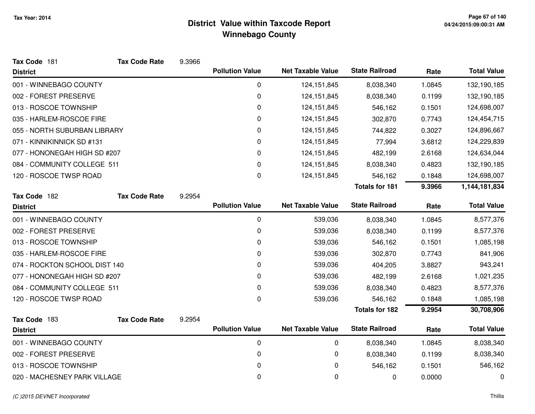| Tax Code 181                  | <b>Tax Code Rate</b> | 9.3966 |                        |                          |                       |        |                    |
|-------------------------------|----------------------|--------|------------------------|--------------------------|-----------------------|--------|--------------------|
| <b>District</b>               |                      |        | <b>Pollution Value</b> | <b>Net Taxable Value</b> | <b>State Railroad</b> | Rate   | <b>Total Value</b> |
| 001 - WINNEBAGO COUNTY        |                      |        | 0                      | 124, 151, 845            | 8,038,340             | 1.0845 | 132,190,185        |
| 002 - FOREST PRESERVE         |                      |        | 0                      | 124, 151, 845            | 8,038,340             | 0.1199 | 132,190,185        |
| 013 - ROSCOE TOWNSHIP         |                      |        | 0                      | 124, 151, 845            | 546,162               | 0.1501 | 124,698,007        |
| 035 - HARLEM-ROSCOE FIRE      |                      |        | 0                      | 124,151,845              | 302,870               | 0.7743 | 124,454,715        |
| 055 - NORTH SUBURBAN LIBRARY  |                      |        | 0                      | 124,151,845              | 744,822               | 0.3027 | 124,896,667        |
| 071 - KINNIKINNICK SD #131    |                      |        | $\Omega$               | 124,151,845              | 77,994                | 3.6812 | 124,229,839        |
| 077 - HONONEGAH HIGH SD #207  |                      |        | 0                      | 124, 151, 845            | 482,199               | 2.6168 | 124,634,044        |
| 084 - COMMUNITY COLLEGE 511   |                      |        | 0                      | 124, 151, 845            | 8,038,340             | 0.4823 | 132,190,185        |
| 120 - ROSCOE TWSP ROAD        |                      |        | 0                      | 124,151,845              | 546,162               | 0.1848 | 124,698,007        |
|                               |                      |        |                        |                          | <b>Totals for 181</b> | 9.3966 | 1,144,181,834      |
| Tax Code 182                  | <b>Tax Code Rate</b> | 9.2954 |                        |                          |                       |        |                    |
| <b>District</b>               |                      |        | <b>Pollution Value</b> | <b>Net Taxable Value</b> | <b>State Railroad</b> | Rate   | <b>Total Value</b> |
| 001 - WINNEBAGO COUNTY        |                      |        | 0                      | 539,036                  | 8,038,340             | 1.0845 | 8,577,376          |
| 002 - FOREST PRESERVE         |                      |        | 0                      | 539,036                  | 8,038,340             | 0.1199 | 8,577,376          |
| 013 - ROSCOE TOWNSHIP         |                      |        | 0                      | 539,036                  | 546,162               | 0.1501 | 1,085,198          |
| 035 - HARLEM-ROSCOE FIRE      |                      |        | 0                      | 539,036                  | 302,870               | 0.7743 | 841,906            |
| 074 - ROCKTON SCHOOL DIST 140 |                      |        | 0                      | 539,036                  | 404,205               | 3.8827 | 943,241            |
| 077 - HONONEGAH HIGH SD #207  |                      |        | 0                      | 539,036                  | 482,199               | 2.6168 | 1,021,235          |
| 084 - COMMUNITY COLLEGE 511   |                      |        | 0                      | 539,036                  | 8,038,340             | 0.4823 | 8,577,376          |
| 120 - ROSCOE TWSP ROAD        |                      |        | 0                      | 539,036                  | 546,162               | 0.1848 | 1,085,198          |
|                               |                      |        |                        |                          | <b>Totals for 182</b> | 9.2954 | 30,708,906         |
| Tax Code 183                  | <b>Tax Code Rate</b> | 9.2954 |                        |                          |                       |        |                    |
| <b>District</b>               |                      |        | <b>Pollution Value</b> | <b>Net Taxable Value</b> | <b>State Railroad</b> | Rate   | <b>Total Value</b> |
| 001 - WINNEBAGO COUNTY        |                      |        | 0                      | 0                        | 8,038,340             | 1.0845 | 8,038,340          |
| 002 - FOREST PRESERVE         |                      |        | 0                      | $\pmb{0}$                | 8,038,340             | 0.1199 | 8,038,340          |
| 013 - ROSCOE TOWNSHIP         |                      |        | 0                      | 0                        | 546,162               | 0.1501 | 546,162            |
| 020 - MACHESNEY PARK VILLAGE  |                      |        | 0                      | 0                        | 0                     | 0.0000 | 0                  |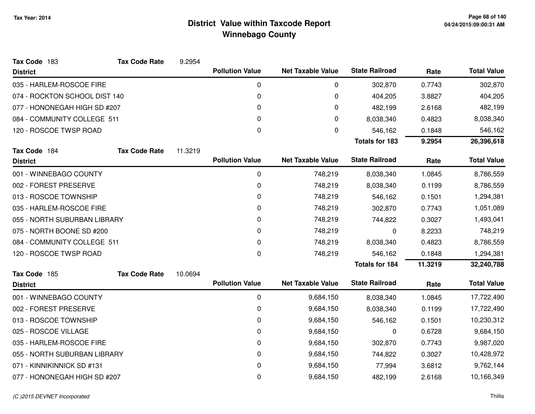| Tax Code 183                  | <b>Tax Code Rate</b> | 9.2954            |                        |                          |                       |         |                    |
|-------------------------------|----------------------|-------------------|------------------------|--------------------------|-----------------------|---------|--------------------|
| <b>District</b>               |                      |                   | <b>Pollution Value</b> | <b>Net Taxable Value</b> | <b>State Railroad</b> | Rate    | <b>Total Value</b> |
| 035 - HARLEM-ROSCOE FIRE      |                      |                   | 0                      | 0                        | 302,870               | 0.7743  | 302,870            |
| 074 - ROCKTON SCHOOL DIST 140 |                      |                   | 0                      | 0                        | 404,205               | 3.8827  | 404,205            |
| 077 - HONONEGAH HIGH SD #207  |                      |                   | 0                      | 0                        | 482,199               | 2.6168  | 482,199            |
| 084 - COMMUNITY COLLEGE 511   |                      |                   | 0                      | 0                        | 8,038,340             | 0.4823  | 8,038,340          |
| 120 - ROSCOE TWSP ROAD        |                      | 0<br>0<br>546,162 |                        | 0.1848                   | 546,162               |         |                    |
|                               |                      |                   |                        |                          | <b>Totals for 183</b> | 9.2954  | 26,396,618         |
| Tax Code 184                  | <b>Tax Code Rate</b> | 11.3219           |                        |                          |                       |         |                    |
| <b>District</b>               |                      |                   | <b>Pollution Value</b> | <b>Net Taxable Value</b> | <b>State Railroad</b> | Rate    | <b>Total Value</b> |
| 001 - WINNEBAGO COUNTY        |                      |                   | 0                      | 748,219                  | 8,038,340             | 1.0845  | 8,786,559          |
| 002 - FOREST PRESERVE         |                      |                   | 0                      | 748,219                  | 8,038,340             | 0.1199  | 8,786,559          |
| 013 - ROSCOE TOWNSHIP         |                      |                   | 0                      | 748,219                  | 546,162               | 0.1501  | 1,294,381          |
| 035 - HARLEM-ROSCOE FIRE      |                      |                   | 0                      | 748,219                  | 302,870               | 0.7743  | 1,051,089          |
| 055 - NORTH SUBURBAN LIBRARY  |                      |                   | 0                      | 748,219                  | 744,822               | 0.3027  | 1,493,041          |
| 075 - NORTH BOONE SD #200     |                      |                   | 0                      | 748,219                  | 0                     | 8.2233  | 748,219            |
| 084 - COMMUNITY COLLEGE 511   |                      |                   | 0                      | 748,219                  | 8,038,340             | 0.4823  | 8,786,559          |
| 120 - ROSCOE TWSP ROAD        |                      |                   | 0                      | 748,219                  | 546,162               | 0.1848  | 1,294,381          |
|                               |                      |                   |                        |                          | <b>Totals for 184</b> | 11.3219 | 32,240,788         |
| Tax Code 185                  | <b>Tax Code Rate</b> | 10.0694           |                        |                          |                       |         |                    |
| <b>District</b>               |                      |                   | <b>Pollution Value</b> | <b>Net Taxable Value</b> | <b>State Railroad</b> | Rate    | <b>Total Value</b> |
| 001 - WINNEBAGO COUNTY        |                      |                   | 0                      | 9,684,150                | 8,038,340             | 1.0845  | 17,722,490         |
| 002 - FOREST PRESERVE         |                      |                   | 0                      | 9,684,150                | 8,038,340             | 0.1199  | 17,722,490         |
| 013 - ROSCOE TOWNSHIP         |                      |                   | 0                      | 9,684,150                | 546,162               | 0.1501  | 10,230,312         |
| 025 - ROSCOE VILLAGE          |                      |                   | 0                      | 9,684,150                | 0                     | 0.6728  | 9,684,150          |
| 035 - HARLEM-ROSCOE FIRE      |                      |                   | 0                      | 9,684,150                | 302,870               | 0.7743  | 9,987,020          |
| 055 - NORTH SUBURBAN LIBRARY  |                      |                   | 0                      | 9,684,150                | 744,822               | 0.3027  | 10,428,972         |
| 071 - KINNIKINNICK SD #131    |                      |                   | 0                      | 9,684,150                | 77,994                | 3.6812  | 9,762,144          |
| 077 - HONONEGAH HIGH SD #207  |                      |                   | 0                      | 9,684,150                | 482,199               | 2.6168  | 10,166,349         |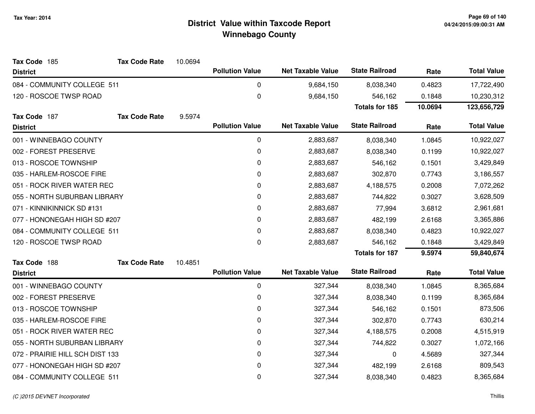| Tax Code 185                    | <b>Tax Code Rate</b>         | 10.0694 |                        |                          |                       |         |                    |
|---------------------------------|------------------------------|---------|------------------------|--------------------------|-----------------------|---------|--------------------|
| <b>District</b>                 |                              |         | <b>Pollution Value</b> | <b>Net Taxable Value</b> | <b>State Railroad</b> | Rate    | <b>Total Value</b> |
| 084 - COMMUNITY COLLEGE 511     |                              |         | $\mathbf 0$            | 9,684,150                | 8,038,340             | 0.4823  | 17,722,490         |
| 120 - ROSCOE TWSP ROAD          |                              |         | $\boldsymbol{0}$       | 9,684,150                | 546,162               | 0.1848  | 10,230,312         |
|                                 |                              |         |                        |                          | <b>Totals for 185</b> | 10.0694 | 123,656,729        |
| Tax Code 187                    | <b>Tax Code Rate</b>         | 9.5974  |                        |                          |                       |         |                    |
| <b>District</b>                 |                              |         | <b>Pollution Value</b> | <b>Net Taxable Value</b> | <b>State Railroad</b> | Rate    | <b>Total Value</b> |
| 001 - WINNEBAGO COUNTY          |                              |         | $\mathbf 0$            | 2,883,687                | 8,038,340             | 1.0845  | 10,922,027         |
| 002 - FOREST PRESERVE           |                              |         | $\mathbf 0$            | 2,883,687                | 8,038,340             | 0.1199  | 10,922,027         |
| 013 - ROSCOE TOWNSHIP           |                              |         | $\mathbf 0$            | 2,883,687                | 546,162               | 0.1501  | 3,429,849          |
| 035 - HARLEM-ROSCOE FIRE        |                              |         | $\mathbf 0$            | 2,883,687                | 302,870               | 0.7743  | 3,186,557          |
| 051 - ROCK RIVER WATER REC      |                              |         | 0                      | 2,883,687                | 4,188,575             | 0.2008  | 7,072,262          |
| 055 - NORTH SUBURBAN LIBRARY    |                              |         | 0                      | 2,883,687                | 744,822               | 0.3027  | 3,628,509          |
| 071 - KINNIKINNICK SD #131      |                              |         | 0                      | 2,883,687                | 77,994                | 3.6812  | 2,961,681          |
|                                 | 077 - HONONEGAH HIGH SD #207 |         | 0                      | 2,883,687                | 482,199               | 2.6168  | 3,365,886          |
|                                 | 084 - COMMUNITY COLLEGE 511  |         | $\mathbf 0$            | 2,883,687                | 8,038,340             | 0.4823  | 10,922,027         |
| 120 - ROSCOE TWSP ROAD          |                              |         | 0                      | 2,883,687                | 546,162               | 0.1848  | 3,429,849          |
|                                 |                              |         |                        |                          | <b>Totals for 187</b> | 9.5974  | 59,840,674         |
| Tax Code 188                    | <b>Tax Code Rate</b>         | 10.4851 |                        |                          |                       |         |                    |
| <b>District</b>                 |                              |         | <b>Pollution Value</b> | <b>Net Taxable Value</b> | <b>State Railroad</b> | Rate    | <b>Total Value</b> |
| 001 - WINNEBAGO COUNTY          |                              |         | 0                      | 327,344                  | 8,038,340             | 1.0845  | 8,365,684          |
| 002 - FOREST PRESERVE           |                              |         | 0                      | 327,344                  | 8,038,340             | 0.1199  | 8,365,684          |
| 013 - ROSCOE TOWNSHIP           |                              |         | $\mathbf 0$            | 327,344                  | 546,162               | 0.1501  | 873,506            |
| 035 - HARLEM-ROSCOE FIRE        |                              |         | 0                      | 327,344                  | 302,870               | 0.7743  | 630,214            |
| 051 - ROCK RIVER WATER REC      |                              |         | 0                      | 327,344                  | 4,188,575             | 0.2008  | 4,515,919          |
| 055 - NORTH SUBURBAN LIBRARY    |                              |         | 0                      | 327,344                  | 744,822               | 0.3027  | 1,072,166          |
| 072 - PRAIRIE HILL SCH DIST 133 |                              |         | 0                      | 327,344                  | 0                     | 4.5689  | 327,344            |
| 077 - HONONEGAH HIGH SD #207    |                              |         | 0                      | 327,344                  | 482,199               | 2.6168  | 809,543            |
| 084 - COMMUNITY COLLEGE 511     |                              |         | 0                      | 327,344                  | 8,038,340             | 0.4823  | 8,365,684          |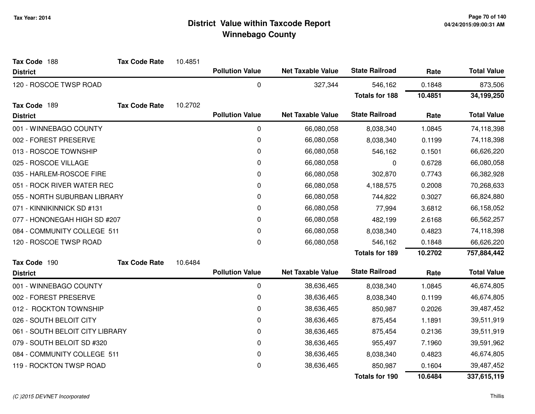| Tax Code 188                    | <b>Tax Code Rate</b> | 10.4851 |                        |                          |                       |         |                    |
|---------------------------------|----------------------|---------|------------------------|--------------------------|-----------------------|---------|--------------------|
| <b>District</b>                 |                      |         | <b>Pollution Value</b> | <b>Net Taxable Value</b> | <b>State Railroad</b> | Rate    | <b>Total Value</b> |
| 120 - ROSCOE TWSP ROAD          |                      |         | 0                      | 327,344                  | 546,162               | 0.1848  | 873,506            |
|                                 |                      |         |                        |                          | <b>Totals for 188</b> | 10.4851 | 34,199,250         |
| Tax Code 189                    | <b>Tax Code Rate</b> | 10.2702 |                        |                          |                       |         |                    |
| <b>District</b>                 |                      |         | <b>Pollution Value</b> | <b>Net Taxable Value</b> | <b>State Railroad</b> | Rate    | <b>Total Value</b> |
| 001 - WINNEBAGO COUNTY          |                      |         | $\mathbf 0$            | 66,080,058               | 8,038,340             | 1.0845  | 74,118,398         |
| 002 - FOREST PRESERVE           |                      |         | 0                      | 66,080,058               | 8,038,340             | 0.1199  | 74,118,398         |
| 013 - ROSCOE TOWNSHIP           |                      |         | $\pmb{0}$              | 66,080,058               | 546,162               | 0.1501  | 66,626,220         |
| 025 - ROSCOE VILLAGE            |                      |         | 0                      | 66,080,058               | 0                     | 0.6728  | 66,080,058         |
| 035 - HARLEM-ROSCOE FIRE        |                      |         | 0                      | 66,080,058               | 302,870               | 0.7743  | 66,382,928         |
| 051 - ROCK RIVER WATER REC      |                      |         | $\mathbf 0$            | 66,080,058               | 4,188,575             | 0.2008  | 70,268,633         |
| 055 - NORTH SUBURBAN LIBRARY    |                      |         | 0                      | 66,080,058               | 744,822               | 0.3027  | 66,824,880         |
| 071 - KINNIKINNICK SD #131      |                      |         | $\mathbf 0$            | 66,080,058               | 77,994                | 3.6812  | 66,158,052         |
| 077 - HONONEGAH HIGH SD #207    |                      |         | $\pmb{0}$              | 66,080,058               | 482,199               | 2.6168  | 66,562,257         |
| 084 - COMMUNITY COLLEGE 511     |                      |         | 0                      | 66,080,058               | 8,038,340             | 0.4823  | 74,118,398         |
| 120 - ROSCOE TWSP ROAD          |                      |         | $\pmb{0}$              | 66,080,058               | 546,162               | 0.1848  | 66,626,220         |
|                                 |                      |         |                        |                          | <b>Totals for 189</b> | 10.2702 | 757,884,442        |
| Tax Code 190                    | <b>Tax Code Rate</b> | 10.6484 |                        |                          |                       |         |                    |
| <b>District</b>                 |                      |         | <b>Pollution Value</b> | <b>Net Taxable Value</b> | <b>State Railroad</b> | Rate    | <b>Total Value</b> |
| 001 - WINNEBAGO COUNTY          |                      |         | 0                      | 38,636,465               | 8,038,340             | 1.0845  | 46,674,805         |
| 002 - FOREST PRESERVE           |                      |         | $\pmb{0}$              | 38,636,465               | 8,038,340             | 0.1199  | 46,674,805         |
| 012 - ROCKTON TOWNSHIP          |                      |         | 0                      | 38,636,465               | 850,987               | 0.2026  | 39,487,452         |
| 026 - SOUTH BELOIT CITY         |                      |         | $\mathbf 0$            | 38,636,465               | 875,454               | 1.1891  | 39,511,919         |
| 061 - SOUTH BELOIT CITY LIBRARY |                      |         | 0                      | 38,636,465               | 875,454               | 0.2136  | 39,511,919         |
| 079 - SOUTH BELOIT SD #320      |                      |         | 0                      | 38,636,465               | 955,497               | 7.1960  | 39,591,962         |
| 084 - COMMUNITY COLLEGE 511     |                      |         | $\mathbf 0$            | 38,636,465               | 8,038,340             | 0.4823  | 46,674,805         |
| 119 - ROCKTON TWSP ROAD         |                      |         | $\mathbf 0$            | 38,636,465               | 850,987               | 0.1604  | 39,487,452         |
|                                 |                      |         |                        |                          | <b>Totals for 190</b> | 10.6484 | 337,615,119        |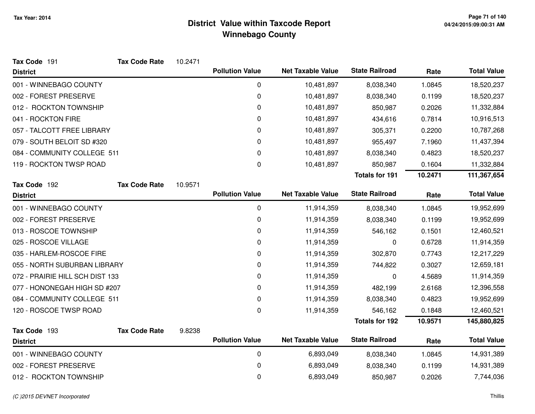| Tax Code 191                    | <b>Tax Code Rate</b> | 10.2471 |                        |                          |                       |         |                    |
|---------------------------------|----------------------|---------|------------------------|--------------------------|-----------------------|---------|--------------------|
| <b>District</b>                 |                      |         | <b>Pollution Value</b> | <b>Net Taxable Value</b> | <b>State Railroad</b> | Rate    | <b>Total Value</b> |
| 001 - WINNEBAGO COUNTY          |                      |         | 0                      | 10,481,897               | 8,038,340             | 1.0845  | 18,520,237         |
| 002 - FOREST PRESERVE           |                      |         | 0                      | 10,481,897               | 8,038,340             | 0.1199  | 18,520,237         |
| 012 - ROCKTON TOWNSHIP          |                      |         | 0                      | 10,481,897               | 850,987               | 0.2026  | 11,332,884         |
| 041 - ROCKTON FIRE              |                      |         | 0                      | 10,481,897               | 434,616               | 0.7814  | 10,916,513         |
| 057 - TALCOTT FREE LIBRARY      |                      |         | 0                      | 10,481,897               | 305,371               | 0.2200  | 10,787,268         |
| 079 - SOUTH BELOIT SD #320      |                      |         | 0                      | 10,481,897               | 955,497               | 7.1960  | 11,437,394         |
| 084 - COMMUNITY COLLEGE 511     |                      |         | 0                      | 10,481,897               | 8,038,340             | 0.4823  | 18,520,237         |
| 119 - ROCKTON TWSP ROAD         |                      |         | 0                      | 10,481,897               | 850,987               | 0.1604  | 11,332,884         |
|                                 |                      |         |                        |                          | <b>Totals for 191</b> | 10.2471 | 111,367,654        |
| Tax Code 192                    | <b>Tax Code Rate</b> | 10.9571 |                        |                          |                       |         |                    |
| <b>District</b>                 |                      |         | <b>Pollution Value</b> | <b>Net Taxable Value</b> | <b>State Railroad</b> | Rate    | <b>Total Value</b> |
| 001 - WINNEBAGO COUNTY          |                      |         | $\mathbf 0$            | 11,914,359               | 8,038,340             | 1.0845  | 19,952,699         |
| 002 - FOREST PRESERVE           |                      |         | 0                      | 11,914,359               | 8,038,340             | 0.1199  | 19,952,699         |
| 013 - ROSCOE TOWNSHIP           |                      |         | 0                      | 11,914,359               | 546,162               | 0.1501  | 12,460,521         |
| 025 - ROSCOE VILLAGE            |                      |         | 0                      | 11,914,359               | 0                     | 0.6728  | 11,914,359         |
| 035 - HARLEM-ROSCOE FIRE        |                      |         | 0                      | 11,914,359               | 302,870               | 0.7743  | 12,217,229         |
| 055 - NORTH SUBURBAN LIBRARY    |                      |         | 0                      | 11,914,359               | 744,822               | 0.3027  | 12,659,181         |
| 072 - PRAIRIE HILL SCH DIST 133 |                      |         | 0                      | 11,914,359               | 0                     | 4.5689  | 11,914,359         |
| 077 - HONONEGAH HIGH SD #207    |                      |         | 0                      | 11,914,359               | 482,199               | 2.6168  | 12,396,558         |
| 084 - COMMUNITY COLLEGE 511     |                      |         | 0                      | 11,914,359               | 8,038,340             | 0.4823  | 19,952,699         |
| 120 - ROSCOE TWSP ROAD          |                      |         | 0                      | 11,914,359               | 546,162               | 0.1848  | 12,460,521         |
|                                 |                      |         |                        |                          | <b>Totals for 192</b> | 10.9571 | 145,880,825        |
| Tax Code 193                    | <b>Tax Code Rate</b> | 9.8238  |                        |                          |                       |         |                    |
| <b>District</b>                 |                      |         | <b>Pollution Value</b> | <b>Net Taxable Value</b> | <b>State Railroad</b> | Rate    | <b>Total Value</b> |
| 001 - WINNEBAGO COUNTY          |                      |         | $\pmb{0}$              | 6,893,049                | 8,038,340             | 1.0845  | 14,931,389         |
| 002 - FOREST PRESERVE           |                      |         | 0                      | 6,893,049                | 8,038,340             | 0.1199  | 14,931,389         |
| 012 - ROCKTON TOWNSHIP          |                      |         | 0                      | 6,893,049                | 850,987               | 0.2026  | 7,744,036          |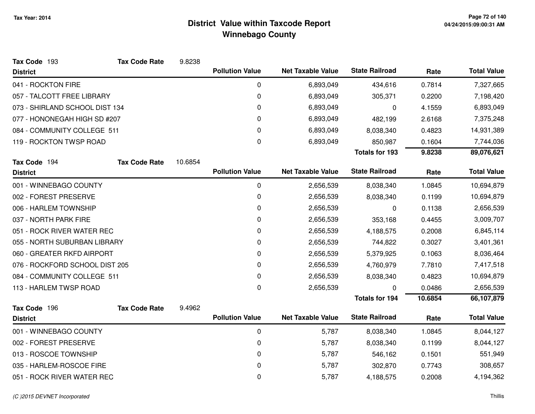| Tax Code 193                   | <b>Tax Code Rate</b> | 9.8238  |                        |                          |                       |         |                    |
|--------------------------------|----------------------|---------|------------------------|--------------------------|-----------------------|---------|--------------------|
| <b>District</b>                |                      |         | <b>Pollution Value</b> | <b>Net Taxable Value</b> | <b>State Railroad</b> | Rate    | <b>Total Value</b> |
| 041 - ROCKTON FIRE             |                      |         | 0                      | 6,893,049                | 434,616               | 0.7814  | 7,327,665          |
| 057 - TALCOTT FREE LIBRARY     |                      |         | 0                      | 6,893,049                | 305,371               | 0.2200  | 7,198,420          |
| 073 - SHIRLAND SCHOOL DIST 134 |                      |         | 0                      | 6,893,049                | $\mathbf{0}$          | 4.1559  | 6,893,049          |
| 077 - HONONEGAH HIGH SD #207   |                      |         | 0                      | 6,893,049                | 482,199               | 2.6168  | 7,375,248          |
| 084 - COMMUNITY COLLEGE 511    |                      |         | 0                      | 6,893,049                | 8,038,340             | 0.4823  | 14,931,389         |
| 119 - ROCKTON TWSP ROAD        |                      |         | 0                      | 6,893,049                | 850,987               | 0.1604  | 7,744,036          |
|                                |                      |         |                        |                          | <b>Totals for 193</b> | 9.8238  | 89,076,621         |
| Tax Code 194                   | <b>Tax Code Rate</b> | 10.6854 |                        |                          |                       |         |                    |
| <b>District</b>                |                      |         | <b>Pollution Value</b> | <b>Net Taxable Value</b> | <b>State Railroad</b> | Rate    | <b>Total Value</b> |
| 001 - WINNEBAGO COUNTY         |                      |         | 0                      | 2,656,539                | 8,038,340             | 1.0845  | 10,694,879         |
| 002 - FOREST PRESERVE          |                      |         | 0                      | 2,656,539                | 8,038,340             | 0.1199  | 10,694,879         |
| 006 - HARLEM TOWNSHIP          |                      |         | 0                      | 2,656,539                | 0                     | 0.1138  | 2,656,539          |
| 037 - NORTH PARK FIRE          |                      |         | 0                      | 2,656,539                | 353,168               | 0.4455  | 3,009,707          |
| 051 - ROCK RIVER WATER REC     |                      |         | 0                      | 2,656,539                | 4,188,575             | 0.2008  | 6,845,114          |
| 055 - NORTH SUBURBAN LIBRARY   |                      |         | 0                      | 2,656,539                | 744,822               | 0.3027  | 3,401,361          |
| 060 - GREATER RKFD AIRPORT     |                      |         | 0                      | 2,656,539                | 5,379,925             | 0.1063  | 8,036,464          |
| 076 - ROCKFORD SCHOOL DIST 205 |                      |         | 0                      | 2,656,539                | 4,760,979             | 7.7810  | 7,417,518          |
| 084 - COMMUNITY COLLEGE 511    |                      |         | 0                      | 2,656,539                | 8,038,340             | 0.4823  | 10,694,879         |
| 113 - HARLEM TWSP ROAD         |                      |         | 0                      | 2,656,539                | 0                     | 0.0486  | 2,656,539          |
|                                |                      |         |                        |                          | <b>Totals for 194</b> | 10.6854 | 66,107,879         |
| Tax Code 196                   | <b>Tax Code Rate</b> | 9.4962  | <b>Pollution Value</b> | <b>Net Taxable Value</b> | <b>State Railroad</b> |         | <b>Total Value</b> |
| <b>District</b>                |                      |         |                        |                          |                       | Rate    |                    |
| 001 - WINNEBAGO COUNTY         |                      |         | 0                      | 5,787                    | 8,038,340             | 1.0845  | 8,044,127          |
| 002 - FOREST PRESERVE          |                      |         | 0                      | 5,787                    | 8,038,340             | 0.1199  | 8,044,127          |
| 013 - ROSCOE TOWNSHIP          |                      |         | $\pmb{0}$              | 5,787                    | 546,162               | 0.1501  | 551,949            |
| 035 - HARLEM-ROSCOE FIRE       |                      |         | 0                      | 5,787                    | 302,870               | 0.7743  | 308,657            |
| 051 - ROCK RIVER WATER REC     |                      |         | 0                      | 5,787                    | 4,188,575             | 0.2008  | 4,194,362          |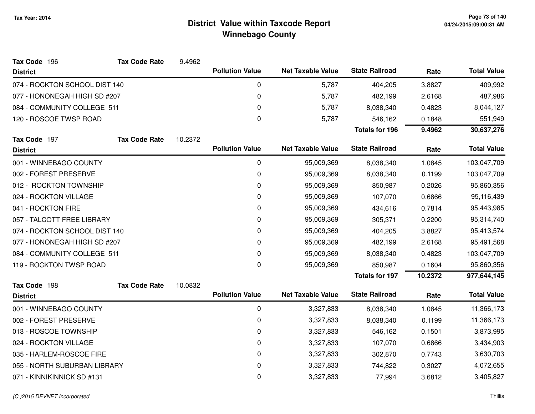| Tax Code 196                  | <b>Tax Code Rate</b> | 9.4962  |                        |                          |                       |         |                    |
|-------------------------------|----------------------|---------|------------------------|--------------------------|-----------------------|---------|--------------------|
| <b>District</b>               |                      |         | <b>Pollution Value</b> | <b>Net Taxable Value</b> | <b>State Railroad</b> | Rate    | <b>Total Value</b> |
| 074 - ROCKTON SCHOOL DIST 140 |                      |         | 0                      | 5,787                    | 404,205               | 3.8827  | 409,992            |
| 077 - HONONEGAH HIGH SD #207  |                      |         | 0                      | 5,787                    | 482,199               | 2.6168  | 487,986            |
| 084 - COMMUNITY COLLEGE 511   |                      |         | 0                      | 5,787                    | 8,038,340             | 0.4823  | 8,044,127          |
| 120 - ROSCOE TWSP ROAD        |                      |         | 0                      | 5,787                    | 546,162               | 0.1848  | 551,949            |
|                               |                      |         |                        |                          | <b>Totals for 196</b> | 9.4962  | 30,637,276         |
| Tax Code 197                  | <b>Tax Code Rate</b> | 10.2372 |                        |                          |                       |         |                    |
| <b>District</b>               |                      |         | <b>Pollution Value</b> | <b>Net Taxable Value</b> | <b>State Railroad</b> | Rate    | <b>Total Value</b> |
| 001 - WINNEBAGO COUNTY        |                      |         | 0                      | 95,009,369               | 8,038,340             | 1.0845  | 103,047,709        |
| 002 - FOREST PRESERVE         |                      |         | 0                      | 95,009,369               | 8,038,340             | 0.1199  | 103,047,709        |
| 012 - ROCKTON TOWNSHIP        |                      |         | 0                      | 95,009,369               | 850,987               | 0.2026  | 95,860,356         |
| 024 - ROCKTON VILLAGE         |                      |         | 0                      | 95,009,369               | 107,070               | 0.6866  | 95,116,439         |
| 041 - ROCKTON FIRE            |                      |         | 0                      | 95,009,369               | 434,616               | 0.7814  | 95,443,985         |
| 057 - TALCOTT FREE LIBRARY    |                      |         | 0                      | 95,009,369               | 305,371               | 0.2200  | 95,314,740         |
| 074 - ROCKTON SCHOOL DIST 140 |                      |         | 0                      | 95,009,369               | 404,205               | 3.8827  | 95,413,574         |
| 077 - HONONEGAH HIGH SD #207  |                      |         | 0                      | 95,009,369               | 482,199               | 2.6168  | 95,491,568         |
| 084 - COMMUNITY COLLEGE 511   |                      |         | 0                      | 95,009,369               | 8,038,340             | 0.4823  | 103,047,709        |
| 119 - ROCKTON TWSP ROAD       |                      |         | 0                      | 95,009,369               | 850,987               | 0.1604  | 95,860,356         |
|                               |                      |         |                        |                          | <b>Totals for 197</b> | 10.2372 | 977,644,145        |
| Tax Code 198                  | <b>Tax Code Rate</b> | 10.0832 |                        |                          |                       |         |                    |
| <b>District</b>               |                      |         | <b>Pollution Value</b> | <b>Net Taxable Value</b> | <b>State Railroad</b> | Rate    | <b>Total Value</b> |
| 001 - WINNEBAGO COUNTY        |                      |         | 0                      | 3,327,833                | 8,038,340             | 1.0845  | 11,366,173         |
| 002 - FOREST PRESERVE         |                      |         | 0                      | 3,327,833                | 8,038,340             | 0.1199  | 11,366,173         |
| 013 - ROSCOE TOWNSHIP         |                      |         | 0                      | 3,327,833                | 546,162               | 0.1501  | 3,873,995          |
| 024 - ROCKTON VILLAGE         |                      |         | 0                      | 3,327,833                | 107,070               | 0.6866  | 3,434,903          |
| 035 - HARLEM-ROSCOE FIRE      |                      |         | 0                      | 3,327,833                | 302,870               | 0.7743  | 3,630,703          |
| 055 - NORTH SUBURBAN LIBRARY  |                      |         | 0                      | 3,327,833                | 744,822               | 0.3027  | 4,072,655          |
| 071 - KINNIKINNICK SD #131    |                      |         | 0                      | 3,327,833                | 77,994                | 3.6812  | 3,405,827          |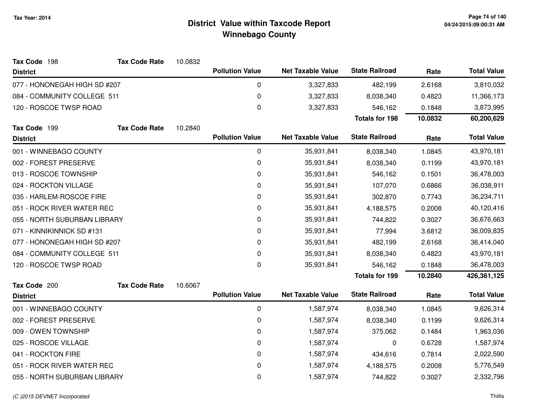| Tax Code 198                 | <b>Tax Code Rate</b> | 10.0832 |                        |                          |                       |            |                    |
|------------------------------|----------------------|---------|------------------------|--------------------------|-----------------------|------------|--------------------|
| <b>District</b>              |                      |         | <b>Pollution Value</b> | <b>Net Taxable Value</b> | <b>State Railroad</b> | Rate       | <b>Total Value</b> |
| 077 - HONONEGAH HIGH SD #207 |                      |         | 0                      | 3,327,833                | 482,199               | 2.6168     | 3,810,032          |
| 084 - COMMUNITY COLLEGE 511  |                      |         | $\pmb{0}$              | 3,327,833                | 8,038,340             | 0.4823     | 11,366,173         |
| 120 - ROSCOE TWSP ROAD       |                      |         | 0                      | 3,327,833                | 546,162               | 0.1848     | 3,873,995          |
|                              |                      |         |                        |                          | <b>Totals for 198</b> | 10.0832    | 60,200,629         |
| Tax Code 199                 | <b>Tax Code Rate</b> | 10.2840 |                        |                          |                       |            |                    |
| <b>District</b>              |                      |         | <b>Pollution Value</b> | <b>Net Taxable Value</b> | <b>State Railroad</b> | Rate       | <b>Total Value</b> |
| 001 - WINNEBAGO COUNTY       |                      |         | 0                      | 35,931,841               | 8,038,340             | 1.0845     | 43,970,181         |
| 002 - FOREST PRESERVE        |                      |         | 0                      | 35,931,841               | 8,038,340             | 0.1199     | 43,970,181         |
| 013 - ROSCOE TOWNSHIP        |                      |         | 0                      | 35,931,841               | 546,162               | 0.1501     | 36,478,003         |
| 024 - ROCKTON VILLAGE        |                      |         | 0                      | 35,931,841               | 107,070               | 0.6866     | 36,038,911         |
| 035 - HARLEM-ROSCOE FIRE     |                      |         | 0                      | 35,931,841               | 302,870               | 0.7743     | 36,234,711         |
| 051 - ROCK RIVER WATER REC   |                      | 0       | 35,931,841             | 4,188,575                | 0.2008                | 40,120,416 |                    |
| 055 - NORTH SUBURBAN LIBRARY |                      |         | 0                      | 35,931,841               | 744,822               | 0.3027     | 36,676,663         |
| 071 - KINNIKINNICK SD #131   |                      |         | 0                      | 35,931,841               | 77,994                | 3.6812     | 36,009,835         |
| 077 - HONONEGAH HIGH SD #207 |                      |         | 0                      | 35,931,841               | 482,199               | 2.6168     | 36,414,040         |
| 084 - COMMUNITY COLLEGE 511  |                      |         | 0                      | 35,931,841               | 8,038,340             | 0.4823     | 43,970,181         |
| 120 - ROSCOE TWSP ROAD       |                      |         | 0                      | 35,931,841               | 546,162               | 0.1848     | 36,478,003         |
|                              |                      |         |                        |                          | <b>Totals for 199</b> | 10.2840    | 426,361,125        |
| Tax Code 200                 | <b>Tax Code Rate</b> | 10.6067 |                        |                          |                       |            |                    |
| <b>District</b>              |                      |         | <b>Pollution Value</b> | <b>Net Taxable Value</b> | <b>State Railroad</b> | Rate       | <b>Total Value</b> |
| 001 - WINNEBAGO COUNTY       |                      |         | 0                      | 1,587,974                | 8,038,340             | 1.0845     | 9,626,314          |
| 002 - FOREST PRESERVE        |                      |         | 0                      | 1,587,974                | 8,038,340             | 0.1199     | 9,626,314          |
| 009 - OWEN TOWNSHIP          |                      |         | 0                      | 1,587,974                | 375,062               | 0.1484     | 1,963,036          |
| 025 - ROSCOE VILLAGE         |                      |         | 0                      | 1,587,974                | 0                     | 0.6728     | 1,587,974          |
| 041 - ROCKTON FIRE           |                      |         | $\pmb{0}$              | 1,587,974                | 434,616               | 0.7814     | 2,022,590          |
| 051 - ROCK RIVER WATER REC   |                      |         | 0                      | 1,587,974                | 4,188,575             | 0.2008     | 5,776,549          |
| 055 - NORTH SUBURBAN LIBRARY |                      |         | 0                      | 1,587,974                | 744,822               | 0.3027     | 2,332,796          |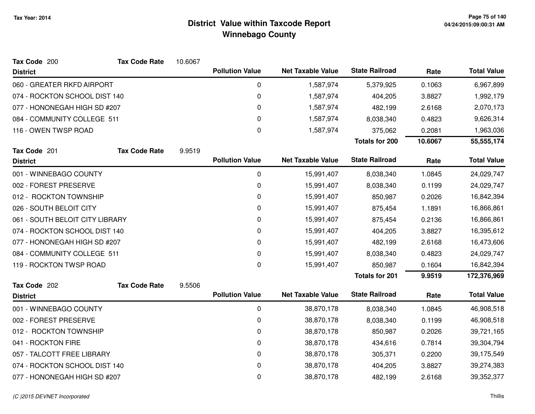| Tax Code 200                    | <b>Tax Code Rate</b> | 10.6067 |                        |                          |                       |         |                    |
|---------------------------------|----------------------|---------|------------------------|--------------------------|-----------------------|---------|--------------------|
| <b>District</b>                 |                      |         | <b>Pollution Value</b> | <b>Net Taxable Value</b> | <b>State Railroad</b> | Rate    | <b>Total Value</b> |
| 060 - GREATER RKFD AIRPORT      |                      |         | 0                      | 1,587,974                | 5,379,925             | 0.1063  | 6,967,899          |
| 074 - ROCKTON SCHOOL DIST 140   |                      |         | 0                      | 1,587,974                | 404,205               | 3.8827  | 1,992,179          |
| 077 - HONONEGAH HIGH SD #207    |                      |         | 0                      | 1,587,974                | 482,199               | 2.6168  | 2,070,173          |
| 084 - COMMUNITY COLLEGE 511     |                      |         | 0                      | 1,587,974                | 8,038,340             | 0.4823  | 9,626,314          |
| 116 - OWEN TWSP ROAD            |                      |         | 0                      | 1,587,974                | 375,062               | 0.2081  | 1,963,036          |
|                                 |                      |         |                        |                          | <b>Totals for 200</b> | 10.6067 | 55,555,174         |
| Tax Code 201                    | <b>Tax Code Rate</b> | 9.9519  |                        |                          |                       |         |                    |
| <b>District</b>                 |                      |         | <b>Pollution Value</b> | <b>Net Taxable Value</b> | <b>State Railroad</b> | Rate    | <b>Total Value</b> |
| 001 - WINNEBAGO COUNTY          |                      |         | 0                      | 15,991,407               | 8,038,340             | 1.0845  | 24,029,747         |
| 002 - FOREST PRESERVE           |                      |         | 0                      | 15,991,407               | 8,038,340             | 0.1199  | 24,029,747         |
| 012 - ROCKTON TOWNSHIP          |                      |         | 0                      | 15,991,407               | 850,987               | 0.2026  | 16,842,394         |
| 026 - SOUTH BELOIT CITY         |                      |         | 0                      | 15,991,407               | 875,454               | 1.1891  | 16,866,861         |
| 061 - SOUTH BELOIT CITY LIBRARY |                      |         | 0                      | 15,991,407               | 875,454               | 0.2136  | 16,866,861         |
| 074 - ROCKTON SCHOOL DIST 140   |                      |         | 0                      | 15,991,407               | 404,205               | 3.8827  | 16,395,612         |
| 077 - HONONEGAH HIGH SD #207    |                      |         | 0                      | 15,991,407               | 482,199               | 2.6168  | 16,473,606         |
| 084 - COMMUNITY COLLEGE 511     |                      |         | 0                      | 15,991,407               | 8,038,340             | 0.4823  | 24,029,747         |
| 119 - ROCKTON TWSP ROAD         |                      |         | $\mathbf 0$            | 15,991,407               | 850,987               | 0.1604  | 16,842,394         |
|                                 |                      |         |                        |                          | <b>Totals for 201</b> | 9.9519  | 172,376,969        |
| Tax Code 202                    | <b>Tax Code Rate</b> | 9.5506  |                        |                          |                       |         |                    |
| <b>District</b>                 |                      |         | <b>Pollution Value</b> | <b>Net Taxable Value</b> | <b>State Railroad</b> | Rate    | <b>Total Value</b> |
| 001 - WINNEBAGO COUNTY          |                      |         | 0                      | 38,870,178               | 8,038,340             | 1.0845  | 46,908,518         |
| 002 - FOREST PRESERVE           |                      |         | 0                      | 38,870,178               | 8,038,340             | 0.1199  | 46,908,518         |
| 012 - ROCKTON TOWNSHIP          |                      |         | 0                      | 38,870,178               | 850,987               | 0.2026  | 39,721,165         |
| 041 - ROCKTON FIRE              |                      |         | 0                      | 38,870,178               | 434,616               | 0.7814  | 39,304,794         |
| 057 - TALCOTT FREE LIBRARY      |                      |         | 0                      | 38,870,178               | 305,371               | 0.2200  | 39,175,549         |
| 074 - ROCKTON SCHOOL DIST 140   |                      |         | 0                      | 38,870,178               | 404,205               | 3.8827  | 39,274,383         |
| 077 - HONONEGAH HIGH SD #207    |                      |         | 0                      | 38,870,178               | 482,199               | 2.6168  | 39,352,377         |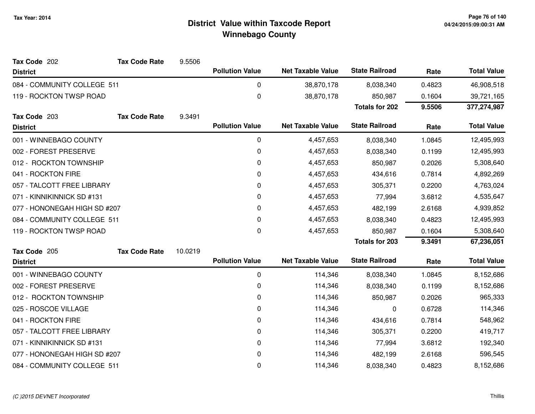| Tax Code 202                 | <b>Tax Code Rate</b> | 9.5506  |                        |                          |                       |        |                    |
|------------------------------|----------------------|---------|------------------------|--------------------------|-----------------------|--------|--------------------|
| <b>District</b>              |                      |         | <b>Pollution Value</b> | <b>Net Taxable Value</b> | <b>State Railroad</b> | Rate   | <b>Total Value</b> |
| 084 - COMMUNITY COLLEGE 511  |                      |         | 0                      | 38,870,178               | 8,038,340             | 0.4823 | 46,908,518         |
| 119 - ROCKTON TWSP ROAD      |                      |         | $\pmb{0}$              | 38,870,178               | 850,987               | 0.1604 | 39,721,165         |
|                              |                      |         |                        |                          | <b>Totals for 202</b> | 9.5506 | 377,274,987        |
| Tax Code 203                 | <b>Tax Code Rate</b> | 9.3491  |                        |                          |                       |        |                    |
| <b>District</b>              |                      |         | <b>Pollution Value</b> | <b>Net Taxable Value</b> | <b>State Railroad</b> | Rate   | <b>Total Value</b> |
| 001 - WINNEBAGO COUNTY       |                      |         | 0                      | 4,457,653                | 8,038,340             | 1.0845 | 12,495,993         |
| 002 - FOREST PRESERVE        |                      |         | 0                      | 4,457,653                | 8,038,340             | 0.1199 | 12,495,993         |
| 012 - ROCKTON TOWNSHIP       |                      |         | 0                      | 4,457,653                | 850,987               | 0.2026 | 5,308,640          |
| 041 - ROCKTON FIRE           |                      |         | 0                      | 4,457,653                | 434,616               | 0.7814 | 4,892,269          |
| 057 - TALCOTT FREE LIBRARY   |                      |         | 0                      | 4,457,653                | 305,371               | 0.2200 | 4,763,024          |
| 071 - KINNIKINNICK SD #131   |                      |         | 0                      | 4,457,653                | 77,994                | 3.6812 | 4,535,647          |
| 077 - HONONEGAH HIGH SD #207 |                      |         | $\Omega$               | 4,457,653                | 482,199               | 2.6168 | 4,939,852          |
| 084 - COMMUNITY COLLEGE 511  |                      |         | 0                      | 4,457,653                | 8,038,340             | 0.4823 | 12,495,993         |
| 119 - ROCKTON TWSP ROAD      |                      |         | 0                      | 4,457,653                | 850,987               | 0.1604 | 5,308,640          |
|                              |                      |         |                        |                          | <b>Totals for 203</b> | 9.3491 | 67,236,051         |
| Tax Code 205                 | <b>Tax Code Rate</b> | 10.0219 |                        |                          |                       |        |                    |
| <b>District</b>              |                      |         | <b>Pollution Value</b> | <b>Net Taxable Value</b> | <b>State Railroad</b> | Rate   | <b>Total Value</b> |
| 001 - WINNEBAGO COUNTY       |                      |         | $\mathbf 0$            | 114,346                  | 8,038,340             | 1.0845 | 8,152,686          |
| 002 - FOREST PRESERVE        |                      |         | 0                      | 114,346                  | 8,038,340             | 0.1199 | 8,152,686          |
| 012 - ROCKTON TOWNSHIP       |                      |         | 0                      | 114,346                  | 850,987               | 0.2026 | 965,333            |
| 025 - ROSCOE VILLAGE         |                      |         | 0                      | 114,346                  | 0                     | 0.6728 | 114,346            |
| 041 - ROCKTON FIRE           |                      |         | 0                      | 114,346                  | 434,616               | 0.7814 | 548,962            |
| 057 - TALCOTT FREE LIBRARY   |                      |         | 0                      | 114,346                  | 305,371               | 0.2200 | 419,717            |
| 071 - KINNIKINNICK SD #131   |                      |         | 0                      | 114,346                  | 77,994                | 3.6812 | 192,340            |
| 077 - HONONEGAH HIGH SD #207 |                      |         | 0                      | 114,346                  | 482,199               | 2.6168 | 596,545            |
| 084 - COMMUNITY COLLEGE 511  |                      |         | 0                      | 114,346                  | 8,038,340             | 0.4823 | 8,152,686          |
|                              |                      |         |                        |                          |                       |        |                    |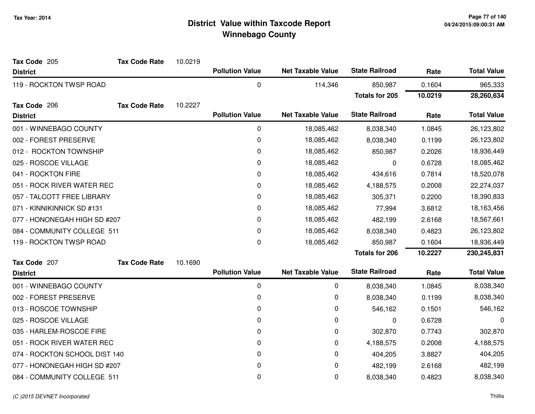| Tax Code 205                  | <b>Tax Code Rate</b> | 10.0219 |                        |                          |                       |         |                    |
|-------------------------------|----------------------|---------|------------------------|--------------------------|-----------------------|---------|--------------------|
| <b>District</b>               |                      |         | <b>Pollution Value</b> | <b>Net Taxable Value</b> | <b>State Railroad</b> | Rate    | <b>Total Value</b> |
| 119 - ROCKTON TWSP ROAD       |                      |         | $\mathbf 0$            | 114,346                  | 850,987               | 0.1604  | 965,333            |
|                               |                      |         |                        |                          | <b>Totals for 205</b> | 10.0219 | 28,260,634         |
| Tax Code 206                  | <b>Tax Code Rate</b> | 10.2227 |                        |                          |                       |         |                    |
| <b>District</b>               |                      |         | <b>Pollution Value</b> | <b>Net Taxable Value</b> | <b>State Railroad</b> | Rate    | <b>Total Value</b> |
| 001 - WINNEBAGO COUNTY        |                      |         | 0                      | 18,085,462               | 8,038,340             | 1.0845  | 26,123,802         |
| 002 - FOREST PRESERVE         |                      |         | $\mathbf 0$            | 18,085,462               | 8,038,340             | 0.1199  | 26,123,802         |
| 012 - ROCKTON TOWNSHIP        |                      |         | $\mathbf 0$            | 18,085,462               | 850,987               | 0.2026  | 18,936,449         |
| 025 - ROSCOE VILLAGE          |                      |         | 0                      | 18,085,462               | 0                     | 0.6728  | 18,085,462         |
| 041 - ROCKTON FIRE            |                      |         | 0                      | 18,085,462               | 434,616               | 0.7814  | 18,520,078         |
| 051 - ROCK RIVER WATER REC    |                      |         | 0                      | 18,085,462               | 4,188,575             | 0.2008  | 22,274,037         |
| 057 - TALCOTT FREE LIBRARY    |                      |         | 0                      | 18,085,462               | 305,371               | 0.2200  | 18,390,833         |
| 071 - KINNIKINNICK SD #131    |                      |         | 0                      | 18,085,462               | 77,994                | 3.6812  | 18,163,456         |
| 077 - HONONEGAH HIGH SD #207  |                      |         | 0                      | 18,085,462               | 482,199               | 2.6168  | 18,567,661         |
| 084 - COMMUNITY COLLEGE 511   |                      |         | $\pmb{0}$              | 18,085,462               | 8,038,340             | 0.4823  | 26,123,802         |
| 119 - ROCKTON TWSP ROAD       |                      |         | 0                      | 18,085,462               | 850,987               | 0.1604  | 18,936,449         |
|                               |                      |         |                        |                          | <b>Totals for 206</b> | 10.2227 | 230,245,831        |
| Tax Code 207                  | <b>Tax Code Rate</b> | 10.1690 |                        |                          |                       |         |                    |
| <b>District</b>               |                      |         | <b>Pollution Value</b> | <b>Net Taxable Value</b> | <b>State Railroad</b> | Rate    | <b>Total Value</b> |
| 001 - WINNEBAGO COUNTY        |                      |         | 0                      | 0                        | 8,038,340             | 1.0845  | 8,038,340          |
| 002 - FOREST PRESERVE         |                      |         | 0                      | 0                        | 8,038,340             | 0.1199  | 8,038,340          |
| 013 - ROSCOE TOWNSHIP         |                      |         | 0                      | 0                        | 546,162               | 0.1501  | 546,162            |
| 025 - ROSCOE VILLAGE          |                      |         | 0                      | 0                        | 0                     | 0.6728  | 0                  |
| 035 - HARLEM-ROSCOE FIRE      |                      |         | 0                      | 0                        | 302,870               | 0.7743  | 302,870            |
| 051 - ROCK RIVER WATER REC    |                      |         | 0                      | 0                        | 4,188,575             | 0.2008  | 4,188,575          |
| 074 - ROCKTON SCHOOL DIST 140 |                      |         | 0                      | 0                        | 404,205               | 3.8827  | 404,205            |
| 077 - HONONEGAH HIGH SD #207  |                      |         | 0                      | 0                        | 482,199               | 2.6168  | 482,199            |
| 084 - COMMUNITY COLLEGE 511   |                      |         | 0                      | 0                        | 8,038,340             | 0.4823  | 8,038,340          |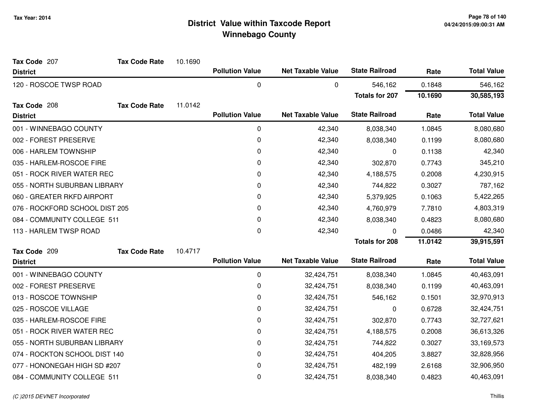| Tax Code 207                   | <b>Tax Code Rate</b> | 10.1690 |                        |                          |                       |         |                    |
|--------------------------------|----------------------|---------|------------------------|--------------------------|-----------------------|---------|--------------------|
| <b>District</b>                |                      |         | <b>Pollution Value</b> | <b>Net Taxable Value</b> | <b>State Railroad</b> | Rate    | <b>Total Value</b> |
| 120 - ROSCOE TWSP ROAD         |                      |         | 0                      | 0                        | 546,162               | 0.1848  | 546,162            |
|                                |                      |         |                        |                          | <b>Totals for 207</b> | 10.1690 | 30,585,193         |
| Tax Code 208                   | <b>Tax Code Rate</b> | 11.0142 |                        |                          |                       |         |                    |
| <b>District</b>                |                      |         | <b>Pollution Value</b> | <b>Net Taxable Value</b> | <b>State Railroad</b> | Rate    | <b>Total Value</b> |
| 001 - WINNEBAGO COUNTY         |                      |         | 0                      | 42,340                   | 8,038,340             | 1.0845  | 8,080,680          |
| 002 - FOREST PRESERVE          |                      |         | 0                      | 42,340                   | 8,038,340             | 0.1199  | 8,080,680          |
| 006 - HARLEM TOWNSHIP          |                      |         | 0                      | 42,340                   | 0                     | 0.1138  | 42,340             |
| 035 - HARLEM-ROSCOE FIRE       |                      |         | 0                      | 42,340                   | 302,870               | 0.7743  | 345,210            |
| 051 - ROCK RIVER WATER REC     |                      |         | 0                      | 42,340                   | 4,188,575             | 0.2008  | 4,230,915          |
| 055 - NORTH SUBURBAN LIBRARY   |                      |         | 0                      | 42,340                   | 744,822               | 0.3027  | 787,162            |
| 060 - GREATER RKFD AIRPORT     |                      |         | 0                      | 42,340                   | 5,379,925             | 0.1063  | 5,422,265          |
| 076 - ROCKFORD SCHOOL DIST 205 |                      |         | 0                      | 42,340                   | 4,760,979             | 7.7810  | 4,803,319          |
| 084 - COMMUNITY COLLEGE 511    |                      |         | 0                      | 42,340                   | 8,038,340             | 0.4823  | 8,080,680          |
| 113 - HARLEM TWSP ROAD         |                      |         | 0                      | 42,340                   | 0                     | 0.0486  | 42,340             |
|                                |                      |         |                        |                          | <b>Totals for 208</b> | 11.0142 | 39,915,591         |
| Tax Code 209                   | <b>Tax Code Rate</b> | 10.4717 |                        |                          |                       |         |                    |
| <b>District</b>                |                      |         | <b>Pollution Value</b> | <b>Net Taxable Value</b> | <b>State Railroad</b> | Rate    | <b>Total Value</b> |
| 001 - WINNEBAGO COUNTY         |                      |         | $\pmb{0}$              | 32,424,751               | 8,038,340             | 1.0845  | 40,463,091         |
| 002 - FOREST PRESERVE          |                      |         | 0                      | 32,424,751               | 8,038,340             | 0.1199  | 40,463,091         |
| 013 - ROSCOE TOWNSHIP          |                      |         | 0                      | 32,424,751               | 546,162               | 0.1501  | 32,970,913         |
| 025 - ROSCOE VILLAGE           |                      |         | 0                      | 32,424,751               | 0                     | 0.6728  | 32,424,751         |
| 035 - HARLEM-ROSCOE FIRE       |                      |         | 0                      | 32,424,751               | 302,870               | 0.7743  | 32,727,621         |
| 051 - ROCK RIVER WATER REC     |                      |         | 0                      | 32,424,751               | 4,188,575             | 0.2008  | 36,613,326         |
| 055 - NORTH SUBURBAN LIBRARY   |                      |         | 0                      | 32,424,751               | 744,822               | 0.3027  | 33,169,573         |
| 074 - ROCKTON SCHOOL DIST 140  |                      |         | 0                      | 32,424,751               | 404,205               | 3.8827  | 32,828,956         |
| 077 - HONONEGAH HIGH SD #207   |                      |         | 0                      | 32,424,751               | 482,199               | 2.6168  | 32,906,950         |
| 084 - COMMUNITY COLLEGE 511    |                      |         | 0                      | 32,424,751               | 8,038,340             | 0.4823  | 40,463,091         |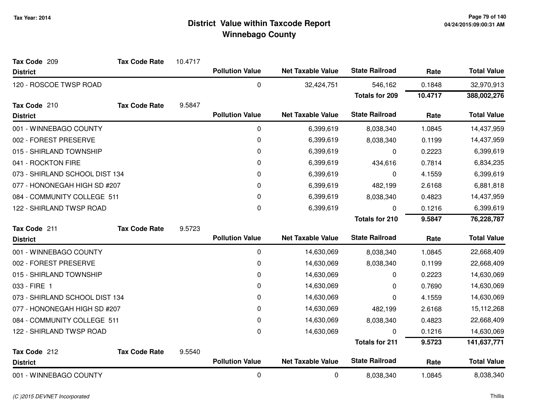| Tax Code 209                   | <b>Tax Code Rate</b> | 10.4717 |                        |                          |                       |         |                    |
|--------------------------------|----------------------|---------|------------------------|--------------------------|-----------------------|---------|--------------------|
| <b>District</b>                |                      |         | <b>Pollution Value</b> | <b>Net Taxable Value</b> | <b>State Railroad</b> | Rate    | <b>Total Value</b> |
| 120 - ROSCOE TWSP ROAD         |                      |         | 0                      | 32,424,751               | 546,162               | 0.1848  | 32,970,913         |
|                                |                      |         |                        |                          | <b>Totals for 209</b> | 10.4717 | 388,002,276        |
| Tax Code 210                   | <b>Tax Code Rate</b> | 9.5847  |                        |                          |                       |         |                    |
| <b>District</b>                |                      |         | <b>Pollution Value</b> | <b>Net Taxable Value</b> | <b>State Railroad</b> | Rate    | <b>Total Value</b> |
| 001 - WINNEBAGO COUNTY         |                      |         | 0                      | 6,399,619                | 8,038,340             | 1.0845  | 14,437,959         |
| 002 - FOREST PRESERVE          |                      |         | 0                      | 6,399,619                | 8,038,340             | 0.1199  | 14,437,959         |
| 015 - SHIRLAND TOWNSHIP        |                      |         | 0                      | 6,399,619                | 0                     | 0.2223  | 6,399,619          |
| 041 - ROCKTON FIRE             |                      |         | 0                      | 6,399,619                | 434,616               | 0.7814  | 6,834,235          |
| 073 - SHIRLAND SCHOOL DIST 134 |                      |         | 0                      | 6,399,619                | 0                     | 4.1559  | 6,399,619          |
| 077 - HONONEGAH HIGH SD #207   |                      |         | 0                      | 6,399,619                | 482,199               | 2.6168  | 6,881,818          |
| 084 - COMMUNITY COLLEGE 511    |                      |         | 0                      | 6,399,619                | 8,038,340             | 0.4823  | 14,437,959         |
| 122 - SHIRLAND TWSP ROAD       |                      |         | 0                      | 6,399,619                | 0                     | 0.1216  | 6,399,619          |
|                                |                      |         |                        |                          | <b>Totals for 210</b> | 9.5847  | 76,228,787         |
| Tax Code 211                   | <b>Tax Code Rate</b> | 9.5723  |                        |                          |                       |         |                    |
| <b>District</b>                |                      |         | <b>Pollution Value</b> | <b>Net Taxable Value</b> | <b>State Railroad</b> | Rate    | <b>Total Value</b> |
| 001 - WINNEBAGO COUNTY         |                      |         | 0                      | 14,630,069               | 8,038,340             | 1.0845  | 22,668,409         |
| 002 - FOREST PRESERVE          |                      |         | 0                      | 14,630,069               | 8,038,340             | 0.1199  | 22,668,409         |
| 015 - SHIRLAND TOWNSHIP        |                      |         | 0                      | 14,630,069               | 0                     | 0.2223  | 14,630,069         |
| 033 - FIRE 1                   |                      |         | 0                      | 14,630,069               | 0                     | 0.7690  | 14,630,069         |
| 073 - SHIRLAND SCHOOL DIST 134 |                      |         | 0                      | 14,630,069               | 0                     | 4.1559  | 14,630,069         |
| 077 - HONONEGAH HIGH SD #207   |                      |         | 0                      | 14,630,069               | 482,199               | 2.6168  | 15,112,268         |
| 084 - COMMUNITY COLLEGE 511    |                      |         | 0                      | 14,630,069               | 8,038,340             | 0.4823  | 22,668,409         |
| 122 - SHIRLAND TWSP ROAD       |                      |         | 0                      | 14,630,069               | U                     | 0.1216  | 14,630,069         |
|                                |                      |         |                        |                          | <b>Totals for 211</b> | 9.5723  | 141,637,771        |
| Tax Code 212                   | <b>Tax Code Rate</b> | 9.5540  |                        |                          |                       |         |                    |
| <b>District</b>                |                      |         | <b>Pollution Value</b> | <b>Net Taxable Value</b> | <b>State Railroad</b> | Rate    | <b>Total Value</b> |
| 001 - WINNEBAGO COUNTY         |                      |         | 0                      | 0                        | 8,038,340             | 1.0845  | 8,038,340          |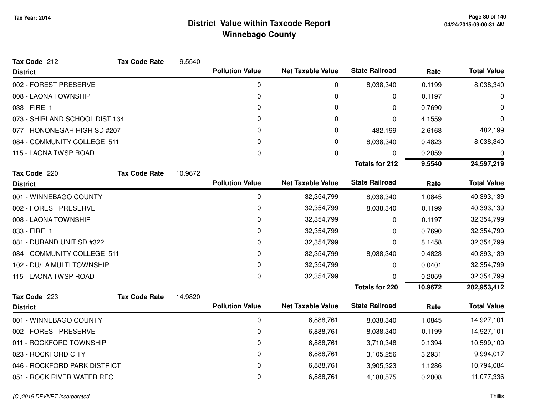| Tax Code 212                   | <b>Tax Code Rate</b> | 9.5540  |                        |                          |                       |         |                    |
|--------------------------------|----------------------|---------|------------------------|--------------------------|-----------------------|---------|--------------------|
| <b>District</b>                |                      |         | <b>Pollution Value</b> | <b>Net Taxable Value</b> | <b>State Railroad</b> | Rate    | <b>Total Value</b> |
| 002 - FOREST PRESERVE          |                      |         | $\mathbf 0$            | 0                        | 8,038,340             | 0.1199  | 8,038,340          |
| 008 - LAONA TOWNSHIP           |                      |         | 0                      | 0                        | 0                     | 0.1197  | 0                  |
| 033 - FIRE 1                   |                      |         | 0                      | 0                        | 0                     | 0.7690  | 0                  |
| 073 - SHIRLAND SCHOOL DIST 134 |                      |         | 0                      | 0                        | 0                     | 4.1559  | 0                  |
| 077 - HONONEGAH HIGH SD #207   |                      |         | 0                      | 0                        | 482,199               | 2.6168  | 482,199            |
| 084 - COMMUNITY COLLEGE 511    |                      |         | 0                      | 0                        | 8,038,340             | 0.4823  | 8,038,340          |
| 115 - LAONA TWSP ROAD          |                      |         | 0                      | 0                        | 0                     | 0.2059  | 0                  |
|                                |                      |         |                        |                          | <b>Totals for 212</b> | 9.5540  | 24,597,219         |
| Tax Code 220                   | <b>Tax Code Rate</b> | 10.9672 |                        |                          |                       |         |                    |
| <b>District</b>                |                      |         | <b>Pollution Value</b> | <b>Net Taxable Value</b> | <b>State Railroad</b> | Rate    | <b>Total Value</b> |
| 001 - WINNEBAGO COUNTY         |                      |         | 0                      | 32,354,799               | 8,038,340             | 1.0845  | 40,393,139         |
| 002 - FOREST PRESERVE          |                      |         | 0                      | 32,354,799               | 8,038,340             | 0.1199  | 40,393,139         |
| 008 - LAONA TOWNSHIP           |                      |         | 0                      | 32,354,799               | 0                     | 0.1197  | 32,354,799         |
| 033 - FIRE 1                   |                      |         | 0                      | 32,354,799               | 0                     | 0.7690  | 32,354,799         |
| 081 - DURAND UNIT SD #322      |                      |         | 0                      | 32,354,799               | 0                     | 8.1458  | 32,354,799         |
| 084 - COMMUNITY COLLEGE 511    |                      |         | 0                      | 32,354,799               | 8,038,340             | 0.4823  | 40,393,139         |
| 102 - DU/LA MULTI TOWNSHIP     |                      |         | 0                      | 32,354,799               | 0                     | 0.0401  | 32,354,799         |
| 115 - LAONA TWSP ROAD          |                      |         | 0                      | 32,354,799               | 0                     | 0.2059  | 32,354,799         |
|                                |                      |         |                        |                          | <b>Totals for 220</b> | 10.9672 | 282,953,412        |
| Tax Code 223                   | <b>Tax Code Rate</b> | 14.9820 |                        |                          | <b>State Railroad</b> |         |                    |
| <b>District</b>                |                      |         | <b>Pollution Value</b> | <b>Net Taxable Value</b> |                       | Rate    | <b>Total Value</b> |
| 001 - WINNEBAGO COUNTY         |                      |         | $\mathbf 0$            | 6,888,761                | 8,038,340             | 1.0845  | 14,927,101         |
| 002 - FOREST PRESERVE          |                      |         | 0                      | 6,888,761                | 8,038,340             | 0.1199  | 14,927,101         |
| 011 - ROCKFORD TOWNSHIP        |                      |         | 0                      | 6,888,761                | 3,710,348             | 0.1394  | 10,599,109         |
| 023 - ROCKFORD CITY            |                      |         | 0                      | 6,888,761                | 3,105,256             | 3.2931  | 9,994,017          |
| 046 - ROCKFORD PARK DISTRICT   |                      |         | 0                      | 6,888,761                | 3,905,323             | 1.1286  | 10,794,084         |
| 051 - ROCK RIVER WATER REC     |                      |         | 0                      | 6,888,761                | 4,188,575             | 0.2008  | 11,077,336         |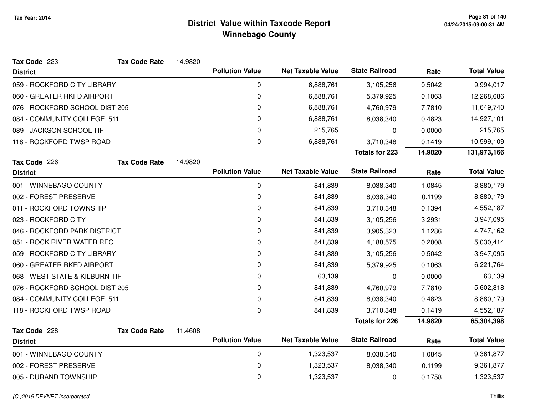| Tax Code 223                   | <b>Tax Code Rate</b> | 14.9820 |                        |                          |                       |         |                    |
|--------------------------------|----------------------|---------|------------------------|--------------------------|-----------------------|---------|--------------------|
| <b>District</b>                |                      |         | <b>Pollution Value</b> | <b>Net Taxable Value</b> | <b>State Railroad</b> | Rate    | <b>Total Value</b> |
| 059 - ROCKFORD CITY LIBRARY    |                      |         | 0                      | 6,888,761                | 3,105,256             | 0.5042  | 9,994,017          |
| 060 - GREATER RKFD AIRPORT     |                      |         | $\mathbf 0$            | 6,888,761                | 5,379,925             | 0.1063  | 12,268,686         |
| 076 - ROCKFORD SCHOOL DIST 205 |                      |         | 0                      | 6,888,761                | 4,760,979             | 7.7810  | 11,649,740         |
| 084 - COMMUNITY COLLEGE 511    |                      |         | 0                      | 6,888,761                | 8,038,340             | 0.4823  | 14,927,101         |
| 089 - JACKSON SCHOOL TIF       |                      |         | $\mathbf 0$            | 215,765                  | 0                     | 0.0000  | 215,765            |
| 118 - ROCKFORD TWSP ROAD       |                      |         | 0                      | 6,888,761                | 3,710,348             | 0.1419  | 10,599,109         |
|                                |                      |         |                        |                          | <b>Totals for 223</b> | 14.9820 | 131,973,166        |
| Tax Code 226                   | <b>Tax Code Rate</b> | 14.9820 |                        |                          |                       |         |                    |
| <b>District</b>                |                      |         | <b>Pollution Value</b> | <b>Net Taxable Value</b> | <b>State Railroad</b> | Rate    | <b>Total Value</b> |
| 001 - WINNEBAGO COUNTY         |                      |         | 0                      | 841,839                  | 8,038,340             | 1.0845  | 8,880,179          |
| 002 - FOREST PRESERVE          |                      |         | $\mathbf 0$            | 841,839                  | 8,038,340             | 0.1199  | 8,880,179          |
| 011 - ROCKFORD TOWNSHIP        |                      |         | 0                      | 841,839                  | 3,710,348             | 0.1394  | 4,552,187          |
| 023 - ROCKFORD CITY            |                      |         | 0                      | 841,839                  | 3,105,256             | 3.2931  | 3,947,095          |
| 046 - ROCKFORD PARK DISTRICT   |                      |         | $\mathbf 0$            | 841,839                  | 3,905,323             | 1.1286  | 4,747,162          |
| 051 - ROCK RIVER WATER REC     |                      |         | 0                      | 841,839                  | 4,188,575             | 0.2008  | 5,030,414          |
| 059 - ROCKFORD CITY LIBRARY    |                      |         | 0                      | 841,839                  | 3,105,256             | 0.5042  | 3,947,095          |
| 060 - GREATER RKFD AIRPORT     |                      |         | $\mathbf 0$            | 841,839                  | 5,379,925             | 0.1063  | 6,221,764          |
| 068 - WEST STATE & KILBURN TIF |                      |         | 0                      | 63,139                   | 0                     | 0.0000  | 63,139             |
| 076 - ROCKFORD SCHOOL DIST 205 |                      |         | 0                      | 841,839                  | 4,760,979             | 7.7810  | 5,602,818          |
| 084 - COMMUNITY COLLEGE 511    |                      |         | 0                      | 841,839                  | 8,038,340             | 0.4823  | 8,880,179          |
| 118 - ROCKFORD TWSP ROAD       |                      |         | $\boldsymbol{0}$       | 841,839                  | 3,710,348             | 0.1419  | 4,552,187          |
|                                |                      |         |                        |                          | <b>Totals for 226</b> | 14.9820 | 65,304,398         |
| Tax Code 228                   | <b>Tax Code Rate</b> | 11.4608 |                        |                          |                       |         |                    |
| <b>District</b>                |                      |         | <b>Pollution Value</b> | <b>Net Taxable Value</b> | <b>State Railroad</b> | Rate    | <b>Total Value</b> |
| 001 - WINNEBAGO COUNTY         |                      |         | $\pmb{0}$              | 1,323,537                | 8,038,340             | 1.0845  | 9,361,877          |
| 002 - FOREST PRESERVE          |                      |         | 0                      | 1,323,537                | 8,038,340             | 0.1199  | 9,361,877          |
| 005 - DURAND TOWNSHIP          |                      |         | $\mathbf 0$            | 1,323,537                | 0                     | 0.1758  | 1,323,537          |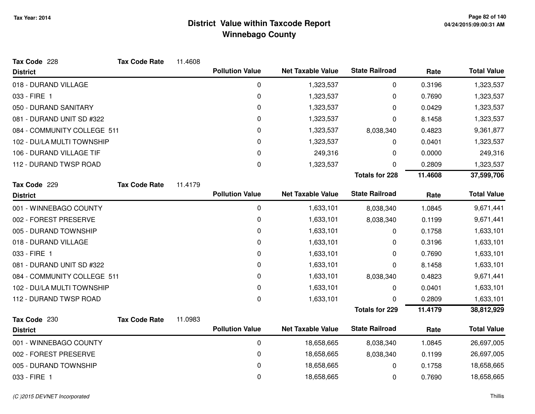| <b>Tax Code Rate</b>        | 11.4608 |                        |                                                  |                                                      |                                                |                    |
|-----------------------------|---------|------------------------|--------------------------------------------------|------------------------------------------------------|------------------------------------------------|--------------------|
|                             |         | <b>Pollution Value</b> | <b>Net Taxable Value</b>                         | <b>State Railroad</b>                                | Rate                                           | <b>Total Value</b> |
|                             |         | $\mathbf 0$            | 1,323,537                                        | 0                                                    | 0.3196                                         | 1,323,537          |
|                             |         | 0                      | 1,323,537                                        | 0                                                    | 0.7690                                         | 1,323,537          |
|                             |         | 0                      | 1,323,537                                        | 0                                                    | 0.0429                                         | 1,323,537          |
|                             |         | 0                      | 1,323,537                                        | 0                                                    | 8.1458                                         | 1,323,537          |
| 084 - COMMUNITY COLLEGE 511 |         | 0                      | 1,323,537                                        | 8,038,340                                            | 0.4823                                         | 9,361,877          |
|                             |         | 0                      | 1,323,537                                        | 0                                                    | 0.0401                                         | 1,323,537          |
|                             |         | 0                      | 249,316                                          | 0                                                    | 0.0000                                         | 249,316            |
|                             |         | 0                      | 1,323,537                                        | 0                                                    | 0.2809                                         | 1,323,537          |
|                             |         |                        |                                                  | <b>Totals for 228</b>                                | 11.4608                                        | 37,599,706         |
| <b>Tax Code Rate</b>        | 11.4179 |                        |                                                  |                                                      |                                                |                    |
|                             |         |                        |                                                  |                                                      |                                                | <b>Total Value</b> |
|                             |         | $\mathbf 0$            | 1,633,101                                        | 8,038,340                                            | 1.0845                                         | 9,671,441          |
|                             |         | 0                      | 1,633,101                                        | 8,038,340                                            | 0.1199                                         | 9,671,441          |
|                             |         | 0                      | 1,633,101                                        | 0                                                    | 0.1758                                         | 1,633,101          |
|                             |         | 0                      | 1,633,101                                        | 0                                                    | 0.3196                                         | 1,633,101          |
|                             |         | 0                      | 1,633,101                                        | 0                                                    | 0.7690                                         | 1,633,101          |
|                             |         | 0                      | 1,633,101                                        | 0                                                    | 8.1458                                         | 1,633,101          |
| 084 - COMMUNITY COLLEGE 511 |         | 0                      | 1,633,101                                        | 8,038,340                                            | 0.4823                                         | 9,671,441          |
|                             |         | 0                      | 1,633,101                                        | 0                                                    | 0.0401                                         | 1,633,101          |
|                             |         | 0                      | 1,633,101                                        | 0                                                    | 0.2809                                         | 1,633,101          |
|                             |         |                        |                                                  | <b>Totals for 229</b>                                | 11.4179                                        | 38,812,929         |
| <b>Tax Code Rate</b>        | 11.0983 |                        |                                                  |                                                      |                                                |                    |
|                             |         |                        |                                                  |                                                      | Rate                                           | <b>Total Value</b> |
|                             |         | 0                      | 18,658,665                                       | 8,038,340                                            | 1.0845                                         | 26,697,005         |
|                             |         | 0                      | 18,658,665                                       | 8,038,340                                            | 0.1199                                         | 26,697,005         |
|                             |         | 0                      | 18,658,665                                       | 0                                                    | 0.1758                                         | 18,658,665         |
|                             |         | 0                      | 18,658,665                                       | 0                                                    | 0.7690                                         | 18,658,665         |
|                             |         |                        | <b>Pollution Value</b><br><b>Pollution Value</b> | <b>Net Taxable Value</b><br><b>Net Taxable Value</b> | <b>State Railroad</b><br><b>State Railroad</b> | Rate               |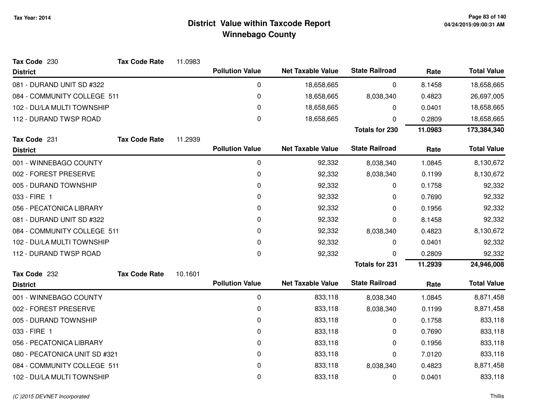| Tax Code 230                  | <b>Tax Code Rate</b> | 11.0983 |                        |                          |                       |         |                    |
|-------------------------------|----------------------|---------|------------------------|--------------------------|-----------------------|---------|--------------------|
| <b>District</b>               |                      |         | <b>Pollution Value</b> | <b>Net Taxable Value</b> | <b>State Railroad</b> | Rate    | <b>Total Value</b> |
| 081 - DURAND UNIT SD #322     |                      |         | 0                      | 18,658,665               | 0                     | 8.1458  | 18,658,665         |
| 084 - COMMUNITY COLLEGE 511   |                      |         | 0                      | 18,658,665               | 8,038,340             | 0.4823  | 26,697,005         |
| 102 - DU/LA MULTI TOWNSHIP    |                      |         | 0                      | 18,658,665               | 0                     | 0.0401  | 18,658,665         |
| 112 - DURAND TWSP ROAD        |                      |         | $\mathbf 0$            | 18,658,665               | 0                     | 0.2809  | 18,658,665         |
|                               |                      |         |                        |                          | <b>Totals for 230</b> | 11.0983 | 173,384,340        |
| Tax Code 231                  | <b>Tax Code Rate</b> | 11.2939 |                        |                          |                       |         |                    |
| <b>District</b>               |                      |         | <b>Pollution Value</b> | <b>Net Taxable Value</b> | <b>State Railroad</b> | Rate    | <b>Total Value</b> |
| 001 - WINNEBAGO COUNTY        |                      |         | 0                      | 92,332                   | 8,038,340             | 1.0845  | 8,130,672          |
| 002 - FOREST PRESERVE         |                      |         | 0                      | 92,332                   | 8,038,340             | 0.1199  | 8,130,672          |
| 005 - DURAND TOWNSHIP         |                      |         | 0                      | 92,332                   | 0                     | 0.1758  | 92,332             |
| 033 - FIRE 1                  |                      |         | 0                      | 92,332                   | 0                     | 0.7690  | 92,332             |
| 056 - PECATONICA LIBRARY      |                      |         | 0                      | 92,332                   | 0                     | 0.1956  | 92,332             |
| 081 - DURAND UNIT SD #322     |                      |         | 0                      | 92,332                   | 0                     | 8.1458  | 92,332             |
| 084 - COMMUNITY COLLEGE 511   |                      |         | 0                      | 92,332                   | 8,038,340             | 0.4823  | 8,130,672          |
| 102 - DU/LA MULTI TOWNSHIP    |                      |         | 0                      | 92,332                   | 0                     | 0.0401  | 92,332             |
| 112 - DURAND TWSP ROAD        |                      |         | 0                      | 92,332                   | 0                     | 0.2809  | 92,332             |
|                               |                      |         |                        |                          | <b>Totals for 231</b> | 11.2939 | 24,946,008         |
| Tax Code 232                  | <b>Tax Code Rate</b> | 10.1601 |                        |                          |                       |         |                    |
| <b>District</b>               |                      |         | <b>Pollution Value</b> | <b>Net Taxable Value</b> | <b>State Railroad</b> | Rate    | <b>Total Value</b> |
| 001 - WINNEBAGO COUNTY        |                      |         | 0                      | 833,118                  | 8,038,340             | 1.0845  | 8,871,458          |
| 002 - FOREST PRESERVE         |                      |         | 0                      | 833,118                  | 8,038,340             | 0.1199  | 8,871,458          |
| 005 - DURAND TOWNSHIP         |                      |         | 0                      | 833,118                  | 0                     | 0.1758  | 833,118            |
| 033 - FIRE 1                  |                      |         | 0                      | 833,118                  | 0                     | 0.7690  | 833,118            |
| 056 - PECATONICA LIBRARY      |                      |         | 0                      | 833,118                  | 0                     | 0.1956  | 833,118            |
| 080 - PECATONICA UNIT SD #321 |                      |         | 0                      | 833,118                  | 0                     | 7.0120  | 833,118            |
| 084 - COMMUNITY COLLEGE 511   |                      |         | 0                      | 833,118                  | 8,038,340             | 0.4823  | 8,871,458          |
| 102 - DU/LA MULTI TOWNSHIP    |                      |         | 0                      | 833,118                  | 0                     | 0.0401  | 833,118            |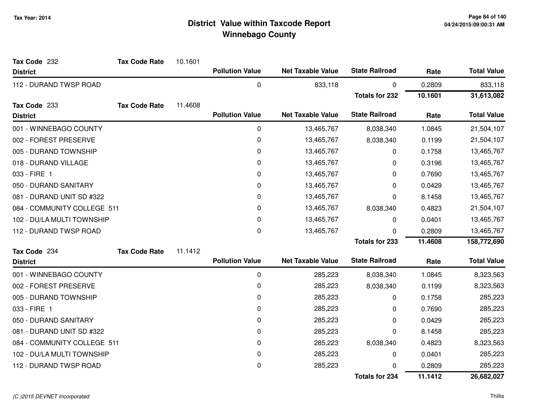| Tax Code 232                | <b>Tax Code Rate</b> | 10.1601 |                        |                          |                       |         |                    |
|-----------------------------|----------------------|---------|------------------------|--------------------------|-----------------------|---------|--------------------|
| <b>District</b>             |                      |         | <b>Pollution Value</b> | <b>Net Taxable Value</b> | <b>State Railroad</b> | Rate    | <b>Total Value</b> |
| 112 - DURAND TWSP ROAD      |                      |         | 0                      | 833,118                  | 0                     | 0.2809  | 833,118            |
|                             |                      |         |                        |                          | <b>Totals for 232</b> | 10.1601 | 31,613,082         |
| Tax Code 233                | <b>Tax Code Rate</b> | 11.4608 |                        |                          |                       |         |                    |
| <b>District</b>             |                      |         | <b>Pollution Value</b> | <b>Net Taxable Value</b> | <b>State Railroad</b> | Rate    | <b>Total Value</b> |
| 001 - WINNEBAGO COUNTY      |                      |         | 0                      | 13,465,767               | 8,038,340             | 1.0845  | 21,504,107         |
| 002 - FOREST PRESERVE       |                      |         | 0                      | 13,465,767               | 8,038,340             | 0.1199  | 21,504,107         |
| 005 - DURAND TOWNSHIP       |                      |         | 0                      | 13,465,767               | 0                     | 0.1758  | 13,465,767         |
| 018 - DURAND VILLAGE        |                      |         | 0                      | 13,465,767               | 0                     | 0.3196  | 13,465,767         |
| 033 - FIRE 1                |                      |         | 0                      | 13,465,767               | 0                     | 0.7690  | 13,465,767         |
| 050 - DURAND SANITARY       |                      |         | 0                      | 13,465,767               | 0                     | 0.0429  | 13,465,767         |
| 081 - DURAND UNIT SD #322   |                      |         | 0                      | 13,465,767               | 0                     | 8.1458  | 13,465,767         |
| 084 - COMMUNITY COLLEGE 511 |                      |         | $\pmb{0}$              | 13,465,767               | 8,038,340             | 0.4823  | 21,504,107         |
| 102 - DU/LA MULTI TOWNSHIP  |                      |         | 0                      | 13,465,767               | 0                     | 0.0401  | 13,465,767         |
| 112 - DURAND TWSP ROAD      |                      |         | 0                      | 13,465,767               | 0                     | 0.2809  | 13,465,767         |
|                             |                      |         |                        |                          | <b>Totals for 233</b> | 11.4608 | 158,772,690        |
| Tax Code 234                | <b>Tax Code Rate</b> | 11.1412 |                        |                          |                       |         |                    |
| <b>District</b>             |                      |         | <b>Pollution Value</b> | <b>Net Taxable Value</b> | <b>State Railroad</b> | Rate    | <b>Total Value</b> |
| 001 - WINNEBAGO COUNTY      |                      |         | 0                      | 285,223                  | 8,038,340             | 1.0845  | 8,323,563          |
| 002 - FOREST PRESERVE       |                      |         | 0                      | 285,223                  | 8,038,340             | 0.1199  | 8,323,563          |
| 005 - DURAND TOWNSHIP       |                      |         | 0                      | 285,223                  | 0                     | 0.1758  | 285,223            |
| 033 - FIRE 1                |                      |         | 0                      | 285,223                  | 0                     | 0.7690  | 285,223            |
| 050 - DURAND SANITARY       |                      |         | 0                      | 285,223                  | 0                     | 0.0429  | 285,223            |
| 081 - DURAND UNIT SD #322   |                      |         | 0                      | 285,223                  | 0                     | 8.1458  | 285,223            |
| 084 - COMMUNITY COLLEGE 511 |                      |         | 0                      | 285,223                  | 8,038,340             | 0.4823  | 8,323,563          |
| 102 - DU/LA MULTI TOWNSHIP  |                      |         | 0                      | 285,223                  | 0                     | 0.0401  | 285,223            |
| 112 - DURAND TWSP ROAD      |                      |         | 0                      | 285,223                  | $\Omega$              | 0.2809  | 285,223            |
|                             |                      |         |                        |                          | <b>Totals for 234</b> | 11.1412 | 26,682,027         |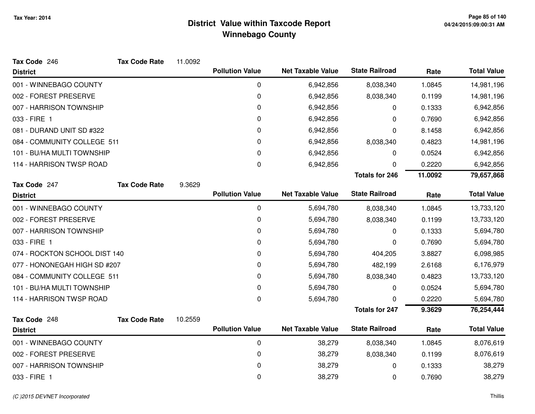| Tax Code 246                  | <b>Tax Code Rate</b> | 11.0092 |                        |                          |                       |         |                    |
|-------------------------------|----------------------|---------|------------------------|--------------------------|-----------------------|---------|--------------------|
| <b>District</b>               |                      |         | <b>Pollution Value</b> | <b>Net Taxable Value</b> | <b>State Railroad</b> | Rate    | <b>Total Value</b> |
| 001 - WINNEBAGO COUNTY        |                      |         | $\mathbf 0$            | 6,942,856                | 8,038,340             | 1.0845  | 14,981,196         |
| 002 - FOREST PRESERVE         |                      |         | 0                      | 6,942,856                | 8,038,340             | 0.1199  | 14,981,196         |
| 007 - HARRISON TOWNSHIP       |                      |         | 0                      | 6,942,856                | 0                     | 0.1333  | 6,942,856          |
| 033 - FIRE 1                  |                      |         | 0                      | 6,942,856                | 0                     | 0.7690  | 6,942,856          |
| 081 - DURAND UNIT SD #322     |                      |         | 0                      | 6,942,856                | 0                     | 8.1458  | 6,942,856          |
| 084 - COMMUNITY COLLEGE 511   |                      |         | 0                      | 6,942,856                | 8,038,340             | 0.4823  | 14,981,196         |
| 101 - BU/HA MULTI TOWNSHIP    |                      |         | 0                      | 6,942,856                | 0                     | 0.0524  | 6,942,856          |
| 114 - HARRISON TWSP ROAD      |                      |         | 0                      | 6,942,856                | 0                     | 0.2220  | 6,942,856          |
|                               |                      |         |                        |                          | <b>Totals for 246</b> | 11.0092 | 79,657,868         |
| Tax Code 247                  | <b>Tax Code Rate</b> | 9.3629  |                        |                          |                       |         |                    |
| <b>District</b>               |                      |         | <b>Pollution Value</b> | <b>Net Taxable Value</b> | <b>State Railroad</b> | Rate    | <b>Total Value</b> |
| 001 - WINNEBAGO COUNTY        |                      |         | 0                      | 5,694,780                | 8,038,340             | 1.0845  | 13,733,120         |
| 002 - FOREST PRESERVE         |                      |         | 0                      | 5,694,780                | 8,038,340             | 0.1199  | 13,733,120         |
| 007 - HARRISON TOWNSHIP       |                      |         | 0                      | 5,694,780                | 0                     | 0.1333  | 5,694,780          |
| 033 - FIRE 1                  |                      |         | 0                      | 5,694,780                | 0                     | 0.7690  | 5,694,780          |
| 074 - ROCKTON SCHOOL DIST 140 |                      |         | 0                      | 5,694,780                | 404,205               | 3.8827  | 6,098,985          |
| 077 - HONONEGAH HIGH SD #207  |                      |         | 0                      | 5,694,780                | 482,199               | 2.6168  | 6,176,979          |
| 084 - COMMUNITY COLLEGE 511   |                      |         | 0                      | 5,694,780                | 8,038,340             | 0.4823  | 13,733,120         |
| 101 - BU/HA MULTI TOWNSHIP    |                      |         | 0                      | 5,694,780                | 0                     | 0.0524  | 5,694,780          |
| 114 - HARRISON TWSP ROAD      |                      |         | $\Omega$               | 5,694,780                | 0                     | 0.2220  | 5,694,780          |
|                               |                      |         |                        |                          | <b>Totals for 247</b> | 9.3629  | 76,254,444         |
| Tax Code 248                  | <b>Tax Code Rate</b> | 10.2559 |                        |                          |                       |         |                    |
| <b>District</b>               |                      |         | <b>Pollution Value</b> | <b>Net Taxable Value</b> | <b>State Railroad</b> | Rate    | <b>Total Value</b> |
| 001 - WINNEBAGO COUNTY        |                      |         | 0                      | 38,279                   | 8,038,340             | 1.0845  | 8,076,619          |
| 002 - FOREST PRESERVE         |                      |         | 0                      | 38,279                   | 8,038,340             | 0.1199  | 8,076,619          |
| 007 - HARRISON TOWNSHIP       |                      |         | 0                      | 38,279                   | $\mathbf 0$           | 0.1333  | 38,279             |
| 033 - FIRE 1                  |                      |         | 0                      | 38,279                   | 0                     | 0.7690  | 38,279             |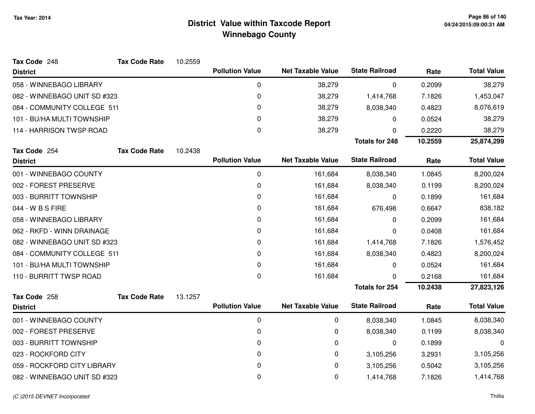| Tax Code 248                 | <b>Tax Code Rate</b> | 10.2559 |                        |                          |                       |         |                    |
|------------------------------|----------------------|---------|------------------------|--------------------------|-----------------------|---------|--------------------|
| <b>District</b>              |                      |         | <b>Pollution Value</b> | <b>Net Taxable Value</b> | <b>State Railroad</b> | Rate    | <b>Total Value</b> |
| 058 - WINNEBAGO LIBRARY      |                      |         | 0                      | 38,279                   | 0                     | 0.2099  | 38,279             |
| 082 - WINNEBAGO UNIT SD #323 |                      |         | 0                      | 38,279                   | 1,414,768             | 7.1826  | 1,453,047          |
| 084 - COMMUNITY COLLEGE 511  |                      |         | 0                      | 38,279                   | 8,038,340             | 0.4823  | 8,076,619          |
| 101 - BU/HA MULTI TOWNSHIP   |                      |         | 0                      | 38,279                   | 0                     | 0.0524  | 38,279             |
| 114 - HARRISON TWSP ROAD     |                      |         | 0                      | 38,279                   | 0                     | 0.2220  | 38,279             |
|                              |                      |         |                        |                          | <b>Totals for 248</b> | 10.2559 | 25,874,299         |
| Tax Code 254                 | <b>Tax Code Rate</b> | 10.2438 |                        |                          |                       |         |                    |
| <b>District</b>              |                      |         | <b>Pollution Value</b> | <b>Net Taxable Value</b> | <b>State Railroad</b> | Rate    | <b>Total Value</b> |
| 001 - WINNEBAGO COUNTY       |                      |         | 0                      | 161,684                  | 8,038,340             | 1.0845  | 8,200,024          |
| 002 - FOREST PRESERVE        |                      |         | 0                      | 161,684                  | 8,038,340             | 0.1199  | 8,200,024          |
| 003 - BURRITT TOWNSHIP       |                      |         | 0                      | 161,684                  | 0                     | 0.1899  | 161,684            |
| 044 - W B S FIRE             |                      |         | 0                      | 161,684                  | 676,498               | 0.6647  | 838,182            |
| 058 - WINNEBAGO LIBRARY      |                      |         | 0                      | 161,684                  | 0                     | 0.2099  | 161,684            |
| 062 - RKFD - WINN DRAINAGE   |                      |         | 0                      | 161,684                  | 0                     | 0.0408  | 161,684            |
| 082 - WINNEBAGO UNIT SD #323 |                      |         | 0                      | 161,684                  | 1,414,768             | 7.1826  | 1,576,452          |
| 084 - COMMUNITY COLLEGE 511  |                      |         | 0                      | 161,684                  | 8,038,340             | 0.4823  | 8,200,024          |
| 101 - BU/HA MULTI TOWNSHIP   |                      |         | 0                      | 161,684                  | 0                     | 0.0524  | 161,684            |
| 110 - BURRITT TWSP ROAD      |                      |         | 0                      | 161,684                  | 0                     | 0.2168  | 161,684            |
|                              |                      |         |                        |                          | <b>Totals for 254</b> | 10.2438 | 27,823,126         |
| Tax Code 258                 | <b>Tax Code Rate</b> | 13.1257 |                        |                          |                       |         |                    |
| <b>District</b>              |                      |         | <b>Pollution Value</b> | <b>Net Taxable Value</b> | <b>State Railroad</b> | Rate    | <b>Total Value</b> |
| 001 - WINNEBAGO COUNTY       |                      |         | 0                      | 0                        | 8,038,340             | 1.0845  | 8,038,340          |
| 002 - FOREST PRESERVE        |                      |         | 0                      | 0                        | 8,038,340             | 0.1199  | 8,038,340          |
| 003 - BURRITT TOWNSHIP       |                      |         | 0                      | 0                        | 0                     | 0.1899  | 0                  |
| 023 - ROCKFORD CITY          |                      |         | 0                      | 0                        | 3,105,256             | 3.2931  | 3,105,256          |
| 059 - ROCKFORD CITY LIBRARY  |                      |         | 0                      | 0                        | 3,105,256             | 0.5042  | 3,105,256          |
| 082 - WINNEBAGO UNIT SD #323 |                      |         | 0                      | 0                        | 1,414,768             | 7.1826  | 1,414,768          |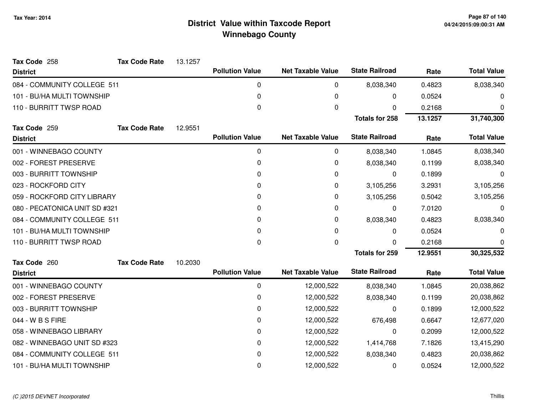| Tax Code 258                  | <b>Tax Code Rate</b> | 13.1257 |                        |                          |                       |         |                    |
|-------------------------------|----------------------|---------|------------------------|--------------------------|-----------------------|---------|--------------------|
| <b>District</b>               |                      |         | <b>Pollution Value</b> | <b>Net Taxable Value</b> | <b>State Railroad</b> | Rate    | <b>Total Value</b> |
| 084 - COMMUNITY COLLEGE 511   |                      |         | 0                      | 0                        | 8,038,340             | 0.4823  | 8,038,340          |
| 101 - BU/HA MULTI TOWNSHIP    |                      |         | $\mathbf{0}$           | 0                        | 0                     | 0.0524  | 0                  |
| 110 - BURRITT TWSP ROAD       |                      |         | 0                      | 0                        | 0                     | 0.2168  | 0                  |
|                               |                      |         |                        |                          | <b>Totals for 258</b> | 13.1257 | 31,740,300         |
| Tax Code 259                  | <b>Tax Code Rate</b> | 12.9551 |                        |                          |                       |         |                    |
| <b>District</b>               |                      |         | <b>Pollution Value</b> | <b>Net Taxable Value</b> | <b>State Railroad</b> | Rate    | <b>Total Value</b> |
| 001 - WINNEBAGO COUNTY        |                      |         | $\Omega$               | 0                        | 8,038,340             | 1.0845  | 8,038,340          |
| 002 - FOREST PRESERVE         |                      |         | 0                      | 0                        | 8,038,340             | 0.1199  | 8,038,340          |
| 003 - BURRITT TOWNSHIP        |                      |         | 0                      | 0                        | 0                     | 0.1899  | 0                  |
| 023 - ROCKFORD CITY           |                      |         | $\Omega$               | 0                        | 3,105,256             | 3.2931  | 3,105,256          |
| 059 - ROCKFORD CITY LIBRARY   |                      |         | 0                      | 0                        | 3,105,256             | 0.5042  | 3,105,256          |
| 080 - PECATONICA UNIT SD #321 |                      |         | 0                      | 0                        | 0                     | 7.0120  | 0                  |
| 084 - COMMUNITY COLLEGE 511   |                      |         | 0                      | 0                        | 8,038,340             | 0.4823  | 8,038,340          |
| 101 - BU/HA MULTI TOWNSHIP    |                      |         | 0                      | 0                        | 0                     | 0.0524  | 0                  |
| 110 - BURRITT TWSP ROAD       |                      |         | 0                      | 0                        | $\Omega$              | 0.2168  | 0                  |
|                               |                      |         |                        |                          | <b>Totals for 259</b> | 12.9551 | 30,325,532         |
| Tax Code 260                  | <b>Tax Code Rate</b> | 10.2030 |                        |                          |                       |         |                    |
| <b>District</b>               |                      |         | <b>Pollution Value</b> | <b>Net Taxable Value</b> | <b>State Railroad</b> | Rate    | <b>Total Value</b> |
| 001 - WINNEBAGO COUNTY        |                      |         | 0                      | 12,000,522               | 8,038,340             | 1.0845  | 20,038,862         |
| 002 - FOREST PRESERVE         |                      |         | 0                      | 12,000,522               | 8,038,340             | 0.1199  | 20,038,862         |
| 003 - BURRITT TOWNSHIP        |                      |         | 0                      | 12,000,522               | 0                     | 0.1899  | 12,000,522         |
| 044 - W B S FIRE              |                      |         | 0                      | 12,000,522               | 676,498               | 0.6647  | 12,677,020         |
| 058 - WINNEBAGO LIBRARY       |                      |         | 0                      | 12,000,522               | 0                     | 0.2099  | 12,000,522         |
| 082 - WINNEBAGO UNIT SD #323  |                      |         | 0                      | 12,000,522               | 1,414,768             | 7.1826  | 13,415,290         |
| 084 - COMMUNITY COLLEGE 511   |                      |         | $\Omega$               | 12,000,522               | 8,038,340             | 0.4823  | 20,038,862         |
| 101 - BU/HA MULTI TOWNSHIP    |                      |         | 0                      | 12,000,522               | 0                     | 0.0524  | 12,000,522         |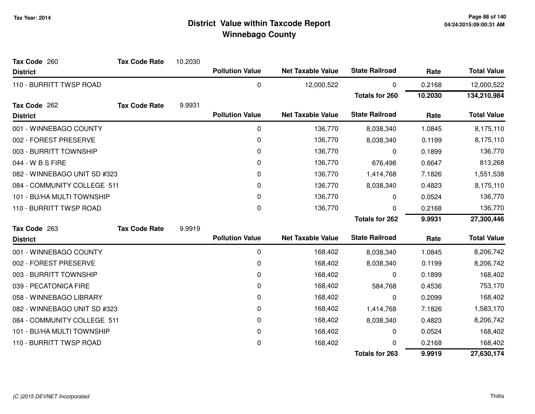| Tax Code 260                 | <b>Tax Code Rate</b> | 10.2030 |                        |                          |                       |         |                    |
|------------------------------|----------------------|---------|------------------------|--------------------------|-----------------------|---------|--------------------|
| <b>District</b>              |                      |         | <b>Pollution Value</b> | <b>Net Taxable Value</b> | <b>State Railroad</b> | Rate    | <b>Total Value</b> |
| 110 - BURRITT TWSP ROAD      |                      |         | 0                      | 12,000,522               | $\mathbf 0$           | 0.2168  | 12,000,522         |
|                              |                      |         |                        |                          | <b>Totals for 260</b> | 10.2030 | 134,210,984        |
| Tax Code 262                 | <b>Tax Code Rate</b> | 9.9931  |                        |                          |                       |         |                    |
| <b>District</b>              |                      |         | <b>Pollution Value</b> | <b>Net Taxable Value</b> | <b>State Railroad</b> | Rate    | <b>Total Value</b> |
| 001 - WINNEBAGO COUNTY       |                      |         | 0                      | 136,770                  | 8,038,340             | 1.0845  | 8,175,110          |
| 002 - FOREST PRESERVE        |                      |         | 0                      | 136,770                  | 8,038,340             | 0.1199  | 8,175,110          |
| 003 - BURRITT TOWNSHIP       |                      |         | 0                      | 136,770                  | 0                     | 0.1899  | 136,770            |
| 044 - W B S FIRE             |                      |         | 0                      | 136,770                  | 676,498               | 0.6647  | 813,268            |
| 082 - WINNEBAGO UNIT SD #323 |                      |         | 0                      | 136,770                  | 1,414,768             | 7.1826  | 1,551,538          |
| 084 - COMMUNITY COLLEGE 511  |                      |         | 0                      | 136,770                  | 8,038,340             | 0.4823  | 8,175,110          |
| 101 - BU/HA MULTI TOWNSHIP   |                      |         | 0                      | 136,770                  | 0                     | 0.0524  | 136,770            |
| 110 - BURRITT TWSP ROAD      |                      |         | 0                      | 136,770                  | 0                     | 0.2168  | 136,770            |
|                              |                      |         |                        |                          | <b>Totals for 262</b> | 9.9931  | 27,300,446         |
| Tax Code 263                 | <b>Tax Code Rate</b> | 9.9919  |                        |                          |                       |         |                    |
| <b>District</b>              |                      |         | <b>Pollution Value</b> | <b>Net Taxable Value</b> | <b>State Railroad</b> | Rate    | <b>Total Value</b> |
| 001 - WINNEBAGO COUNTY       |                      |         | 0                      | 168,402                  | 8,038,340             | 1.0845  | 8,206,742          |
| 002 - FOREST PRESERVE        |                      |         | 0                      | 168,402                  | 8,038,340             | 0.1199  | 8,206,742          |
| 003 - BURRITT TOWNSHIP       |                      |         | 0                      | 168,402                  | 0                     | 0.1899  | 168,402            |
| 039 - PECATONICA FIRE        |                      |         | 0                      | 168,402                  | 584,768               | 0.4536  | 753,170            |
| 058 - WINNEBAGO LIBRARY      |                      |         | 0                      | 168,402                  | 0                     | 0.2099  | 168,402            |
| 082 - WINNEBAGO UNIT SD #323 |                      |         | 0                      | 168,402                  | 1,414,768             | 7.1826  | 1,583,170          |
| 084 - COMMUNITY COLLEGE 511  |                      |         | 0                      | 168,402                  | 8,038,340             | 0.4823  | 8,206,742          |
| 101 - BU/HA MULTI TOWNSHIP   |                      |         | 0                      | 168,402                  | 0                     | 0.0524  | 168,402            |
| 110 - BURRITT TWSP ROAD      |                      |         | 0                      | 168,402                  |                       | 0.2168  | 168,402            |
|                              |                      |         |                        |                          | <b>Totals for 263</b> | 9.9919  | 27,630,174         |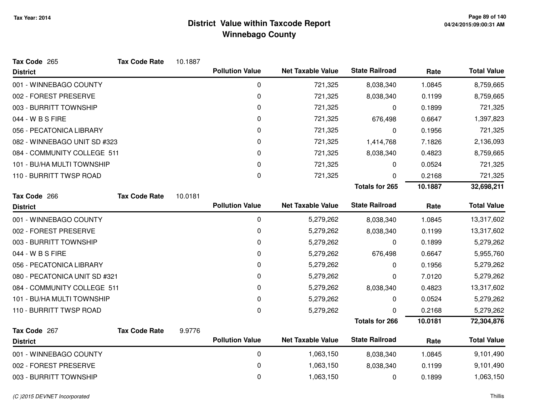| Tax Code 265                  | <b>Tax Code Rate</b> | 10.1887 |                        |                          |                       |         |                    |
|-------------------------------|----------------------|---------|------------------------|--------------------------|-----------------------|---------|--------------------|
| <b>District</b>               |                      |         | <b>Pollution Value</b> | <b>Net Taxable Value</b> | <b>State Railroad</b> | Rate    | <b>Total Value</b> |
| 001 - WINNEBAGO COUNTY        |                      |         | 0                      | 721,325                  | 8,038,340             | 1.0845  | 8,759,665          |
| 002 - FOREST PRESERVE         |                      |         | 0                      | 721,325                  | 8,038,340             | 0.1199  | 8,759,665          |
| 003 - BURRITT TOWNSHIP        |                      |         | 0                      | 721,325                  | 0                     | 0.1899  | 721,325            |
| 044 - W B S FIRE              |                      |         | 0                      | 721,325                  | 676,498               | 0.6647  | 1,397,823          |
| 056 - PECATONICA LIBRARY      |                      |         | 0                      | 721,325                  | 0                     | 0.1956  | 721,325            |
| 082 - WINNEBAGO UNIT SD #323  |                      |         | 0                      | 721,325                  | 1,414,768             | 7.1826  | 2,136,093          |
| 084 - COMMUNITY COLLEGE 511   |                      |         | 0                      | 721,325                  | 8,038,340             | 0.4823  | 8,759,665          |
| 101 - BU/HA MULTI TOWNSHIP    |                      |         | 0                      | 721,325                  | 0                     | 0.0524  | 721,325            |
| 110 - BURRITT TWSP ROAD       |                      |         | 0                      | 721,325                  | 0                     | 0.2168  | 721,325            |
|                               |                      |         |                        |                          | <b>Totals for 265</b> | 10.1887 | 32,698,211         |
| Tax Code 266                  | <b>Tax Code Rate</b> | 10.0181 |                        |                          |                       |         |                    |
| <b>District</b>               |                      |         | <b>Pollution Value</b> | <b>Net Taxable Value</b> | <b>State Railroad</b> | Rate    | <b>Total Value</b> |
| 001 - WINNEBAGO COUNTY        |                      |         | 0                      | 5,279,262                | 8,038,340             | 1.0845  | 13,317,602         |
| 002 - FOREST PRESERVE         |                      |         | 0                      | 5,279,262                | 8,038,340             | 0.1199  | 13,317,602         |
| 003 - BURRITT TOWNSHIP        |                      |         | 0                      | 5,279,262                | 0                     | 0.1899  | 5,279,262          |
| 044 - W B S FIRE              |                      |         | 0                      | 5,279,262                | 676,498               | 0.6647  | 5,955,760          |
| 056 - PECATONICA LIBRARY      |                      |         | 0                      | 5,279,262                | 0                     | 0.1956  | 5,279,262          |
| 080 - PECATONICA UNIT SD #321 |                      |         | 0                      | 5,279,262                | 0                     | 7.0120  | 5,279,262          |
| 084 - COMMUNITY COLLEGE 511   |                      |         | $\pmb{0}$              | 5,279,262                | 8,038,340             | 0.4823  | 13,317,602         |
| 101 - BU/HA MULTI TOWNSHIP    |                      |         | 0                      | 5,279,262                | 0                     | 0.0524  | 5,279,262          |
| 110 - BURRITT TWSP ROAD       |                      |         | $\pmb{0}$              | 5,279,262                | 0                     | 0.2168  | 5,279,262          |
|                               |                      |         |                        |                          | <b>Totals for 266</b> | 10.0181 | 72,304,876         |
| Tax Code 267                  | <b>Tax Code Rate</b> | 9.9776  |                        |                          |                       |         |                    |
| <b>District</b>               |                      |         | <b>Pollution Value</b> | <b>Net Taxable Value</b> | <b>State Railroad</b> | Rate    | <b>Total Value</b> |
| 001 - WINNEBAGO COUNTY        |                      |         | 0                      | 1,063,150                | 8,038,340             | 1.0845  | 9,101,490          |
| 002 - FOREST PRESERVE         |                      |         | $\pmb{0}$              | 1,063,150                | 8,038,340             | 0.1199  | 9,101,490          |
| 003 - BURRITT TOWNSHIP        |                      |         | 0                      | 1,063,150                | 0                     | 0.1899  | 1,063,150          |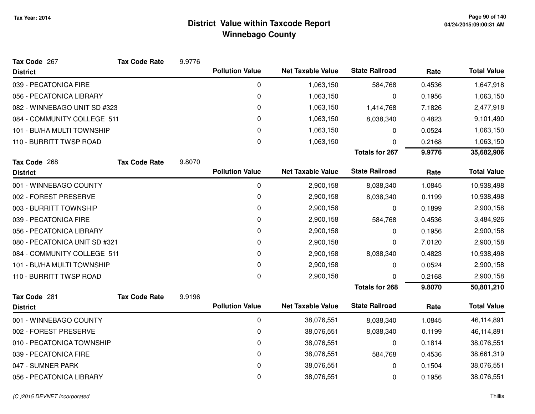| Tax Code 267                  | <b>Tax Code Rate</b> | 9.9776 |                        |                          |                       |        |                    |
|-------------------------------|----------------------|--------|------------------------|--------------------------|-----------------------|--------|--------------------|
| <b>District</b>               |                      |        | <b>Pollution Value</b> | <b>Net Taxable Value</b> | <b>State Railroad</b> | Rate   | <b>Total Value</b> |
| 039 - PECATONICA FIRE         |                      |        | 0                      | 1,063,150                | 584,768               | 0.4536 | 1,647,918          |
| 056 - PECATONICA LIBRARY      |                      |        | $\pmb{0}$              | 1,063,150                | 0                     | 0.1956 | 1,063,150          |
| 082 - WINNEBAGO UNIT SD #323  |                      |        | 0                      | 1,063,150                | 1,414,768             | 7.1826 | 2,477,918          |
| 084 - COMMUNITY COLLEGE 511   |                      |        | 0                      | 1,063,150                | 8,038,340             | 0.4823 | 9,101,490          |
| 101 - BU/HA MULTI TOWNSHIP    |                      |        | 0                      | 1,063,150                | 0                     | 0.0524 | 1,063,150          |
| 110 - BURRITT TWSP ROAD       |                      |        | 0                      | 1,063,150                | 0                     | 0.2168 | 1,063,150          |
|                               |                      |        |                        |                          | <b>Totals for 267</b> | 9.9776 | 35,682,906         |
| Tax Code 268                  | <b>Tax Code Rate</b> | 9.8070 |                        |                          |                       |        |                    |
| <b>District</b>               |                      |        | <b>Pollution Value</b> | <b>Net Taxable Value</b> | <b>State Railroad</b> | Rate   | <b>Total Value</b> |
| 001 - WINNEBAGO COUNTY        |                      |        | 0                      | 2,900,158                | 8,038,340             | 1.0845 | 10,938,498         |
| 002 - FOREST PRESERVE         |                      |        | $\pmb{0}$              | 2,900,158                | 8,038,340             | 0.1199 | 10,938,498         |
| 003 - BURRITT TOWNSHIP        |                      |        | 0                      | 2,900,158                | 0                     | 0.1899 | 2,900,158          |
| 039 - PECATONICA FIRE         |                      |        | 0                      | 2,900,158                | 584,768               | 0.4536 | 3,484,926          |
| 056 - PECATONICA LIBRARY      |                      |        | $\pmb{0}$              | 2,900,158                | 0                     | 0.1956 | 2,900,158          |
| 080 - PECATONICA UNIT SD #321 |                      |        | 0                      | 2,900,158                | 0                     | 7.0120 | 2,900,158          |
| 084 - COMMUNITY COLLEGE 511   |                      |        | 0                      | 2,900,158                | 8,038,340             | 0.4823 | 10,938,498         |
| 101 - BU/HA MULTI TOWNSHIP    |                      |        | 0                      | 2,900,158                | 0                     | 0.0524 | 2,900,158          |
| 110 - BURRITT TWSP ROAD       |                      |        | 0                      | 2,900,158                | 0                     | 0.2168 | 2,900,158          |
|                               |                      |        |                        |                          | <b>Totals for 268</b> | 9.8070 | 50,801,210         |
| Tax Code 281                  | <b>Tax Code Rate</b> | 9.9196 |                        |                          |                       |        |                    |
| <b>District</b>               |                      |        | <b>Pollution Value</b> | <b>Net Taxable Value</b> | <b>State Railroad</b> | Rate   | <b>Total Value</b> |
| 001 - WINNEBAGO COUNTY        |                      |        | $\pmb{0}$              | 38,076,551               | 8,038,340             | 1.0845 | 46,114,891         |
| 002 - FOREST PRESERVE         |                      |        | $\pmb{0}$              | 38,076,551               | 8,038,340             | 0.1199 | 46,114,891         |
| 010 - PECATONICA TOWNSHIP     |                      |        | 0                      | 38,076,551               | 0                     | 0.1814 | 38,076,551         |
| 039 - PECATONICA FIRE         |                      |        | $\pmb{0}$              | 38,076,551               | 584,768               | 0.4536 | 38,661,319         |
| 047 - SUMNER PARK             |                      |        | 0                      | 38,076,551               | 0                     | 0.1504 | 38,076,551         |
| 056 - PECATONICA LIBRARY      |                      |        | 0                      | 38,076,551               | 0                     | 0.1956 | 38,076,551         |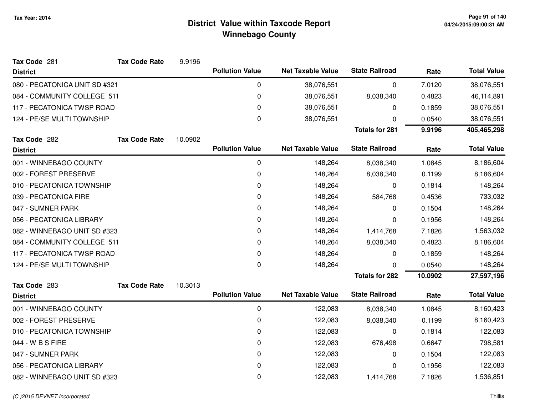| Tax Code 281                  | <b>Tax Code Rate</b>        | 9.9196  |                        |                          |                       |           |                    |
|-------------------------------|-----------------------------|---------|------------------------|--------------------------|-----------------------|-----------|--------------------|
| <b>District</b>               |                             |         | <b>Pollution Value</b> | <b>Net Taxable Value</b> | <b>State Railroad</b> | Rate      | <b>Total Value</b> |
| 080 - PECATONICA UNIT SD #321 |                             |         | 0                      | 38,076,551               | 0                     | 7.0120    | 38,076,551         |
| 084 - COMMUNITY COLLEGE 511   |                             |         | 0                      | 38,076,551               | 8,038,340             | 0.4823    | 46,114,891         |
| 117 - PECATONICA TWSP ROAD    |                             |         | 0                      | 38,076,551               | 0                     | 0.1859    | 38,076,551         |
| 124 - PE/SE MULTI TOWNSHIP    |                             |         | 0                      | 38,076,551               | 0                     | 0.0540    | 38,076,551         |
|                               |                             |         |                        |                          | <b>Totals for 281</b> | 9.9196    | 405,465,298        |
| Tax Code 282                  | <b>Tax Code Rate</b>        | 10.0902 |                        |                          |                       |           |                    |
| <b>District</b>               |                             |         | <b>Pollution Value</b> | <b>Net Taxable Value</b> | <b>State Railroad</b> | Rate      | <b>Total Value</b> |
| 001 - WINNEBAGO COUNTY        |                             |         | 0                      | 148,264                  | 8,038,340             | 1.0845    | 8,186,604          |
| 002 - FOREST PRESERVE         |                             |         | 0                      | 148,264                  | 8,038,340             | 0.1199    | 8,186,604          |
| 010 - PECATONICA TOWNSHIP     |                             |         | 0                      | 148,264                  | 0                     | 0.1814    | 148,264            |
| 039 - PECATONICA FIRE         |                             |         | 0                      | 148,264                  | 584,768               | 0.4536    | 733,032            |
| 047 - SUMNER PARK             |                             |         | 0                      | 148,264                  | 0                     | 0.1504    | 148,264            |
| 056 - PECATONICA LIBRARY      |                             |         | 0                      | 148,264                  | 0                     | 0.1956    | 148,264            |
| 082 - WINNEBAGO UNIT SD #323  |                             | 0       | 148,264                | 1,414,768                | 7.1826                | 1,563,032 |                    |
|                               | 084 - COMMUNITY COLLEGE 511 |         | 0                      | 148,264                  | 8,038,340             | 0.4823    | 8,186,604          |
| 117 - PECATONICA TWSP ROAD    |                             |         | 0                      | 148,264                  | 0                     | 0.1859    | 148,264            |
| 124 - PE/SE MULTI TOWNSHIP    |                             |         | 0                      | 148,264                  | 0                     | 0.0540    | 148,264            |
|                               |                             |         |                        |                          | <b>Totals for 282</b> | 10.0902   | 27,597,196         |
| Tax Code 283                  | <b>Tax Code Rate</b>        | 10.3013 |                        |                          |                       |           |                    |
| <b>District</b>               |                             |         | <b>Pollution Value</b> | <b>Net Taxable Value</b> | <b>State Railroad</b> | Rate      | <b>Total Value</b> |
| 001 - WINNEBAGO COUNTY        |                             |         | 0                      | 122,083                  | 8,038,340             | 1.0845    | 8,160,423          |
| 002 - FOREST PRESERVE         |                             |         | 0                      | 122,083                  | 8,038,340             | 0.1199    | 8,160,423          |
| 010 - PECATONICA TOWNSHIP     |                             |         | 0                      | 122,083                  | 0                     | 0.1814    | 122,083            |
| 044 - W B S FIRE              |                             |         | 0                      | 122,083                  | 676,498               | 0.6647    | 798,581            |
| 047 - SUMNER PARK             |                             |         | 0                      | 122,083                  | 0                     | 0.1504    | 122,083            |
| 056 - PECATONICA LIBRARY      |                             |         | 0                      | 122,083                  | 0                     | 0.1956    | 122,083            |
| 082 - WINNEBAGO UNIT SD #323  |                             |         | 0                      | 122,083                  | 1,414,768             | 7.1826    | 1,536,851          |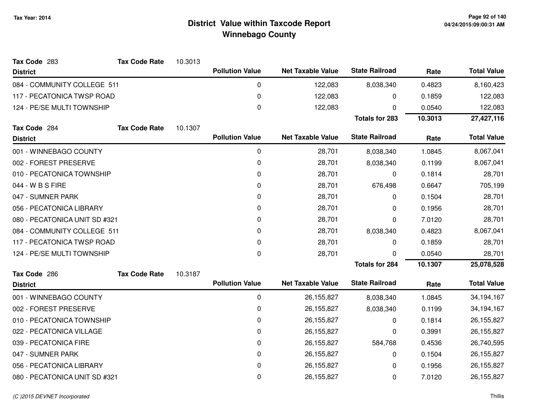| Tax Code 283                  | <b>Tax Code Rate</b> | 10.3013 |                        |                          |                       |         |                    |
|-------------------------------|----------------------|---------|------------------------|--------------------------|-----------------------|---------|--------------------|
| <b>District</b>               |                      |         | <b>Pollution Value</b> | <b>Net Taxable Value</b> | <b>State Railroad</b> | Rate    | <b>Total Value</b> |
| 084 - COMMUNITY COLLEGE 511   |                      |         | 0                      | 122,083                  | 8,038,340             | 0.4823  | 8,160,423          |
| 117 - PECATONICA TWSP ROAD    |                      |         | $\mathbf 0$            | 122,083                  | 0                     | 0.1859  | 122,083            |
| 124 - PE/SE MULTI TOWNSHIP    |                      |         | $\boldsymbol{0}$       | 122,083                  | 0                     | 0.0540  | 122,083            |
|                               |                      |         |                        |                          | <b>Totals for 283</b> | 10.3013 | 27,427,116         |
| Tax Code 284                  | <b>Tax Code Rate</b> | 10.1307 |                        |                          |                       |         |                    |
| <b>District</b>               |                      |         | <b>Pollution Value</b> | <b>Net Taxable Value</b> | <b>State Railroad</b> | Rate    | <b>Total Value</b> |
| 001 - WINNEBAGO COUNTY        |                      |         | $\mathbf 0$            | 28,701                   | 8,038,340             | 1.0845  | 8,067,041          |
| 002 - FOREST PRESERVE         |                      |         | 0                      | 28,701                   | 8,038,340             | 0.1199  | 8,067,041          |
| 010 - PECATONICA TOWNSHIP     |                      |         | 0                      | 28,701                   | 0                     | 0.1814  | 28,701             |
| 044 - W B S FIRE              |                      |         | $\mathbf 0$            | 28,701                   | 676,498               | 0.6647  | 705,199            |
| 047 - SUMNER PARK             |                      |         | $\mathbf 0$            | 28,701                   | 0                     | 0.1504  | 28,701             |
| 056 - PECATONICA LIBRARY      |                      |         | 0                      | 28,701                   | 0                     | 0.1956  | 28,701             |
| 080 - PECATONICA UNIT SD #321 |                      |         | 0                      | 28,701                   | 0                     | 7.0120  | 28,701             |
| 084 - COMMUNITY COLLEGE 511   |                      |         | $\mathbf 0$            | 28,701                   | 8,038,340             | 0.4823  | 8,067,041          |
| 117 - PECATONICA TWSP ROAD    |                      |         | 0                      | 28,701                   | 0                     | 0.1859  | 28,701             |
| 124 - PE/SE MULTI TOWNSHIP    |                      |         | 0                      | 28,701                   | 0                     | 0.0540  | 28,701             |
|                               |                      |         |                        |                          | <b>Totals for 284</b> | 10.1307 | 25,078,528         |
| Tax Code 286                  | <b>Tax Code Rate</b> | 10.3187 |                        |                          |                       |         |                    |
| <b>District</b>               |                      |         | <b>Pollution Value</b> | <b>Net Taxable Value</b> | <b>State Railroad</b> | Rate    | <b>Total Value</b> |
| 001 - WINNEBAGO COUNTY        |                      |         | 0                      | 26,155,827               | 8,038,340             | 1.0845  | 34, 194, 167       |
| 002 - FOREST PRESERVE         |                      |         | $\mathbf 0$            | 26,155,827               | 8,038,340             | 0.1199  | 34, 194, 167       |
| 010 - PECATONICA TOWNSHIP     |                      |         | 0                      | 26, 155, 827             | 0                     | 0.1814  | 26, 155, 827       |
| 022 - PECATONICA VILLAGE      |                      |         | $\mathbf 0$            | 26,155,827               | 0                     | 0.3991  | 26, 155, 827       |
| 039 - PECATONICA FIRE         |                      |         | 0                      | 26, 155, 827             | 584,768               | 0.4536  | 26,740,595         |
| 047 - SUMNER PARK             |                      |         | 0                      | 26,155,827               | 0                     | 0.1504  | 26, 155, 827       |
| 056 - PECATONICA LIBRARY      |                      |         | 0                      | 26,155,827               | 0                     | 0.1956  | 26, 155, 827       |
| 080 - PECATONICA UNIT SD #321 |                      |         | 0                      | 26, 155, 827             | 0                     | 7.0120  | 26, 155, 827       |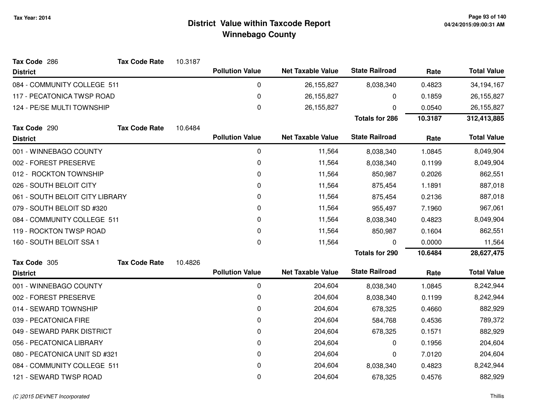| Tax Code 286                    | <b>Tax Code Rate</b> | 10.3187 |                        |                          |                       |         |                    |
|---------------------------------|----------------------|---------|------------------------|--------------------------|-----------------------|---------|--------------------|
| <b>District</b>                 |                      |         | <b>Pollution Value</b> | <b>Net Taxable Value</b> | <b>State Railroad</b> | Rate    | <b>Total Value</b> |
| 084 - COMMUNITY COLLEGE 511     |                      |         | 0                      | 26, 155, 827             | 8,038,340             | 0.4823  | 34, 194, 167       |
| 117 - PECATONICA TWSP ROAD      |                      |         | 0                      | 26,155,827               | 0                     | 0.1859  | 26,155,827         |
| 124 - PE/SE MULTI TOWNSHIP      |                      |         | 0                      | 26, 155, 827             | 0                     | 0.0540  | 26, 155, 827       |
|                                 |                      |         |                        |                          | <b>Totals for 286</b> | 10.3187 | 312,413,885        |
| Tax Code 290                    | <b>Tax Code Rate</b> | 10.6484 |                        |                          |                       |         |                    |
| <b>District</b>                 |                      |         | <b>Pollution Value</b> | <b>Net Taxable Value</b> | <b>State Railroad</b> | Rate    | <b>Total Value</b> |
| 001 - WINNEBAGO COUNTY          |                      |         | 0                      | 11,564                   | 8,038,340             | 1.0845  | 8,049,904          |
| 002 - FOREST PRESERVE           |                      |         | 0                      | 11,564                   | 8,038,340             | 0.1199  | 8,049,904          |
| 012 - ROCKTON TOWNSHIP          |                      |         | 0                      | 11,564                   | 850,987               | 0.2026  | 862,551            |
| 026 - SOUTH BELOIT CITY         |                      |         | 0                      | 11,564                   | 875,454               | 1.1891  | 887,018            |
| 061 - SOUTH BELOIT CITY LIBRARY |                      |         | 0                      | 11,564                   | 875,454               | 0.2136  | 887,018            |
| 079 - SOUTH BELOIT SD #320      |                      |         | 0                      | 11,564                   | 955,497               | 7.1960  | 967,061            |
| 084 - COMMUNITY COLLEGE 511     |                      |         | 0                      | 11,564                   | 8,038,340             | 0.4823  | 8,049,904          |
| 119 - ROCKTON TWSP ROAD         |                      |         | 0                      | 11,564                   | 850,987               | 0.1604  | 862,551            |
| 160 - SOUTH BELOIT SSA 1        |                      |         | 0                      | 11,564                   | 0                     | 0.0000  | 11,564             |
|                                 |                      |         |                        |                          | <b>Totals for 290</b> | 10.6484 | 28,627,475         |
| Tax Code 305                    | <b>Tax Code Rate</b> | 10.4826 |                        |                          |                       |         |                    |
| <b>District</b>                 |                      |         | <b>Pollution Value</b> | <b>Net Taxable Value</b> | <b>State Railroad</b> | Rate    | <b>Total Value</b> |
| 001 - WINNEBAGO COUNTY          |                      |         | $\mathbf 0$            | 204,604                  | 8,038,340             | 1.0845  | 8,242,944          |
| 002 - FOREST PRESERVE           |                      |         | 0                      | 204,604                  | 8,038,340             | 0.1199  | 8,242,944          |
| 014 - SEWARD TOWNSHIP           |                      |         | 0                      | 204,604                  | 678,325               | 0.4660  | 882,929            |
| 039 - PECATONICA FIRE           |                      |         | 0                      | 204,604                  | 584,768               | 0.4536  | 789,372            |
| 049 - SEWARD PARK DISTRICT      |                      |         | 0                      | 204,604                  | 678,325               | 0.1571  | 882,929            |
| 056 - PECATONICA LIBRARY        |                      |         | 0                      | 204,604                  | 0                     | 0.1956  | 204,604            |
| 080 - PECATONICA UNIT SD #321   |                      |         | 0                      | 204,604                  | 0                     | 7.0120  | 204,604            |
| 084 - COMMUNITY COLLEGE 511     |                      |         | 0                      | 204,604                  | 8,038,340             | 0.4823  | 8,242,944          |
| 121 - SEWARD TWSP ROAD          |                      |         | 0                      | 204,604                  | 678,325               | 0.4576  | 882,929            |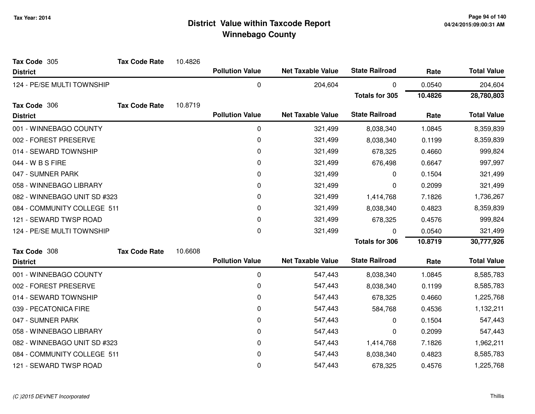| Tax Code 305                 | <b>Tax Code Rate</b> | 10.4826 |                        |                          |                       |         |                    |
|------------------------------|----------------------|---------|------------------------|--------------------------|-----------------------|---------|--------------------|
| <b>District</b>              |                      |         | <b>Pollution Value</b> | <b>Net Taxable Value</b> | <b>State Railroad</b> | Rate    | <b>Total Value</b> |
| 124 - PE/SE MULTI TOWNSHIP   |                      |         | $\mathbf 0$            | 204,604                  | 0                     | 0.0540  | 204,604            |
|                              |                      |         |                        |                          | <b>Totals for 305</b> | 10.4826 | 28,780,803         |
| Tax Code 306                 | <b>Tax Code Rate</b> | 10.8719 |                        |                          |                       |         |                    |
| <b>District</b>              |                      |         | <b>Pollution Value</b> | <b>Net Taxable Value</b> | <b>State Railroad</b> | Rate    | <b>Total Value</b> |
| 001 - WINNEBAGO COUNTY       |                      |         | 0                      | 321,499                  | 8,038,340             | 1.0845  | 8,359,839          |
| 002 - FOREST PRESERVE        |                      |         | 0                      | 321,499                  | 8,038,340             | 0.1199  | 8,359,839          |
| 014 - SEWARD TOWNSHIP        |                      |         | 0                      | 321,499                  | 678,325               | 0.4660  | 999,824            |
| 044 - W B S FIRE             |                      |         | $\mathbf 0$            | 321,499                  | 676,498               | 0.6647  | 997,997            |
| 047 - SUMNER PARK            |                      |         | 0                      | 321,499                  | 0                     | 0.1504  | 321,499            |
| 058 - WINNEBAGO LIBRARY      |                      |         | 0                      | 321,499                  | 0                     | 0.2099  | 321,499            |
| 082 - WINNEBAGO UNIT SD #323 |                      |         | 0                      | 321,499                  | 1,414,768             | 7.1826  | 1,736,267          |
| 084 - COMMUNITY COLLEGE 511  |                      |         | $\mathbf 0$            | 321,499                  | 8,038,340             | 0.4823  | 8,359,839          |
| 121 - SEWARD TWSP ROAD       |                      |         | 0                      | 321,499                  | 678,325               | 0.4576  | 999,824            |
| 124 - PE/SE MULTI TOWNSHIP   |                      |         | 0                      | 321,499                  | 0                     | 0.0540  | 321,499            |
|                              |                      |         |                        |                          | <b>Totals for 306</b> | 10.8719 | 30,777,926         |
| Tax Code 308                 | <b>Tax Code Rate</b> | 10.6608 |                        |                          |                       |         |                    |
| <b>District</b>              |                      |         | <b>Pollution Value</b> | <b>Net Taxable Value</b> | <b>State Railroad</b> | Rate    | <b>Total Value</b> |
| 001 - WINNEBAGO COUNTY       |                      |         | 0                      | 547,443                  | 8,038,340             | 1.0845  | 8,585,783          |
| 002 - FOREST PRESERVE        |                      |         | 0                      | 547,443                  | 8,038,340             | 0.1199  | 8,585,783          |
| 014 - SEWARD TOWNSHIP        |                      |         | $\mathbf 0$            | 547,443                  | 678,325               | 0.4660  | 1,225,768          |
| 039 - PECATONICA FIRE        |                      |         | 0                      | 547,443                  | 584,768               | 0.4536  | 1,132,211          |
| 047 - SUMNER PARK            |                      |         | 0                      | 547,443                  | 0                     | 0.1504  | 547,443            |
| 058 - WINNEBAGO LIBRARY      |                      |         | 0                      | 547,443                  | 0                     | 0.2099  | 547,443            |
| 082 - WINNEBAGO UNIT SD #323 |                      |         | $\mathbf 0$            | 547,443                  | 1,414,768             | 7.1826  | 1,962,211          |
| 084 - COMMUNITY COLLEGE 511  |                      |         | 0                      | 547,443                  | 8,038,340             | 0.4823  | 8,585,783          |
| 121 - SEWARD TWSP ROAD       |                      |         | 0                      | 547,443                  | 678,325               | 0.4576  | 1,225,768          |
|                              |                      |         |                        |                          |                       |         |                    |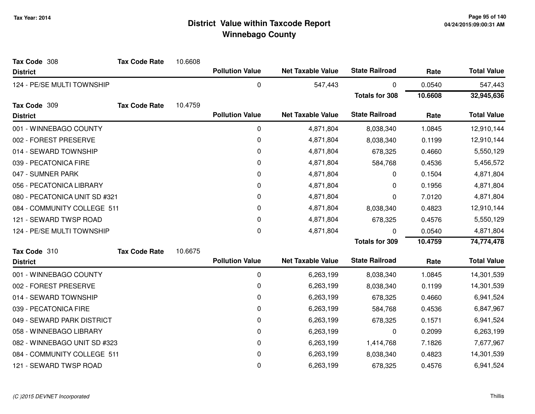| Tax Code 308                  | <b>Tax Code Rate</b> | 10.6608 |                        |                          |                       |         |                    |
|-------------------------------|----------------------|---------|------------------------|--------------------------|-----------------------|---------|--------------------|
| <b>District</b>               |                      |         | <b>Pollution Value</b> | <b>Net Taxable Value</b> | <b>State Railroad</b> | Rate    | <b>Total Value</b> |
| 124 - PE/SE MULTI TOWNSHIP    |                      |         | $\boldsymbol{0}$       | 547,443                  | 0                     | 0.0540  | 547,443            |
|                               |                      |         |                        |                          | <b>Totals for 308</b> | 10.6608 | 32,945,636         |
| Tax Code 309                  | <b>Tax Code Rate</b> | 10.4759 |                        |                          |                       |         |                    |
| <b>District</b>               |                      |         | <b>Pollution Value</b> | <b>Net Taxable Value</b> | <b>State Railroad</b> | Rate    | <b>Total Value</b> |
| 001 - WINNEBAGO COUNTY        |                      |         | $\pmb{0}$              | 4,871,804                | 8,038,340             | 1.0845  | 12,910,144         |
| 002 - FOREST PRESERVE         |                      |         | 0                      | 4,871,804                | 8,038,340             | 0.1199  | 12,910,144         |
| 014 - SEWARD TOWNSHIP         |                      |         | 0                      | 4,871,804                | 678,325               | 0.4660  | 5,550,129          |
| 039 - PECATONICA FIRE         |                      |         | $\mathbf 0$            | 4,871,804                | 584,768               | 0.4536  | 5,456,572          |
| 047 - SUMNER PARK             |                      |         | 0                      | 4,871,804                | 0                     | 0.1504  | 4,871,804          |
| 056 - PECATONICA LIBRARY      |                      |         | 0                      | 4,871,804                | 0                     | 0.1956  | 4,871,804          |
| 080 - PECATONICA UNIT SD #321 |                      |         | 0                      | 4,871,804                | 0                     | 7.0120  | 4,871,804          |
| 084 - COMMUNITY COLLEGE 511   |                      |         | 0                      | 4,871,804                | 8,038,340             | 0.4823  | 12,910,144         |
| 121 - SEWARD TWSP ROAD        |                      |         | 0                      | 4,871,804                | 678,325               | 0.4576  | 5,550,129          |
| 124 - PE/SE MULTI TOWNSHIP    |                      |         | 0                      | 4,871,804                | 0                     | 0.0540  | 4,871,804          |
|                               |                      |         |                        |                          | <b>Totals for 309</b> | 10.4759 | 74,774,478         |
| Tax Code 310                  | <b>Tax Code Rate</b> | 10.6675 |                        |                          |                       |         |                    |
| <b>District</b>               |                      |         | <b>Pollution Value</b> | <b>Net Taxable Value</b> | <b>State Railroad</b> | Rate    | <b>Total Value</b> |
| 001 - WINNEBAGO COUNTY        |                      |         | 0                      | 6,263,199                | 8,038,340             | 1.0845  | 14,301,539         |
| 002 - FOREST PRESERVE         |                      |         | 0                      | 6,263,199                | 8,038,340             | 0.1199  | 14,301,539         |
| 014 - SEWARD TOWNSHIP         |                      |         | $\mathbf 0$            | 6,263,199                | 678,325               | 0.4660  | 6,941,524          |
| 039 - PECATONICA FIRE         |                      |         | 0                      | 6,263,199                | 584,768               | 0.4536  | 6,847,967          |
| 049 - SEWARD PARK DISTRICT    |                      |         | 0                      | 6,263,199                | 678,325               | 0.1571  | 6,941,524          |
| 058 - WINNEBAGO LIBRARY       |                      |         | 0                      | 6,263,199                | 0                     | 0.2099  | 6,263,199          |
| 082 - WINNEBAGO UNIT SD #323  |                      |         | $\mathbf 0$            | 6,263,199                | 1,414,768             | 7.1826  | 7,677,967          |
| 084 - COMMUNITY COLLEGE 511   |                      |         | 0                      | 6,263,199                | 8,038,340             | 0.4823  | 14,301,539         |
| 121 - SEWARD TWSP ROAD        |                      |         | $\mathbf 0$            | 6,263,199                | 678,325               | 0.4576  | 6,941,524          |
|                               |                      |         |                        |                          |                       |         |                    |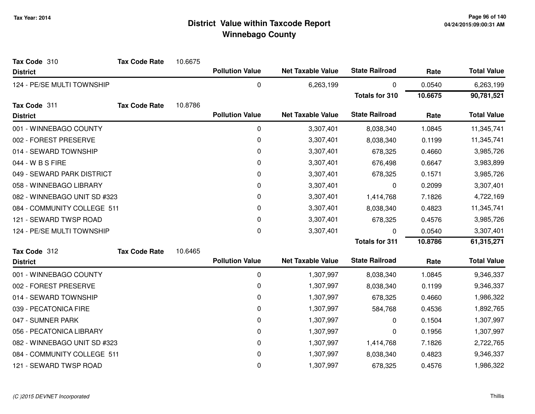| Tax Code 310                 | <b>Tax Code Rate</b> | 10.6675 |                        |                          |                       |         |                    |
|------------------------------|----------------------|---------|------------------------|--------------------------|-----------------------|---------|--------------------|
| <b>District</b>              |                      |         | <b>Pollution Value</b> | <b>Net Taxable Value</b> | <b>State Railroad</b> | Rate    | <b>Total Value</b> |
| 124 - PE/SE MULTI TOWNSHIP   |                      |         | $\pmb{0}$              | 6,263,199                | 0                     | 0.0540  | 6,263,199          |
|                              |                      |         |                        |                          | <b>Totals for 310</b> | 10.6675 | 90,781,521         |
| Tax Code 311                 | <b>Tax Code Rate</b> | 10.8786 |                        |                          |                       |         |                    |
| <b>District</b>              |                      |         | <b>Pollution Value</b> | <b>Net Taxable Value</b> | <b>State Railroad</b> | Rate    | <b>Total Value</b> |
| 001 - WINNEBAGO COUNTY       |                      |         | 0                      | 3,307,401                | 8,038,340             | 1.0845  | 11,345,741         |
| 002 - FOREST PRESERVE        |                      |         | 0                      | 3,307,401                | 8,038,340             | 0.1199  | 11,345,741         |
| 014 - SEWARD TOWNSHIP        |                      |         | 0                      | 3,307,401                | 678,325               | 0.4660  | 3,985,726          |
| 044 - W B S FIRE             |                      |         | 0                      | 3,307,401                | 676,498               | 0.6647  | 3,983,899          |
| 049 - SEWARD PARK DISTRICT   |                      |         | 0                      | 3,307,401                | 678,325               | 0.1571  | 3,985,726          |
| 058 - WINNEBAGO LIBRARY      |                      |         | 0                      | 3,307,401                | 0                     | 0.2099  | 3,307,401          |
| 082 - WINNEBAGO UNIT SD #323 |                      |         | 0                      | 3,307,401                | 1,414,768             | 7.1826  | 4,722,169          |
| 084 - COMMUNITY COLLEGE 511  |                      |         | 0                      | 3,307,401                | 8,038,340             | 0.4823  | 11,345,741         |
| 121 - SEWARD TWSP ROAD       |                      |         | 0                      | 3,307,401                | 678,325               | 0.4576  | 3,985,726          |
| 124 - PE/SE MULTI TOWNSHIP   |                      |         | 0                      | 3,307,401                | 0                     | 0.0540  | 3,307,401          |
|                              |                      |         |                        |                          | <b>Totals for 311</b> | 10.8786 | 61,315,271         |
| Tax Code 312                 | <b>Tax Code Rate</b> | 10.6465 |                        |                          |                       |         |                    |
| <b>District</b>              |                      |         | <b>Pollution Value</b> | <b>Net Taxable Value</b> | <b>State Railroad</b> | Rate    | <b>Total Value</b> |
| 001 - WINNEBAGO COUNTY       |                      |         | 0                      | 1,307,997                | 8,038,340             | 1.0845  | 9,346,337          |
| 002 - FOREST PRESERVE        |                      |         | 0                      | 1,307,997                | 8,038,340             | 0.1199  | 9,346,337          |
| 014 - SEWARD TOWNSHIP        |                      |         | 0                      | 1,307,997                | 678,325               | 0.4660  | 1,986,322          |
| 039 - PECATONICA FIRE        |                      |         | 0                      | 1,307,997                | 584,768               | 0.4536  | 1,892,765          |
| 047 - SUMNER PARK            |                      |         | 0                      | 1,307,997                | 0                     | 0.1504  | 1,307,997          |
| 056 - PECATONICA LIBRARY     |                      |         | 0                      | 1,307,997                | 0                     | 0.1956  | 1,307,997          |
| 082 - WINNEBAGO UNIT SD #323 |                      |         | 0                      | 1,307,997                | 1,414,768             | 7.1826  | 2,722,765          |
| 084 - COMMUNITY COLLEGE 511  |                      |         | 0                      | 1,307,997                | 8,038,340             | 0.4823  | 9,346,337          |
| 121 - SEWARD TWSP ROAD       |                      |         | 0                      | 1,307,997                | 678,325               | 0.4576  | 1,986,322          |
|                              |                      |         |                        |                          |                       |         |                    |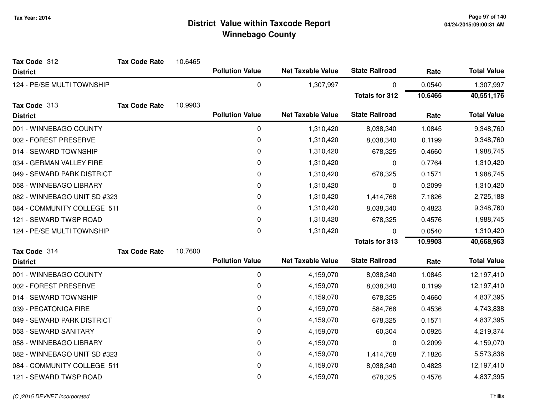| Tax Code 312                 | <b>Tax Code Rate</b> | 10.6465 |                        |                          |                       |         |                    |
|------------------------------|----------------------|---------|------------------------|--------------------------|-----------------------|---------|--------------------|
| <b>District</b>              |                      |         | <b>Pollution Value</b> | <b>Net Taxable Value</b> | <b>State Railroad</b> | Rate    | <b>Total Value</b> |
| 124 - PE/SE MULTI TOWNSHIP   |                      |         | 0                      | 1,307,997                | 0                     | 0.0540  | 1,307,997          |
|                              |                      |         |                        |                          | <b>Totals for 312</b> | 10.6465 | 40,551,176         |
| Tax Code 313                 | <b>Tax Code Rate</b> | 10.9903 |                        |                          |                       |         |                    |
| <b>District</b>              |                      |         | <b>Pollution Value</b> | <b>Net Taxable Value</b> | <b>State Railroad</b> | Rate    | <b>Total Value</b> |
| 001 - WINNEBAGO COUNTY       |                      |         | $\mathbf 0$            | 1,310,420                | 8,038,340             | 1.0845  | 9,348,760          |
| 002 - FOREST PRESERVE        |                      |         | $\pmb{0}$              | 1,310,420                | 8,038,340             | 0.1199  | 9,348,760          |
| 014 - SEWARD TOWNSHIP        |                      |         | $\pmb{0}$              | 1,310,420                | 678,325               | 0.4660  | 1,988,745          |
| 034 - GERMAN VALLEY FIRE     |                      |         | 0                      | 1,310,420                | 0                     | 0.7764  | 1,310,420          |
| 049 - SEWARD PARK DISTRICT   |                      |         | $\pmb{0}$              | 1,310,420                | 678,325               | 0.1571  | 1,988,745          |
| 058 - WINNEBAGO LIBRARY      |                      |         | 0                      | 1,310,420                | 0                     | 0.2099  | 1,310,420          |
| 082 - WINNEBAGO UNIT SD #323 |                      |         | 0                      | 1,310,420                | 1,414,768             | 7.1826  | 2,725,188          |
| 084 - COMMUNITY COLLEGE 511  |                      |         | 0                      | 1,310,420                | 8,038,340             | 0.4823  | 9,348,760          |
| 121 - SEWARD TWSP ROAD       |                      |         | 0                      | 1,310,420                | 678,325               | 0.4576  | 1,988,745          |
| 124 - PE/SE MULTI TOWNSHIP   |                      |         | $\pmb{0}$              | 1,310,420                | 0                     | 0.0540  | 1,310,420          |
|                              |                      |         |                        |                          | <b>Totals for 313</b> | 10.9903 | 40,668,963         |
| Tax Code 314                 | <b>Tax Code Rate</b> | 10.7600 |                        |                          |                       |         |                    |
| <b>District</b>              |                      |         | <b>Pollution Value</b> | <b>Net Taxable Value</b> | <b>State Railroad</b> | Rate    | <b>Total Value</b> |
| 001 - WINNEBAGO COUNTY       |                      |         | $\pmb{0}$              | 4,159,070                | 8,038,340             | 1.0845  | 12,197,410         |
| 002 - FOREST PRESERVE        |                      |         | 0                      | 4,159,070                | 8,038,340             | 0.1199  | 12,197,410         |
| 014 - SEWARD TOWNSHIP        |                      |         | 0                      | 4,159,070                | 678,325               | 0.4660  | 4,837,395          |
| 039 - PECATONICA FIRE        |                      |         | 0                      | 4,159,070                | 584,768               | 0.4536  | 4,743,838          |
| 049 - SEWARD PARK DISTRICT   |                      |         | $\pmb{0}$              | 4,159,070                | 678,325               | 0.1571  | 4,837,395          |
| 053 - SEWARD SANITARY        |                      |         | 0                      | 4,159,070                | 60,304                | 0.0925  | 4,219,374          |
| 058 - WINNEBAGO LIBRARY      |                      |         | 0                      | 4,159,070                | 0                     | 0.2099  | 4,159,070          |
| 082 - WINNEBAGO UNIT SD #323 |                      |         | 0                      | 4,159,070                | 1,414,768             | 7.1826  | 5,573,838          |
| 084 - COMMUNITY COLLEGE 511  |                      |         | 0                      | 4,159,070                | 8,038,340             | 0.4823  | 12,197,410         |
| 121 - SEWARD TWSP ROAD       |                      |         | 0                      | 4,159,070                | 678,325               | 0.4576  | 4,837,395          |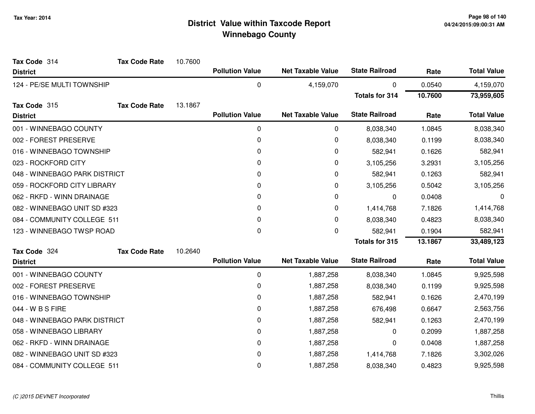| Tax Code 314                  | <b>Tax Code Rate</b> | 10.7600 |                        |                          |                       |         |                    |
|-------------------------------|----------------------|---------|------------------------|--------------------------|-----------------------|---------|--------------------|
| <b>District</b>               |                      |         | <b>Pollution Value</b> | <b>Net Taxable Value</b> | <b>State Railroad</b> | Rate    | <b>Total Value</b> |
| 124 - PE/SE MULTI TOWNSHIP    |                      |         | 0                      | 4,159,070                | 0                     | 0.0540  | 4,159,070          |
|                               |                      |         |                        |                          | <b>Totals for 314</b> | 10.7600 | 73,959,605         |
| Tax Code 315                  | <b>Tax Code Rate</b> | 13.1867 |                        |                          |                       |         |                    |
| <b>District</b>               |                      |         | <b>Pollution Value</b> | <b>Net Taxable Value</b> | <b>State Railroad</b> | Rate    | <b>Total Value</b> |
| 001 - WINNEBAGO COUNTY        |                      |         | $\pmb{0}$              | 0                        | 8,038,340             | 1.0845  | 8,038,340          |
| 002 - FOREST PRESERVE         |                      |         | 0                      | 0                        | 8,038,340             | 0.1199  | 8,038,340          |
| 016 - WINNEBAGO TOWNSHIP      |                      |         | 0                      | 0                        | 582,941               | 0.1626  | 582,941            |
| 023 - ROCKFORD CITY           |                      |         | 0                      | 0                        | 3,105,256             | 3.2931  | 3,105,256          |
| 048 - WINNEBAGO PARK DISTRICT |                      |         | 0                      | 0                        | 582,941               | 0.1263  | 582,941            |
| 059 - ROCKFORD CITY LIBRARY   |                      |         | 0                      | 0                        | 3,105,256             | 0.5042  | 3,105,256          |
| 062 - RKFD - WINN DRAINAGE    |                      |         | 0                      | 0                        | 0                     | 0.0408  | 0                  |
| 082 - WINNEBAGO UNIT SD #323  |                      |         | 0                      | 0                        | 1,414,768             | 7.1826  | 1,414,768          |
| 084 - COMMUNITY COLLEGE 511   |                      |         | 0                      | 0                        | 8,038,340             | 0.4823  | 8,038,340          |
| 123 - WINNEBAGO TWSP ROAD     |                      |         | 0                      | 0                        | 582,941               | 0.1904  | 582,941            |
|                               |                      |         |                        |                          | <b>Totals for 315</b> | 13.1867 | 33,489,123         |
| Tax Code 324                  | <b>Tax Code Rate</b> | 10.2640 |                        |                          |                       |         |                    |
| <b>District</b>               |                      |         | <b>Pollution Value</b> | <b>Net Taxable Value</b> | <b>State Railroad</b> | Rate    | <b>Total Value</b> |
| 001 - WINNEBAGO COUNTY        |                      |         | $\pmb{0}$              | 1,887,258                | 8,038,340             | 1.0845  | 9,925,598          |
| 002 - FOREST PRESERVE         |                      |         | 0                      | 1,887,258                | 8,038,340             | 0.1199  | 9,925,598          |
| 016 - WINNEBAGO TOWNSHIP      |                      |         | 0                      | 1,887,258                | 582,941               | 0.1626  | 2,470,199          |
| 044 - W B S FIRE              |                      |         | 0                      | 1,887,258                | 676,498               | 0.6647  | 2,563,756          |
| 048 - WINNEBAGO PARK DISTRICT |                      |         | 0                      | 1,887,258                | 582,941               | 0.1263  | 2,470,199          |
| 058 - WINNEBAGO LIBRARY       |                      |         | 0                      | 1,887,258                | 0                     | 0.2099  | 1,887,258          |
| 062 - RKFD - WINN DRAINAGE    |                      |         | 0                      | 1,887,258                | 0                     | 0.0408  | 1,887,258          |
| 082 - WINNEBAGO UNIT SD #323  |                      |         | 0                      | 1,887,258                | 1,414,768             | 7.1826  | 3,302,026          |
| 084 - COMMUNITY COLLEGE 511   |                      |         | 0                      | 1,887,258                | 8,038,340             | 0.4823  | 9,925,598          |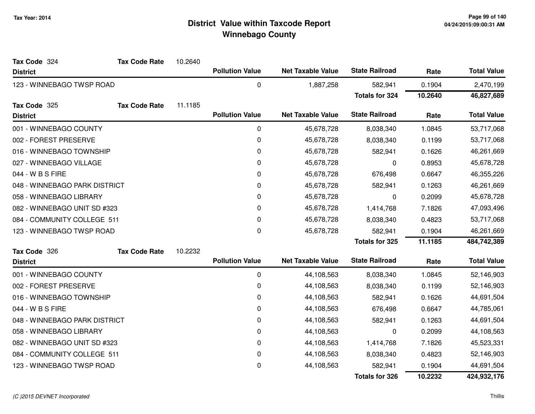| Tax Code 324                  | <b>Tax Code Rate</b> | 10.2640 |                        |                          |                       |         |                    |
|-------------------------------|----------------------|---------|------------------------|--------------------------|-----------------------|---------|--------------------|
| <b>District</b>               |                      |         | <b>Pollution Value</b> | <b>Net Taxable Value</b> | <b>State Railroad</b> | Rate    | <b>Total Value</b> |
| 123 - WINNEBAGO TWSP ROAD     |                      |         | 0                      | 1,887,258                | 582,941               | 0.1904  | 2,470,199          |
|                               |                      |         |                        |                          | <b>Totals for 324</b> | 10.2640 | 46,827,689         |
| Tax Code 325                  | <b>Tax Code Rate</b> | 11.1185 |                        |                          |                       |         |                    |
| <b>District</b>               |                      |         | <b>Pollution Value</b> | <b>Net Taxable Value</b> | <b>State Railroad</b> | Rate    | <b>Total Value</b> |
| 001 - WINNEBAGO COUNTY        |                      |         | 0                      | 45,678,728               | 8,038,340             | 1.0845  | 53,717,068         |
| 002 - FOREST PRESERVE         |                      |         | 0                      | 45,678,728               | 8,038,340             | 0.1199  | 53,717,068         |
| 016 - WINNEBAGO TOWNSHIP      |                      |         | 0                      | 45,678,728               | 582,941               | 0.1626  | 46,261,669         |
| 027 - WINNEBAGO VILLAGE       |                      |         | 0                      | 45,678,728               | 0                     | 0.8953  | 45,678,728         |
| 044 - W B S FIRE              |                      |         | 0                      | 45,678,728               | 676,498               | 0.6647  | 46,355,226         |
| 048 - WINNEBAGO PARK DISTRICT |                      |         | 0                      | 45,678,728               | 582,941               | 0.1263  | 46,261,669         |
| 058 - WINNEBAGO LIBRARY       |                      |         | 0                      | 45,678,728               | 0                     | 0.2099  | 45,678,728         |
| 082 - WINNEBAGO UNIT SD #323  |                      |         | 0                      | 45,678,728               | 1,414,768             | 7.1826  | 47,093,496         |
| 084 - COMMUNITY COLLEGE 511   |                      |         | 0                      | 45,678,728               | 8,038,340             | 0.4823  | 53,717,068         |
| 123 - WINNEBAGO TWSP ROAD     |                      |         | 0                      | 45,678,728               | 582,941               | 0.1904  | 46,261,669         |
|                               |                      |         |                        |                          | <b>Totals for 325</b> | 11.1185 | 484,742,389        |
| Tax Code 326                  | <b>Tax Code Rate</b> | 10.2232 |                        |                          |                       |         |                    |
| <b>District</b>               |                      |         | <b>Pollution Value</b> | <b>Net Taxable Value</b> | <b>State Railroad</b> | Rate    | <b>Total Value</b> |
| 001 - WINNEBAGO COUNTY        |                      |         | 0                      | 44,108,563               | 8,038,340             | 1.0845  | 52,146,903         |
| 002 - FOREST PRESERVE         |                      |         | 0                      | 44,108,563               | 8,038,340             | 0.1199  | 52,146,903         |
| 016 - WINNEBAGO TOWNSHIP      |                      |         | 0                      | 44,108,563               | 582,941               | 0.1626  | 44,691,504         |
| 044 - W B S FIRE              |                      |         | 0                      | 44,108,563               | 676,498               | 0.6647  | 44,785,061         |
| 048 - WINNEBAGO PARK DISTRICT |                      |         | 0                      | 44,108,563               | 582,941               | 0.1263  | 44,691,504         |
| 058 - WINNEBAGO LIBRARY       |                      |         | 0                      | 44,108,563               | 0                     | 0.2099  | 44,108,563         |
| 082 - WINNEBAGO UNIT SD #323  |                      |         | 0                      | 44,108,563               | 1,414,768             | 7.1826  | 45,523,331         |
| 084 - COMMUNITY COLLEGE 511   |                      |         | 0                      | 44,108,563               | 8,038,340             | 0.4823  | 52,146,903         |
| 123 - WINNEBAGO TWSP ROAD     |                      |         | 0                      | 44,108,563               | 582,941               | 0.1904  | 44,691,504         |
|                               |                      |         |                        |                          | <b>Totals for 326</b> | 10.2232 | 424,932,176        |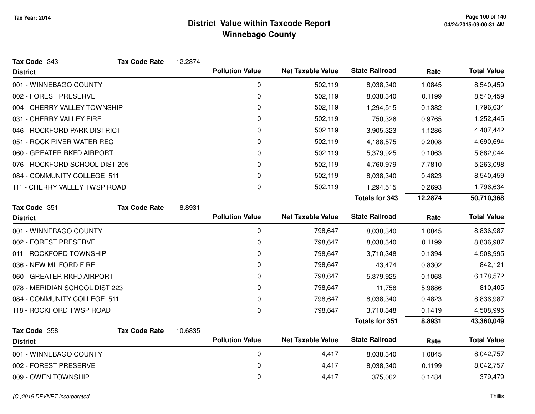| Tax Code 343                   | <b>Tax Code Rate</b> | 12.2874 |                        |                          |                       |         |                    |
|--------------------------------|----------------------|---------|------------------------|--------------------------|-----------------------|---------|--------------------|
| <b>District</b>                |                      |         | <b>Pollution Value</b> | <b>Net Taxable Value</b> | <b>State Railroad</b> | Rate    | <b>Total Value</b> |
| 001 - WINNEBAGO COUNTY         |                      |         | 0                      | 502,119                  | 8,038,340             | 1.0845  | 8,540,459          |
| 002 - FOREST PRESERVE          |                      |         | 0                      | 502,119                  | 8,038,340             | 0.1199  | 8,540,459          |
| 004 - CHERRY VALLEY TOWNSHIP   |                      |         | 0                      | 502,119                  | 1,294,515             | 0.1382  | 1,796,634          |
| 031 - CHERRY VALLEY FIRE       |                      |         | 0                      | 502,119                  | 750,326               | 0.9765  | 1,252,445          |
| 046 - ROCKFORD PARK DISTRICT   |                      |         | 0                      | 502,119                  | 3,905,323             | 1.1286  | 4,407,442          |
| 051 - ROCK RIVER WATER REC     |                      |         | 0                      | 502,119                  | 4,188,575             | 0.2008  | 4,690,694          |
| 060 - GREATER RKFD AIRPORT     |                      |         | 0                      | 502,119                  | 5,379,925             | 0.1063  | 5,882,044          |
| 076 - ROCKFORD SCHOOL DIST 205 |                      |         | 0                      | 502,119                  | 4,760,979             | 7.7810  | 5,263,098          |
| 084 - COMMUNITY COLLEGE 511    |                      |         | 0                      | 502,119                  | 8,038,340             | 0.4823  | 8,540,459          |
| 111 - CHERRY VALLEY TWSP ROAD  |                      |         | 0                      | 502,119                  | 1,294,515             | 0.2693  | 1,796,634          |
|                                |                      |         |                        |                          | <b>Totals for 343</b> | 12.2874 | 50,710,368         |
| Tax Code 351                   | <b>Tax Code Rate</b> | 8.8931  |                        |                          |                       |         |                    |
| <b>District</b>                |                      |         | <b>Pollution Value</b> | <b>Net Taxable Value</b> | <b>State Railroad</b> | Rate    | <b>Total Value</b> |
| 001 - WINNEBAGO COUNTY         |                      |         | $\mathbf 0$            | 798,647                  | 8,038,340             | 1.0845  | 8,836,987          |
| 002 - FOREST PRESERVE          |                      |         | 0                      | 798,647                  | 8,038,340             | 0.1199  | 8,836,987          |
| 011 - ROCKFORD TOWNSHIP        |                      |         | 0                      | 798,647                  | 3,710,348             | 0.1394  | 4,508,995          |
| 036 - NEW MILFORD FIRE         |                      |         | 0                      | 798,647                  | 43,474                | 0.8302  | 842,121            |
| 060 - GREATER RKFD AIRPORT     |                      |         | 0                      | 798,647                  | 5,379,925             | 0.1063  | 6,178,572          |
| 078 - MERIDIAN SCHOOL DIST 223 |                      |         | 0                      | 798,647                  | 11,758                | 5.9886  | 810,405            |
| 084 - COMMUNITY COLLEGE 511    |                      |         | 0                      | 798,647                  | 8,038,340             | 0.4823  | 8,836,987          |
| 118 - ROCKFORD TWSP ROAD       |                      |         | $\mathbf 0$            | 798,647                  | 3,710,348             | 0.1419  | 4,508,995          |
|                                |                      |         |                        |                          | <b>Totals for 351</b> | 8.8931  | 43,360,049         |
| Tax Code 358                   | <b>Tax Code Rate</b> | 10.6835 |                        |                          |                       |         |                    |
| <b>District</b>                |                      |         | <b>Pollution Value</b> | <b>Net Taxable Value</b> | <b>State Railroad</b> | Rate    | <b>Total Value</b> |
| 001 - WINNEBAGO COUNTY         |                      |         | $\pmb{0}$              | 4,417                    | 8,038,340             | 1.0845  | 8,042,757          |
| 002 - FOREST PRESERVE          |                      |         | 0                      | 4,417                    | 8,038,340             | 0.1199  | 8,042,757          |
| 009 - OWEN TOWNSHIP            |                      |         | 0                      | 4,417                    | 375,062               | 0.1484  | 379,479            |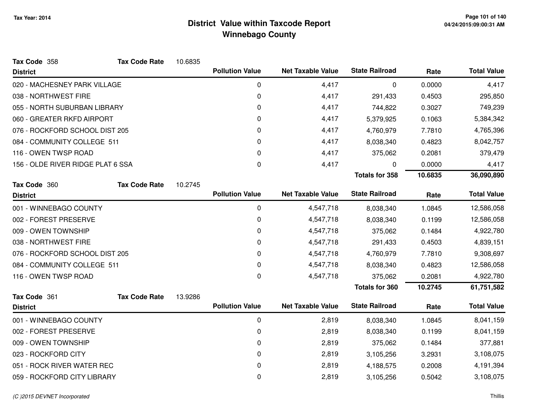| Tax Code 358                      | <b>Tax Code Rate</b> | 10.6835 |                        |                          |                       |         |                    |
|-----------------------------------|----------------------|---------|------------------------|--------------------------|-----------------------|---------|--------------------|
| <b>District</b>                   |                      |         | <b>Pollution Value</b> | <b>Net Taxable Value</b> | <b>State Railroad</b> | Rate    | <b>Total Value</b> |
| 020 - MACHESNEY PARK VILLAGE      |                      |         | 0                      | 4,417                    | 0                     | 0.0000  | 4,417              |
| 038 - NORTHWEST FIRE              |                      |         | 0                      | 4,417                    | 291,433               | 0.4503  | 295,850            |
| 055 - NORTH SUBURBAN LIBRARY      |                      |         | 0                      | 4,417                    | 744,822               | 0.3027  | 749,239            |
| 060 - GREATER RKFD AIRPORT        |                      |         | 0                      | 4,417                    | 5,379,925             | 0.1063  | 5,384,342          |
| 076 - ROCKFORD SCHOOL DIST 205    |                      |         | 0                      | 4,417                    | 4,760,979             | 7.7810  | 4,765,396          |
| 084 - COMMUNITY COLLEGE 511       |                      |         | 0                      | 4,417                    | 8,038,340             | 0.4823  | 8,042,757          |
| 116 - OWEN TWSP ROAD              |                      |         | 0                      | 4,417                    | 375,062               | 0.2081  | 379,479            |
| 156 - OLDE RIVER RIDGE PLAT 6 SSA |                      |         | 0                      | 4,417                    | 0                     | 0.0000  | 4,417              |
|                                   |                      |         |                        |                          | <b>Totals for 358</b> | 10.6835 | 36,090,890         |
| Tax Code 360                      | <b>Tax Code Rate</b> | 10.2745 |                        |                          |                       |         |                    |
| <b>District</b>                   |                      |         | <b>Pollution Value</b> | <b>Net Taxable Value</b> | <b>State Railroad</b> | Rate    | <b>Total Value</b> |
| 001 - WINNEBAGO COUNTY            |                      |         | 0                      | 4,547,718                | 8,038,340             | 1.0845  | 12,586,058         |
| 002 - FOREST PRESERVE             |                      |         | 0                      | 4,547,718                | 8,038,340             | 0.1199  | 12,586,058         |
| 009 - OWEN TOWNSHIP               |                      |         | 0                      | 4,547,718                | 375,062               | 0.1484  | 4,922,780          |
| 038 - NORTHWEST FIRE              |                      |         | 0                      | 4,547,718                | 291,433               | 0.4503  | 4,839,151          |
| 076 - ROCKFORD SCHOOL DIST 205    |                      |         | 0                      | 4,547,718                | 4,760,979             | 7.7810  | 9,308,697          |
| 084 - COMMUNITY COLLEGE 511       |                      |         | 0                      | 4,547,718                | 8,038,340             | 0.4823  | 12,586,058         |
| 116 - OWEN TWSP ROAD              |                      |         | 0                      | 4,547,718                | 375,062               | 0.2081  | 4,922,780          |
|                                   |                      |         |                        |                          | <b>Totals for 360</b> | 10.2745 | 61,751,582         |
| Tax Code 361                      | <b>Tax Code Rate</b> | 13.9286 |                        |                          |                       |         |                    |
| <b>District</b>                   |                      |         | <b>Pollution Value</b> | <b>Net Taxable Value</b> | <b>State Railroad</b> | Rate    | <b>Total Value</b> |
| 001 - WINNEBAGO COUNTY            |                      |         | 0                      | 2,819                    | 8,038,340             | 1.0845  | 8,041,159          |
| 002 - FOREST PRESERVE             |                      |         | 0                      | 2,819                    | 8,038,340             | 0.1199  | 8,041,159          |
| 009 - OWEN TOWNSHIP               |                      |         | 0                      | 2,819                    | 375,062               | 0.1484  | 377,881            |
| 023 - ROCKFORD CITY               |                      |         | 0                      | 2,819                    | 3,105,256             | 3.2931  | 3,108,075          |
| 051 - ROCK RIVER WATER REC        |                      |         | 0                      | 2,819                    | 4,188,575             | 0.2008  | 4,191,394          |
| 059 - ROCKFORD CITY LIBRARY       |                      |         | 0                      | 2,819                    | 3,105,256             | 0.5042  | 3,108,075          |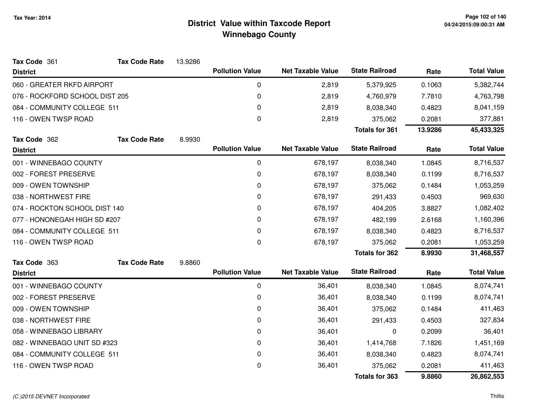| Tax Code 361                   | <b>Tax Code Rate</b> | 13.9286 |                        |                          |                       |         |                    |
|--------------------------------|----------------------|---------|------------------------|--------------------------|-----------------------|---------|--------------------|
| <b>District</b>                |                      |         | <b>Pollution Value</b> | <b>Net Taxable Value</b> | <b>State Railroad</b> | Rate    | <b>Total Value</b> |
| 060 - GREATER RKFD AIRPORT     |                      |         | 0                      | 2,819                    | 5,379,925             | 0.1063  | 5,382,744          |
| 076 - ROCKFORD SCHOOL DIST 205 |                      |         | 0                      | 2,819                    | 4,760,979             | 7.7810  | 4,763,798          |
| 084 - COMMUNITY COLLEGE 511    |                      |         | 0                      | 2,819                    | 8,038,340             | 0.4823  | 8,041,159          |
| 116 - OWEN TWSP ROAD           |                      |         | 0                      | 2,819                    | 375,062               | 0.2081  | 377,881            |
|                                |                      |         |                        |                          | <b>Totals for 361</b> | 13.9286 | 45,433,325         |
| Tax Code 362                   | <b>Tax Code Rate</b> | 8.9930  |                        |                          |                       |         |                    |
| <b>District</b>                |                      |         | <b>Pollution Value</b> | <b>Net Taxable Value</b> | <b>State Railroad</b> | Rate    | <b>Total Value</b> |
| 001 - WINNEBAGO COUNTY         |                      |         | 0                      | 678,197                  | 8,038,340             | 1.0845  | 8,716,537          |
| 002 - FOREST PRESERVE          |                      |         | 0                      | 678,197                  | 8,038,340             | 0.1199  | 8,716,537          |
| 009 - OWEN TOWNSHIP            |                      |         | 0                      | 678,197                  | 375,062               | 0.1484  | 1,053,259          |
| 038 - NORTHWEST FIRE           |                      |         | 0                      | 678,197                  | 291,433               | 0.4503  | 969,630            |
| 074 - ROCKTON SCHOOL DIST 140  |                      |         | 0                      | 678,197                  | 404,205               | 3.8827  | 1,082,402          |
| 077 - HONONEGAH HIGH SD #207   |                      |         | 0                      | 678,197                  | 482,199               | 2.6168  | 1,160,396          |
| 084 - COMMUNITY COLLEGE 511    |                      |         | 0                      | 678,197                  | 8,038,340             | 0.4823  | 8,716,537          |
| 116 - OWEN TWSP ROAD           |                      |         | $\mathbf 0$            | 678,197                  | 375,062               | 0.2081  | 1,053,259          |
|                                |                      |         |                        |                          | <b>Totals for 362</b> | 8.9930  | 31,468,557         |
| Tax Code 363                   | <b>Tax Code Rate</b> | 9.8860  |                        |                          |                       |         |                    |
| <b>District</b>                |                      |         | <b>Pollution Value</b> | <b>Net Taxable Value</b> | <b>State Railroad</b> | Rate    | <b>Total Value</b> |
| 001 - WINNEBAGO COUNTY         |                      |         | $\pmb{0}$              | 36,401                   | 8,038,340             | 1.0845  | 8,074,741          |
| 002 - FOREST PRESERVE          |                      |         | 0                      | 36,401                   | 8,038,340             | 0.1199  | 8,074,741          |
| 009 - OWEN TOWNSHIP            |                      |         | 0                      | 36,401                   | 375,062               | 0.1484  | 411,463            |
| 038 - NORTHWEST FIRE           |                      |         | 0                      | 36,401                   | 291,433               | 0.4503  | 327,834            |
| 058 - WINNEBAGO LIBRARY        |                      |         | 0                      | 36,401                   | 0                     | 0.2099  | 36,401             |
| 082 - WINNEBAGO UNIT SD #323   |                      |         | 0                      | 36,401                   | 1,414,768             | 7.1826  | 1,451,169          |
| 084 - COMMUNITY COLLEGE 511    |                      |         | 0                      | 36,401                   | 8,038,340             | 0.4823  | 8,074,741          |
| 116 - OWEN TWSP ROAD           |                      |         | 0                      | 36,401                   | 375,062               | 0.2081  | 411,463            |
|                                |                      |         |                        |                          | <b>Totals for 363</b> | 9.8860  | 26,862,553         |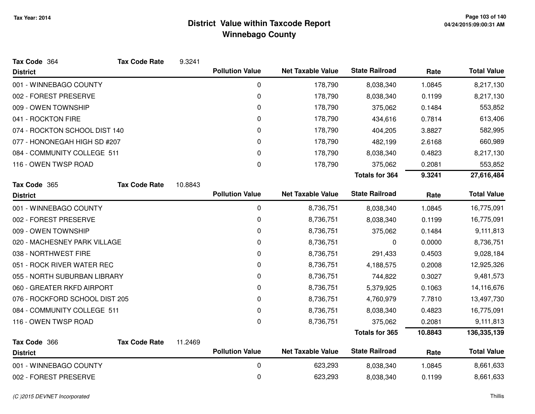| Tax Code 364                   | <b>Tax Code Rate</b> | 9.3241  |                        |                          |                       |         |                    |
|--------------------------------|----------------------|---------|------------------------|--------------------------|-----------------------|---------|--------------------|
| <b>District</b>                |                      |         | <b>Pollution Value</b> | <b>Net Taxable Value</b> | <b>State Railroad</b> | Rate    | <b>Total Value</b> |
| 001 - WINNEBAGO COUNTY         |                      |         | 0                      | 178,790                  | 8,038,340             | 1.0845  | 8,217,130          |
| 002 - FOREST PRESERVE          |                      |         | 0                      | 178,790                  | 8,038,340             | 0.1199  | 8,217,130          |
| 009 - OWEN TOWNSHIP            |                      |         | 0                      | 178,790                  | 375,062               | 0.1484  | 553,852            |
| 041 - ROCKTON FIRE             |                      |         | 0                      | 178,790                  | 434,616               | 0.7814  | 613,406            |
| 074 - ROCKTON SCHOOL DIST 140  |                      |         | 0                      | 178,790                  | 404,205               | 3.8827  | 582,995            |
| 077 - HONONEGAH HIGH SD #207   |                      |         | 0                      | 178,790                  | 482,199               | 2.6168  | 660,989            |
| 084 - COMMUNITY COLLEGE 511    |                      |         | 0                      | 178,790                  | 8,038,340             | 0.4823  | 8,217,130          |
| 116 - OWEN TWSP ROAD           |                      |         | $\mathbf{0}$           | 178,790                  | 375,062               | 0.2081  | 553,852            |
|                                |                      |         |                        |                          | <b>Totals for 364</b> | 9.3241  | 27,616,484         |
| Tax Code 365                   | <b>Tax Code Rate</b> | 10.8843 |                        |                          |                       |         |                    |
| <b>District</b>                |                      |         | <b>Pollution Value</b> | <b>Net Taxable Value</b> | <b>State Railroad</b> | Rate    | <b>Total Value</b> |
| 001 - WINNEBAGO COUNTY         |                      |         | $\pmb{0}$              | 8,736,751                | 8,038,340             | 1.0845  | 16,775,091         |
| 002 - FOREST PRESERVE          |                      |         | 0                      | 8,736,751                | 8,038,340             | 0.1199  | 16,775,091         |
| 009 - OWEN TOWNSHIP            |                      |         | 0                      | 8,736,751                | 375,062               | 0.1484  | 9,111,813          |
| 020 - MACHESNEY PARK VILLAGE   |                      |         | 0                      | 8,736,751                | 0                     | 0.0000  | 8,736,751          |
| 038 - NORTHWEST FIRE           |                      |         | 0                      | 8,736,751                | 291,433               | 0.4503  | 9,028,184          |
| 051 - ROCK RIVER WATER REC     |                      |         | 0                      | 8,736,751                | 4,188,575             | 0.2008  | 12,925,326         |
| 055 - NORTH SUBURBAN LIBRARY   |                      |         | 0                      | 8,736,751                | 744,822               | 0.3027  | 9,481,573          |
| 060 - GREATER RKFD AIRPORT     |                      |         | 0                      | 8,736,751                | 5,379,925             | 0.1063  | 14,116,676         |
| 076 - ROCKFORD SCHOOL DIST 205 |                      |         | 0                      | 8,736,751                | 4,760,979             | 7.7810  | 13,497,730         |
| 084 - COMMUNITY COLLEGE 511    |                      |         | 0                      | 8,736,751                | 8,038,340             | 0.4823  | 16,775,091         |
| 116 - OWEN TWSP ROAD           |                      |         | 0                      | 8,736,751                | 375,062               | 0.2081  | 9,111,813          |
|                                |                      |         |                        |                          | <b>Totals for 365</b> | 10.8843 | 136,335,139        |
| Tax Code 366                   | <b>Tax Code Rate</b> | 11.2469 |                        |                          |                       |         |                    |
| <b>District</b>                |                      |         | <b>Pollution Value</b> | <b>Net Taxable Value</b> | <b>State Railroad</b> | Rate    | <b>Total Value</b> |
| 001 - WINNEBAGO COUNTY         |                      |         | 0                      | 623,293                  | 8,038,340             | 1.0845  | 8,661,633          |
| 002 - FOREST PRESERVE          |                      |         | 0                      | 623,293                  | 8,038,340             | 0.1199  | 8,661,633          |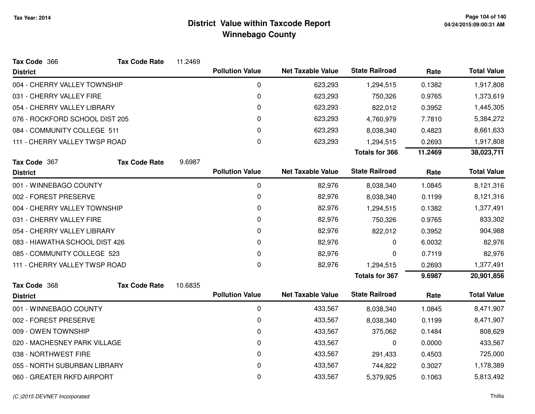| Tax Code 366                   | <b>Tax Code Rate</b> | 11.2469 |                        |                          |                       |         |                    |
|--------------------------------|----------------------|---------|------------------------|--------------------------|-----------------------|---------|--------------------|
| <b>District</b>                |                      |         | <b>Pollution Value</b> | <b>Net Taxable Value</b> | <b>State Railroad</b> | Rate    | <b>Total Value</b> |
| 004 - CHERRY VALLEY TOWNSHIP   |                      |         | 0                      | 623,293                  | 1,294,515             | 0.1382  | 1,917,808          |
| 031 - CHERRY VALLEY FIRE       |                      |         | 0                      | 623,293                  | 750,326               | 0.9765  | 1,373,619          |
| 054 - CHERRY VALLEY LIBRARY    |                      |         | 0                      | 623,293                  | 822,012               | 0.3952  | 1,445,305          |
| 076 - ROCKFORD SCHOOL DIST 205 |                      |         | 0                      | 623,293                  | 4,760,979             | 7.7810  | 5,384,272          |
| 084 - COMMUNITY COLLEGE 511    |                      |         | 0                      | 623,293                  | 8,038,340             | 0.4823  | 8,661,633          |
| 111 - CHERRY VALLEY TWSP ROAD  |                      |         | 0                      | 623,293                  | 1,294,515             | 0.2693  | 1,917,808          |
|                                |                      |         |                        |                          | <b>Totals for 366</b> | 11.2469 | 38,023,711         |
| Tax Code 367                   | <b>Tax Code Rate</b> | 9.6987  |                        |                          |                       |         |                    |
| <b>District</b>                |                      |         | <b>Pollution Value</b> | <b>Net Taxable Value</b> | <b>State Railroad</b> | Rate    | <b>Total Value</b> |
| 001 - WINNEBAGO COUNTY         |                      |         | 0                      | 82,976                   | 8,038,340             | 1.0845  | 8,121,316          |
| 002 - FOREST PRESERVE          |                      |         | 0                      | 82,976                   | 8,038,340             | 0.1199  | 8,121,316          |
| 004 - CHERRY VALLEY TOWNSHIP   |                      |         | 0                      | 82,976                   | 1,294,515             | 0.1382  | 1,377,491          |
| 031 - CHERRY VALLEY FIRE       |                      |         | 0                      | 82,976                   | 750,326               | 0.9765  | 833,302            |
| 054 - CHERRY VALLEY LIBRARY    |                      |         | 0                      | 82,976                   | 822,012               | 0.3952  | 904,988            |
| 083 - HIAWATHA SCHOOL DIST 426 |                      |         | 0                      | 82,976                   | 0                     | 6.0032  | 82,976             |
| 085 - COMMUNITY COLLEGE 523    |                      |         | 0                      | 82,976                   | 0                     | 0.7119  | 82,976             |
| 111 - CHERRY VALLEY TWSP ROAD  |                      |         | $\pmb{0}$              | 82,976                   | 1,294,515             | 0.2693  | 1,377,491          |
|                                |                      |         |                        |                          | <b>Totals for 367</b> | 9.6987  | 20,901,856         |
| Tax Code 368                   | <b>Tax Code Rate</b> | 10.6835 |                        |                          |                       |         |                    |
| <b>District</b>                |                      |         | <b>Pollution Value</b> | <b>Net Taxable Value</b> | <b>State Railroad</b> | Rate    | <b>Total Value</b> |
| 001 - WINNEBAGO COUNTY         |                      |         | $\pmb{0}$              | 433,567                  | 8,038,340             | 1.0845  | 8,471,907          |
| 002 - FOREST PRESERVE          |                      |         | 0                      | 433,567                  | 8,038,340             | 0.1199  | 8,471,907          |
| 009 - OWEN TOWNSHIP            |                      |         | 0                      | 433,567                  | 375,062               | 0.1484  | 808,629            |
| 020 - MACHESNEY PARK VILLAGE   |                      |         | 0                      | 433,567                  | 0                     | 0.0000  | 433,567            |
| 038 - NORTHWEST FIRE           |                      |         | 0                      | 433,567                  | 291,433               | 0.4503  | 725,000            |
| 055 - NORTH SUBURBAN LIBRARY   |                      |         | 0                      | 433,567                  | 744,822               | 0.3027  | 1,178,389          |
| 060 - GREATER RKFD AIRPORT     |                      |         | 0                      | 433,567                  | 5,379,925             | 0.1063  | 5,813,492          |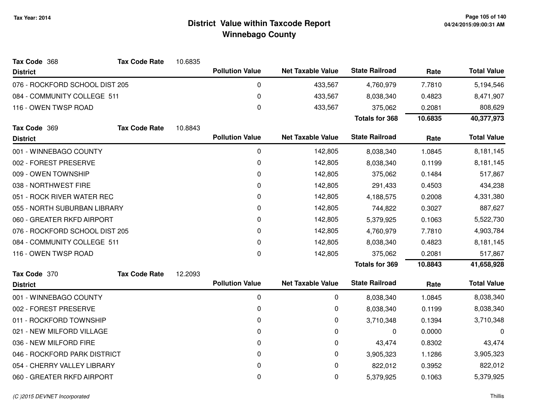| Tax Code 368                   | <b>Tax Code Rate</b> | 10.6835 |                        |                          |                       |         |                    |
|--------------------------------|----------------------|---------|------------------------|--------------------------|-----------------------|---------|--------------------|
| <b>District</b>                |                      |         | <b>Pollution Value</b> | <b>Net Taxable Value</b> | <b>State Railroad</b> | Rate    | <b>Total Value</b> |
| 076 - ROCKFORD SCHOOL DIST 205 |                      |         | 0                      | 433,567                  | 4,760,979             | 7.7810  | 5,194,546          |
| 084 - COMMUNITY COLLEGE 511    |                      |         | 0                      | 433,567                  | 8,038,340             | 0.4823  | 8,471,907          |
| 116 - OWEN TWSP ROAD           |                      |         | 0                      | 433,567                  | 375,062               | 0.2081  | 808,629            |
|                                |                      |         |                        |                          | <b>Totals for 368</b> | 10.6835 | 40,377,973         |
| Tax Code 369                   | <b>Tax Code Rate</b> | 10.8843 |                        |                          |                       |         |                    |
| <b>District</b>                |                      |         | <b>Pollution Value</b> | <b>Net Taxable Value</b> | <b>State Railroad</b> | Rate    | <b>Total Value</b> |
| 001 - WINNEBAGO COUNTY         |                      |         | 0                      | 142,805                  | 8,038,340             | 1.0845  | 8,181,145          |
| 002 - FOREST PRESERVE          |                      |         | 0                      | 142,805                  | 8,038,340             | 0.1199  | 8,181,145          |
| 009 - OWEN TOWNSHIP            |                      |         | 0                      | 142,805                  | 375,062               | 0.1484  | 517,867            |
| 038 - NORTHWEST FIRE           |                      |         | 0                      | 142,805                  | 291,433               | 0.4503  | 434,238            |
| 051 - ROCK RIVER WATER REC     |                      |         | 0                      | 142,805                  | 4,188,575             | 0.2008  | 4,331,380          |
| 055 - NORTH SUBURBAN LIBRARY   |                      |         | 0                      | 142,805                  | 744,822               | 0.3027  | 887,627            |
| 060 - GREATER RKFD AIRPORT     |                      |         | 0                      | 142,805                  | 5,379,925             | 0.1063  | 5,522,730          |
| 076 - ROCKFORD SCHOOL DIST 205 |                      |         | 0                      | 142,805                  | 4,760,979             | 7.7810  | 4,903,784          |
| 084 - COMMUNITY COLLEGE 511    |                      |         | 0                      | 142,805                  | 8,038,340             | 0.4823  | 8,181,145          |
| 116 - OWEN TWSP ROAD           |                      |         | 0                      | 142,805                  | 375,062               | 0.2081  | 517,867            |
|                                |                      |         |                        |                          | <b>Totals for 369</b> | 10.8843 | 41,658,928         |
| Tax Code 370                   | <b>Tax Code Rate</b> | 12.2093 |                        |                          |                       |         |                    |
| <b>District</b>                |                      |         | <b>Pollution Value</b> | <b>Net Taxable Value</b> | <b>State Railroad</b> | Rate    | <b>Total Value</b> |
| 001 - WINNEBAGO COUNTY         |                      |         | 0                      | 0                        | 8,038,340             | 1.0845  | 8,038,340          |
| 002 - FOREST PRESERVE          |                      |         | 0                      | 0                        | 8,038,340             | 0.1199  | 8,038,340          |
| 011 - ROCKFORD TOWNSHIP        |                      |         | 0                      | 0                        | 3,710,348             | 0.1394  | 3,710,348          |
| 021 - NEW MILFORD VILLAGE      |                      |         | 0                      | 0                        | 0                     | 0.0000  | 0                  |
| 036 - NEW MILFORD FIRE         |                      |         | 0                      | 0                        | 43,474                | 0.8302  | 43,474             |
| 046 - ROCKFORD PARK DISTRICT   |                      |         | 0                      | 0                        | 3,905,323             | 1.1286  | 3,905,323          |
| 054 - CHERRY VALLEY LIBRARY    |                      |         | 0                      | 0                        | 822,012               | 0.3952  | 822,012            |
| 060 - GREATER RKFD AIRPORT     |                      |         | 0                      | 0                        | 5,379,925             | 0.1063  | 5,379,925          |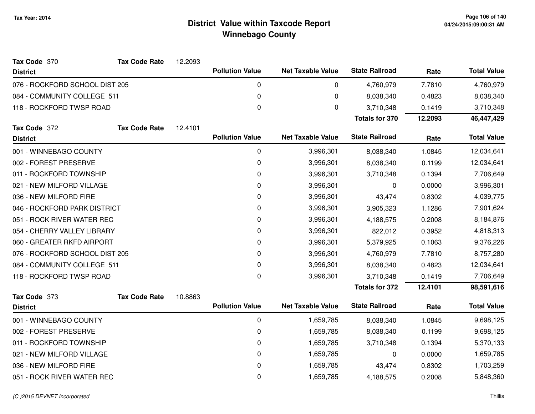| Tax Code 370                   | <b>Tax Code Rate</b> | 12.2093 |                        |                          |                       |         |                    |
|--------------------------------|----------------------|---------|------------------------|--------------------------|-----------------------|---------|--------------------|
| <b>District</b>                |                      |         | <b>Pollution Value</b> | <b>Net Taxable Value</b> | <b>State Railroad</b> | Rate    | <b>Total Value</b> |
| 076 - ROCKFORD SCHOOL DIST 205 |                      |         | 0                      | 0                        | 4,760,979             | 7.7810  | 4,760,979          |
| 084 - COMMUNITY COLLEGE 511    |                      |         | 0                      | 0                        | 8,038,340             | 0.4823  | 8,038,340          |
| 118 - ROCKFORD TWSP ROAD       |                      |         | 0                      | 0                        | 3,710,348             | 0.1419  | 3,710,348          |
|                                |                      |         |                        |                          | <b>Totals for 370</b> | 12.2093 | 46,447,429         |
| Tax Code 372                   | <b>Tax Code Rate</b> | 12.4101 |                        |                          |                       |         |                    |
| <b>District</b>                |                      |         | <b>Pollution Value</b> | <b>Net Taxable Value</b> | <b>State Railroad</b> | Rate    | <b>Total Value</b> |
| 001 - WINNEBAGO COUNTY         |                      |         | 0                      | 3,996,301                | 8,038,340             | 1.0845  | 12,034,641         |
| 002 - FOREST PRESERVE          |                      |         | 0                      | 3,996,301                | 8,038,340             | 0.1199  | 12,034,641         |
| 011 - ROCKFORD TOWNSHIP        |                      |         | 0                      | 3,996,301                | 3,710,348             | 0.1394  | 7,706,649          |
| 021 - NEW MILFORD VILLAGE      |                      |         | 0                      | 3,996,301                | 0                     | 0.0000  | 3,996,301          |
| 036 - NEW MILFORD FIRE         |                      |         | 0                      | 3,996,301                | 43,474                | 0.8302  | 4,039,775          |
| 046 - ROCKFORD PARK DISTRICT   |                      |         | 0                      | 3,996,301                | 3,905,323             | 1.1286  | 7,901,624          |
| 051 - ROCK RIVER WATER REC     |                      |         | 0                      | 3,996,301                | 4,188,575             | 0.2008  | 8,184,876          |
| 054 - CHERRY VALLEY LIBRARY    |                      |         | 0                      | 3,996,301                | 822,012               | 0.3952  | 4,818,313          |
| 060 - GREATER RKFD AIRPORT     |                      |         | 0                      | 3,996,301                | 5,379,925             | 0.1063  | 9,376,226          |
| 076 - ROCKFORD SCHOOL DIST 205 |                      |         | 0                      | 3,996,301                | 4,760,979             | 7.7810  | 8,757,280          |
| 084 - COMMUNITY COLLEGE 511    |                      |         | 0                      | 3,996,301                | 8,038,340             | 0.4823  | 12,034,641         |
| 118 - ROCKFORD TWSP ROAD       |                      |         | $\pmb{0}$              | 3,996,301                | 3,710,348             | 0.1419  | 7,706,649          |
|                                |                      |         |                        |                          | <b>Totals for 372</b> | 12.4101 | 98,591,616         |
| Tax Code 373                   | <b>Tax Code Rate</b> | 10.8863 |                        |                          |                       |         |                    |
| <b>District</b>                |                      |         | <b>Pollution Value</b> | <b>Net Taxable Value</b> | <b>State Railroad</b> | Rate    | <b>Total Value</b> |
| 001 - WINNEBAGO COUNTY         |                      |         | 0                      | 1,659,785                | 8,038,340             | 1.0845  | 9,698,125          |
| 002 - FOREST PRESERVE          |                      |         | 0                      | 1,659,785                | 8,038,340             | 0.1199  | 9,698,125          |
| 011 - ROCKFORD TOWNSHIP        |                      |         | 0                      | 1,659,785                | 3,710,348             | 0.1394  | 5,370,133          |
| 021 - NEW MILFORD VILLAGE      |                      |         | $\pmb{0}$              | 1,659,785                | 0                     | 0.0000  | 1,659,785          |
| 036 - NEW MILFORD FIRE         |                      |         | 0                      | 1,659,785                | 43,474                | 0.8302  | 1,703,259          |
| 051 - ROCK RIVER WATER REC     |                      |         | 0                      | 1,659,785                | 4,188,575             | 0.2008  | 5,848,360          |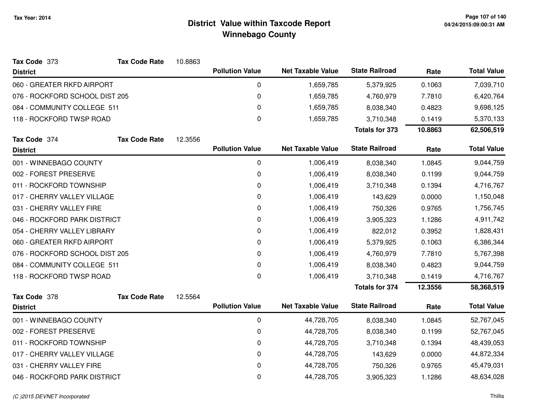| Tax Code 373                   | <b>Tax Code Rate</b> | 10.8863 |                        |                          |                       |         |                    |
|--------------------------------|----------------------|---------|------------------------|--------------------------|-----------------------|---------|--------------------|
| <b>District</b>                |                      |         | <b>Pollution Value</b> | <b>Net Taxable Value</b> | <b>State Railroad</b> | Rate    | <b>Total Value</b> |
| 060 - GREATER RKFD AIRPORT     |                      |         | 0                      | 1,659,785                | 5,379,925             | 0.1063  | 7,039,710          |
| 076 - ROCKFORD SCHOOL DIST 205 |                      |         | 0                      | 1,659,785                | 4,760,979             | 7.7810  | 6,420,764          |
| 084 - COMMUNITY COLLEGE 511    |                      |         | 0                      | 1,659,785                | 8,038,340             | 0.4823  | 9,698,125          |
| 118 - ROCKFORD TWSP ROAD       |                      |         | 0                      | 1,659,785                | 3,710,348             | 0.1419  | 5,370,133          |
|                                |                      |         |                        |                          | <b>Totals for 373</b> | 10.8863 | 62,506,519         |
| Tax Code 374                   | <b>Tax Code Rate</b> | 12.3556 |                        |                          |                       |         |                    |
| <b>District</b>                |                      |         | <b>Pollution Value</b> | <b>Net Taxable Value</b> | <b>State Railroad</b> | Rate    | <b>Total Value</b> |
| 001 - WINNEBAGO COUNTY         |                      |         | 0                      | 1,006,419                | 8,038,340             | 1.0845  | 9,044,759          |
| 002 - FOREST PRESERVE          |                      |         | 0                      | 1,006,419                | 8,038,340             | 0.1199  | 9,044,759          |
| 011 - ROCKFORD TOWNSHIP        |                      |         | 0                      | 1,006,419                | 3,710,348             | 0.1394  | 4,716,767          |
| 017 - CHERRY VALLEY VILLAGE    |                      |         | 0                      | 1,006,419                | 143,629               | 0.0000  | 1,150,048          |
| 031 - CHERRY VALLEY FIRE       |                      |         | 0                      | 1,006,419                | 750,326               | 0.9765  | 1,756,745          |
| 046 - ROCKFORD PARK DISTRICT   |                      |         | 0                      | 1,006,419                | 3,905,323             | 1.1286  | 4,911,742          |
| 054 - CHERRY VALLEY LIBRARY    |                      |         | 0                      | 1,006,419                | 822,012               | 0.3952  | 1,828,431          |
| 060 - GREATER RKFD AIRPORT     |                      |         | 0                      | 1,006,419                | 5,379,925             | 0.1063  | 6,386,344          |
| 076 - ROCKFORD SCHOOL DIST 205 |                      |         | 0                      | 1,006,419                | 4,760,979             | 7.7810  | 5,767,398          |
| 084 - COMMUNITY COLLEGE 511    |                      |         | 0                      | 1,006,419                | 8,038,340             | 0.4823  | 9,044,759          |
| 118 - ROCKFORD TWSP ROAD       |                      |         | $\mathbf 0$            | 1,006,419                | 3,710,348             | 0.1419  | 4,716,767          |
|                                |                      |         |                        |                          | <b>Totals for 374</b> | 12.3556 | 58,368,519         |
| Tax Code 378                   | <b>Tax Code Rate</b> | 12.5564 |                        |                          |                       |         |                    |
| <b>District</b>                |                      |         | <b>Pollution Value</b> | <b>Net Taxable Value</b> | <b>State Railroad</b> | Rate    | <b>Total Value</b> |
| 001 - WINNEBAGO COUNTY         |                      |         | 0                      | 44,728,705               | 8,038,340             | 1.0845  | 52,767,045         |
| 002 - FOREST PRESERVE          |                      |         | 0                      | 44,728,705               | 8,038,340             | 0.1199  | 52,767,045         |
| 011 - ROCKFORD TOWNSHIP        |                      |         | 0                      | 44,728,705               | 3,710,348             | 0.1394  | 48,439,053         |
| 017 - CHERRY VALLEY VILLAGE    |                      |         | 0                      | 44,728,705               | 143,629               | 0.0000  | 44,872,334         |
| 031 - CHERRY VALLEY FIRE       |                      |         | 0                      | 44,728,705               | 750,326               | 0.9765  | 45,479,031         |
| 046 - ROCKFORD PARK DISTRICT   |                      |         | 0                      | 44,728,705               | 3,905,323             | 1.1286  | 48,634,028         |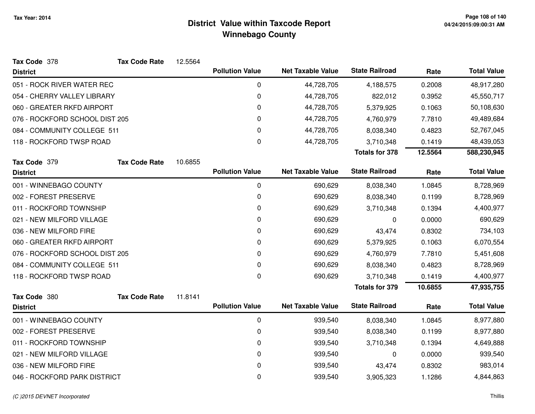| Tax Code 378                   | <b>Tax Code Rate</b> | 12.5564 |                        |                          |                       |         |                    |
|--------------------------------|----------------------|---------|------------------------|--------------------------|-----------------------|---------|--------------------|
| <b>District</b>                |                      |         | <b>Pollution Value</b> | <b>Net Taxable Value</b> | <b>State Railroad</b> | Rate    | <b>Total Value</b> |
| 051 - ROCK RIVER WATER REC     |                      |         | 0                      | 44,728,705               | 4,188,575             | 0.2008  | 48,917,280         |
| 054 - CHERRY VALLEY LIBRARY    |                      |         | $\pmb{0}$              | 44,728,705               | 822,012               | 0.3952  | 45,550,717         |
| 060 - GREATER RKFD AIRPORT     |                      |         | 0                      | 44,728,705               | 5,379,925             | 0.1063  | 50,108,630         |
| 076 - ROCKFORD SCHOOL DIST 205 |                      |         | 0                      | 44,728,705               | 4,760,979             | 7.7810  | 49,489,684         |
| 084 - COMMUNITY COLLEGE 511    |                      |         | 0                      | 44,728,705               | 8,038,340             | 0.4823  | 52,767,045         |
| 118 - ROCKFORD TWSP ROAD       |                      |         | 0                      | 44,728,705               | 3,710,348             | 0.1419  | 48,439,053         |
|                                |                      |         |                        |                          | <b>Totals for 378</b> | 12.5564 | 588,230,945        |
| Tax Code 379                   | <b>Tax Code Rate</b> | 10.6855 |                        |                          |                       |         |                    |
| <b>District</b>                |                      |         | <b>Pollution Value</b> | <b>Net Taxable Value</b> | <b>State Railroad</b> | Rate    | <b>Total Value</b> |
| 001 - WINNEBAGO COUNTY         |                      |         | $\mathbf 0$            | 690,629                  | 8,038,340             | 1.0845  | 8,728,969          |
| 002 - FOREST PRESERVE          |                      |         | $\pmb{0}$              | 690,629                  | 8,038,340             | 0.1199  | 8,728,969          |
| 011 - ROCKFORD TOWNSHIP        |                      |         | 0                      | 690,629                  | 3,710,348             | 0.1394  | 4,400,977          |
| 021 - NEW MILFORD VILLAGE      |                      |         | 0                      | 690,629                  | 0                     | 0.0000  | 690,629            |
| 036 - NEW MILFORD FIRE         |                      |         | 0                      | 690,629                  | 43,474                | 0.8302  | 734,103            |
| 060 - GREATER RKFD AIRPORT     |                      |         | $\Omega$               | 690,629                  | 5,379,925             | 0.1063  | 6,070,554          |
| 076 - ROCKFORD SCHOOL DIST 205 |                      |         | 0                      | 690,629                  | 4,760,979             | 7.7810  | 5,451,608          |
| 084 - COMMUNITY COLLEGE 511    |                      |         | 0                      | 690,629                  | 8,038,340             | 0.4823  | 8,728,969          |
| 118 - ROCKFORD TWSP ROAD       |                      |         | $\pmb{0}$              | 690,629                  | 3,710,348             | 0.1419  | 4,400,977          |
|                                |                      |         |                        |                          | <b>Totals for 379</b> | 10.6855 | 47,935,755         |
| Tax Code 380                   | <b>Tax Code Rate</b> | 11.8141 |                        |                          |                       |         |                    |
| <b>District</b>                |                      |         | <b>Pollution Value</b> | <b>Net Taxable Value</b> | <b>State Railroad</b> | Rate    | <b>Total Value</b> |
| 001 - WINNEBAGO COUNTY         |                      |         | $\mathbf 0$            | 939,540                  | 8,038,340             | 1.0845  | 8,977,880          |
| 002 - FOREST PRESERVE          |                      |         | 0                      | 939,540                  | 8,038,340             | 0.1199  | 8,977,880          |
| 011 - ROCKFORD TOWNSHIP        |                      |         | 0                      | 939,540                  | 3,710,348             | 0.1394  | 4,649,888          |
| 021 - NEW MILFORD VILLAGE      |                      |         | 0                      | 939,540                  | 0                     | 0.0000  | 939,540            |
| 036 - NEW MILFORD FIRE         |                      |         | 0                      | 939,540                  | 43,474                | 0.8302  | 983,014            |
| 046 - ROCKFORD PARK DISTRICT   |                      |         | 0                      | 939,540                  | 3,905,323             | 1.1286  | 4,844,863          |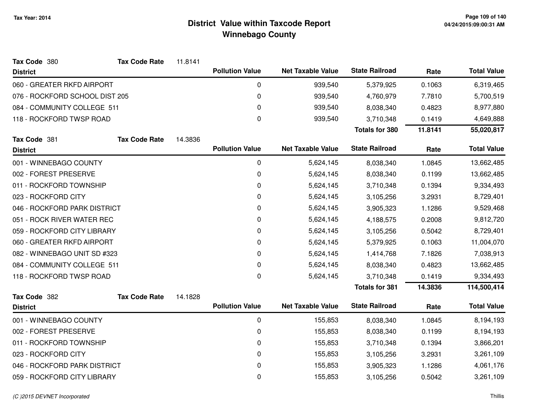| Tax Code 380                   | <b>Tax Code Rate</b> | 11.8141 |                        |                          |                       |         |                    |
|--------------------------------|----------------------|---------|------------------------|--------------------------|-----------------------|---------|--------------------|
| <b>District</b>                |                      |         | <b>Pollution Value</b> | <b>Net Taxable Value</b> | <b>State Railroad</b> | Rate    | <b>Total Value</b> |
| 060 - GREATER RKFD AIRPORT     |                      |         | $\mathbf 0$            | 939,540                  | 5,379,925             | 0.1063  | 6,319,465          |
| 076 - ROCKFORD SCHOOL DIST 205 |                      |         | $\mathbf 0$            | 939,540                  | 4,760,979             | 7.7810  | 5,700,519          |
| 084 - COMMUNITY COLLEGE 511    |                      |         | 0                      | 939,540                  | 8,038,340             | 0.4823  | 8,977,880          |
| 118 - ROCKFORD TWSP ROAD       |                      |         | $\boldsymbol{0}$       | 939,540                  | 3,710,348             | 0.1419  | 4,649,888          |
|                                |                      |         |                        |                          | <b>Totals for 380</b> | 11.8141 | 55,020,817         |
| Tax Code 381                   | <b>Tax Code Rate</b> | 14.3836 |                        |                          |                       |         |                    |
| <b>District</b>                |                      |         | <b>Pollution Value</b> | <b>Net Taxable Value</b> | <b>State Railroad</b> | Rate    | <b>Total Value</b> |
| 001 - WINNEBAGO COUNTY         |                      |         | 0                      | 5,624,145                | 8,038,340             | 1.0845  | 13,662,485         |
| 002 - FOREST PRESERVE          |                      |         | 0                      | 5,624,145                | 8,038,340             | 0.1199  | 13,662,485         |
| 011 - ROCKFORD TOWNSHIP        |                      |         | 0                      | 5,624,145                | 3,710,348             | 0.1394  | 9,334,493          |
| 023 - ROCKFORD CITY            |                      |         | $\mathbf 0$            | 5,624,145                | 3,105,256             | 3.2931  | 8,729,401          |
| 046 - ROCKFORD PARK DISTRICT   |                      |         | 0                      | 5,624,145                | 3,905,323             | 1.1286  | 9,529,468          |
| 051 - ROCK RIVER WATER REC     |                      |         | 0                      | 5,624,145                | 4,188,575             | 0.2008  | 9,812,720          |
| 059 - ROCKFORD CITY LIBRARY    |                      |         | 0                      | 5,624,145                | 3,105,256             | 0.5042  | 8,729,401          |
| 060 - GREATER RKFD AIRPORT     |                      |         | $\mathbf 0$            | 5,624,145                | 5,379,925             | 0.1063  | 11,004,070         |
| 082 - WINNEBAGO UNIT SD #323   |                      |         | $\mathbf 0$            | 5,624,145                | 1,414,768             | 7.1826  | 7,038,913          |
| 084 - COMMUNITY COLLEGE 511    |                      |         | 0                      | 5,624,145                | 8,038,340             | 0.4823  | 13,662,485         |
| 118 - ROCKFORD TWSP ROAD       |                      |         | $\boldsymbol{0}$       | 5,624,145                | 3,710,348             | 0.1419  | 9,334,493          |
|                                |                      |         |                        |                          | <b>Totals for 381</b> | 14.3836 | 114,500,414        |
| Tax Code 382                   | <b>Tax Code Rate</b> | 14.1828 |                        |                          |                       |         |                    |
| <b>District</b>                |                      |         | <b>Pollution Value</b> | <b>Net Taxable Value</b> | <b>State Railroad</b> | Rate    | <b>Total Value</b> |
| 001 - WINNEBAGO COUNTY         |                      |         | $\mathbf 0$            | 155,853                  | 8,038,340             | 1.0845  | 8,194,193          |
| 002 - FOREST PRESERVE          |                      |         | 0                      | 155,853                  | 8,038,340             | 0.1199  | 8,194,193          |
| 011 - ROCKFORD TOWNSHIP        |                      |         | 0                      | 155,853                  | 3,710,348             | 0.1394  | 3,866,201          |
| 023 - ROCKFORD CITY            |                      |         | $\mathbf 0$            | 155,853                  | 3,105,256             | 3.2931  | 3,261,109          |
| 046 - ROCKFORD PARK DISTRICT   |                      |         | 0                      | 155,853                  | 3,905,323             | 1.1286  | 4,061,176          |
| 059 - ROCKFORD CITY LIBRARY    |                      |         | $\mathbf 0$            | 155,853                  | 3,105,256             | 0.5042  | 3,261,109          |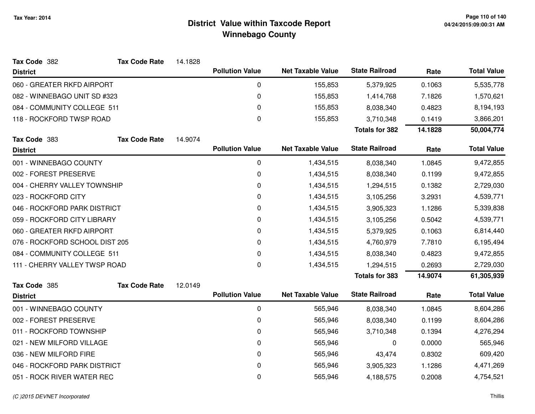| Tax Code 382                   | <b>Tax Code Rate</b> | 14.1828 |                        |                          |                       |         |                    |
|--------------------------------|----------------------|---------|------------------------|--------------------------|-----------------------|---------|--------------------|
| <b>District</b>                |                      |         | <b>Pollution Value</b> | <b>Net Taxable Value</b> | <b>State Railroad</b> | Rate    | <b>Total Value</b> |
| 060 - GREATER RKFD AIRPORT     |                      |         | 0                      | 155,853                  | 5,379,925             | 0.1063  | 5,535,778          |
| 082 - WINNEBAGO UNIT SD #323   |                      |         | 0                      | 155,853                  | 1,414,768             | 7.1826  | 1,570,621          |
| 084 - COMMUNITY COLLEGE 511    |                      |         | 0                      | 155,853                  | 8,038,340             | 0.4823  | 8,194,193          |
| 118 - ROCKFORD TWSP ROAD       |                      |         | 0                      | 155,853                  | 3,710,348             | 0.1419  | 3,866,201          |
|                                |                      |         |                        |                          | <b>Totals for 382</b> | 14.1828 | 50,004,774         |
| Tax Code 383                   | <b>Tax Code Rate</b> | 14.9074 |                        |                          |                       |         |                    |
| <b>District</b>                |                      |         | <b>Pollution Value</b> | <b>Net Taxable Value</b> | <b>State Railroad</b> | Rate    | <b>Total Value</b> |
| 001 - WINNEBAGO COUNTY         |                      |         | 0                      | 1,434,515                | 8,038,340             | 1.0845  | 9,472,855          |
| 002 - FOREST PRESERVE          |                      |         | 0                      | 1,434,515                | 8,038,340             | 0.1199  | 9,472,855          |
| 004 - CHERRY VALLEY TOWNSHIP   |                      |         | 0                      | 1,434,515                | 1,294,515             | 0.1382  | 2,729,030          |
| 023 - ROCKFORD CITY            |                      |         | 0                      | 1,434,515                | 3,105,256             | 3.2931  | 4,539,771          |
| 046 - ROCKFORD PARK DISTRICT   |                      |         | 0                      | 1,434,515                | 3,905,323             | 1.1286  | 5,339,838          |
| 059 - ROCKFORD CITY LIBRARY    |                      |         | 0                      | 1,434,515                | 3,105,256             | 0.5042  | 4,539,771          |
| 060 - GREATER RKFD AIRPORT     |                      |         | 0                      | 1,434,515                | 5,379,925             | 0.1063  | 6,814,440          |
| 076 - ROCKFORD SCHOOL DIST 205 |                      |         | 0                      | 1,434,515                | 4,760,979             | 7.7810  | 6,195,494          |
| 084 - COMMUNITY COLLEGE 511    |                      |         | 0                      | 1,434,515                | 8,038,340             | 0.4823  | 9,472,855          |
| 111 - CHERRY VALLEY TWSP ROAD  |                      |         | 0                      | 1,434,515                | 1,294,515             | 0.2693  | 2,729,030          |
|                                |                      |         |                        |                          | <b>Totals for 383</b> | 14.9074 | 61,305,939         |
| Tax Code 385                   | <b>Tax Code Rate</b> | 12.0149 |                        |                          |                       |         |                    |
| <b>District</b>                |                      |         | <b>Pollution Value</b> | <b>Net Taxable Value</b> | <b>State Railroad</b> | Rate    | <b>Total Value</b> |
| 001 - WINNEBAGO COUNTY         |                      |         | 0                      | 565,946                  | 8,038,340             | 1.0845  | 8,604,286          |
| 002 - FOREST PRESERVE          |                      |         | 0                      | 565,946                  | 8,038,340             | 0.1199  | 8,604,286          |
| 011 - ROCKFORD TOWNSHIP        |                      |         | 0                      | 565,946                  | 3,710,348             | 0.1394  | 4,276,294          |
| 021 - NEW MILFORD VILLAGE      |                      |         | 0                      | 565,946                  | 0                     | 0.0000  | 565,946            |
| 036 - NEW MILFORD FIRE         |                      |         | 0                      | 565,946                  | 43,474                | 0.8302  | 609,420            |
| 046 - ROCKFORD PARK DISTRICT   |                      |         | 0                      | 565,946                  | 3,905,323             | 1.1286  | 4,471,269          |
| 051 - ROCK RIVER WATER REC     |                      |         | 0                      | 565,946                  | 4,188,575             | 0.2008  | 4,754,521          |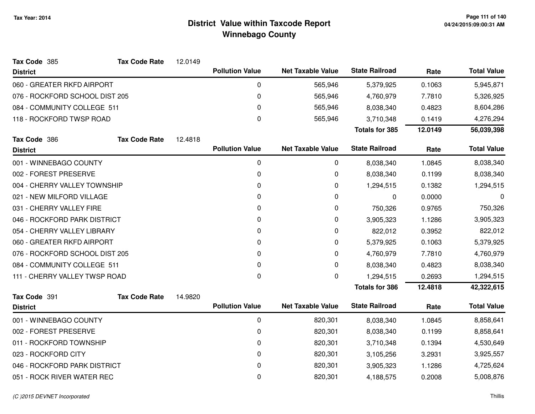| Tax Code 385                   | <b>Tax Code Rate</b> | 12.0149 |                        |                          |                       |         |                    |
|--------------------------------|----------------------|---------|------------------------|--------------------------|-----------------------|---------|--------------------|
| <b>District</b>                |                      |         | <b>Pollution Value</b> | <b>Net Taxable Value</b> | <b>State Railroad</b> | Rate    | <b>Total Value</b> |
| 060 - GREATER RKFD AIRPORT     |                      |         | 0                      | 565,946                  | 5,379,925             | 0.1063  | 5,945,871          |
| 076 - ROCKFORD SCHOOL DIST 205 |                      |         | 0                      | 565,946                  | 4,760,979             | 7.7810  | 5,326,925          |
| 084 - COMMUNITY COLLEGE 511    |                      |         | 0                      | 565,946                  | 8,038,340             | 0.4823  | 8,604,286          |
| 118 - ROCKFORD TWSP ROAD       |                      |         | $\mathbf 0$            | 565,946                  | 3,710,348             | 0.1419  | 4,276,294          |
|                                |                      |         |                        |                          | <b>Totals for 385</b> | 12.0149 | 56,039,398         |
| Tax Code 386                   | <b>Tax Code Rate</b> | 12.4818 |                        |                          |                       |         |                    |
| <b>District</b>                |                      |         | <b>Pollution Value</b> | <b>Net Taxable Value</b> | <b>State Railroad</b> | Rate    | <b>Total Value</b> |
| 001 - WINNEBAGO COUNTY         |                      |         | 0                      | 0                        | 8,038,340             | 1.0845  | 8,038,340          |
| 002 - FOREST PRESERVE          |                      |         | 0                      | 0                        | 8,038,340             | 0.1199  | 8,038,340          |
| 004 - CHERRY VALLEY TOWNSHIP   |                      |         | 0                      | 0                        | 1,294,515             | 0.1382  | 1,294,515          |
| 021 - NEW MILFORD VILLAGE      |                      |         | 0                      | 0                        | 0                     | 0.0000  | 0                  |
| 031 - CHERRY VALLEY FIRE       |                      |         | 0                      | 0                        | 750,326               | 0.9765  | 750,326            |
| 046 - ROCKFORD PARK DISTRICT   |                      |         | 0                      | 0                        | 3,905,323             | 1.1286  | 3,905,323          |
| 054 - CHERRY VALLEY LIBRARY    |                      |         | 0                      | 0                        | 822,012               | 0.3952  | 822,012            |
| 060 - GREATER RKFD AIRPORT     |                      |         | 0                      | 0                        | 5,379,925             | 0.1063  | 5,379,925          |
| 076 - ROCKFORD SCHOOL DIST 205 |                      |         | 0                      | 0                        | 4,760,979             | 7.7810  | 4,760,979          |
| 084 - COMMUNITY COLLEGE 511    |                      |         | $\Omega$               | 0                        | 8,038,340             | 0.4823  | 8,038,340          |
| 111 - CHERRY VALLEY TWSP ROAD  |                      |         | 0                      | 0                        | 1,294,515             | 0.2693  | 1,294,515          |
|                                |                      |         |                        |                          | <b>Totals for 386</b> | 12.4818 | 42,322,615         |
| Tax Code 391                   | <b>Tax Code Rate</b> | 14.9820 |                        |                          |                       |         |                    |
| <b>District</b>                |                      |         | <b>Pollution Value</b> | <b>Net Taxable Value</b> | <b>State Railroad</b> | Rate    | <b>Total Value</b> |
| 001 - WINNEBAGO COUNTY         |                      |         | 0                      | 820,301                  | 8,038,340             | 1.0845  | 8,858,641          |
| 002 - FOREST PRESERVE          |                      |         | 0                      | 820,301                  | 8,038,340             | 0.1199  | 8,858,641          |
| 011 - ROCKFORD TOWNSHIP        |                      |         | 0                      | 820,301                  | 3,710,348             | 0.1394  | 4,530,649          |
| 023 - ROCKFORD CITY            |                      |         | $\pmb{0}$              | 820,301                  | 3,105,256             | 3.2931  | 3,925,557          |
| 046 - ROCKFORD PARK DISTRICT   |                      |         | 0                      | 820,301                  | 3,905,323             | 1.1286  | 4,725,624          |
| 051 - ROCK RIVER WATER REC     |                      |         | 0                      | 820,301                  | 4,188,575             | 0.2008  | 5,008,876          |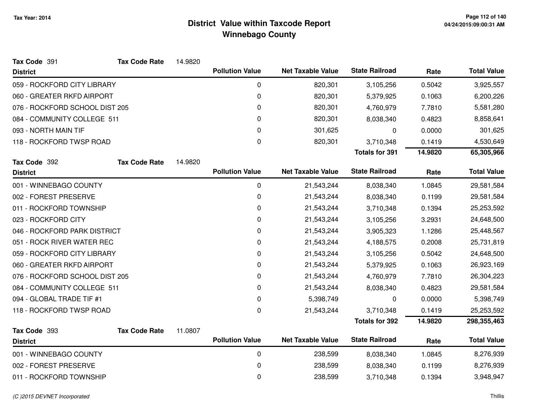| Tax Code 391                   | <b>Tax Code Rate</b> | 14.9820 |                        |                          |                       |         |                    |
|--------------------------------|----------------------|---------|------------------------|--------------------------|-----------------------|---------|--------------------|
| <b>District</b>                |                      |         | <b>Pollution Value</b> | <b>Net Taxable Value</b> | <b>State Railroad</b> | Rate    | <b>Total Value</b> |
| 059 - ROCKFORD CITY LIBRARY    |                      |         | 0                      | 820,301                  | 3,105,256             | 0.5042  | 3,925,557          |
| 060 - GREATER RKFD AIRPORT     |                      |         | 0                      | 820,301                  | 5,379,925             | 0.1063  | 6,200,226          |
| 076 - ROCKFORD SCHOOL DIST 205 |                      |         | 0                      | 820,301                  | 4,760,979             | 7.7810  | 5,581,280          |
| 084 - COMMUNITY COLLEGE 511    |                      |         | 0                      | 820,301                  | 8,038,340             | 0.4823  | 8,858,641          |
| 093 - NORTH MAIN TIF           |                      |         | 0                      | 301,625                  | 0                     | 0.0000  | 301,625            |
| 118 - ROCKFORD TWSP ROAD       |                      |         | 0                      | 820,301                  | 3,710,348             | 0.1419  | 4,530,649          |
|                                |                      |         |                        |                          | <b>Totals for 391</b> | 14.9820 | 65,305,966         |
| Tax Code 392                   | <b>Tax Code Rate</b> | 14.9820 |                        |                          |                       |         |                    |
| <b>District</b>                |                      |         | <b>Pollution Value</b> | <b>Net Taxable Value</b> | <b>State Railroad</b> | Rate    | <b>Total Value</b> |
| 001 - WINNEBAGO COUNTY         |                      |         | 0                      | 21,543,244               | 8,038,340             | 1.0845  | 29,581,584         |
| 002 - FOREST PRESERVE          |                      |         | 0                      | 21,543,244               | 8,038,340             | 0.1199  | 29,581,584         |
| 011 - ROCKFORD TOWNSHIP        |                      |         | 0                      | 21,543,244               | 3,710,348             | 0.1394  | 25,253,592         |
| 023 - ROCKFORD CITY            |                      |         | 0                      | 21,543,244               | 3,105,256             | 3.2931  | 24,648,500         |
| 046 - ROCKFORD PARK DISTRICT   |                      |         | 0                      | 21,543,244               | 3,905,323             | 1.1286  | 25,448,567         |
| 051 - ROCK RIVER WATER REC     |                      |         | 0                      | 21,543,244               | 4,188,575             | 0.2008  | 25,731,819         |
| 059 - ROCKFORD CITY LIBRARY    |                      |         | 0                      | 21,543,244               | 3,105,256             | 0.5042  | 24,648,500         |
| 060 - GREATER RKFD AIRPORT     |                      |         | 0                      | 21,543,244               | 5,379,925             | 0.1063  | 26,923,169         |
| 076 - ROCKFORD SCHOOL DIST 205 |                      |         | 0                      | 21,543,244               | 4,760,979             | 7.7810  | 26,304,223         |
| 084 - COMMUNITY COLLEGE 511    |                      |         | 0                      | 21,543,244               | 8,038,340             | 0.4823  | 29,581,584         |
| 094 - GLOBAL TRADE TIF #1      |                      |         | $\Omega$               | 5,398,749                | 0                     | 0.0000  | 5,398,749          |
| 118 - ROCKFORD TWSP ROAD       |                      |         | $\mathbf 0$            | 21,543,244               | 3,710,348             | 0.1419  | 25,253,592         |
|                                |                      |         |                        |                          | <b>Totals for 392</b> | 14.9820 | 298, 355, 463      |
| Tax Code 393                   | <b>Tax Code Rate</b> | 11.0807 |                        |                          |                       |         |                    |
| <b>District</b>                |                      |         | <b>Pollution Value</b> | <b>Net Taxable Value</b> | <b>State Railroad</b> | Rate    | <b>Total Value</b> |
| 001 - WINNEBAGO COUNTY         |                      |         | 0                      | 238,599                  | 8,038,340             | 1.0845  | 8,276,939          |
| 002 - FOREST PRESERVE          |                      |         | 0                      | 238,599                  | 8,038,340             | 0.1199  | 8,276,939          |
| 011 - ROCKFORD TOWNSHIP        |                      |         | 0                      | 238,599                  | 3,710,348             | 0.1394  | 3,948,947          |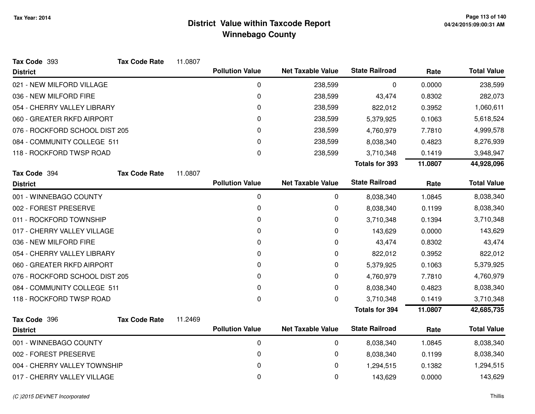| Tax Code 393                   | <b>Tax Code Rate</b> | 11.0807 |                        |                          |                       |         |                    |
|--------------------------------|----------------------|---------|------------------------|--------------------------|-----------------------|---------|--------------------|
| <b>District</b>                |                      |         | <b>Pollution Value</b> | <b>Net Taxable Value</b> | <b>State Railroad</b> | Rate    | <b>Total Value</b> |
| 021 - NEW MILFORD VILLAGE      |                      |         | $\mathbf 0$            | 238,599                  | 0                     | 0.0000  | 238,599            |
| 036 - NEW MILFORD FIRE         |                      |         | 0                      | 238,599                  | 43,474                | 0.8302  | 282,073            |
| 054 - CHERRY VALLEY LIBRARY    |                      |         | 0                      | 238,599                  | 822,012               | 0.3952  | 1,060,611          |
| 060 - GREATER RKFD AIRPORT     |                      |         | 0                      | 238,599                  | 5,379,925             | 0.1063  | 5,618,524          |
| 076 - ROCKFORD SCHOOL DIST 205 |                      |         | $\Omega$               | 238,599                  | 4,760,979             | 7.7810  | 4,999,578          |
| 084 - COMMUNITY COLLEGE 511    |                      |         | $\Omega$               | 238,599                  | 8,038,340             | 0.4823  | 8,276,939          |
| 118 - ROCKFORD TWSP ROAD       |                      |         | 0                      | 238,599                  | 3,710,348             | 0.1419  | 3,948,947          |
|                                |                      |         |                        |                          | <b>Totals for 393</b> | 11.0807 | 44,928,096         |
| Tax Code 394                   | <b>Tax Code Rate</b> | 11.0807 |                        |                          |                       |         |                    |
| <b>District</b>                |                      |         | <b>Pollution Value</b> | <b>Net Taxable Value</b> | <b>State Railroad</b> | Rate    | <b>Total Value</b> |
| 001 - WINNEBAGO COUNTY         |                      |         | $\pmb{0}$              | 0                        | 8,038,340             | 1.0845  | 8,038,340          |
| 002 - FOREST PRESERVE          |                      |         | 0                      | 0                        | 8,038,340             | 0.1199  | 8,038,340          |
| 011 - ROCKFORD TOWNSHIP        |                      |         | 0                      | 0                        | 3,710,348             | 0.1394  | 3,710,348          |
| 017 - CHERRY VALLEY VILLAGE    |                      |         | 0                      | 0                        | 143,629               | 0.0000  | 143,629            |
| 036 - NEW MILFORD FIRE         |                      |         | 0                      | 0                        | 43,474                | 0.8302  | 43,474             |
| 054 - CHERRY VALLEY LIBRARY    |                      |         | 0                      | 0                        | 822,012               | 0.3952  | 822,012            |
| 060 - GREATER RKFD AIRPORT     |                      |         | 0                      | 0                        | 5,379,925             | 0.1063  | 5,379,925          |
| 076 - ROCKFORD SCHOOL DIST 205 |                      |         | $\mathbf 0$            | 0                        | 4,760,979             | 7.7810  | 4,760,979          |
| 084 - COMMUNITY COLLEGE 511    |                      |         | $\mathbf 0$            | 0                        | 8,038,340             | 0.4823  | 8,038,340          |
| 118 - ROCKFORD TWSP ROAD       |                      |         | 0                      | 0                        | 3,710,348             | 0.1419  | 3,710,348          |
|                                |                      |         |                        |                          | <b>Totals for 394</b> | 11.0807 | 42,685,735         |
| Tax Code 396                   | <b>Tax Code Rate</b> | 11.2469 |                        |                          |                       |         |                    |
| <b>District</b>                |                      |         | <b>Pollution Value</b> | <b>Net Taxable Value</b> | <b>State Railroad</b> | Rate    | <b>Total Value</b> |
| 001 - WINNEBAGO COUNTY         |                      |         | 0                      | 0                        | 8,038,340             | 1.0845  | 8,038,340          |
| 002 - FOREST PRESERVE          |                      |         | 0                      | 0                        | 8,038,340             | 0.1199  | 8,038,340          |
| 004 - CHERRY VALLEY TOWNSHIP   |                      |         | 0                      | 0                        | 1,294,515             | 0.1382  | 1,294,515          |
| 017 - CHERRY VALLEY VILLAGE    |                      |         | 0                      | 0                        | 143,629               | 0.0000  | 143,629            |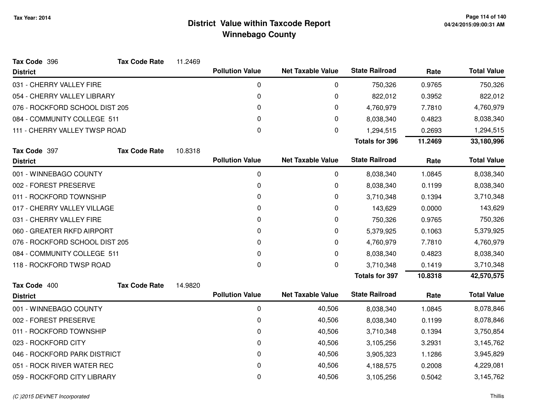| Tax Code 396                   | <b>Tax Code Rate</b> | 11.2469 |                        |                          |                       |         |                    |
|--------------------------------|----------------------|---------|------------------------|--------------------------|-----------------------|---------|--------------------|
| <b>District</b>                |                      |         | <b>Pollution Value</b> | <b>Net Taxable Value</b> | <b>State Railroad</b> | Rate    | <b>Total Value</b> |
| 031 - CHERRY VALLEY FIRE       |                      |         | 0                      | 0                        | 750,326               | 0.9765  | 750,326            |
| 054 - CHERRY VALLEY LIBRARY    |                      |         | 0                      | 0                        | 822,012               | 0.3952  | 822,012            |
| 076 - ROCKFORD SCHOOL DIST 205 |                      |         | 0                      | 0                        | 4,760,979             | 7.7810  | 4,760,979          |
| 084 - COMMUNITY COLLEGE 511    |                      |         | 0                      | 0                        | 8,038,340             | 0.4823  | 8,038,340          |
| 111 - CHERRY VALLEY TWSP ROAD  |                      |         | $\mathbf 0$            | 0                        | 1,294,515             | 0.2693  | 1,294,515          |
|                                |                      |         |                        |                          | <b>Totals for 396</b> | 11.2469 | 33,180,996         |
| Tax Code 397                   | <b>Tax Code Rate</b> | 10.8318 |                        |                          |                       |         |                    |
| <b>District</b>                |                      |         | <b>Pollution Value</b> | <b>Net Taxable Value</b> | <b>State Railroad</b> | Rate    | <b>Total Value</b> |
| 001 - WINNEBAGO COUNTY         |                      |         | $\mathbf 0$            | 0                        | 8,038,340             | 1.0845  | 8,038,340          |
| 002 - FOREST PRESERVE          |                      |         | 0                      | 0                        | 8,038,340             | 0.1199  | 8,038,340          |
| 011 - ROCKFORD TOWNSHIP        |                      |         | 0                      | 0                        | 3,710,348             | 0.1394  | 3,710,348          |
| 017 - CHERRY VALLEY VILLAGE    |                      |         | 0                      | 0                        | 143,629               | 0.0000  | 143,629            |
| 031 - CHERRY VALLEY FIRE       |                      |         | 0                      | 0                        | 750,326               | 0.9765  | 750,326            |
| 060 - GREATER RKFD AIRPORT     |                      |         | 0                      | 0                        | 5,379,925             | 0.1063  | 5,379,925          |
| 076 - ROCKFORD SCHOOL DIST 205 |                      |         | 0                      | 0                        | 4,760,979             | 7.7810  | 4,760,979          |
| 084 - COMMUNITY COLLEGE 511    |                      |         | 0                      | 0                        | 8,038,340             | 0.4823  | 8,038,340          |
| 118 - ROCKFORD TWSP ROAD       |                      |         | 0                      | 0                        | 3,710,348             | 0.1419  | 3,710,348          |
|                                |                      |         |                        |                          | <b>Totals for 397</b> | 10.8318 | 42,570,575         |
| Tax Code 400                   | <b>Tax Code Rate</b> | 14.9820 |                        |                          |                       |         |                    |
| <b>District</b>                |                      |         | <b>Pollution Value</b> | <b>Net Taxable Value</b> | <b>State Railroad</b> | Rate    | <b>Total Value</b> |
| 001 - WINNEBAGO COUNTY         |                      |         | $\pmb{0}$              | 40,506                   | 8,038,340             | 1.0845  | 8,078,846          |
| 002 - FOREST PRESERVE          |                      |         | 0                      | 40,506                   | 8,038,340             | 0.1199  | 8,078,846          |
| 011 - ROCKFORD TOWNSHIP        |                      |         | 0                      | 40,506                   | 3,710,348             | 0.1394  | 3,750,854          |
| 023 - ROCKFORD CITY            |                      |         | 0                      | 40,506                   | 3,105,256             | 3.2931  | 3,145,762          |
| 046 - ROCKFORD PARK DISTRICT   |                      |         | 0                      | 40,506                   | 3,905,323             | 1.1286  | 3,945,829          |
| 051 - ROCK RIVER WATER REC     |                      |         | 0                      | 40,506                   | 4,188,575             | 0.2008  | 4,229,081          |
| 059 - ROCKFORD CITY LIBRARY    |                      |         | 0                      | 40,506                   | 3,105,256             | 0.5042  | 3,145,762          |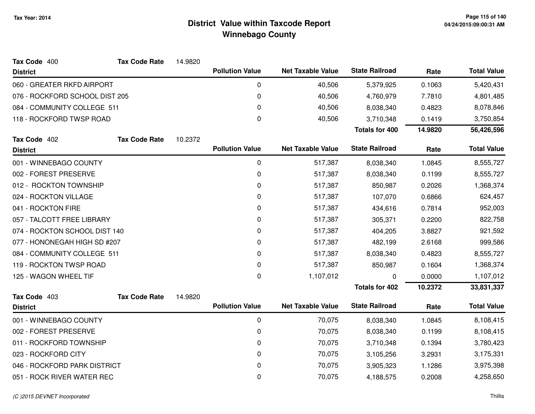| <b>District</b>                |                      |         |                        |                          |                       |         |                    |
|--------------------------------|----------------------|---------|------------------------|--------------------------|-----------------------|---------|--------------------|
|                                |                      |         | <b>Pollution Value</b> | <b>Net Taxable Value</b> | <b>State Railroad</b> | Rate    | <b>Total Value</b> |
| 060 - GREATER RKFD AIRPORT     |                      |         | 0                      | 40,506                   | 5,379,925             | 0.1063  | 5,420,431          |
| 076 - ROCKFORD SCHOOL DIST 205 |                      |         | 0                      | 40,506                   | 4,760,979             | 7.7810  | 4,801,485          |
| 084 - COMMUNITY COLLEGE 511    |                      |         | 0                      | 40,506                   | 8,038,340             | 0.4823  | 8,078,846          |
| 118 - ROCKFORD TWSP ROAD       |                      |         | $\pmb{0}$              | 40,506                   | 3,710,348             | 0.1419  | 3,750,854          |
|                                |                      |         |                        |                          | <b>Totals for 400</b> | 14.9820 | 56,426,596         |
| Tax Code 402                   | <b>Tax Code Rate</b> | 10.2372 |                        |                          |                       |         |                    |
| <b>District</b>                |                      |         | <b>Pollution Value</b> | <b>Net Taxable Value</b> | <b>State Railroad</b> | Rate    | <b>Total Value</b> |
| 001 - WINNEBAGO COUNTY         |                      |         | 0                      | 517,387                  | 8,038,340             | 1.0845  | 8,555,727          |
| 002 - FOREST PRESERVE          |                      |         | 0                      | 517,387                  | 8,038,340             | 0.1199  | 8,555,727          |
| 012 - ROCKTON TOWNSHIP         |                      |         | 0                      | 517,387                  | 850,987               | 0.2026  | 1,368,374          |
| 024 - ROCKTON VILLAGE          |                      |         | 0                      | 517,387                  | 107,070               | 0.6866  | 624,457            |
| 041 - ROCKTON FIRE             |                      |         | 0                      | 517,387                  | 434,616               | 0.7814  | 952,003            |
| 057 - TALCOTT FREE LIBRARY     |                      |         | 0                      | 517,387                  | 305,371               | 0.2200  | 822,758            |
| 074 - ROCKTON SCHOOL DIST 140  |                      |         | 0                      | 517,387                  | 404,205               | 3.8827  | 921,592            |
| 077 - HONONEGAH HIGH SD #207   |                      |         | 0                      | 517,387                  | 482,199               | 2.6168  | 999,586            |
| 084 - COMMUNITY COLLEGE 511    |                      |         | 0                      | 517,387                  | 8,038,340             | 0.4823  | 8,555,727          |
| 119 - ROCKTON TWSP ROAD        |                      |         | $\Omega$               | 517,387                  | 850,987               | 0.1604  | 1,368,374          |
| 125 - WAGON WHEEL TIF          |                      |         | $\mathbf 0$            | 1,107,012                | 0                     | 0.0000  | 1,107,012          |
|                                |                      |         |                        |                          | <b>Totals for 402</b> | 10.2372 | 33,831,337         |
| Tax Code 403                   | <b>Tax Code Rate</b> | 14.9820 |                        |                          |                       |         |                    |
| <b>District</b>                |                      |         | <b>Pollution Value</b> | <b>Net Taxable Value</b> | <b>State Railroad</b> | Rate    | <b>Total Value</b> |
| 001 - WINNEBAGO COUNTY         |                      |         | 0                      | 70,075                   | 8,038,340             | 1.0845  | 8,108,415          |
| 002 - FOREST PRESERVE          |                      |         | 0                      | 70,075                   | 8,038,340             | 0.1199  | 8,108,415          |
| 011 - ROCKFORD TOWNSHIP        |                      |         | 0                      | 70,075                   | 3,710,348             | 0.1394  | 3,780,423          |
| 023 - ROCKFORD CITY            |                      |         | $\pmb{0}$              | 70,075                   | 3,105,256             | 3.2931  | 3,175,331          |
| 046 - ROCKFORD PARK DISTRICT   |                      |         | 0                      | 70,075                   | 3,905,323             | 1.1286  | 3,975,398          |
| 051 - ROCK RIVER WATER REC     |                      |         | 0                      | 70,075                   | 4,188,575             | 0.2008  | 4,258,650          |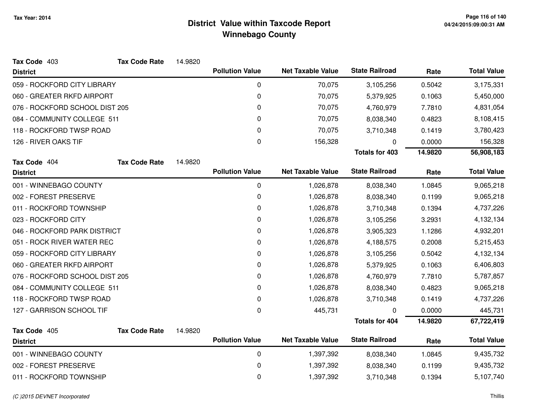| Tax Code 403                   | <b>Tax Code Rate</b> | 14.9820 |                        |                          |                       |         |                    |
|--------------------------------|----------------------|---------|------------------------|--------------------------|-----------------------|---------|--------------------|
| <b>District</b>                |                      |         | <b>Pollution Value</b> | <b>Net Taxable Value</b> | <b>State Railroad</b> | Rate    | <b>Total Value</b> |
| 059 - ROCKFORD CITY LIBRARY    |                      |         | 0                      | 70,075                   | 3,105,256             | 0.5042  | 3,175,331          |
| 060 - GREATER RKFD AIRPORT     |                      |         | 0                      | 70,075                   | 5,379,925             | 0.1063  | 5,450,000          |
| 076 - ROCKFORD SCHOOL DIST 205 |                      |         | 0                      | 70,075                   | 4,760,979             | 7.7810  | 4,831,054          |
| 084 - COMMUNITY COLLEGE 511    |                      |         | 0                      | 70,075                   | 8,038,340             | 0.4823  | 8,108,415          |
| 118 - ROCKFORD TWSP ROAD       |                      |         | 0                      | 70,075                   | 3,710,348             | 0.1419  | 3,780,423          |
| 126 - RIVER OAKS TIF           |                      |         | 0                      | 156,328                  | ŋ                     | 0.0000  | 156,328            |
|                                |                      |         |                        |                          | <b>Totals for 403</b> | 14.9820 | 56,908,183         |
| Tax Code 404                   | <b>Tax Code Rate</b> | 14.9820 |                        |                          |                       |         |                    |
| <b>District</b>                |                      |         | <b>Pollution Value</b> | <b>Net Taxable Value</b> | <b>State Railroad</b> | Rate    | <b>Total Value</b> |
| 001 - WINNEBAGO COUNTY         |                      |         | 0                      | 1,026,878                | 8,038,340             | 1.0845  | 9,065,218          |
| 002 - FOREST PRESERVE          |                      |         | 0                      | 1,026,878                | 8,038,340             | 0.1199  | 9,065,218          |
| 011 - ROCKFORD TOWNSHIP        |                      |         | 0                      | 1,026,878                | 3,710,348             | 0.1394  | 4,737,226          |
| 023 - ROCKFORD CITY            |                      |         | 0                      | 1,026,878                | 3,105,256             | 3.2931  | 4,132,134          |
| 046 - ROCKFORD PARK DISTRICT   |                      |         | 0                      | 1,026,878                | 3,905,323             | 1.1286  | 4,932,201          |
| 051 - ROCK RIVER WATER REC     |                      |         | 0                      | 1,026,878                | 4,188,575             | 0.2008  | 5,215,453          |
| 059 - ROCKFORD CITY LIBRARY    |                      |         | 0                      | 1,026,878                | 3,105,256             | 0.5042  | 4,132,134          |
| 060 - GREATER RKFD AIRPORT     |                      |         | 0                      | 1,026,878                | 5,379,925             | 0.1063  | 6,406,803          |
| 076 - ROCKFORD SCHOOL DIST 205 |                      |         | 0                      | 1,026,878                | 4,760,979             | 7.7810  | 5,787,857          |
| 084 - COMMUNITY COLLEGE 511    |                      |         | 0                      | 1,026,878                | 8,038,340             | 0.4823  | 9,065,218          |
| 118 - ROCKFORD TWSP ROAD       |                      |         | 0                      | 1,026,878                | 3,710,348             | 0.1419  | 4,737,226          |
| 127 - GARRISON SCHOOL TIF      |                      |         | $\pmb{0}$              | 445,731                  | 0                     | 0.0000  | 445,731            |
|                                |                      |         |                        |                          | <b>Totals for 404</b> | 14.9820 | 67,722,419         |
| Tax Code 405                   | <b>Tax Code Rate</b> | 14.9820 |                        |                          |                       |         |                    |
| <b>District</b>                |                      |         | <b>Pollution Value</b> | <b>Net Taxable Value</b> | <b>State Railroad</b> | Rate    | <b>Total Value</b> |
| 001 - WINNEBAGO COUNTY         |                      |         | $\pmb{0}$              | 1,397,392                | 8,038,340             | 1.0845  | 9,435,732          |
| 002 - FOREST PRESERVE          |                      |         | 0                      | 1,397,392                | 8,038,340             | 0.1199  | 9,435,732          |
| 011 - ROCKFORD TOWNSHIP        |                      |         | 0                      | 1,397,392                | 3,710,348             | 0.1394  | 5,107,740          |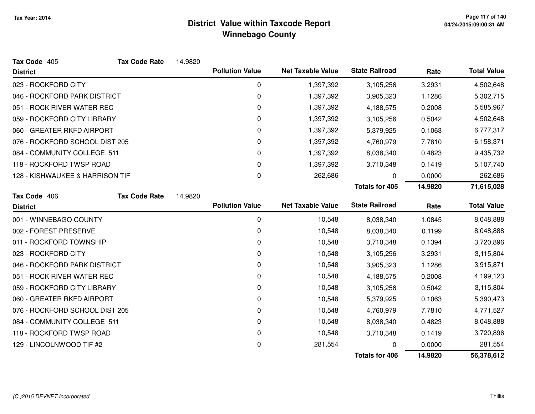| Tax Code 405                    | <b>Tax Code Rate</b> | 14.9820 |                        |                          |                       |         |                    |
|---------------------------------|----------------------|---------|------------------------|--------------------------|-----------------------|---------|--------------------|
| <b>District</b>                 |                      |         | <b>Pollution Value</b> | <b>Net Taxable Value</b> | <b>State Railroad</b> | Rate    | <b>Total Value</b> |
| 023 - ROCKFORD CITY             |                      |         | $\boldsymbol{0}$       | 1,397,392                | 3,105,256             | 3.2931  | 4,502,648          |
| 046 - ROCKFORD PARK DISTRICT    |                      |         | 0                      | 1,397,392                | 3,905,323             | 1.1286  | 5,302,715          |
| 051 - ROCK RIVER WATER REC      |                      |         | 0                      | 1,397,392                | 4,188,575             | 0.2008  | 5,585,967          |
| 059 - ROCKFORD CITY LIBRARY     |                      |         | 0                      | 1,397,392                | 3,105,256             | 0.5042  | 4,502,648          |
| 060 - GREATER RKFD AIRPORT      |                      |         | 0                      | 1,397,392                | 5,379,925             | 0.1063  | 6,777,317          |
| 076 - ROCKFORD SCHOOL DIST 205  |                      |         | 0                      | 1,397,392                | 4,760,979             | 7.7810  | 6,158,371          |
| 084 - COMMUNITY COLLEGE 511     |                      |         | 0                      | 1,397,392                | 8,038,340             | 0.4823  | 9,435,732          |
| 118 - ROCKFORD TWSP ROAD        |                      |         | 0                      | 1,397,392                | 3,710,348             | 0.1419  | 5,107,740          |
| 128 - KISHWAUKEE & HARRISON TIF |                      |         | 0                      | 262,686                  | 0                     | 0.0000  | 262,686            |
|                                 |                      |         |                        |                          | <b>Totals for 405</b> | 14.9820 | 71,615,028         |
| Tax Code 406                    | <b>Tax Code Rate</b> | 14.9820 |                        |                          |                       |         |                    |
| <b>District</b>                 |                      |         | <b>Pollution Value</b> | <b>Net Taxable Value</b> | <b>State Railroad</b> | Rate    | <b>Total Value</b> |
| 001 - WINNEBAGO COUNTY          |                      |         | $\mathbf 0$            | 10,548                   | 8,038,340             | 1.0845  | 8,048,888          |
| 002 - FOREST PRESERVE           |                      |         | 0                      | 10,548                   | 8,038,340             | 0.1199  | 8,048,888          |
| 011 - ROCKFORD TOWNSHIP         |                      |         | $\mathbf 0$            | 10,548                   | 3,710,348             | 0.1394  | 3,720,896          |
| 023 - ROCKFORD CITY             |                      |         | 0                      | 10,548                   | 3,105,256             | 3.2931  | 3,115,804          |
| 046 - ROCKFORD PARK DISTRICT    |                      |         | 0                      | 10,548                   | 3,905,323             | 1.1286  | 3,915,871          |
| 051 - ROCK RIVER WATER REC      |                      |         | 0                      | 10,548                   | 4,188,575             | 0.2008  | 4,199,123          |
| 059 - ROCKFORD CITY LIBRARY     |                      |         | 0                      | 10,548                   | 3,105,256             | 0.5042  | 3,115,804          |
| 060 - GREATER RKFD AIRPORT      |                      |         | 0                      | 10,548                   | 5,379,925             | 0.1063  | 5,390,473          |
| 076 - ROCKFORD SCHOOL DIST 205  |                      |         | 0                      | 10,548                   | 4,760,979             | 7.7810  | 4,771,527          |
| 084 - COMMUNITY COLLEGE 511     |                      |         | $\mathbf 0$            | 10,548                   | 8,038,340             | 0.4823  | 8,048,888          |
| 118 - ROCKFORD TWSP ROAD        |                      |         | 0                      | 10,548                   | 3,710,348             | 0.1419  | 3,720,896          |
| 129 - LINCOLNWOOD TIF #2        |                      |         | $\mathbf 0$            | 281,554                  |                       | 0.0000  | 281,554            |
|                                 |                      |         |                        |                          | <b>Totals for 406</b> | 14.9820 | 56,378,612         |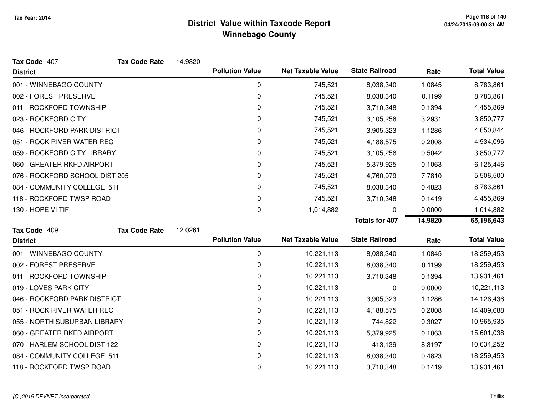| Tax Code 407                   | <b>Tax Code Rate</b> | 14.9820 |                        |                          |                       |         |                    |
|--------------------------------|----------------------|---------|------------------------|--------------------------|-----------------------|---------|--------------------|
| <b>District</b>                |                      |         | <b>Pollution Value</b> | <b>Net Taxable Value</b> | <b>State Railroad</b> | Rate    | <b>Total Value</b> |
| 001 - WINNEBAGO COUNTY         |                      |         | $\mathbf 0$            | 745,521                  | 8,038,340             | 1.0845  | 8,783,861          |
| 002 - FOREST PRESERVE          |                      |         | 0                      | 745,521                  | 8,038,340             | 0.1199  | 8,783,861          |
| 011 - ROCKFORD TOWNSHIP        |                      |         | 0                      | 745,521                  | 3,710,348             | 0.1394  | 4,455,869          |
| 023 - ROCKFORD CITY            |                      |         | 0                      | 745,521                  | 3,105,256             | 3.2931  | 3,850,777          |
| 046 - ROCKFORD PARK DISTRICT   |                      |         | 0                      | 745,521                  | 3,905,323             | 1.1286  | 4,650,844          |
| 051 - ROCK RIVER WATER REC     |                      |         | 0                      | 745,521                  | 4,188,575             | 0.2008  | 4,934,096          |
| 059 - ROCKFORD CITY LIBRARY    |                      |         | 0                      | 745,521                  | 3,105,256             | 0.5042  | 3,850,777          |
| 060 - GREATER RKFD AIRPORT     |                      |         | 0                      | 745,521                  | 5,379,925             | 0.1063  | 6,125,446          |
| 076 - ROCKFORD SCHOOL DIST 205 |                      |         | 0                      | 745,521                  | 4,760,979             | 7.7810  | 5,506,500          |
| 084 - COMMUNITY COLLEGE 511    |                      |         | 0                      | 745,521                  | 8,038,340             | 0.4823  | 8,783,861          |
| 118 - ROCKFORD TWSP ROAD       |                      |         | 0                      | 745,521                  | 3,710,348             | 0.1419  | 4,455,869          |
| 130 - HOPE VI TIF              |                      |         | 0                      | 1,014,882                | 0                     | 0.0000  | 1,014,882          |
|                                |                      |         |                        |                          | <b>Totals for 407</b> | 14.9820 | 65,196,643         |
|                                |                      |         |                        |                          |                       |         |                    |
| Tax Code 409                   | <b>Tax Code Rate</b> | 12.0261 |                        |                          |                       |         |                    |
| <b>District</b>                |                      |         | <b>Pollution Value</b> | <b>Net Taxable Value</b> | <b>State Railroad</b> | Rate    | <b>Total Value</b> |
| 001 - WINNEBAGO COUNTY         |                      |         | 0                      | 10,221,113               | 8,038,340             | 1.0845  | 18,259,453         |
| 002 - FOREST PRESERVE          |                      |         | 0                      | 10,221,113               | 8,038,340             | 0.1199  | 18,259,453         |
| 011 - ROCKFORD TOWNSHIP        |                      |         | 0                      | 10,221,113               | 3,710,348             | 0.1394  | 13,931,461         |
| 019 - LOVES PARK CITY          |                      |         | 0                      | 10,221,113               | 0                     | 0.0000  | 10,221,113         |
| 046 - ROCKFORD PARK DISTRICT   |                      |         | 0                      | 10,221,113               | 3,905,323             | 1.1286  | 14,126,436         |
| 051 - ROCK RIVER WATER REC     |                      |         | 0                      | 10,221,113               | 4,188,575             | 0.2008  | 14,409,688         |
| 055 - NORTH SUBURBAN LIBRARY   |                      |         | 0                      | 10,221,113               | 744,822               | 0.3027  | 10,965,935         |
| 060 - GREATER RKFD AIRPORT     |                      |         | 0                      | 10,221,113               | 5,379,925             | 0.1063  | 15,601,038         |
| 070 - HARLEM SCHOOL DIST 122   |                      |         | 0                      | 10,221,113               | 413,139               | 8.3197  | 10,634,252         |
| 084 - COMMUNITY COLLEGE 511    |                      |         | 0                      | 10,221,113               | 8,038,340             | 0.4823  | 18,259,453         |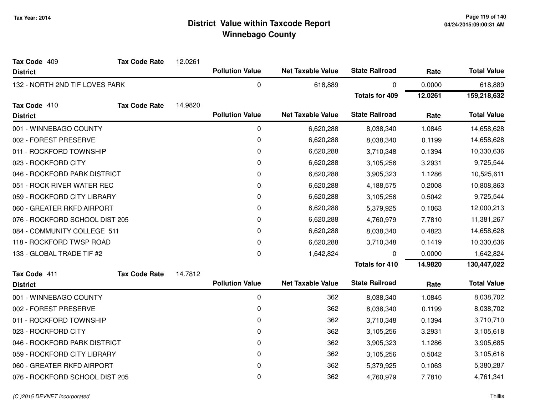| Tax Code 409                   | <b>Tax Code Rate</b> | 12.0261 |                        |                          |                       |         |                    |
|--------------------------------|----------------------|---------|------------------------|--------------------------|-----------------------|---------|--------------------|
| <b>District</b>                |                      |         | <b>Pollution Value</b> | <b>Net Taxable Value</b> | <b>State Railroad</b> | Rate    | <b>Total Value</b> |
| 132 - NORTH 2ND TIF LOVES PARK |                      |         | 0                      | 618,889                  | 0                     | 0.0000  | 618,889            |
|                                |                      |         |                        |                          | <b>Totals for 409</b> | 12.0261 | 159,218,632        |
| Tax Code 410                   | <b>Tax Code Rate</b> | 14.9820 |                        |                          |                       |         |                    |
| <b>District</b>                |                      |         | <b>Pollution Value</b> | <b>Net Taxable Value</b> | <b>State Railroad</b> | Rate    | <b>Total Value</b> |
| 001 - WINNEBAGO COUNTY         |                      |         | 0                      | 6,620,288                | 8,038,340             | 1.0845  | 14,658,628         |
| 002 - FOREST PRESERVE          |                      |         | 0                      | 6,620,288                | 8,038,340             | 0.1199  | 14,658,628         |
| 011 - ROCKFORD TOWNSHIP        |                      |         | 0                      | 6,620,288                | 3,710,348             | 0.1394  | 10,330,636         |
| 023 - ROCKFORD CITY            |                      |         | 0                      | 6,620,288                | 3,105,256             | 3.2931  | 9,725,544          |
| 046 - ROCKFORD PARK DISTRICT   |                      |         | 0                      | 6,620,288                | 3,905,323             | 1.1286  | 10,525,611         |
| 051 - ROCK RIVER WATER REC     |                      |         | 0                      | 6,620,288                | 4,188,575             | 0.2008  | 10,808,863         |
| 059 - ROCKFORD CITY LIBRARY    |                      |         | 0                      | 6,620,288                | 3,105,256             | 0.5042  | 9,725,544          |
| 060 - GREATER RKFD AIRPORT     |                      |         | 0                      | 6,620,288                | 5,379,925             | 0.1063  | 12,000,213         |
| 076 - ROCKFORD SCHOOL DIST 205 |                      |         | 0                      | 6,620,288                | 4,760,979             | 7.7810  | 11,381,267         |
| 084 - COMMUNITY COLLEGE 511    |                      |         | 0                      | 6,620,288                | 8,038,340             | 0.4823  | 14,658,628         |
| 118 - ROCKFORD TWSP ROAD       |                      |         | 0                      | 6,620,288                | 3,710,348             | 0.1419  | 10,330,636         |
| 133 - GLOBAL TRADE TIF #2      |                      |         | 0                      | 1,642,824                | $\Omega$              | 0.0000  | 1,642,824          |
|                                |                      |         |                        |                          | <b>Totals for 410</b> | 14.9820 | 130,447,022        |
| Tax Code 411                   | <b>Tax Code Rate</b> | 14.7812 |                        |                          |                       |         |                    |
| <b>District</b>                |                      |         | <b>Pollution Value</b> | <b>Net Taxable Value</b> | <b>State Railroad</b> | Rate    | <b>Total Value</b> |
| 001 - WINNEBAGO COUNTY         |                      |         | 0                      | 362                      | 8,038,340             | 1.0845  | 8,038,702          |
| 002 - FOREST PRESERVE          |                      |         | 0                      | 362                      | 8,038,340             | 0.1199  | 8,038,702          |
| 011 - ROCKFORD TOWNSHIP        |                      |         | 0                      | 362                      | 3,710,348             | 0.1394  | 3,710,710          |
| 023 - ROCKFORD CITY            |                      |         | 0                      | 362                      | 3,105,256             | 3.2931  | 3,105,618          |
| 046 - ROCKFORD PARK DISTRICT   |                      |         | 0                      | 362                      | 3,905,323             | 1.1286  | 3,905,685          |
| 059 - ROCKFORD CITY LIBRARY    |                      |         | 0                      | 362                      | 3,105,256             | 0.5042  | 3,105,618          |
| 060 - GREATER RKFD AIRPORT     |                      |         | 0                      | 362                      | 5,379,925             | 0.1063  | 5,380,287          |
| 076 - ROCKFORD SCHOOL DIST 205 |                      |         | 0                      | 362                      | 4,760,979             | 7.7810  | 4,761,341          |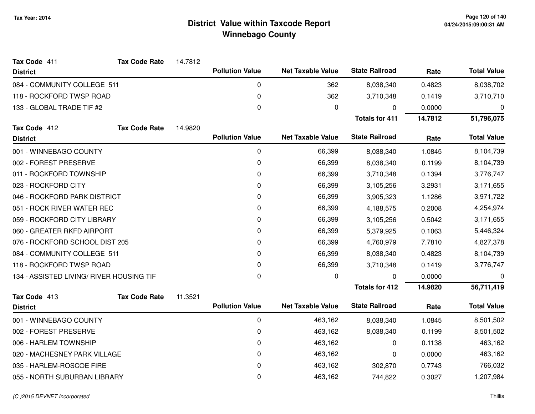| Tax Code 411                             | <b>Tax Code Rate</b> | 14.7812 |                        |                          |                       |         |                    |
|------------------------------------------|----------------------|---------|------------------------|--------------------------|-----------------------|---------|--------------------|
| <b>District</b>                          |                      |         | <b>Pollution Value</b> | <b>Net Taxable Value</b> | <b>State Railroad</b> | Rate    | <b>Total Value</b> |
| 084 - COMMUNITY COLLEGE 511              |                      |         | 0                      | 362                      | 8,038,340             | 0.4823  | 8,038,702          |
| 118 - ROCKFORD TWSP ROAD                 |                      |         | $\mathbf 0$            | 362                      | 3,710,348             | 0.1419  | 3,710,710          |
| 133 - GLOBAL TRADE TIF #2                |                      |         | 0                      | 0                        | 0                     | 0.0000  | $\mathbf 0$        |
|                                          |                      |         |                        |                          | <b>Totals for 411</b> | 14.7812 | 51,796,075         |
| Tax Code 412                             | <b>Tax Code Rate</b> | 14.9820 |                        |                          |                       |         |                    |
| <b>District</b>                          |                      |         | <b>Pollution Value</b> | <b>Net Taxable Value</b> | <b>State Railroad</b> | Rate    | <b>Total Value</b> |
| 001 - WINNEBAGO COUNTY                   |                      |         | 0                      | 66,399                   | 8,038,340             | 1.0845  | 8,104,739          |
| 002 - FOREST PRESERVE                    |                      |         | 0                      | 66,399                   | 8,038,340             | 0.1199  | 8,104,739          |
| 011 - ROCKFORD TOWNSHIP                  |                      |         | $\mathbf 0$            | 66,399                   | 3,710,348             | 0.1394  | 3,776,747          |
| 023 - ROCKFORD CITY                      |                      |         | 0                      | 66,399                   | 3,105,256             | 3.2931  | 3,171,655          |
| 046 - ROCKFORD PARK DISTRICT             |                      |         | 0                      | 66,399                   | 3,905,323             | 1.1286  | 3,971,722          |
| 051 - ROCK RIVER WATER REC               |                      |         | 0                      | 66,399                   | 4,188,575             | 0.2008  | 4,254,974          |
| 059 - ROCKFORD CITY LIBRARY              |                      |         | 0                      | 66,399                   | 3,105,256             | 0.5042  | 3,171,655          |
| 060 - GREATER RKFD AIRPORT               |                      |         | $\mathbf 0$            | 66,399                   | 5,379,925             | 0.1063  | 5,446,324          |
| 076 - ROCKFORD SCHOOL DIST 205           |                      |         | 0                      | 66,399                   | 4,760,979             | 7.7810  | 4,827,378          |
| 084 - COMMUNITY COLLEGE 511              |                      |         | $\mathbf 0$            | 66,399                   | 8,038,340             | 0.4823  | 8,104,739          |
| 118 - ROCKFORD TWSP ROAD                 |                      |         | 0                      | 66,399                   | 3,710,348             | 0.1419  | 3,776,747          |
| 134 - ASSISTED LIVING/ RIVER HOUSING TIF |                      |         | 0                      | 0                        | $\Omega$              | 0.0000  | 0                  |
|                                          |                      |         |                        |                          | <b>Totals for 412</b> | 14.9820 | 56,711,419         |
| Tax Code 413                             | <b>Tax Code Rate</b> | 11.3521 |                        |                          |                       |         |                    |
| <b>District</b>                          |                      |         | <b>Pollution Value</b> | <b>Net Taxable Value</b> | <b>State Railroad</b> | Rate    | <b>Total Value</b> |
| 001 - WINNEBAGO COUNTY                   |                      |         | 0                      | 463,162                  | 8,038,340             | 1.0845  | 8,501,502          |
| 002 - FOREST PRESERVE                    |                      |         | 0                      | 463,162                  | 8,038,340             | 0.1199  | 8,501,502          |
| 006 - HARLEM TOWNSHIP                    |                      |         | $\mathbf{0}$           | 463,162                  | 0                     | 0.1138  | 463,162            |
| 020 - MACHESNEY PARK VILLAGE             |                      |         | $\mathbf 0$            | 463,162                  | 0                     | 0.0000  | 463,162            |
| 035 - HARLEM-ROSCOE FIRE                 |                      |         | 0                      | 463,162                  | 302,870               | 0.7743  | 766,032            |
| 055 - NORTH SUBURBAN LIBRARY             |                      |         | 0                      | 463,162                  | 744,822               | 0.3027  | 1,207,984          |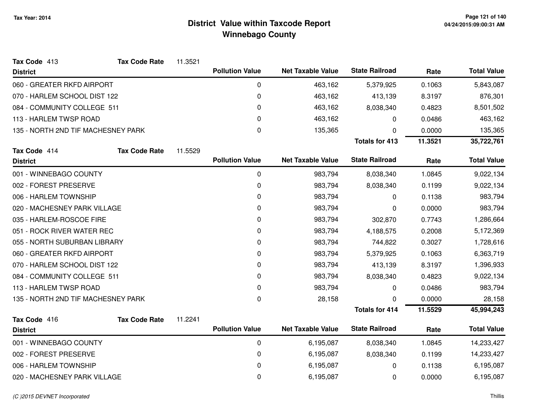| Tax Code 413                       | <b>Tax Code Rate</b> | 11.3521 |                        |                          |                       |         |                    |
|------------------------------------|----------------------|---------|------------------------|--------------------------|-----------------------|---------|--------------------|
| <b>District</b>                    |                      |         | <b>Pollution Value</b> | <b>Net Taxable Value</b> | <b>State Railroad</b> | Rate    | <b>Total Value</b> |
| 060 - GREATER RKFD AIRPORT         |                      |         | 0                      | 463,162                  | 5,379,925             | 0.1063  | 5,843,087          |
| 070 - HARLEM SCHOOL DIST 122       |                      |         | $\pmb{0}$              | 463,162                  | 413,139               | 8.3197  | 876,301            |
| 084 - COMMUNITY COLLEGE 511        |                      |         | 0                      | 463,162                  | 8,038,340             | 0.4823  | 8,501,502          |
| 113 - HARLEM TWSP ROAD             |                      |         | 0                      | 463,162                  | 0                     | 0.0486  | 463,162            |
| 135 - NORTH 2ND TIF MACHESNEY PARK |                      |         | 0                      | 135,365                  | 0                     | 0.0000  | 135,365            |
|                                    |                      |         |                        |                          | <b>Totals for 413</b> | 11.3521 | 35,722,761         |
| Tax Code 414                       | <b>Tax Code Rate</b> | 11.5529 |                        |                          |                       |         |                    |
| <b>District</b>                    |                      |         | <b>Pollution Value</b> | <b>Net Taxable Value</b> | <b>State Railroad</b> | Rate    | <b>Total Value</b> |
| 001 - WINNEBAGO COUNTY             |                      |         | $\pmb{0}$              | 983,794                  | 8,038,340             | 1.0845  | 9,022,134          |
| 002 - FOREST PRESERVE              |                      |         | 0                      | 983,794                  | 8,038,340             | 0.1199  | 9,022,134          |
| 006 - HARLEM TOWNSHIP              |                      |         | 0                      | 983,794                  | 0                     | 0.1138  | 983,794            |
| 020 - MACHESNEY PARK VILLAGE       |                      |         | 0                      | 983,794                  | 0                     | 0.0000  | 983,794            |
| 035 - HARLEM-ROSCOE FIRE           |                      |         | 0                      | 983,794                  | 302,870               | 0.7743  | 1,286,664          |
| 051 - ROCK RIVER WATER REC         |                      |         | 0                      | 983,794                  | 4,188,575             | 0.2008  | 5,172,369          |
| 055 - NORTH SUBURBAN LIBRARY       |                      |         | 0                      | 983,794                  | 744,822               | 0.3027  | 1,728,616          |
| 060 - GREATER RKFD AIRPORT         |                      |         | 0                      | 983,794                  | 5,379,925             | 0.1063  | 6,363,719          |
| 070 - HARLEM SCHOOL DIST 122       |                      |         | 0                      | 983,794                  | 413,139               | 8.3197  | 1,396,933          |
| 084 - COMMUNITY COLLEGE 511        |                      |         | 0                      | 983,794                  | 8,038,340             | 0.4823  | 9,022,134          |
| 113 - HARLEM TWSP ROAD             |                      |         | 0                      | 983,794                  | 0                     | 0.0486  | 983,794            |
| 135 - NORTH 2ND TIF MACHESNEY PARK |                      |         | 0                      | 28,158                   | ∩                     | 0.0000  | 28,158             |
|                                    |                      |         |                        |                          | <b>Totals for 414</b> | 11.5529 | 45,994,243         |
| Tax Code 416                       | <b>Tax Code Rate</b> | 11.2241 |                        |                          |                       |         |                    |
| <b>District</b>                    |                      |         | <b>Pollution Value</b> | <b>Net Taxable Value</b> | <b>State Railroad</b> | Rate    | <b>Total Value</b> |
| 001 - WINNEBAGO COUNTY             |                      |         | 0                      | 6,195,087                | 8,038,340             | 1.0845  | 14,233,427         |
| 002 - FOREST PRESERVE              |                      |         | $\pmb{0}$              | 6,195,087                | 8,038,340             | 0.1199  | 14,233,427         |
| 006 - HARLEM TOWNSHIP              |                      |         | 0                      | 6,195,087                | 0                     | 0.1138  | 6,195,087          |
| 020 - MACHESNEY PARK VILLAGE       |                      |         | $\pmb{0}$              | 6,195,087                | 0                     | 0.0000  | 6,195,087          |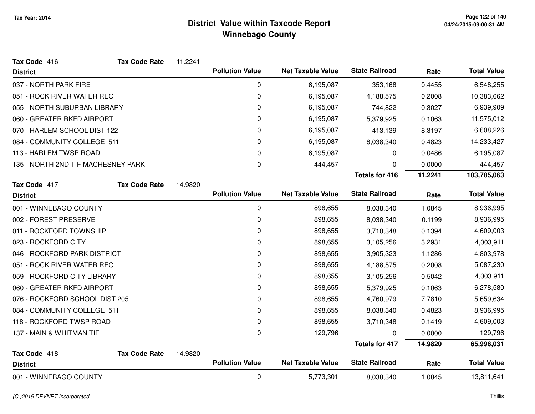| Tax Code 416                       | <b>Tax Code Rate</b> | 11.2241 |                        |                          |                       |         |                    |
|------------------------------------|----------------------|---------|------------------------|--------------------------|-----------------------|---------|--------------------|
| <b>District</b>                    |                      |         | <b>Pollution Value</b> | <b>Net Taxable Value</b> | <b>State Railroad</b> | Rate    | <b>Total Value</b> |
| 037 - NORTH PARK FIRE              |                      |         | 0                      | 6,195,087                | 353,168               | 0.4455  | 6,548,255          |
| 051 - ROCK RIVER WATER REC         |                      |         | 0                      | 6,195,087                | 4,188,575             | 0.2008  | 10,383,662         |
| 055 - NORTH SUBURBAN LIBRARY       |                      |         | 0                      | 6,195,087                | 744,822               | 0.3027  | 6,939,909          |
| 060 - GREATER RKFD AIRPORT         |                      |         | 0                      | 6,195,087                | 5,379,925             | 0.1063  | 11,575,012         |
| 070 - HARLEM SCHOOL DIST 122       |                      |         | 0                      | 6,195,087                | 413,139               | 8.3197  | 6,608,226          |
| 084 - COMMUNITY COLLEGE 511        |                      |         | 0                      | 6,195,087                | 8,038,340             | 0.4823  | 14,233,427         |
| 113 - HARLEM TWSP ROAD             |                      |         | 0                      | 6,195,087                | 0                     | 0.0486  | 6,195,087          |
| 135 - NORTH 2ND TIF MACHESNEY PARK |                      |         | 0                      | 444,457                  | 0                     | 0.0000  | 444,457            |
|                                    |                      |         |                        |                          | <b>Totals for 416</b> | 11.2241 | 103,785,063        |
| Tax Code 417                       | <b>Tax Code Rate</b> | 14.9820 |                        |                          |                       |         |                    |
| <b>District</b>                    |                      |         | <b>Pollution Value</b> | <b>Net Taxable Value</b> | <b>State Railroad</b> | Rate    | <b>Total Value</b> |
| 001 - WINNEBAGO COUNTY             |                      |         | 0                      | 898,655                  | 8,038,340             | 1.0845  | 8,936,995          |
| 002 - FOREST PRESERVE              |                      |         | 0                      | 898,655                  | 8,038,340             | 0.1199  | 8,936,995          |
| 011 - ROCKFORD TOWNSHIP            |                      |         | 0                      | 898,655                  | 3,710,348             | 0.1394  | 4,609,003          |
| 023 - ROCKFORD CITY                |                      |         | 0                      | 898,655                  | 3,105,256             | 3.2931  | 4,003,911          |
| 046 - ROCKFORD PARK DISTRICT       |                      |         | 0                      | 898,655                  | 3,905,323             | 1.1286  | 4,803,978          |
| 051 - ROCK RIVER WATER REC         |                      |         | 0                      | 898,655                  | 4,188,575             | 0.2008  | 5,087,230          |
| 059 - ROCKFORD CITY LIBRARY        |                      |         | 0                      | 898,655                  | 3,105,256             | 0.5042  | 4,003,911          |
| 060 - GREATER RKFD AIRPORT         |                      |         | 0                      | 898,655                  | 5,379,925             | 0.1063  | 6,278,580          |
| 076 - ROCKFORD SCHOOL DIST 205     |                      |         | 0                      | 898,655                  | 4,760,979             | 7.7810  | 5,659,634          |
| 084 - COMMUNITY COLLEGE 511        |                      |         | 0                      | 898,655                  | 8,038,340             | 0.4823  | 8,936,995          |
| 118 - ROCKFORD TWSP ROAD           |                      |         | 0                      | 898,655                  | 3,710,348             | 0.1419  | 4,609,003          |
| 137 - MAIN & WHITMAN TIF           |                      |         | 0                      | 129,796                  | 0                     | 0.0000  | 129,796            |
|                                    |                      |         |                        |                          | <b>Totals for 417</b> | 14.9820 | 65,996,031         |
| Tax Code 418                       | <b>Tax Code Rate</b> | 14.9820 |                        |                          |                       |         |                    |
| <b>District</b>                    |                      |         | <b>Pollution Value</b> | <b>Net Taxable Value</b> | <b>State Railroad</b> | Rate    | <b>Total Value</b> |
| 001 - WINNEBAGO COUNTY             |                      |         | 0                      | 5,773,301                | 8,038,340             | 1.0845  | 13,811,641         |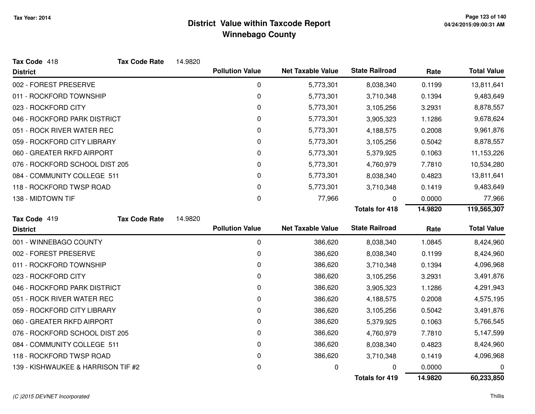| Tax Code 418                       | <b>Tax Code Rate</b> | 14.9820 |                        |                          |                       |         |                    |
|------------------------------------|----------------------|---------|------------------------|--------------------------|-----------------------|---------|--------------------|
| <b>District</b>                    |                      |         | <b>Pollution Value</b> | <b>Net Taxable Value</b> | <b>State Railroad</b> | Rate    | <b>Total Value</b> |
| 002 - FOREST PRESERVE              |                      |         | 0                      | 5,773,301                | 8,038,340             | 0.1199  | 13,811,641         |
| 011 - ROCKFORD TOWNSHIP            |                      |         | $\pmb{0}$              | 5,773,301                | 3,710,348             | 0.1394  | 9,483,649          |
| 023 - ROCKFORD CITY                |                      |         | 0                      | 5,773,301                | 3,105,256             | 3.2931  | 8,878,557          |
| 046 - ROCKFORD PARK DISTRICT       |                      |         | 0                      | 5,773,301                | 3,905,323             | 1.1286  | 9,678,624          |
| 051 - ROCK RIVER WATER REC         |                      |         | 0                      | 5,773,301                | 4,188,575             | 0.2008  | 9,961,876          |
| 059 - ROCKFORD CITY LIBRARY        |                      |         | $\Omega$               | 5,773,301                | 3,105,256             | 0.5042  | 8,878,557          |
| 060 - GREATER RKFD AIRPORT         |                      |         | 0                      | 5,773,301                | 5,379,925             | 0.1063  | 11,153,226         |
| 076 - ROCKFORD SCHOOL DIST 205     |                      |         | 0                      | 5,773,301                | 4,760,979             | 7.7810  | 10,534,280         |
| 084 - COMMUNITY COLLEGE 511        |                      |         | 0                      | 5,773,301                | 8,038,340             | 0.4823  | 13,811,641         |
| 118 - ROCKFORD TWSP ROAD           |                      |         | 0                      | 5,773,301                | 3,710,348             | 0.1419  | 9,483,649          |
| 138 - MIDTOWN TIF                  |                      |         | 0                      | 77,966                   | 0                     | 0.0000  | 77,966             |
|                                    |                      |         |                        |                          | <b>Totals for 418</b> | 14.9820 | 119,565,307        |
| Tax Code 419                       | <b>Tax Code Rate</b> | 14.9820 |                        |                          |                       |         |                    |
| <b>District</b>                    |                      |         | <b>Pollution Value</b> | <b>Net Taxable Value</b> | <b>State Railroad</b> | Rate    | <b>Total Value</b> |
| 001 - WINNEBAGO COUNTY             |                      |         | $\mathbf 0$            | 386,620                  | 8,038,340             | 1.0845  | 8,424,960          |
| 002 - FOREST PRESERVE              |                      |         | 0                      | 386,620                  | 8,038,340             | 0.1199  | 8,424,960          |
| 011 - ROCKFORD TOWNSHIP            |                      |         | 0                      | 386,620                  | 3,710,348             | 0.1394  | 4,096,968          |
| 023 - ROCKFORD CITY                |                      |         | 0                      | 386,620                  | 3,105,256             | 3.2931  | 3,491,876          |
| 046 - ROCKFORD PARK DISTRICT       |                      |         | 0                      | 386,620                  | 3,905,323             | 1.1286  | 4,291,943          |
| 051 - ROCK RIVER WATER REC         |                      |         | 0                      | 386,620                  | 4,188,575             | 0.2008  | 4,575,195          |
| 059 - ROCKFORD CITY LIBRARY        |                      |         | 0                      | 386,620                  | 3,105,256             | 0.5042  | 3,491,876          |
| 060 - GREATER RKFD AIRPORT         |                      |         | 0                      | 386,620                  | 5,379,925             | 0.1063  | 5,766,545          |
| 076 - ROCKFORD SCHOOL DIST 205     |                      |         | 0                      | 386,620                  | 4,760,979             | 7.7810  | 5,147,599          |
| 084 - COMMUNITY COLLEGE 511        |                      |         | 0                      | 386,620                  | 8,038,340             | 0.4823  | 8,424,960          |
| 118 - ROCKFORD TWSP ROAD           |                      |         | 0                      | 386,620                  | 3,710,348             | 0.1419  | 4,096,968          |
| 139 - KISHWAUKEE & HARRISON TIF #2 |                      |         |                        |                          |                       |         |                    |
|                                    |                      |         | 0                      | 0                        | 0                     | 0.0000  | 0                  |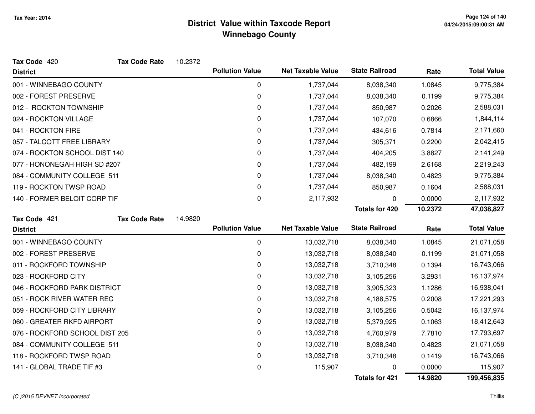| Tax Code 420                   | <b>Tax Code Rate</b> | 10.2372 |                        |                          |                       |         |                    |
|--------------------------------|----------------------|---------|------------------------|--------------------------|-----------------------|---------|--------------------|
| <b>District</b>                |                      |         | <b>Pollution Value</b> | <b>Net Taxable Value</b> | <b>State Railroad</b> | Rate    | <b>Total Value</b> |
| 001 - WINNEBAGO COUNTY         |                      |         | $\mathbf 0$            | 1,737,044                | 8,038,340             | 1.0845  | 9,775,384          |
| 002 - FOREST PRESERVE          |                      |         | 0                      | 1,737,044                | 8,038,340             | 0.1199  | 9,775,384          |
| 012 - ROCKTON TOWNSHIP         |                      |         | 0                      | 1,737,044                | 850,987               | 0.2026  | 2,588,031          |
| 024 - ROCKTON VILLAGE          |                      |         | 0                      | 1,737,044                | 107,070               | 0.6866  | 1,844,114          |
| 041 - ROCKTON FIRE             |                      |         | 0                      | 1,737,044                | 434,616               | 0.7814  | 2,171,660          |
| 057 - TALCOTT FREE LIBRARY     |                      |         | 0                      | 1,737,044                | 305,371               | 0.2200  | 2,042,415          |
| 074 - ROCKTON SCHOOL DIST 140  |                      |         | 0                      | 1,737,044                | 404,205               | 3.8827  | 2,141,249          |
| 077 - HONONEGAH HIGH SD #207   |                      |         | 0                      | 1,737,044                | 482,199               | 2.6168  | 2,219,243          |
| 084 - COMMUNITY COLLEGE 511    |                      |         | 0                      | 1,737,044                | 8,038,340             | 0.4823  | 9,775,384          |
| 119 - ROCKTON TWSP ROAD        |                      |         | $\mathbf 0$            | 1,737,044                | 850,987               | 0.1604  | 2,588,031          |
| 140 - FORMER BELOIT CORP TIF   |                      |         | 0                      | 2,117,932                | 0                     | 0.0000  | 2,117,932          |
|                                |                      |         |                        |                          | <b>Totals for 420</b> | 10.2372 | 47,038,827         |
| Tax Code 421                   | <b>Tax Code Rate</b> | 14.9820 |                        |                          |                       |         |                    |
|                                |                      |         |                        |                          |                       |         |                    |
| <b>District</b>                |                      |         | <b>Pollution Value</b> | <b>Net Taxable Value</b> | <b>State Railroad</b> | Rate    | <b>Total Value</b> |
| 001 - WINNEBAGO COUNTY         |                      |         | 0                      | 13,032,718               | 8,038,340             | 1.0845  | 21,071,058         |
| 002 - FOREST PRESERVE          |                      |         | 0                      | 13,032,718               | 8,038,340             | 0.1199  | 21,071,058         |
| 011 - ROCKFORD TOWNSHIP        |                      |         | 0                      | 13,032,718               | 3,710,348             | 0.1394  | 16,743,066         |
| 023 - ROCKFORD CITY            |                      |         | 0                      | 13,032,718               | 3,105,256             | 3.2931  | 16,137,974         |
| 046 - ROCKFORD PARK DISTRICT   |                      |         | 0                      | 13,032,718               | 3,905,323             | 1.1286  | 16,938,041         |
| 051 - ROCK RIVER WATER REC     |                      |         | 0                      | 13,032,718               | 4,188,575             | 0.2008  | 17,221,293         |
| 059 - ROCKFORD CITY LIBRARY    |                      |         | 0                      | 13,032,718               | 3,105,256             | 0.5042  | 16,137,974         |
| 060 - GREATER RKFD AIRPORT     |                      |         | 0                      | 13,032,718               | 5,379,925             | 0.1063  | 18,412,643         |
| 076 - ROCKFORD SCHOOL DIST 205 |                      |         | 0                      | 13,032,718               | 4,760,979             | 7.7810  | 17,793,697         |
| 084 - COMMUNITY COLLEGE 511    |                      |         | $\mathbf 0$            | 13,032,718               | 8,038,340             | 0.4823  | 21,071,058         |
| 118 - ROCKFORD TWSP ROAD       |                      |         | 0                      | 13,032,718               | 3,710,348             | 0.1419  | 16,743,066         |
| 141 - GLOBAL TRADE TIF #3      |                      |         | 0                      | 115,907                  |                       | 0.0000  | 115,907            |

#### (C )2015 DEVNET Incorporated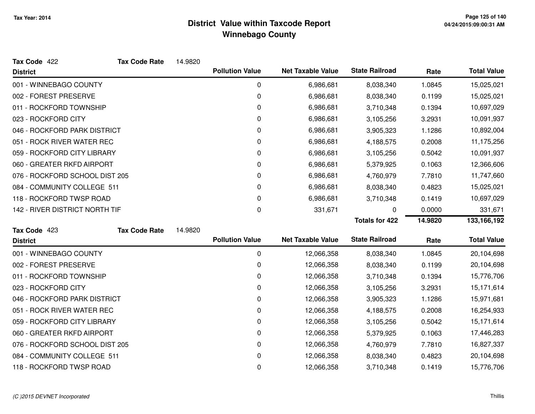| Tax Code 422                   | <b>Tax Code Rate</b> | 14.9820 |                        |                          |                       |         |                    |
|--------------------------------|----------------------|---------|------------------------|--------------------------|-----------------------|---------|--------------------|
| <b>District</b>                |                      |         | <b>Pollution Value</b> | <b>Net Taxable Value</b> | <b>State Railroad</b> | Rate    | <b>Total Value</b> |
| 001 - WINNEBAGO COUNTY         |                      |         | 0                      | 6,986,681                | 8,038,340             | 1.0845  | 15,025,021         |
| 002 - FOREST PRESERVE          |                      |         | 0                      | 6,986,681                | 8,038,340             | 0.1199  | 15,025,021         |
| 011 - ROCKFORD TOWNSHIP        |                      |         | 0                      | 6,986,681                | 3,710,348             | 0.1394  | 10,697,029         |
| 023 - ROCKFORD CITY            |                      |         | 0                      | 6,986,681                | 3,105,256             | 3.2931  | 10,091,937         |
| 046 - ROCKFORD PARK DISTRICT   |                      |         | 0                      | 6,986,681                | 3,905,323             | 1.1286  | 10,892,004         |
| 051 - ROCK RIVER WATER REC     |                      |         | 0                      | 6,986,681                | 4,188,575             | 0.2008  | 11,175,256         |
| 059 - ROCKFORD CITY LIBRARY    |                      |         | 0                      | 6,986,681                | 3,105,256             | 0.5042  | 10,091,937         |
| 060 - GREATER RKFD AIRPORT     |                      |         | 0                      | 6,986,681                | 5,379,925             | 0.1063  | 12,366,606         |
| 076 - ROCKFORD SCHOOL DIST 205 |                      |         | 0                      | 6,986,681                | 4,760,979             | 7.7810  | 11,747,660         |
| 084 - COMMUNITY COLLEGE 511    |                      |         | 0                      | 6,986,681                | 8,038,340             | 0.4823  | 15,025,021         |
| 118 - ROCKFORD TWSP ROAD       |                      |         | 0                      | 6,986,681                | 3,710,348             | 0.1419  | 10,697,029         |
| 142 - RIVER DISTRICT NORTH TIF |                      |         | 0                      | 331,671                  | 0                     | 0.0000  | 331,671            |
|                                |                      |         |                        |                          |                       |         |                    |
|                                |                      |         |                        |                          | <b>Totals for 422</b> | 14.9820 | 133,166,192        |
| Tax Code 423                   | <b>Tax Code Rate</b> | 14.9820 |                        |                          |                       |         |                    |
| <b>District</b>                |                      |         | <b>Pollution Value</b> | <b>Net Taxable Value</b> | <b>State Railroad</b> | Rate    | <b>Total Value</b> |
| 001 - WINNEBAGO COUNTY         |                      |         | $\mathbf 0$            | 12,066,358               | 8,038,340             | 1.0845  | 20,104,698         |
| 002 - FOREST PRESERVE          |                      |         | 0                      | 12,066,358               | 8,038,340             | 0.1199  | 20,104,698         |
| 011 - ROCKFORD TOWNSHIP        |                      |         | 0                      | 12,066,358               | 3,710,348             | 0.1394  | 15,776,706         |
| 023 - ROCKFORD CITY            |                      |         | 0                      | 12,066,358               | 3,105,256             | 3.2931  | 15,171,614         |
| 046 - ROCKFORD PARK DISTRICT   |                      |         | 0                      | 12,066,358               | 3,905,323             | 1.1286  | 15,971,681         |
| 051 - ROCK RIVER WATER REC     |                      |         | 0                      | 12,066,358               | 4,188,575             | 0.2008  | 16,254,933         |
| 059 - ROCKFORD CITY LIBRARY    |                      |         | 0                      | 12,066,358               | 3,105,256             | 0.5042  | 15,171,614         |
| 060 - GREATER RKFD AIRPORT     |                      |         | 0                      | 12,066,358               | 5,379,925             | 0.1063  | 17,446,283         |
| 076 - ROCKFORD SCHOOL DIST 205 |                      |         | 0                      | 12,066,358               | 4,760,979             | 7.7810  | 16,827,337         |
| 084 - COMMUNITY COLLEGE 511    |                      |         | 0                      | 12,066,358               | 8,038,340             | 0.4823  | 20,104,698         |

### (C )2015 DEVNET Incorporated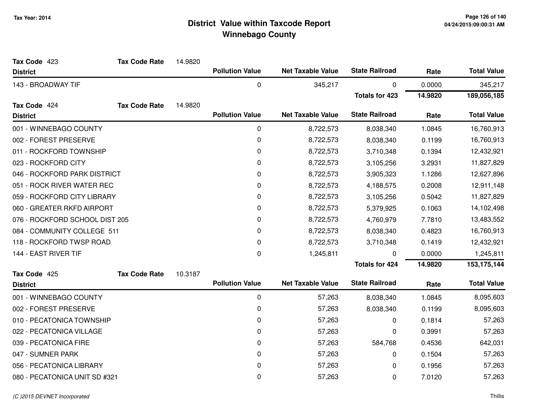| Tax Code 423                   | <b>Tax Code Rate</b> | 14.9820 |                        |                          |                       |         |                    |
|--------------------------------|----------------------|---------|------------------------|--------------------------|-----------------------|---------|--------------------|
| <b>District</b>                |                      |         | <b>Pollution Value</b> | <b>Net Taxable Value</b> | <b>State Railroad</b> | Rate    | <b>Total Value</b> |
| 143 - BROADWAY TIF             |                      |         | $\mathbf 0$            | 345,217                  | 0                     | 0.0000  | 345,217            |
|                                |                      |         |                        |                          | <b>Totals for 423</b> | 14.9820 | 189,056,185        |
| Tax Code 424                   | <b>Tax Code Rate</b> | 14.9820 |                        |                          |                       |         |                    |
| <b>District</b>                |                      |         | <b>Pollution Value</b> | <b>Net Taxable Value</b> | <b>State Railroad</b> | Rate    | <b>Total Value</b> |
| 001 - WINNEBAGO COUNTY         |                      |         | $\mathbf 0$            | 8,722,573                | 8,038,340             | 1.0845  | 16,760,913         |
| 002 - FOREST PRESERVE          |                      |         | 0                      | 8,722,573                | 8,038,340             | 0.1199  | 16,760,913         |
| 011 - ROCKFORD TOWNSHIP        |                      |         | $\pmb{0}$              | 8,722,573                | 3,710,348             | 0.1394  | 12,432,921         |
| 023 - ROCKFORD CITY            |                      |         | 0                      | 8,722,573                | 3,105,256             | 3.2931  | 11,827,829         |
| 046 - ROCKFORD PARK DISTRICT   |                      |         | 0                      | 8,722,573                | 3,905,323             | 1.1286  | 12,627,896         |
| 051 - ROCK RIVER WATER REC     |                      |         | 0                      | 8,722,573                | 4,188,575             | 0.2008  | 12,911,148         |
| 059 - ROCKFORD CITY LIBRARY    |                      |         | $\pmb{0}$              | 8,722,573                | 3,105,256             | 0.5042  | 11,827,829         |
| 060 - GREATER RKFD AIRPORT     |                      |         | 0                      | 8,722,573                | 5,379,925             | 0.1063  | 14,102,498         |
| 076 - ROCKFORD SCHOOL DIST 205 |                      |         | 0                      | 8,722,573                | 4,760,979             | 7.7810  | 13,483,552         |
| 084 - COMMUNITY COLLEGE 511    |                      |         | $\pmb{0}$              | 8,722,573                | 8,038,340             | 0.4823  | 16,760,913         |
| 118 - ROCKFORD TWSP ROAD       |                      |         | $\mathbf 0$            | 8,722,573                | 3,710,348             | 0.1419  | 12,432,921         |
| 144 - EAST RIVER TIF           |                      |         | $\mathbf 0$            | 1,245,811                | <sup>0</sup>          | 0.0000  | 1,245,811          |
|                                |                      |         |                        |                          | <b>Totals for 424</b> | 14.9820 | 153, 175, 144      |
| Tax Code 425                   | <b>Tax Code Rate</b> | 10.3187 |                        |                          |                       |         |                    |
| <b>District</b>                |                      |         | <b>Pollution Value</b> | <b>Net Taxable Value</b> | <b>State Railroad</b> | Rate    | <b>Total Value</b> |
| 001 - WINNEBAGO COUNTY         |                      |         | $\mathbf 0$            | 57,263                   | 8,038,340             | 1.0845  | 8,095,603          |
| 002 - FOREST PRESERVE          |                      |         | $\pmb{0}$              | 57,263                   | 8,038,340             | 0.1199  | 8,095,603          |
| 010 - PECATONICA TOWNSHIP      |                      |         | 0                      | 57,263                   | 0                     | 0.1814  | 57,263             |
| 022 - PECATONICA VILLAGE       |                      |         | 0                      | 57,263                   | 0                     | 0.3991  | 57,263             |
| 039 - PECATONICA FIRE          |                      |         | 0                      | 57,263                   | 584,768               | 0.4536  | 642,031            |
| 047 - SUMNER PARK              |                      |         | 0                      | 57,263                   | 0                     | 0.1504  | 57,263             |
| 056 - PECATONICA LIBRARY       |                      |         | 0                      | 57,263                   | 0                     | 0.1956  | 57,263             |
| 080 - PECATONICA UNIT SD #321  |                      |         | 0                      | 57,263                   | 0                     | 7.0120  | 57,263             |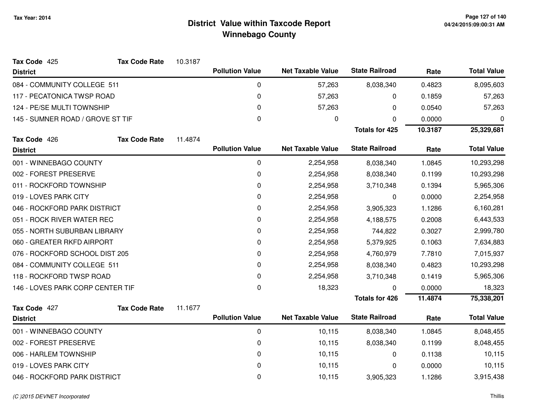| Tax Code 425                     | <b>Tax Code Rate</b> | 10.3187 |                        |                          |                       |         |                    |
|----------------------------------|----------------------|---------|------------------------|--------------------------|-----------------------|---------|--------------------|
| <b>District</b>                  |                      |         | <b>Pollution Value</b> | <b>Net Taxable Value</b> | <b>State Railroad</b> | Rate    | <b>Total Value</b> |
| 084 - COMMUNITY COLLEGE 511      |                      |         | 0                      | 57,263                   | 8,038,340             | 0.4823  | 8,095,603          |
| 117 - PECATONICA TWSP ROAD       |                      |         | $\pmb{0}$              | 57,263                   | 0                     | 0.1859  | 57,263             |
| 124 - PE/SE MULTI TOWNSHIP       |                      |         | 0                      | 57,263                   | 0                     | 0.0540  | 57,263             |
| 145 - SUMNER ROAD / GROVE ST TIF |                      |         | 0                      | 0                        | 0                     | 0.0000  | 0                  |
|                                  |                      |         |                        |                          | <b>Totals for 425</b> | 10.3187 | 25,329,681         |
| Tax Code 426                     | <b>Tax Code Rate</b> | 11.4874 |                        |                          |                       |         |                    |
| <b>District</b>                  |                      |         | <b>Pollution Value</b> | <b>Net Taxable Value</b> | <b>State Railroad</b> | Rate    | <b>Total Value</b> |
| 001 - WINNEBAGO COUNTY           |                      |         | 0                      | 2,254,958                | 8,038,340             | 1.0845  | 10,293,298         |
| 002 - FOREST PRESERVE            |                      |         | 0                      | 2,254,958                | 8,038,340             | 0.1199  | 10,293,298         |
| 011 - ROCKFORD TOWNSHIP          |                      |         | 0                      | 2,254,958                | 3,710,348             | 0.1394  | 5,965,306          |
| 019 - LOVES PARK CITY            |                      |         | 0                      | 2,254,958                | 0                     | 0.0000  | 2,254,958          |
| 046 - ROCKFORD PARK DISTRICT     |                      |         | 0                      | 2,254,958                | 3,905,323             | 1.1286  | 6,160,281          |
| 051 - ROCK RIVER WATER REC       |                      |         | 0                      | 2,254,958                | 4,188,575             | 0.2008  | 6,443,533          |
| 055 - NORTH SUBURBAN LIBRARY     |                      |         | 0                      | 2,254,958                | 744,822               | 0.3027  | 2,999,780          |
| 060 - GREATER RKFD AIRPORT       |                      |         | 0                      | 2,254,958                | 5,379,925             | 0.1063  | 7,634,883          |
| 076 - ROCKFORD SCHOOL DIST 205   |                      |         | 0                      | 2,254,958                | 4,760,979             | 7.7810  | 7,015,937          |
| 084 - COMMUNITY COLLEGE 511      |                      |         | 0                      | 2,254,958                | 8,038,340             | 0.4823  | 10,293,298         |
| 118 - ROCKFORD TWSP ROAD         |                      |         | 0                      | 2,254,958                | 3,710,348             | 0.1419  | 5,965,306          |
| 146 - LOVES PARK CORP CENTER TIF |                      |         | $\mathbf 0$            | 18,323                   | 0                     | 0.0000  | 18,323             |
|                                  |                      |         |                        |                          | <b>Totals for 426</b> | 11.4874 | 75,338,201         |
| Tax Code 427                     | <b>Tax Code Rate</b> | 11.1677 | <b>Pollution Value</b> | <b>Net Taxable Value</b> | <b>State Railroad</b> |         | <b>Total Value</b> |
| <b>District</b>                  |                      |         |                        |                          |                       | Rate    |                    |
| 001 - WINNEBAGO COUNTY           |                      |         | 0                      | 10,115                   | 8,038,340             | 1.0845  | 8,048,455          |
| 002 - FOREST PRESERVE            |                      |         | 0                      | 10,115                   | 8,038,340             | 0.1199  | 8,048,455          |
| 006 - HARLEM TOWNSHIP            |                      |         | 0                      | 10,115                   | 0                     | 0.1138  | 10,115             |
| 019 - LOVES PARK CITY            |                      |         | 0                      | 10,115                   | 0                     | 0.0000  | 10,115             |
| 046 - ROCKFORD PARK DISTRICT     |                      |         | 0                      | 10,115                   | 3,905,323             | 1.1286  | 3,915,438          |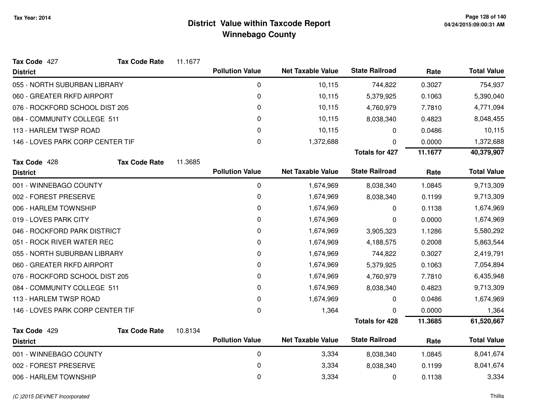| Tax Code 427                     | <b>Tax Code Rate</b> | 11.1677 |                        |                          |                       |         |                    |
|----------------------------------|----------------------|---------|------------------------|--------------------------|-----------------------|---------|--------------------|
| <b>District</b>                  |                      |         | <b>Pollution Value</b> | <b>Net Taxable Value</b> | <b>State Railroad</b> | Rate    | <b>Total Value</b> |
| 055 - NORTH SUBURBAN LIBRARY     |                      |         | 0                      | 10,115                   | 744,822               | 0.3027  | 754,937            |
| 060 - GREATER RKFD AIRPORT       |                      |         | 0                      | 10,115                   | 5,379,925             | 0.1063  | 5,390,040          |
| 076 - ROCKFORD SCHOOL DIST 205   |                      |         | 0                      | 10,115                   | 4,760,979             | 7.7810  | 4,771,094          |
| 084 - COMMUNITY COLLEGE 511      |                      |         | 0                      | 10,115                   | 8,038,340             | 0.4823  | 8,048,455          |
| 113 - HARLEM TWSP ROAD           |                      |         | 0                      | 10,115                   | 0                     | 0.0486  | 10,115             |
| 146 - LOVES PARK CORP CENTER TIF |                      |         | 0                      | 1,372,688                | O                     | 0.0000  | 1,372,688          |
|                                  |                      |         |                        |                          | <b>Totals for 427</b> | 11.1677 | 40,379,907         |
| Tax Code 428                     | <b>Tax Code Rate</b> | 11.3685 |                        |                          |                       |         |                    |
| <b>District</b>                  |                      |         | <b>Pollution Value</b> | <b>Net Taxable Value</b> | <b>State Railroad</b> | Rate    | <b>Total Value</b> |
| 001 - WINNEBAGO COUNTY           |                      |         | 0                      | 1,674,969                | 8,038,340             | 1.0845  | 9,713,309          |
| 002 - FOREST PRESERVE            |                      |         | 0                      | 1,674,969                | 8,038,340             | 0.1199  | 9,713,309          |
| 006 - HARLEM TOWNSHIP            |                      |         | 0                      | 1,674,969                | 0                     | 0.1138  | 1,674,969          |
| 019 - LOVES PARK CITY            |                      |         | 0                      | 1,674,969                | 0                     | 0.0000  | 1,674,969          |
| 046 - ROCKFORD PARK DISTRICT     |                      |         | 0                      | 1,674,969                | 3,905,323             | 1.1286  | 5,580,292          |
| 051 - ROCK RIVER WATER REC       |                      |         | 0                      | 1,674,969                | 4,188,575             | 0.2008  | 5,863,544          |
| 055 - NORTH SUBURBAN LIBRARY     |                      |         | $\pmb{0}$              | 1,674,969                | 744,822               | 0.3027  | 2,419,791          |
| 060 - GREATER RKFD AIRPORT       |                      |         | 0                      | 1,674,969                | 5,379,925             | 0.1063  | 7,054,894          |
| 076 - ROCKFORD SCHOOL DIST 205   |                      |         | 0                      | 1,674,969                | 4,760,979             | 7.7810  | 6,435,948          |
| 084 - COMMUNITY COLLEGE 511      |                      |         | 0                      | 1,674,969                | 8,038,340             | 0.4823  | 9,713,309          |
| 113 - HARLEM TWSP ROAD           |                      |         | 0                      | 1,674,969                | 0                     | 0.0486  | 1,674,969          |
| 146 - LOVES PARK CORP CENTER TIF |                      |         | $\pmb{0}$              | 1,364                    | 0                     | 0.0000  | 1,364              |
|                                  |                      |         |                        |                          | <b>Totals for 428</b> | 11.3685 | 61,520,667         |
| Tax Code 429                     | <b>Tax Code Rate</b> | 10.8134 |                        |                          |                       |         |                    |
| <b>District</b>                  |                      |         | <b>Pollution Value</b> | <b>Net Taxable Value</b> | <b>State Railroad</b> | Rate    | <b>Total Value</b> |
| 001 - WINNEBAGO COUNTY           |                      |         | $\pmb{0}$              | 3,334                    | 8,038,340             | 1.0845  | 8,041,674          |
| 002 - FOREST PRESERVE            |                      |         | 0                      | 3,334                    | 8,038,340             | 0.1199  | 8,041,674          |
| 006 - HARLEM TOWNSHIP            |                      |         | 0                      | 3,334                    | 0                     | 0.1138  | 3,334              |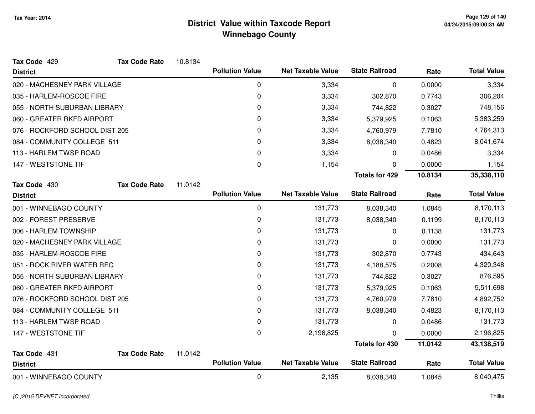| Tax Code 429                   | <b>Tax Code Rate</b> | 10.8134 |                        |                          |                       |         |                    |
|--------------------------------|----------------------|---------|------------------------|--------------------------|-----------------------|---------|--------------------|
| <b>District</b>                |                      |         | <b>Pollution Value</b> | <b>Net Taxable Value</b> | <b>State Railroad</b> | Rate    | <b>Total Value</b> |
| 020 - MACHESNEY PARK VILLAGE   |                      |         | 0                      | 3,334                    | 0                     | 0.0000  | 3,334              |
| 035 - HARLEM-ROSCOE FIRE       |                      |         | 0                      | 3,334                    | 302,870               | 0.7743  | 306,204            |
| 055 - NORTH SUBURBAN LIBRARY   |                      |         | 0                      | 3,334                    | 744,822               | 0.3027  | 748,156            |
| 060 - GREATER RKFD AIRPORT     |                      |         | 0                      | 3,334                    | 5,379,925             | 0.1063  | 5,383,259          |
| 076 - ROCKFORD SCHOOL DIST 205 |                      |         | 0                      | 3,334                    | 4,760,979             | 7.7810  | 4,764,313          |
| 084 - COMMUNITY COLLEGE 511    |                      |         | 0                      | 3,334                    | 8,038,340             | 0.4823  | 8,041,674          |
| 113 - HARLEM TWSP ROAD         |                      |         | 0                      | 3,334                    | 0                     | 0.0486  | 3,334              |
| 147 - WESTSTONE TIF            |                      |         | 0                      | 1,154                    | 0                     | 0.0000  | 1,154              |
|                                |                      |         |                        |                          | <b>Totals for 429</b> | 10.8134 | 35,338,110         |
| Tax Code 430                   | <b>Tax Code Rate</b> | 11.0142 |                        |                          |                       |         |                    |
| <b>District</b>                |                      |         | <b>Pollution Value</b> | <b>Net Taxable Value</b> | <b>State Railroad</b> | Rate    | <b>Total Value</b> |
| 001 - WINNEBAGO COUNTY         |                      |         | 0                      | 131,773                  | 8,038,340             | 1.0845  | 8,170,113          |
| 002 - FOREST PRESERVE          |                      |         | 0                      | 131,773                  | 8,038,340             | 0.1199  | 8,170,113          |
| 006 - HARLEM TOWNSHIP          |                      |         | 0                      | 131,773                  | 0                     | 0.1138  | 131,773            |
| 020 - MACHESNEY PARK VILLAGE   |                      |         | 0                      | 131,773                  | 0                     | 0.0000  | 131,773            |
| 035 - HARLEM-ROSCOE FIRE       |                      |         | 0                      | 131,773                  | 302,870               | 0.7743  | 434,643            |
| 051 - ROCK RIVER WATER REC     |                      |         | 0                      | 131,773                  | 4,188,575             | 0.2008  | 4,320,348          |
| 055 - NORTH SUBURBAN LIBRARY   |                      |         | 0                      | 131,773                  | 744,822               | 0.3027  | 876,595            |
| 060 - GREATER RKFD AIRPORT     |                      |         | 0                      | 131,773                  | 5,379,925             | 0.1063  | 5,511,698          |
| 076 - ROCKFORD SCHOOL DIST 205 |                      |         | 0                      | 131,773                  | 4,760,979             | 7.7810  | 4,892,752          |
| 084 - COMMUNITY COLLEGE 511    |                      |         | 0                      | 131,773                  | 8,038,340             | 0.4823  | 8,170,113          |
| 113 - HARLEM TWSP ROAD         |                      |         | 0                      | 131,773                  | 0                     | 0.0486  | 131,773            |
| 147 - WESTSTONE TIF            |                      |         | 0                      | 2,196,825                | <sup>n</sup>          | 0.0000  | 2,196,825          |
|                                |                      |         |                        |                          | <b>Totals for 430</b> | 11.0142 | 43,138,519         |
| Tax Code 431                   | <b>Tax Code Rate</b> | 11.0142 |                        |                          |                       |         |                    |
| <b>District</b>                |                      |         | <b>Pollution Value</b> | <b>Net Taxable Value</b> | <b>State Railroad</b> | Rate    | <b>Total Value</b> |
| 001 - WINNEBAGO COUNTY         |                      |         | 0                      | 2,135                    | 8,038,340             | 1.0845  | 8,040,475          |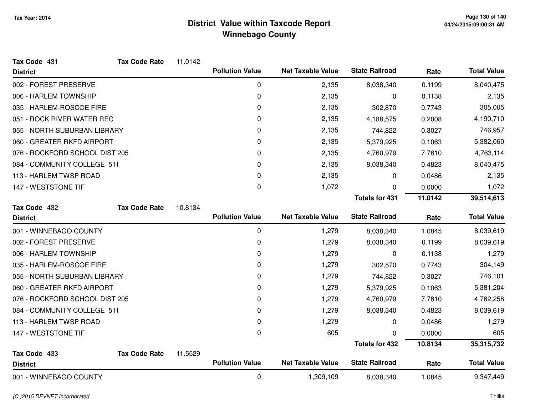| Tax Code 431                   | <b>Tax Code Rate</b> | 11.0142 |                        |                          |                       |         |                    |
|--------------------------------|----------------------|---------|------------------------|--------------------------|-----------------------|---------|--------------------|
| <b>District</b>                |                      |         | <b>Pollution Value</b> | <b>Net Taxable Value</b> | <b>State Railroad</b> | Rate    | <b>Total Value</b> |
| 002 - FOREST PRESERVE          |                      |         | 0                      | 2,135                    | 8,038,340             | 0.1199  | 8,040,475          |
| 006 - HARLEM TOWNSHIP          |                      |         | 0                      | 2,135                    | 0                     | 0.1138  | 2,135              |
| 035 - HARLEM-ROSCOE FIRE       |                      |         | 0                      | 2,135                    | 302,870               | 0.7743  | 305,005            |
| 051 - ROCK RIVER WATER REC     |                      |         | 0                      | 2,135                    | 4,188,575             | 0.2008  | 4,190,710          |
| 055 - NORTH SUBURBAN LIBRARY   |                      |         | 0                      | 2,135                    | 744,822               | 0.3027  | 746,957            |
| 060 - GREATER RKFD AIRPORT     |                      |         | 0                      | 2,135                    | 5,379,925             | 0.1063  | 5,382,060          |
| 076 - ROCKFORD SCHOOL DIST 205 |                      |         | 0                      | 2,135                    | 4,760,979             | 7.7810  | 4,763,114          |
| 084 - COMMUNITY COLLEGE 511    |                      |         | 0                      | 2,135                    | 8,038,340             | 0.4823  | 8,040,475          |
| 113 - HARLEM TWSP ROAD         |                      |         | 0                      | 2,135                    | 0                     | 0.0486  | 2,135              |
| 147 - WESTSTONE TIF            |                      |         | $\mathbf 0$            | 1,072                    | 0                     | 0.0000  | 1,072              |
|                                |                      |         |                        |                          | <b>Totals for 431</b> | 11.0142 | 39,514,613         |
| Tax Code 432                   | <b>Tax Code Rate</b> | 10.8134 |                        |                          |                       |         |                    |
| <b>District</b>                |                      |         | <b>Pollution Value</b> | <b>Net Taxable Value</b> | <b>State Railroad</b> | Rate    | <b>Total Value</b> |
| 001 - WINNEBAGO COUNTY         |                      |         | 0                      | 1,279                    | 8,038,340             | 1.0845  | 8,039,619          |
| 002 - FOREST PRESERVE          |                      |         | 0                      | 1,279                    | 8,038,340             | 0.1199  | 8,039,619          |
| 006 - HARLEM TOWNSHIP          |                      |         | 0                      | 1,279                    | 0                     | 0.1138  | 1,279              |
| 035 - HARLEM-ROSCOE FIRE       |                      |         | 0                      | 1,279                    | 302,870               | 0.7743  | 304,149            |
| 055 - NORTH SUBURBAN LIBRARY   |                      |         | 0                      | 1,279                    | 744,822               | 0.3027  | 746,101            |
| 060 - GREATER RKFD AIRPORT     |                      |         | 0                      | 1,279                    | 5,379,925             | 0.1063  | 5,381,204          |
| 076 - ROCKFORD SCHOOL DIST 205 |                      |         | 0                      | 1,279                    | 4,760,979             | 7.7810  | 4,762,258          |
| 084 - COMMUNITY COLLEGE 511    |                      |         | 0                      | 1,279                    | 8,038,340             | 0.4823  | 8,039,619          |
| 113 - HARLEM TWSP ROAD         |                      |         | 0                      | 1,279                    | 0                     | 0.0486  | 1,279              |
| 147 - WESTSTONE TIF            |                      |         | 0                      | 605                      | U                     | 0.0000  | 605                |
|                                |                      |         |                        |                          | <b>Totals for 432</b> | 10.8134 | 35,315,732         |
| Tax Code 433                   | <b>Tax Code Rate</b> | 11.5529 |                        |                          |                       |         |                    |
| <b>District</b>                |                      |         | <b>Pollution Value</b> | <b>Net Taxable Value</b> | <b>State Railroad</b> | Rate    | <b>Total Value</b> |
| 001 - WINNEBAGO COUNTY         |                      |         | 0                      | 1,309,109                | 8,038,340             | 1.0845  | 9,347,449          |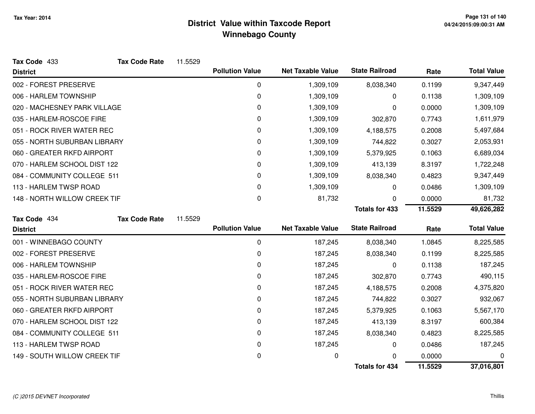| Tax Code 433                 | <b>Tax Code Rate</b> | 11.5529 |                        |                          |                       |         |                    |
|------------------------------|----------------------|---------|------------------------|--------------------------|-----------------------|---------|--------------------|
| <b>District</b>              |                      |         | <b>Pollution Value</b> | <b>Net Taxable Value</b> | <b>State Railroad</b> | Rate    | <b>Total Value</b> |
| 002 - FOREST PRESERVE        |                      |         | 0                      | 1,309,109                | 8,038,340             | 0.1199  | 9,347,449          |
| 006 - HARLEM TOWNSHIP        |                      |         | 0                      | 1,309,109                | 0                     | 0.1138  | 1,309,109          |
| 020 - MACHESNEY PARK VILLAGE |                      |         | 0                      | 1,309,109                | 0                     | 0.0000  | 1,309,109          |
| 035 - HARLEM-ROSCOE FIRE     |                      |         | 0                      | 1,309,109                | 302,870               | 0.7743  | 1,611,979          |
| 051 - ROCK RIVER WATER REC   |                      |         | 0                      | 1,309,109                | 4,188,575             | 0.2008  | 5,497,684          |
| 055 - NORTH SUBURBAN LIBRARY |                      |         | 0                      | 1,309,109                | 744,822               | 0.3027  | 2,053,931          |
| 060 - GREATER RKFD AIRPORT   |                      |         | 0                      | 1,309,109                | 5,379,925             | 0.1063  | 6,689,034          |
| 070 - HARLEM SCHOOL DIST 122 |                      |         | 0                      | 1,309,109                | 413,139               | 8.3197  | 1,722,248          |
| 084 - COMMUNITY COLLEGE 511  |                      |         | 0                      | 1,309,109                | 8,038,340             | 0.4823  | 9,347,449          |
| 113 - HARLEM TWSP ROAD       |                      |         | 0                      | 1,309,109                | 0                     | 0.0486  | 1,309,109          |
| 148 - NORTH WILLOW CREEK TIF |                      |         | 0                      | 81,732                   | 0                     | 0.0000  | 81,732             |
|                              |                      |         |                        |                          | <b>Totals for 433</b> | 11.5529 | 49,626,282         |
| Tax Code 434                 | <b>Tax Code Rate</b> | 11.5529 |                        |                          |                       |         |                    |
| <b>District</b>              |                      |         | <b>Pollution Value</b> | <b>Net Taxable Value</b> | <b>State Railroad</b> | Rate    | <b>Total Value</b> |
| 001 - WINNEBAGO COUNTY       |                      |         | 0                      | 187,245                  | 8,038,340             | 1.0845  | 8,225,585          |
| 002 - FOREST PRESERVE        |                      |         | 0                      | 187,245                  | 8,038,340             | 0.1199  | 8,225,585          |
| 006 - HARLEM TOWNSHIP        |                      |         | 0                      | 187,245                  | 0                     | 0.1138  | 187,245            |
| 035 - HARLEM-ROSCOE FIRE     |                      |         | 0                      | 187,245                  | 302,870               | 0.7743  | 490,115            |
| 051 - ROCK RIVER WATER REC   |                      |         | 0                      | 187,245                  | 4,188,575             | 0.2008  | 4,375,820          |
| 055 - NORTH SUBURBAN LIBRARY |                      |         | 0                      | 187,245                  | 744,822               | 0.3027  | 932,067            |
| 060 - GREATER RKFD AIRPORT   |                      |         | 0                      | 187,245                  | 5,379,925             | 0.1063  | 5,567,170          |
| 070 - HARLEM SCHOOL DIST 122 |                      |         | 0                      | 187,245                  | 413,139               | 8.3197  | 600,384            |
| 084 - COMMUNITY COLLEGE 511  |                      |         | 0                      | 187,245                  | 8,038,340             | 0.4823  | 8,225,585          |
| 113 - HARLEM TWSP ROAD       |                      |         | 0                      | 187,245                  | 0                     | 0.0486  | 187,245            |
| 149 - SOUTH WILLOW CREEK TIF |                      |         | 0                      | 0                        | ∩                     | 0.0000  | 0                  |
|                              |                      |         |                        |                          | <b>Totals for 434</b> | 11.5529 | 37,016,801         |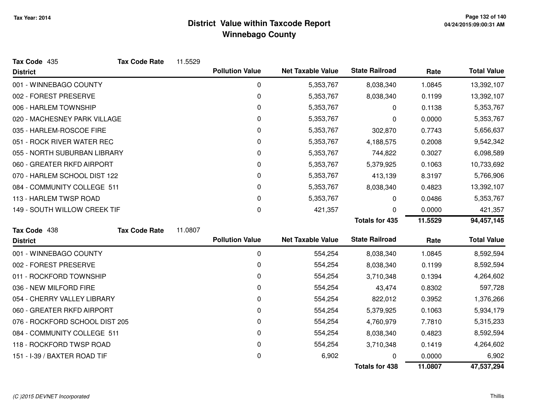| Tax Code 435                   | <b>Tax Code Rate</b> | 11.5529 |                        |                          |                       |         |                    |
|--------------------------------|----------------------|---------|------------------------|--------------------------|-----------------------|---------|--------------------|
| <b>District</b>                |                      |         | <b>Pollution Value</b> | <b>Net Taxable Value</b> | <b>State Railroad</b> | Rate    | <b>Total Value</b> |
| 001 - WINNEBAGO COUNTY         |                      |         | 0                      | 5,353,767                | 8,038,340             | 1.0845  | 13,392,107         |
| 002 - FOREST PRESERVE          |                      |         | 0                      | 5,353,767                | 8,038,340             | 0.1199  | 13,392,107         |
| 006 - HARLEM TOWNSHIP          |                      |         | 0                      | 5,353,767                | 0                     | 0.1138  | 5,353,767          |
| 020 - MACHESNEY PARK VILLAGE   |                      |         | 0                      | 5,353,767                | 0                     | 0.0000  | 5,353,767          |
| 035 - HARLEM-ROSCOE FIRE       |                      |         | 0                      | 5,353,767                | 302,870               | 0.7743  | 5,656,637          |
| 051 - ROCK RIVER WATER REC     |                      |         | 0                      | 5,353,767                | 4,188,575             | 0.2008  | 9,542,342          |
| 055 - NORTH SUBURBAN LIBRARY   |                      |         | 0                      | 5,353,767                | 744,822               | 0.3027  | 6,098,589          |
| 060 - GREATER RKFD AIRPORT     |                      |         | 0                      | 5,353,767                | 5,379,925             | 0.1063  | 10,733,692         |
| 070 - HARLEM SCHOOL DIST 122   |                      |         | 0                      | 5,353,767                | 413,139               | 8.3197  | 5,766,906          |
| 084 - COMMUNITY COLLEGE 511    |                      |         | 0                      | 5,353,767                | 8,038,340             | 0.4823  | 13,392,107         |
| 113 - HARLEM TWSP ROAD         |                      |         | 0                      | 5,353,767                | 0                     | 0.0486  | 5,353,767          |
| 149 - SOUTH WILLOW CREEK TIF   |                      |         | 0                      | 421,357                  | 0                     | 0.0000  | 421,357            |
|                                |                      |         |                        |                          | <b>Totals for 435</b> | 11.5529 | 94,457,145         |
| Tax Code 438                   | <b>Tax Code Rate</b> | 11.0807 |                        |                          |                       |         |                    |
| <b>District</b>                |                      |         | <b>Pollution Value</b> | <b>Net Taxable Value</b> | <b>State Railroad</b> | Rate    | <b>Total Value</b> |
| 001 - WINNEBAGO COUNTY         |                      |         | $\mathbf 0$            | 554,254                  | 8,038,340             | 1.0845  | 8,592,594          |
| 002 - FOREST PRESERVE          |                      |         | 0                      | 554,254                  | 8,038,340             | 0.1199  | 8,592,594          |
| 011 - ROCKFORD TOWNSHIP        |                      |         | 0                      | 554,254                  | 3,710,348             | 0.1394  | 4,264,602          |
| 036 - NEW MILFORD FIRE         |                      |         | 0                      | 554,254                  | 43,474                | 0.8302  | 597,728            |
| 054 - CHERRY VALLEY LIBRARY    |                      |         | 0                      | 554,254                  | 822,012               | 0.3952  | 1,376,266          |
| 060 - GREATER RKFD AIRPORT     |                      |         | 0                      | 554,254                  | 5,379,925             | 0.1063  | 5,934,179          |
| 076 - ROCKFORD SCHOOL DIST 205 |                      |         | 0                      | 554,254                  | 4,760,979             | 7.7810  | 5,315,233          |
| 084 - COMMUNITY COLLEGE 511    |                      |         | 0                      | 554,254                  | 8,038,340             | 0.4823  | 8,592,594          |
| 118 - ROCKFORD TWSP ROAD       |                      |         | 0                      | 554,254                  | 3,710,348             | 0.1419  | 4,264,602          |
| 151 - I-39 / BAXTER ROAD TIF   |                      |         | 0                      | 6,902                    |                       | 0.0000  | 6,902              |
|                                |                      |         |                        |                          | <b>Totals for 438</b> | 11.0807 | 47,537,294         |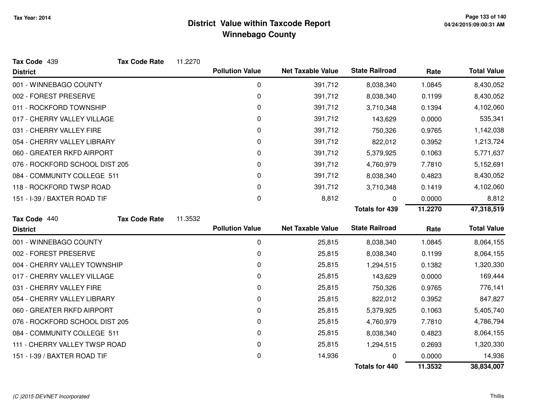| Tax Code 439                   | <b>Tax Code Rate</b> | 11.2270 |                        |                          |                       |         |                    |
|--------------------------------|----------------------|---------|------------------------|--------------------------|-----------------------|---------|--------------------|
| <b>District</b>                |                      |         | <b>Pollution Value</b> | <b>Net Taxable Value</b> | <b>State Railroad</b> | Rate    | <b>Total Value</b> |
| 001 - WINNEBAGO COUNTY         |                      |         | 0                      | 391,712                  | 8,038,340             | 1.0845  | 8,430,052          |
| 002 - FOREST PRESERVE          |                      |         | 0                      | 391,712                  | 8,038,340             | 0.1199  | 8,430,052          |
| 011 - ROCKFORD TOWNSHIP        |                      |         | 0                      | 391,712                  | 3,710,348             | 0.1394  | 4,102,060          |
| 017 - CHERRY VALLEY VILLAGE    |                      |         | 0                      | 391,712                  | 143,629               | 0.0000  | 535,341            |
| 031 - CHERRY VALLEY FIRE       |                      |         | 0                      | 391,712                  | 750,326               | 0.9765  | 1,142,038          |
| 054 - CHERRY VALLEY LIBRARY    |                      |         | 0                      | 391,712                  | 822,012               | 0.3952  | 1,213,724          |
| 060 - GREATER RKFD AIRPORT     |                      |         | 0                      | 391,712                  | 5,379,925             | 0.1063  | 5,771,637          |
| 076 - ROCKFORD SCHOOL DIST 205 |                      |         | 0                      | 391,712                  | 4,760,979             | 7.7810  | 5,152,691          |
| 084 - COMMUNITY COLLEGE 511    |                      |         | 0                      | 391,712                  | 8,038,340             | 0.4823  | 8,430,052          |
| 118 - ROCKFORD TWSP ROAD       |                      |         | 0                      | 391,712                  | 3,710,348             | 0.1419  | 4,102,060          |
| 151 - I-39 / BAXTER ROAD TIF   |                      |         | 0                      | 8,812                    | 0                     | 0.0000  | 8,812              |
|                                |                      |         |                        |                          | <b>Totals for 439</b> | 11.2270 | 47,318,519         |
| Tax Code 440                   | <b>Tax Code Rate</b> | 11.3532 |                        |                          |                       |         |                    |
| <b>District</b>                |                      |         | <b>Pollution Value</b> | <b>Net Taxable Value</b> | <b>State Railroad</b> | Rate    | <b>Total Value</b> |
| 001 - WINNEBAGO COUNTY         |                      |         | 0                      | 25,815                   | 8,038,340             | 1.0845  | 8,064,155          |
| 002 - FOREST PRESERVE          |                      |         | 0                      | 25,815                   | 8,038,340             | 0.1199  | 8,064,155          |
| 004 - CHERRY VALLEY TOWNSHIP   |                      |         | 0                      | 25,815                   | 1,294,515             | 0.1382  | 1,320,330          |
| 017 - CHERRY VALLEY VILLAGE    |                      |         | 0                      | 25,815                   | 143,629               | 0.0000  | 169,444            |
| 031 - CHERRY VALLEY FIRE       |                      |         | 0                      | 25,815                   | 750,326               | 0.9765  | 776,141            |
| 054 - CHERRY VALLEY LIBRARY    |                      |         | 0                      | 25,815                   | 822,012               | 0.3952  | 847,827            |
| 060 - GREATER RKFD AIRPORT     |                      |         | 0                      | 25,815                   | 5,379,925             | 0.1063  | 5,405,740          |
| 076 - ROCKFORD SCHOOL DIST 205 |                      |         | 0                      | 25,815                   | 4,760,979             | 7.7810  | 4,786,794          |
| 084 - COMMUNITY COLLEGE 511    |                      |         | 0                      | 25,815                   | 8,038,340             | 0.4823  | 8,064,155          |
| 111 - CHERRY VALLEY TWSP ROAD  |                      |         | 0                      | 25,815                   | 1,294,515             | 0.2693  | 1,320,330          |
| 151 - I-39 / BAXTER ROAD TIF   |                      |         | 0                      | 14,936                   | U                     | 0.0000  | 14,936             |
|                                |                      |         |                        |                          | <b>Totals for 440</b> | 11.3532 | 38,834,007         |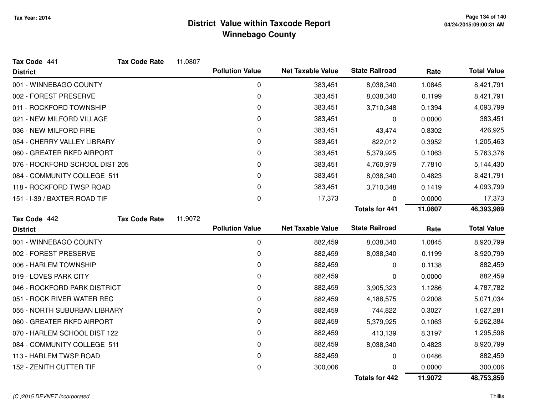| Tax Code 441                   | <b>Tax Code Rate</b> | 11.0807 |                        |                          |                       |         |                    |
|--------------------------------|----------------------|---------|------------------------|--------------------------|-----------------------|---------|--------------------|
| <b>District</b>                |                      |         | <b>Pollution Value</b> | <b>Net Taxable Value</b> | <b>State Railroad</b> | Rate    | <b>Total Value</b> |
| 001 - WINNEBAGO COUNTY         |                      |         | 0                      | 383,451                  | 8,038,340             | 1.0845  | 8,421,791          |
| 002 - FOREST PRESERVE          |                      |         | 0                      | 383,451                  | 8,038,340             | 0.1199  | 8,421,791          |
| 011 - ROCKFORD TOWNSHIP        |                      |         | 0                      | 383,451                  | 3,710,348             | 0.1394  | 4,093,799          |
| 021 - NEW MILFORD VILLAGE      |                      |         | 0                      | 383,451                  | 0                     | 0.0000  | 383,451            |
| 036 - NEW MILFORD FIRE         |                      |         | 0                      | 383,451                  | 43,474                | 0.8302  | 426,925            |
| 054 - CHERRY VALLEY LIBRARY    |                      |         | 0                      | 383,451                  | 822,012               | 0.3952  | 1,205,463          |
| 060 - GREATER RKFD AIRPORT     |                      |         | 0                      | 383,451                  | 5,379,925             | 0.1063  | 5,763,376          |
| 076 - ROCKFORD SCHOOL DIST 205 |                      |         | 0                      | 383,451                  | 4,760,979             | 7.7810  | 5,144,430          |
| 084 - COMMUNITY COLLEGE 511    |                      |         | 0                      | 383,451                  | 8,038,340             | 0.4823  | 8,421,791          |
| 118 - ROCKFORD TWSP ROAD       |                      |         | 0                      | 383,451                  | 3,710,348             | 0.1419  | 4,093,799          |
| 151 - I-39 / BAXTER ROAD TIF   |                      |         | 0                      | 17,373                   | 0                     | 0.0000  | 17,373             |
|                                |                      |         |                        |                          | <b>Totals for 441</b> | 11.0807 | 46,393,989         |
| Tax Code 442                   | <b>Tax Code Rate</b> | 11.9072 |                        |                          |                       |         |                    |
|                                |                      |         |                        |                          |                       |         |                    |
| <b>District</b>                |                      |         | <b>Pollution Value</b> | <b>Net Taxable Value</b> | <b>State Railroad</b> | Rate    | <b>Total Value</b> |
| 001 - WINNEBAGO COUNTY         |                      |         | 0                      | 882,459                  | 8,038,340             | 1.0845  | 8,920,799          |
| 002 - FOREST PRESERVE          |                      |         | 0                      | 882,459                  | 8,038,340             | 0.1199  | 8,920,799          |
| 006 - HARLEM TOWNSHIP          |                      |         | 0                      | 882,459                  | 0                     | 0.1138  | 882,459            |
| 019 - LOVES PARK CITY          |                      |         | 0                      | 882,459                  | 0                     | 0.0000  | 882,459            |
| 046 - ROCKFORD PARK DISTRICT   |                      |         | 0                      | 882,459                  | 3,905,323             | 1.1286  | 4,787,782          |
| 051 - ROCK RIVER WATER REC     |                      |         | 0                      | 882,459                  | 4,188,575             | 0.2008  | 5,071,034          |
| 055 - NORTH SUBURBAN LIBRARY   |                      |         | 0                      | 882,459                  | 744,822               | 0.3027  | 1,627,281          |
| 060 - GREATER RKFD AIRPORT     |                      |         | 0                      | 882,459                  | 5,379,925             | 0.1063  | 6,262,384          |
| 070 - HARLEM SCHOOL DIST 122   |                      |         | 0                      | 882,459                  | 413,139               | 8.3197  | 1,295,598          |
| 084 - COMMUNITY COLLEGE 511    |                      |         | 0                      | 882,459                  | 8,038,340             | 0.4823  | 8,920,799          |
| 113 - HARLEM TWSP ROAD         |                      |         | 0                      | 882,459                  | 0                     | 0.0486  | 882,459            |
| 152 - ZENITH CUTTER TIF        |                      |         | 0                      | 300,006                  |                       | 0.0000  | 300,006            |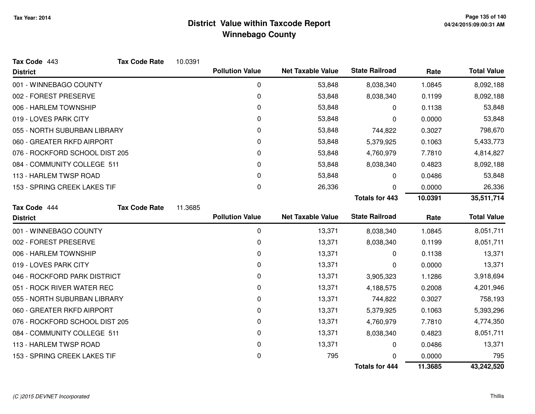| Tax Code 443                   | <b>Tax Code Rate</b> | 10.0391 |                        |                          |                       |         |                    |
|--------------------------------|----------------------|---------|------------------------|--------------------------|-----------------------|---------|--------------------|
| <b>District</b>                |                      |         | <b>Pollution Value</b> | <b>Net Taxable Value</b> | <b>State Railroad</b> | Rate    | <b>Total Value</b> |
| 001 - WINNEBAGO COUNTY         |                      |         | 0                      | 53,848                   | 8,038,340             | 1.0845  | 8,092,188          |
| 002 - FOREST PRESERVE          |                      |         | 0                      | 53,848                   | 8,038,340             | 0.1199  | 8,092,188          |
| 006 - HARLEM TOWNSHIP          |                      |         | 0                      | 53,848                   | 0                     | 0.1138  | 53,848             |
| 019 - LOVES PARK CITY          |                      |         | 0                      | 53,848                   | 0                     | 0.0000  | 53,848             |
| 055 - NORTH SUBURBAN LIBRARY   |                      |         | 0                      | 53,848                   | 744,822               | 0.3027  | 798,670            |
| 060 - GREATER RKFD AIRPORT     |                      |         | 0                      | 53,848                   | 5,379,925             | 0.1063  | 5,433,773          |
| 076 - ROCKFORD SCHOOL DIST 205 |                      |         | 0                      | 53,848                   | 4,760,979             | 7.7810  | 4,814,827          |
| 084 - COMMUNITY COLLEGE 511    |                      |         | 0                      | 53,848                   | 8,038,340             | 0.4823  | 8,092,188          |
| 113 - HARLEM TWSP ROAD         |                      |         | 0                      | 53,848                   | 0                     | 0.0486  | 53,848             |
| 153 - SPRING CREEK LAKES TIF   |                      |         | 0                      | 26,336                   | 0                     | 0.0000  | 26,336             |
|                                |                      |         |                        |                          | <b>Totals for 443</b> | 10.0391 | 35,511,714         |
| Tax Code 444                   | <b>Tax Code Rate</b> | 11.3685 |                        |                          |                       |         |                    |
| <b>District</b>                |                      |         | <b>Pollution Value</b> | <b>Net Taxable Value</b> | <b>State Railroad</b> | Rate    | <b>Total Value</b> |
| 001 - WINNEBAGO COUNTY         |                      |         | 0                      | 13,371                   | 8,038,340             | 1.0845  | 8,051,711          |
| 002 - FOREST PRESERVE          |                      |         | 0                      | 13,371                   | 8,038,340             | 0.1199  | 8,051,711          |
| 006 - HARLEM TOWNSHIP          |                      |         | 0                      | 13,371                   | 0                     | 0.1138  | 13,371             |
| 019 - LOVES PARK CITY          |                      |         | 0                      | 13,371                   | 0                     | 0.0000  | 13,371             |
| 046 - ROCKFORD PARK DISTRICT   |                      |         | 0                      | 13,371                   | 3,905,323             | 1.1286  | 3,918,694          |
| 051 - ROCK RIVER WATER REC     |                      |         | 0                      | 13,371                   | 4,188,575             | 0.2008  | 4,201,946          |
| 055 - NORTH SUBURBAN LIBRARY   |                      |         | 0                      | 13,371                   | 744,822               | 0.3027  | 758,193            |
| 060 - GREATER RKFD AIRPORT     |                      |         | 0                      | 13,371                   | 5,379,925             | 0.1063  | 5,393,296          |
| 076 - ROCKFORD SCHOOL DIST 205 |                      |         | 0                      | 13,371                   | 4,760,979             | 7.7810  | 4,774,350          |
| 084 - COMMUNITY COLLEGE 511    |                      |         | 0                      | 13,371                   | 8,038,340             | 0.4823  | 8,051,711          |
| 113 - HARLEM TWSP ROAD         |                      |         | 0                      | 13,371                   | 0                     | 0.0486  | 13,371             |
| 153 - SPRING CREEK LAKES TIF   |                      |         | 0                      | 795                      | ∩                     | 0.0000  | 795                |
|                                |                      |         |                        |                          | <b>Totals for 444</b> | 11.3685 | 43,242,520         |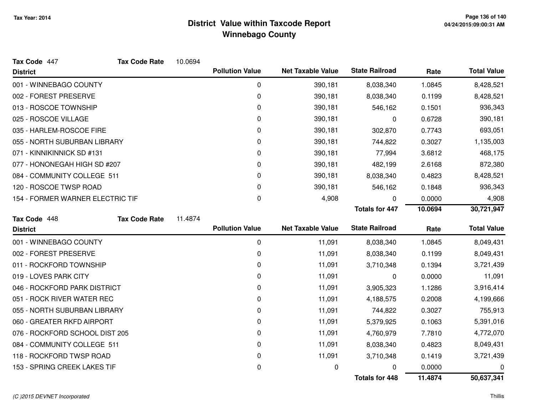| Tax Code 447                     | <b>Tax Code Rate</b> | 10.0694 |                        |                          |                       |         |                    |
|----------------------------------|----------------------|---------|------------------------|--------------------------|-----------------------|---------|--------------------|
| <b>District</b>                  |                      |         | <b>Pollution Value</b> | <b>Net Taxable Value</b> | <b>State Railroad</b> | Rate    | <b>Total Value</b> |
| 001 - WINNEBAGO COUNTY           |                      |         | 0                      | 390,181                  | 8,038,340             | 1.0845  | 8,428,521          |
| 002 - FOREST PRESERVE            |                      |         | 0                      | 390,181                  | 8,038,340             | 0.1199  | 8,428,521          |
| 013 - ROSCOE TOWNSHIP            |                      |         | 0                      | 390,181                  | 546,162               | 0.1501  | 936,343            |
| 025 - ROSCOE VILLAGE             |                      |         | 0                      | 390,181                  | 0                     | 0.6728  | 390,181            |
| 035 - HARLEM-ROSCOE FIRE         |                      |         | 0                      | 390,181                  | 302,870               | 0.7743  | 693,051            |
| 055 - NORTH SUBURBAN LIBRARY     |                      |         | 0                      | 390,181                  | 744,822               | 0.3027  | 1,135,003          |
| 071 - KINNIKINNICK SD #131       |                      |         | 0                      | 390,181                  | 77,994                | 3.6812  | 468,175            |
| 077 - HONONEGAH HIGH SD #207     |                      |         | 0                      | 390,181                  | 482,199               | 2.6168  | 872,380            |
| 084 - COMMUNITY COLLEGE 511      |                      |         | 0                      | 390,181                  | 8,038,340             | 0.4823  | 8,428,521          |
| 120 - ROSCOE TWSP ROAD           |                      |         | 0                      | 390,181                  | 546,162               | 0.1848  | 936,343            |
| 154 - FORMER WARNER ELECTRIC TIF |                      |         | 0                      | 4,908                    | 0                     | 0.0000  | 4,908              |
|                                  |                      |         |                        |                          | <b>Totals for 447</b> | 10.0694 | 30,721,947         |
| Tax Code 448                     | <b>Tax Code Rate</b> | 11.4874 |                        |                          |                       |         |                    |
| <b>District</b>                  |                      |         | <b>Pollution Value</b> | <b>Net Taxable Value</b> | <b>State Railroad</b> | Rate    | <b>Total Value</b> |
| 001 - WINNEBAGO COUNTY           |                      |         | 0                      | 11,091                   | 8,038,340             | 1.0845  | 8,049,431          |
| 002 - FOREST PRESERVE            |                      |         |                        |                          |                       |         |                    |
|                                  |                      |         | 0                      | 11,091                   | 8,038,340             | 0.1199  | 8,049,431          |
| 011 - ROCKFORD TOWNSHIP          |                      |         | 0                      | 11,091                   | 3,710,348             | 0.1394  | 3,721,439          |
| 019 - LOVES PARK CITY            |                      |         | 0                      | 11,091                   | 0                     | 0.0000  | 11,091             |
| 046 - ROCKFORD PARK DISTRICT     |                      |         | 0                      | 11,091                   | 3,905,323             | 1.1286  | 3,916,414          |
| 051 - ROCK RIVER WATER REC       |                      |         | 0                      | 11,091                   | 4,188,575             | 0.2008  | 4,199,666          |
| 055 - NORTH SUBURBAN LIBRARY     |                      |         | 0                      | 11,091                   | 744,822               | 0.3027  | 755,913            |
| 060 - GREATER RKFD AIRPORT       |                      |         | 0                      | 11,091                   | 5,379,925             | 0.1063  | 5,391,016          |
| 076 - ROCKFORD SCHOOL DIST 205   |                      |         | 0                      | 11,091                   | 4,760,979             | 7.7810  | 4,772,070          |
| 084 - COMMUNITY COLLEGE 511      |                      |         | 0                      | 11,091                   | 8,038,340             | 0.4823  | 8,049,431          |
| 118 - ROCKFORD TWSP ROAD         |                      |         | 0                      | 11,091                   | 3,710,348             | 0.1419  | 3,721,439          |
| 153 - SPRING CREEK LAKES TIF     |                      |         | 0                      | 0                        |                       | 0.0000  | 0                  |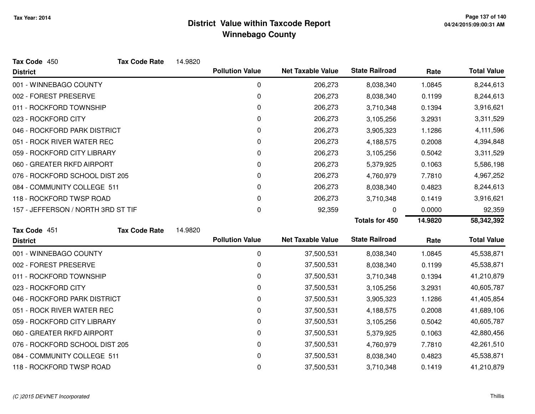| Tax Code 450                       | <b>Tax Code Rate</b> | 14.9820 |                        |                          |                       |         |                    |
|------------------------------------|----------------------|---------|------------------------|--------------------------|-----------------------|---------|--------------------|
| <b>District</b>                    |                      |         | <b>Pollution Value</b> | <b>Net Taxable Value</b> | <b>State Railroad</b> | Rate    | <b>Total Value</b> |
| 001 - WINNEBAGO COUNTY             |                      |         | 0                      | 206,273                  | 8,038,340             | 1.0845  | 8,244,613          |
| 002 - FOREST PRESERVE              |                      |         | 0                      | 206,273                  | 8,038,340             | 0.1199  | 8,244,613          |
| 011 - ROCKFORD TOWNSHIP            |                      |         | 0                      | 206,273                  | 3,710,348             | 0.1394  | 3,916,621          |
| 023 - ROCKFORD CITY                |                      |         | 0                      | 206,273                  | 3,105,256             | 3.2931  | 3,311,529          |
| 046 - ROCKFORD PARK DISTRICT       |                      |         | 0                      | 206,273                  | 3,905,323             | 1.1286  | 4,111,596          |
| 051 - ROCK RIVER WATER REC         |                      |         | 0                      | 206,273                  | 4,188,575             | 0.2008  | 4,394,848          |
| 059 - ROCKFORD CITY LIBRARY        |                      |         | 0                      | 206,273                  | 3,105,256             | 0.5042  | 3,311,529          |
| 060 - GREATER RKFD AIRPORT         |                      |         | 0                      | 206,273                  | 5,379,925             | 0.1063  | 5,586,198          |
| 076 - ROCKFORD SCHOOL DIST 205     |                      |         | 0                      | 206,273                  | 4,760,979             | 7.7810  | 4,967,252          |
| 084 - COMMUNITY COLLEGE 511        |                      |         | 0                      | 206,273                  | 8,038,340             | 0.4823  | 8,244,613          |
| 118 - ROCKFORD TWSP ROAD           |                      |         | 0                      | 206,273                  | 3,710,348             | 0.1419  | 3,916,621          |
| 157 - JEFFERSON / NORTH 3RD ST TIF |                      |         | 0                      | 92,359                   | 0                     | 0.0000  | 92,359             |
|                                    |                      |         |                        |                          | <b>Totals for 450</b> | 14.9820 | 58,342,392         |
|                                    |                      |         |                        |                          |                       |         |                    |
| Tax Code 451                       | <b>Tax Code Rate</b> | 14.9820 |                        |                          |                       |         |                    |
| <b>District</b>                    |                      |         | <b>Pollution Value</b> | <b>Net Taxable Value</b> | <b>State Railroad</b> | Rate    | <b>Total Value</b> |
| 001 - WINNEBAGO COUNTY             |                      |         | 0                      | 37,500,531               | 8,038,340             | 1.0845  | 45,538,871         |
| 002 - FOREST PRESERVE              |                      |         | 0                      | 37,500,531               | 8,038,340             | 0.1199  | 45,538,871         |
| 011 - ROCKFORD TOWNSHIP            |                      |         | 0                      | 37,500,531               | 3,710,348             | 0.1394  | 41,210,879         |
| 023 - ROCKFORD CITY                |                      |         | 0                      | 37,500,531               | 3,105,256             | 3.2931  | 40,605,787         |
| 046 - ROCKFORD PARK DISTRICT       |                      |         | 0                      | 37,500,531               | 3,905,323             | 1.1286  | 41,405,854         |
| 051 - ROCK RIVER WATER REC         |                      |         | 0                      | 37,500,531               | 4,188,575             | 0.2008  | 41,689,106         |
| 059 - ROCKFORD CITY LIBRARY        |                      |         | 0                      | 37,500,531               | 3,105,256             | 0.5042  | 40,605,787         |
| 060 - GREATER RKFD AIRPORT         |                      |         | 0                      | 37,500,531               | 5,379,925             | 0.1063  | 42,880,456         |
| 076 - ROCKFORD SCHOOL DIST 205     |                      |         | 0                      | 37,500,531               | 4,760,979             | 7.7810  | 42,261,510         |
| 084 - COMMUNITY COLLEGE 511        |                      |         | 0                      | 37,500,531               | 8,038,340             | 0.4823  | 45,538,871         |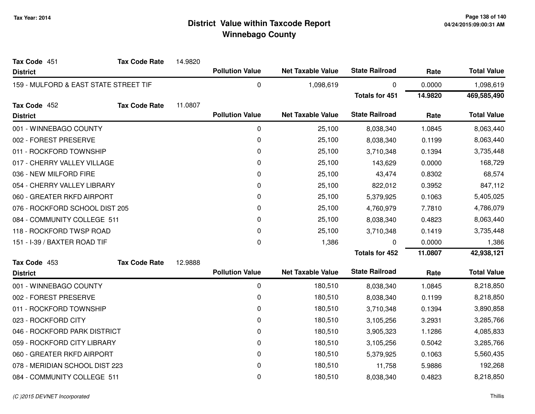| Tax Code 451                          | <b>Tax Code Rate</b> | 14.9820 |                        |                          |                       |           |                    |
|---------------------------------------|----------------------|---------|------------------------|--------------------------|-----------------------|-----------|--------------------|
| <b>District</b>                       |                      |         | <b>Pollution Value</b> | <b>Net Taxable Value</b> | <b>State Railroad</b> | Rate      | <b>Total Value</b> |
| 159 - MULFORD & EAST STATE STREET TIF |                      | 0       | 1,098,619              | 0                        | 0.0000                | 1,098,619 |                    |
|                                       |                      |         |                        |                          | <b>Totals for 451</b> | 14.9820   | 469,585,490        |
| Tax Code 452                          | <b>Tax Code Rate</b> | 11.0807 |                        |                          |                       |           |                    |
| <b>District</b>                       |                      |         | <b>Pollution Value</b> | <b>Net Taxable Value</b> | <b>State Railroad</b> | Rate      | <b>Total Value</b> |
| 001 - WINNEBAGO COUNTY                |                      |         | 0                      | 25,100                   | 8,038,340             | 1.0845    | 8,063,440          |
| 002 - FOREST PRESERVE                 |                      |         | 0                      | 25,100                   | 8,038,340             | 0.1199    | 8,063,440          |
| 011 - ROCKFORD TOWNSHIP               |                      |         | 0                      | 25,100                   | 3,710,348             | 0.1394    | 3,735,448          |
| 017 - CHERRY VALLEY VILLAGE           |                      |         | 0                      | 25,100                   | 143,629               | 0.0000    | 168,729            |
| 036 - NEW MILFORD FIRE                |                      |         | 0                      | 25,100                   | 43,474                | 0.8302    | 68,574             |
| 054 - CHERRY VALLEY LIBRARY           |                      |         | 0                      | 25,100                   | 822,012               | 0.3952    | 847,112            |
| 060 - GREATER RKFD AIRPORT            |                      |         | 0                      | 25,100                   | 5,379,925             | 0.1063    | 5,405,025          |
| 076 - ROCKFORD SCHOOL DIST 205        |                      |         | 0                      | 25,100                   | 4,760,979             | 7.7810    | 4,786,079          |
| 084 - COMMUNITY COLLEGE 511           |                      |         | 0                      | 25,100                   | 8,038,340             | 0.4823    | 8,063,440          |
| 118 - ROCKFORD TWSP ROAD              |                      |         | 0                      | 25,100                   | 3,710,348             | 0.1419    | 3,735,448          |
| 151 - I-39 / BAXTER ROAD TIF          |                      |         | 0                      | 1,386                    | 0                     | 0.0000    | 1,386              |
|                                       |                      |         |                        |                          | <b>Totals for 452</b> | 11.0807   | 42,938,121         |
| Tax Code 453                          | <b>Tax Code Rate</b> | 12.9888 |                        |                          |                       |           |                    |
| <b>District</b>                       |                      |         | <b>Pollution Value</b> | <b>Net Taxable Value</b> | <b>State Railroad</b> | Rate      | <b>Total Value</b> |
| 001 - WINNEBAGO COUNTY                |                      |         | 0                      | 180,510                  | 8,038,340             | 1.0845    | 8,218,850          |
| 002 - FOREST PRESERVE                 |                      |         | 0                      | 180,510                  | 8,038,340             | 0.1199    | 8,218,850          |
| 011 - ROCKFORD TOWNSHIP               |                      |         | 0                      | 180,510                  | 3,710,348             | 0.1394    | 3,890,858          |
| 023 - ROCKFORD CITY                   |                      |         | 0                      | 180,510                  | 3,105,256             | 3.2931    | 3,285,766          |
| 046 - ROCKFORD PARK DISTRICT          |                      |         | 0                      | 180,510                  | 3,905,323             | 1.1286    | 4,085,833          |
| 059 - ROCKFORD CITY LIBRARY           |                      |         | 0                      | 180,510                  | 3,105,256             | 0.5042    | 3,285,766          |
| 060 - GREATER RKFD AIRPORT            |                      |         | 0                      | 180,510                  | 5,379,925             | 0.1063    | 5,560,435          |
| 078 - MERIDIAN SCHOOL DIST 223        |                      |         | 0                      | 180,510                  | 11,758                | 5.9886    | 192,268            |
| 084 - COMMUNITY COLLEGE 511           |                      |         | 0                      | 180,510                  | 8,038,340             | 0.4823    | 8,218,850          |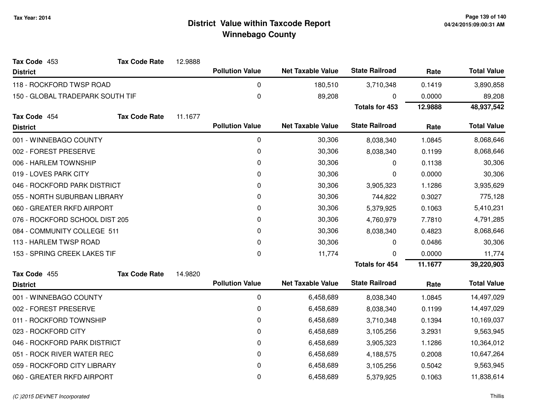| Tax Code 453                     | <b>Tax Code Rate</b> | 12.9888 |                        |                          |                       |         |                    |
|----------------------------------|----------------------|---------|------------------------|--------------------------|-----------------------|---------|--------------------|
| <b>District</b>                  |                      |         | <b>Pollution Value</b> | <b>Net Taxable Value</b> | <b>State Railroad</b> | Rate    | <b>Total Value</b> |
| 118 - ROCKFORD TWSP ROAD         |                      |         | 0                      | 180,510                  | 3,710,348             | 0.1419  | 3,890,858          |
| 150 - GLOBAL TRADEPARK SOUTH TIF |                      |         | $\pmb{0}$              | 89,208                   | 0                     | 0.0000  | 89,208             |
|                                  |                      |         |                        |                          | <b>Totals for 453</b> | 12.9888 | 48,937,542         |
| Tax Code 454                     | <b>Tax Code Rate</b> | 11.1677 |                        |                          |                       |         |                    |
| <b>District</b>                  |                      |         | <b>Pollution Value</b> | <b>Net Taxable Value</b> | <b>State Railroad</b> | Rate    | <b>Total Value</b> |
| 001 - WINNEBAGO COUNTY           |                      |         | $\pmb{0}$              | 30,306                   | 8,038,340             | 1.0845  | 8,068,646          |
| 002 - FOREST PRESERVE            |                      |         | 0                      | 30,306                   | 8,038,340             | 0.1199  | 8,068,646          |
| 006 - HARLEM TOWNSHIP            |                      |         | 0                      | 30,306                   | 0                     | 0.1138  | 30,306             |
| 019 - LOVES PARK CITY            |                      |         | 0                      | 30,306                   | 0                     | 0.0000  | 30,306             |
| 046 - ROCKFORD PARK DISTRICT     |                      |         | 0                      | 30,306                   | 3,905,323             | 1.1286  | 3,935,629          |
| 055 - NORTH SUBURBAN LIBRARY     |                      |         | 0                      | 30,306                   | 744,822               | 0.3027  | 775,128            |
| 060 - GREATER RKFD AIRPORT       |                      |         | 0                      | 30,306                   | 5,379,925             | 0.1063  | 5,410,231          |
| 076 - ROCKFORD SCHOOL DIST 205   |                      |         | 0                      | 30,306                   | 4,760,979             | 7.7810  | 4,791,285          |
| 084 - COMMUNITY COLLEGE 511      |                      |         | 0                      | 30,306                   | 8,038,340             | 0.4823  | 8,068,646          |
| 113 - HARLEM TWSP ROAD           |                      |         | 0                      | 30,306                   | 0                     | 0.0486  | 30,306             |
| 153 - SPRING CREEK LAKES TIF     |                      |         | $\pmb{0}$              | 11,774                   | 0                     | 0.0000  | 11,774             |
|                                  |                      |         |                        |                          | <b>Totals for 454</b> | 11.1677 | 39,220,903         |
| Tax Code 455                     | <b>Tax Code Rate</b> | 14.9820 |                        |                          |                       |         |                    |
| <b>District</b>                  |                      |         | <b>Pollution Value</b> | <b>Net Taxable Value</b> | <b>State Railroad</b> | Rate    | <b>Total Value</b> |
| 001 - WINNEBAGO COUNTY           |                      |         | 0                      | 6,458,689                | 8,038,340             | 1.0845  | 14,497,029         |
| 002 - FOREST PRESERVE            |                      |         | 0                      | 6,458,689                | 8,038,340             | 0.1199  | 14,497,029         |
| 011 - ROCKFORD TOWNSHIP          |                      |         | 0                      | 6,458,689                | 3,710,348             | 0.1394  | 10,169,037         |
| 023 - ROCKFORD CITY              |                      |         | 0                      | 6,458,689                | 3,105,256             | 3.2931  | 9,563,945          |
| 046 - ROCKFORD PARK DISTRICT     |                      |         | 0                      | 6,458,689                | 3,905,323             | 1.1286  | 10,364,012         |
| 051 - ROCK RIVER WATER REC       |                      |         | 0                      | 6,458,689                | 4,188,575             | 0.2008  | 10,647,264         |
| 059 - ROCKFORD CITY LIBRARY      |                      |         | 0                      | 6,458,689                | 3,105,256             | 0.5042  | 9,563,945          |
| 060 - GREATER RKFD AIRPORT       |                      |         | 0                      | 6,458,689                | 5,379,925             | 0.1063  | 11,838,614         |